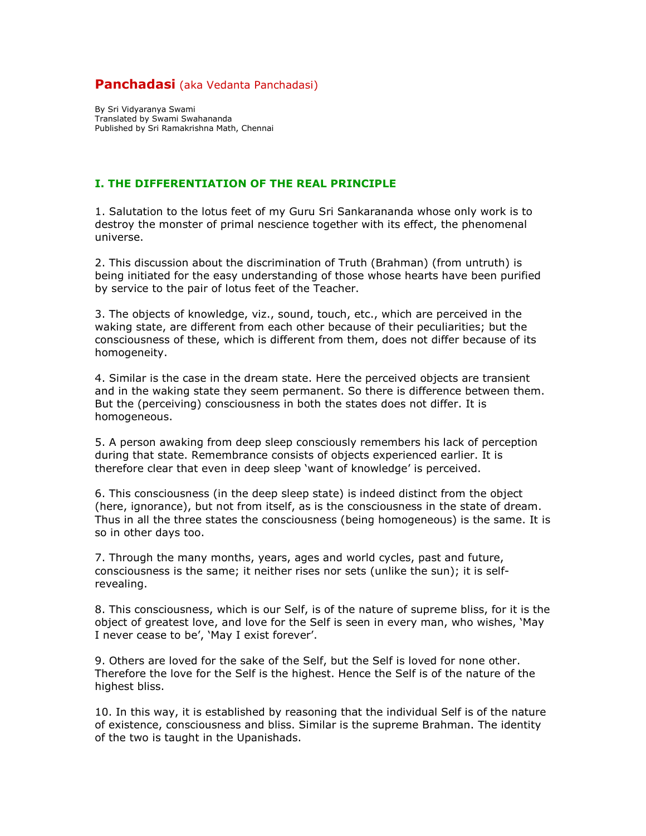# **Panchadasi** (aka Vedanta Panchadasi)

By Sri Vidyaranya Swami Translated by Swami Swahananda Published by Sri Ramakrishna Math, Chennai

# I. THE DIFFERENTIATION OF THE REAL PRINCIPLE

1. Salutation to the lotus feet of my Guru Sri Sankarananda whose only work is to destroy the monster of primal nescience together with its effect, the phenomenal universe.

2. This discussion about the discrimination of Truth (Brahman) (from untruth) is being initiated for the easy understanding of those whose hearts have been purified by service to the pair of lotus feet of the Teacher.

3. The objects of knowledge, viz., sound, touch, etc., which are perceived in the waking state, are different from each other because of their peculiarities; but the consciousness of these, which is different from them, does not differ because of its homogeneity.

4. Similar is the case in the dream state. Here the perceived objects are transient and in the waking state they seem permanent. So there is difference between them. But the (perceiving) consciousness in both the states does not differ. It is homogeneous.

5. A person awaking from deep sleep consciously remembers his lack of perception during that state. Remembrance consists of objects experienced earlier. It is therefore clear that even in deep sleep 'want of knowledge' is perceived.

6. This consciousness (in the deep sleep state) is indeed distinct from the object (here, ignorance), but not from itself, as is the consciousness in the state of dream. Thus in all the three states the consciousness (being homogeneous) is the same. It is so in other days too.

7. Through the many months, years, ages and world cycles, past and future, consciousness is the same; it neither rises nor sets (unlike the sun); it is selfrevealing.

8. This consciousness, which is our Self, is of the nature of supreme bliss, for it is the object of greatest love, and love for the Self is seen in every man, who wishes, 'May I never cease to be', 'May I exist forever'.

9. Others are loved for the sake of the Self, but the Self is loved for none other. Therefore the love for the Self is the highest. Hence the Self is of the nature of the highest bliss.

10. In this way, it is established by reasoning that the individual Self is of the nature of existence, consciousness and bliss. Similar is the supreme Brahman. The identity of the two is taught in the Upanishads.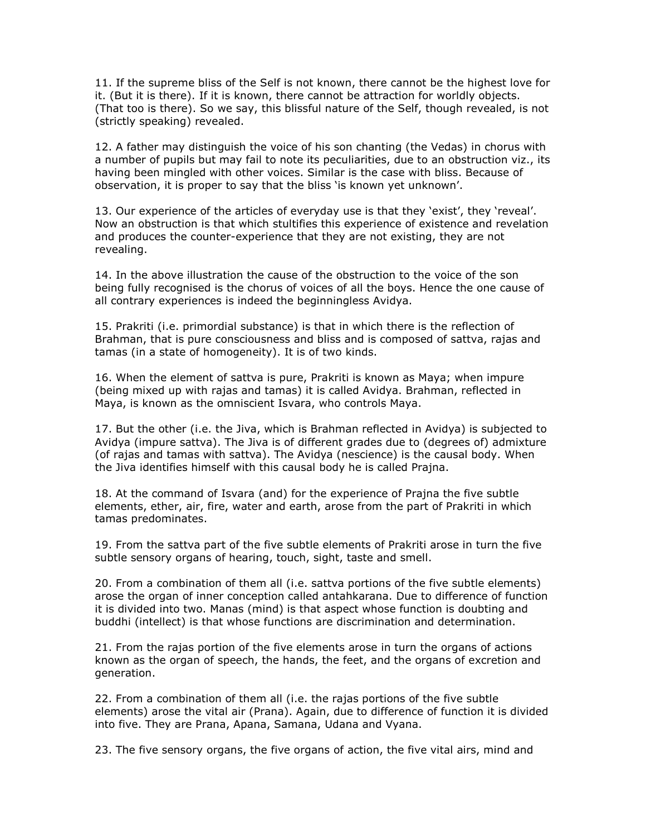11. If the supreme bliss of the Self is not known, there cannot be the highest love for it. (But it is there). If it is known, there cannot be attraction for worldly objects. (That too is there). So we say, this blissful nature of the Self, though revealed, is not (strictly speaking) revealed.

12. A father may distinguish the voice of his son chanting (the Vedas) in chorus with a number of pupils but may fail to note its peculiarities, due to an obstruction viz., its having been mingled with other voices. Similar is the case with bliss. Because of observation, it is proper to say that the bliss 'is known yet unknown'.

13. Our experience of the articles of everyday use is that they 'exist', they 'reveal'. Now an obstruction is that which stultifies this experience of existence and revelation and produces the counter-experience that they are not existing, they are not revealing.

14. In the above illustration the cause of the obstruction to the voice of the son being fully recognised is the chorus of voices of all the boys. Hence the one cause of all contrary experiences is indeed the beginningless Avidya.

15. Prakriti (i.e. primordial substance) is that in which there is the reflection of Brahman, that is pure consciousness and bliss and is composed of sattva, rajas and tamas (in a state of homogeneity). It is of two kinds.

16. When the element of sattva is pure, Prakriti is known as Maya; when impure (being mixed up with rajas and tamas) it is called Avidya. Brahman, reflected in Maya, is known as the omniscient Isvara, who controls Maya.

17. But the other (i.e. the Jiva, which is Brahman reflected in Avidya) is subjected to Avidya (impure sattva). The Jiva is of different grades due to (degrees of) admixture (of rajas and tamas with sattva). The Avidya (nescience) is the causal body. When the Jiva identifies himself with this causal body he is called Prajna.

18. At the command of Isvara (and) for the experience of Prajna the five subtle elements, ether, air, fire, water and earth, arose from the part of Prakriti in which tamas predominates.

19. From the sattva part of the five subtle elements of Prakriti arose in turn the five subtle sensory organs of hearing, touch, sight, taste and smell.

20. From a combination of them all (i.e. sattva portions of the five subtle elements) arose the organ of inner conception called antahkarana. Due to difference of function it is divided into two. Manas (mind) is that aspect whose function is doubting and buddhi (intellect) is that whose functions are discrimination and determination.

21. From the rajas portion of the five elements arose in turn the organs of actions known as the organ of speech, the hands, the feet, and the organs of excretion and generation.

22. From a combination of them all (i.e. the rajas portions of the five subtle elements) arose the vital air (Prana). Again, due to difference of function it is divided into five. They are Prana, Apana, Samana, Udana and Vyana.

23. The five sensory organs, the five organs of action, the five vital airs, mind and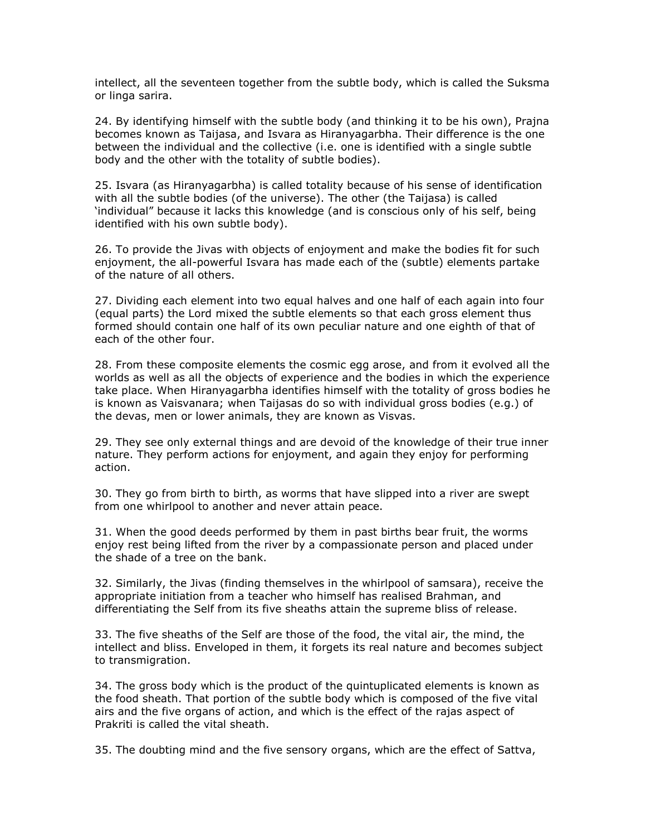intellect, all the seventeen together from the subtle body, which is called the Suksma or linga sarira.

24. By identifying himself with the subtle body (and thinking it to be his own), Prajna becomes known as Taijasa, and Isvara as Hiranyagarbha. Their difference is the one between the individual and the collective (i.e. one is identified with a single subtle body and the other with the totality of subtle bodies).

25. Isvara (as Hiranyagarbha) is called totality because of his sense of identification with all the subtle bodies (of the universe). The other (the Taijasa) is called 'individual" because it lacks this knowledge (and is conscious only of his self, being identified with his own subtle body).

26. To provide the Jivas with objects of enjoyment and make the bodies fit for such enjoyment, the all-powerful Isvara has made each of the (subtle) elements partake of the nature of all others.

27. Dividing each element into two equal halves and one half of each again into four (equal parts) the Lord mixed the subtle elements so that each gross element thus formed should contain one half of its own peculiar nature and one eighth of that of each of the other four.

28. From these composite elements the cosmic egg arose, and from it evolved all the worlds as well as all the objects of experience and the bodies in which the experience take place. When Hiranyagarbha identifies himself with the totality of gross bodies he is known as Vaisvanara; when Taijasas do so with individual gross bodies (e.g.) of the devas, men or lower animals, they are known as Visvas.

29. They see only external things and are devoid of the knowledge of their true inner nature. They perform actions for enjoyment, and again they enjoy for performing action.

30. They go from birth to birth, as worms that have slipped into a river are swept from one whirlpool to another and never attain peace.

31. When the good deeds performed by them in past births bear fruit, the worms enjoy rest being lifted from the river by a compassionate person and placed under the shade of a tree on the bank.

32. Similarly, the Jivas (finding themselves in the whirlpool of samsara), receive the appropriate initiation from a teacher who himself has realised Brahman, and differentiating the Self from its five sheaths attain the supreme bliss of release.

33. The five sheaths of the Self are those of the food, the vital air, the mind, the intellect and bliss. Enveloped in them, it forgets its real nature and becomes subject to transmigration.

34. The gross body which is the product of the quintuplicated elements is known as the food sheath. That portion of the subtle body which is composed of the five vital airs and the five organs of action, and which is the effect of the rajas aspect of Prakriti is called the vital sheath.

35. The doubting mind and the five sensory organs, which are the effect of Sattva,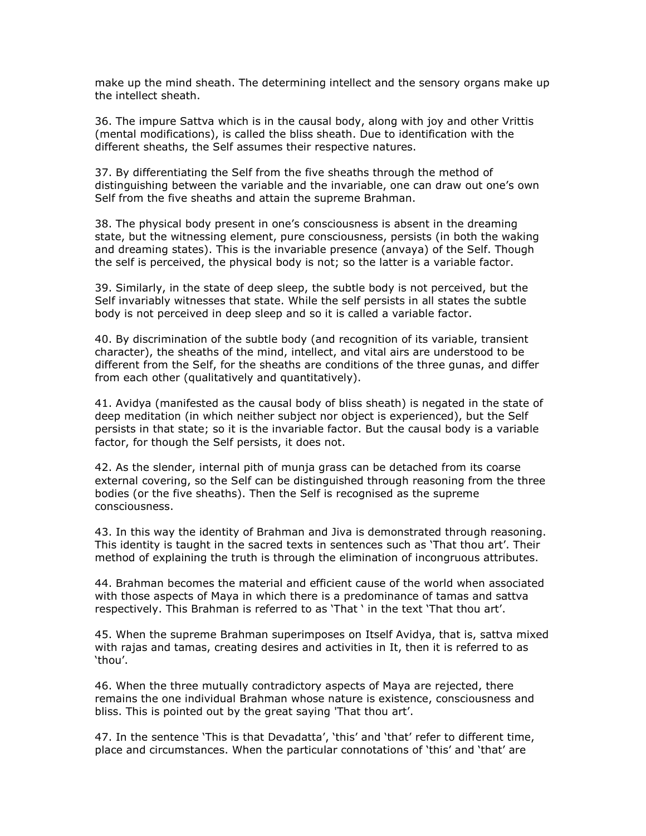make up the mind sheath. The determining intellect and the sensory organs make up the intellect sheath.

36. The impure Sattva which is in the causal body, along with joy and other Vrittis (mental modifications), is called the bliss sheath. Due to identification with the different sheaths, the Self assumes their respective natures.

37. By differentiating the Self from the five sheaths through the method of distinguishing between the variable and the invariable, one can draw out one's own Self from the five sheaths and attain the supreme Brahman.

38. The physical body present in one's consciousness is absent in the dreaming state, but the witnessing element, pure consciousness, persists (in both the waking and dreaming states). This is the invariable presence (anvaya) of the Self. Though the self is perceived, the physical body is not; so the latter is a variable factor.

39. Similarly, in the state of deep sleep, the subtle body is not perceived, but the Self invariably witnesses that state. While the self persists in all states the subtle body is not perceived in deep sleep and so it is called a variable factor.

40. By discrimination of the subtle body (and recognition of its variable, transient character), the sheaths of the mind, intellect, and vital airs are understood to be different from the Self, for the sheaths are conditions of the three gunas, and differ from each other (qualitatively and quantitatively).

41. Avidya (manifested as the causal body of bliss sheath) is negated in the state of deep meditation (in which neither subject nor object is experienced), but the Self persists in that state; so it is the invariable factor. But the causal body is a variable factor, for though the Self persists, it does not.

42. As the slender, internal pith of munja grass can be detached from its coarse external covering, so the Self can be distinguished through reasoning from the three bodies (or the five sheaths). Then the Self is recognised as the supreme consciousness.

43. In this way the identity of Brahman and Jiva is demonstrated through reasoning. This identity is taught in the sacred texts in sentences such as 'That thou art'. Their method of explaining the truth is through the elimination of incongruous attributes.

44. Brahman becomes the material and efficient cause of the world when associated with those aspects of Maya in which there is a predominance of tamas and sattva respectively. This Brahman is referred to as 'That ' in the text 'That thou art'.

45. When the supreme Brahman superimposes on Itself Avidya, that is, sattva mixed with rajas and tamas, creating desires and activities in It, then it is referred to as 'thou'.

46. When the three mutually contradictory aspects of Maya are rejected, there remains the one individual Brahman whose nature is existence, consciousness and bliss. This is pointed out by the great saying 'That thou art'.

47. In the sentence 'This is that Devadatta', 'this' and 'that' refer to different time, place and circumstances. When the particular connotations of 'this' and 'that' are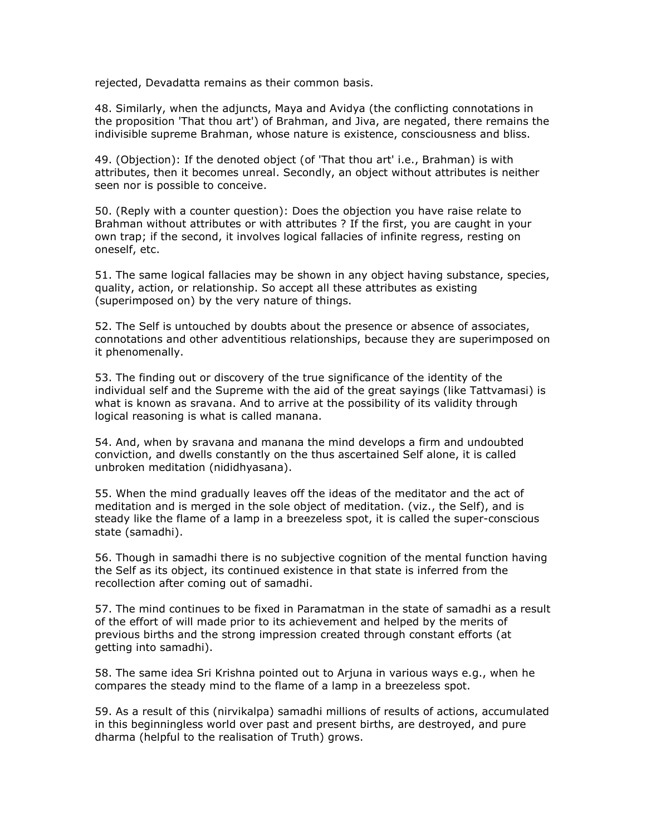rejected, Devadatta remains as their common basis.

48. Similarly, when the adjuncts, Maya and Avidya (the conflicting connotations in the proposition 'That thou art') of Brahman, and Jiva, are negated, there remains the indivisible supreme Brahman, whose nature is existence, consciousness and bliss.

49. (Objection): If the denoted object (of 'That thou art' i.e., Brahman) is with attributes, then it becomes unreal. Secondly, an object without attributes is neither seen nor is possible to conceive.

50. (Reply with a counter question): Does the objection you have raise relate to Brahman without attributes or with attributes ? If the first, you are caught in your own trap; if the second, it involves logical fallacies of infinite regress, resting on oneself, etc.

51. The same logical fallacies may be shown in any object having substance, species, quality, action, or relationship. So accept all these attributes as existing (superimposed on) by the very nature of things.

52. The Self is untouched by doubts about the presence or absence of associates, connotations and other adventitious relationships, because they are superimposed on it phenomenally.

53. The finding out or discovery of the true significance of the identity of the individual self and the Supreme with the aid of the great sayings (like Tattvamasi) is what is known as sravana. And to arrive at the possibility of its validity through logical reasoning is what is called manana.

54. And, when by sravana and manana the mind develops a firm and undoubted conviction, and dwells constantly on the thus ascertained Self alone, it is called unbroken meditation (nididhyasana).

55. When the mind gradually leaves off the ideas of the meditator and the act of meditation and is merged in the sole object of meditation. (viz., the Self), and is steady like the flame of a lamp in a breezeless spot, it is called the super-conscious state (samadhi).

56. Though in samadhi there is no subjective cognition of the mental function having the Self as its object, its continued existence in that state is inferred from the recollection after coming out of samadhi.

57. The mind continues to be fixed in Paramatman in the state of samadhi as a result of the effort of will made prior to its achievement and helped by the merits of previous births and the strong impression created through constant efforts (at getting into samadhi).

58. The same idea Sri Krishna pointed out to Arjuna in various ways e.g., when he compares the steady mind to the flame of a lamp in a breezeless spot.

59. As a result of this (nirvikalpa) samadhi millions of results of actions, accumulated in this beginningless world over past and present births, are destroyed, and pure dharma (helpful to the realisation of Truth) grows.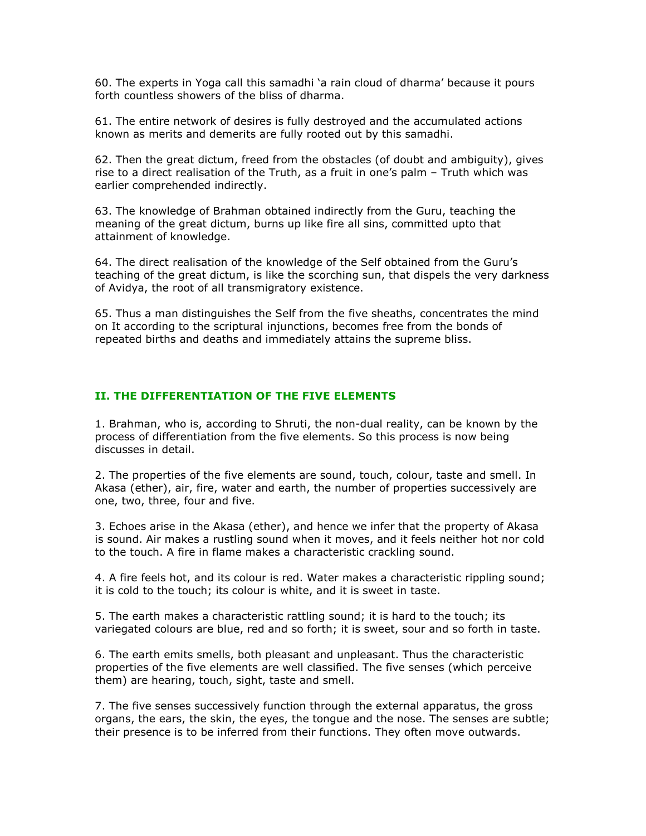60. The experts in Yoga call this samadhi 'a rain cloud of dharma' because it pours forth countless showers of the bliss of dharma.

61. The entire network of desires is fully destroyed and the accumulated actions known as merits and demerits are fully rooted out by this samadhi.

62. Then the great dictum, freed from the obstacles (of doubt and ambiguity), gives rise to a direct realisation of the Truth, as a fruit in one's palm – Truth which was earlier comprehended indirectly.

63. The knowledge of Brahman obtained indirectly from the Guru, teaching the meaning of the great dictum, burns up like fire all sins, committed upto that attainment of knowledge.

64. The direct realisation of the knowledge of the Self obtained from the Guru's teaching of the great dictum, is like the scorching sun, that dispels the very darkness of Avidya, the root of all transmigratory existence.

65. Thus a man distinguishes the Self from the five sheaths, concentrates the mind on It according to the scriptural injunctions, becomes free from the bonds of repeated births and deaths and immediately attains the supreme bliss.

### II. THE DIFFERENTIATION OF THE FIVE ELEMENTS

1. Brahman, who is, according to Shruti, the non-dual reality, can be known by the process of differentiation from the five elements. So this process is now being discusses in detail.

2. The properties of the five elements are sound, touch, colour, taste and smell. In Akasa (ether), air, fire, water and earth, the number of properties successively are one, two, three, four and five.

3. Echoes arise in the Akasa (ether), and hence we infer that the property of Akasa is sound. Air makes a rustling sound when it moves, and it feels neither hot nor cold to the touch. A fire in flame makes a characteristic crackling sound.

4. A fire feels hot, and its colour is red. Water makes a characteristic rippling sound; it is cold to the touch; its colour is white, and it is sweet in taste.

5. The earth makes a characteristic rattling sound; it is hard to the touch; its variegated colours are blue, red and so forth; it is sweet, sour and so forth in taste.

6. The earth emits smells, both pleasant and unpleasant. Thus the characteristic properties of the five elements are well classified. The five senses (which perceive them) are hearing, touch, sight, taste and smell.

7. The five senses successively function through the external apparatus, the gross organs, the ears, the skin, the eyes, the tongue and the nose. The senses are subtle; their presence is to be inferred from their functions. They often move outwards.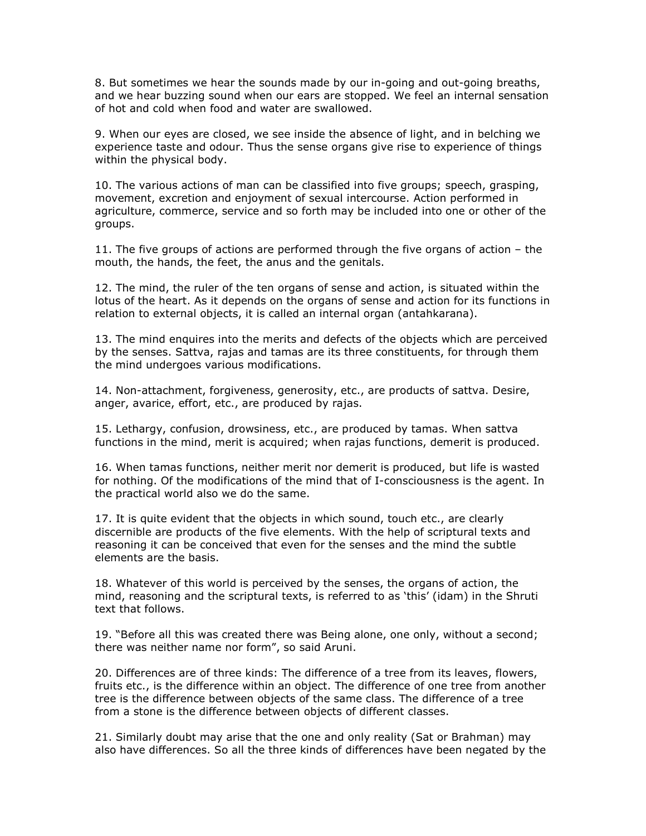8. But sometimes we hear the sounds made by our in-going and out-going breaths, and we hear buzzing sound when our ears are stopped. We feel an internal sensation of hot and cold when food and water are swallowed.

9. When our eyes are closed, we see inside the absence of light, and in belching we experience taste and odour. Thus the sense organs give rise to experience of things within the physical body.

10. The various actions of man can be classified into five groups; speech, grasping, movement, excretion and enjoyment of sexual intercourse. Action performed in agriculture, commerce, service and so forth may be included into one or other of the groups.

11. The five groups of actions are performed through the five organs of action – the mouth, the hands, the feet, the anus and the genitals.

12. The mind, the ruler of the ten organs of sense and action, is situated within the lotus of the heart. As it depends on the organs of sense and action for its functions in relation to external objects, it is called an internal organ (antahkarana).

13. The mind enquires into the merits and defects of the objects which are perceived by the senses. Sattva, rajas and tamas are its three constituents, for through them the mind undergoes various modifications.

14. Non-attachment, forgiveness, generosity, etc., are products of sattva. Desire, anger, avarice, effort, etc., are produced by rajas.

15. Lethargy, confusion, drowsiness, etc., are produced by tamas. When sattva functions in the mind, merit is acquired; when rajas functions, demerit is produced.

16. When tamas functions, neither merit nor demerit is produced, but life is wasted for nothing. Of the modifications of the mind that of I-consciousness is the agent. In the practical world also we do the same.

17. It is quite evident that the objects in which sound, touch etc., are clearly discernible are products of the five elements. With the help of scriptural texts and reasoning it can be conceived that even for the senses and the mind the subtle elements are the basis.

18. Whatever of this world is perceived by the senses, the organs of action, the mind, reasoning and the scriptural texts, is referred to as 'this' (idam) in the Shruti text that follows.

19. "Before all this was created there was Being alone, one only, without a second; there was neither name nor form", so said Aruni.

20. Differences are of three kinds: The difference of a tree from its leaves, flowers, fruits etc., is the difference within an object. The difference of one tree from another tree is the difference between objects of the same class. The difference of a tree from a stone is the difference between objects of different classes.

21. Similarly doubt may arise that the one and only reality (Sat or Brahman) may also have differences. So all the three kinds of differences have been negated by the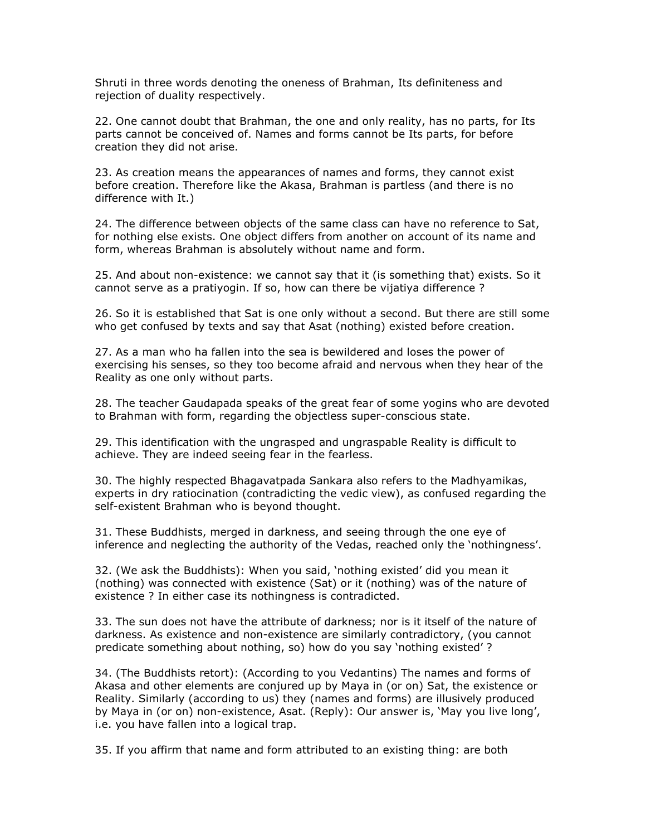Shruti in three words denoting the oneness of Brahman, Its definiteness and rejection of duality respectively.

22. One cannot doubt that Brahman, the one and only reality, has no parts, for Its parts cannot be conceived of. Names and forms cannot be Its parts, for before creation they did not arise.

23. As creation means the appearances of names and forms, they cannot exist before creation. Therefore like the Akasa, Brahman is partless (and there is no difference with It.)

24. The difference between objects of the same class can have no reference to Sat, for nothing else exists. One object differs from another on account of its name and form, whereas Brahman is absolutely without name and form.

25. And about non-existence: we cannot say that it (is something that) exists. So it cannot serve as a pratiyogin. If so, how can there be vijatiya difference ?

26. So it is established that Sat is one only without a second. But there are still some who get confused by texts and say that Asat (nothing) existed before creation.

27. As a man who ha fallen into the sea is bewildered and loses the power of exercising his senses, so they too become afraid and nervous when they hear of the Reality as one only without parts.

28. The teacher Gaudapada speaks of the great fear of some yogins who are devoted to Brahman with form, regarding the objectless super-conscious state.

29. This identification with the ungrasped and ungraspable Reality is difficult to achieve. They are indeed seeing fear in the fearless.

30. The highly respected Bhagavatpada Sankara also refers to the Madhyamikas, experts in dry ratiocination (contradicting the vedic view), as confused regarding the self-existent Brahman who is beyond thought.

31. These Buddhists, merged in darkness, and seeing through the one eye of inference and neglecting the authority of the Vedas, reached only the 'nothingness'.

32. (We ask the Buddhists): When you said, 'nothing existed' did you mean it (nothing) was connected with existence (Sat) or it (nothing) was of the nature of existence ? In either case its nothingness is contradicted.

33. The sun does not have the attribute of darkness; nor is it itself of the nature of darkness. As existence and non-existence are similarly contradictory, (you cannot predicate something about nothing, so) how do you say 'nothing existed' ?

34. (The Buddhists retort): (According to you Vedantins) The names and forms of Akasa and other elements are conjured up by Maya in (or on) Sat, the existence or Reality. Similarly (according to us) they (names and forms) are illusively produced by Maya in (or on) non-existence, Asat. (Reply): Our answer is, 'May you live long', i.e. you have fallen into a logical trap.

35. If you affirm that name and form attributed to an existing thing: are both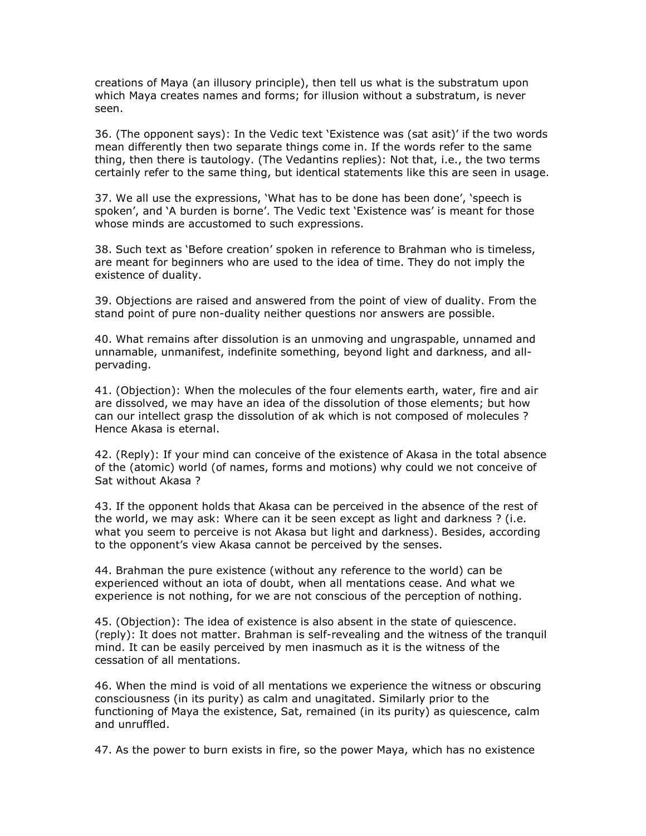creations of Maya (an illusory principle), then tell us what is the substratum upon which Maya creates names and forms; for illusion without a substratum, is never seen.

36. (The opponent says): In the Vedic text 'Existence was (sat asit)' if the two words mean differently then two separate things come in. If the words refer to the same thing, then there is tautology. (The Vedantins replies): Not that, i.e., the two terms certainly refer to the same thing, but identical statements like this are seen in usage.

37. We all use the expressions, 'What has to be done has been done', 'speech is spoken', and 'A burden is borne'. The Vedic text 'Existence was' is meant for those whose minds are accustomed to such expressions.

38. Such text as 'Before creation' spoken in reference to Brahman who is timeless, are meant for beginners who are used to the idea of time. They do not imply the existence of duality.

39. Objections are raised and answered from the point of view of duality. From the stand point of pure non-duality neither questions nor answers are possible.

40. What remains after dissolution is an unmoving and ungraspable, unnamed and unnamable, unmanifest, indefinite something, beyond light and darkness, and allpervading.

41. (Objection): When the molecules of the four elements earth, water, fire and air are dissolved, we may have an idea of the dissolution of those elements; but how can our intellect grasp the dissolution of ak which is not composed of molecules ? Hence Akasa is eternal.

42. (Reply): If your mind can conceive of the existence of Akasa in the total absence of the (atomic) world (of names, forms and motions) why could we not conceive of Sat without Akasa ?

43. If the opponent holds that Akasa can be perceived in the absence of the rest of the world, we may ask: Where can it be seen except as light and darkness ? (i.e. what you seem to perceive is not Akasa but light and darkness). Besides, according to the opponent's view Akasa cannot be perceived by the senses.

44. Brahman the pure existence (without any reference to the world) can be experienced without an iota of doubt, when all mentations cease. And what we experience is not nothing, for we are not conscious of the perception of nothing.

45. (Objection): The idea of existence is also absent in the state of quiescence. (reply): It does not matter. Brahman is self-revealing and the witness of the tranquil mind. It can be easily perceived by men inasmuch as it is the witness of the cessation of all mentations.

46. When the mind is void of all mentations we experience the witness or obscuring consciousness (in its purity) as calm and unagitated. Similarly prior to the functioning of Maya the existence, Sat, remained (in its purity) as quiescence, calm and unruffled.

47. As the power to burn exists in fire, so the power Maya, which has no existence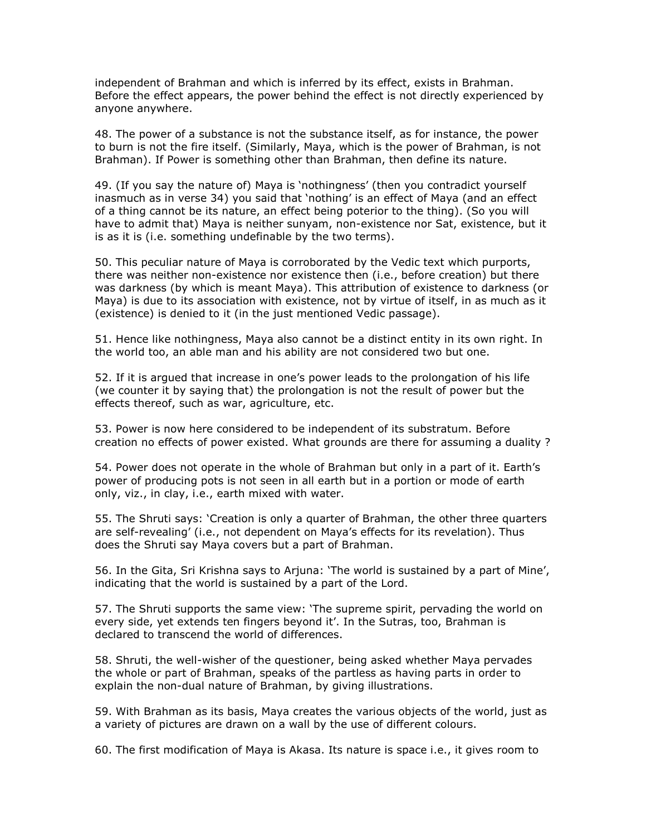independent of Brahman and which is inferred by its effect, exists in Brahman. Before the effect appears, the power behind the effect is not directly experienced by anyone anywhere.

48. The power of a substance is not the substance itself, as for instance, the power to burn is not the fire itself. (Similarly, Maya, which is the power of Brahman, is not Brahman). If Power is something other than Brahman, then define its nature.

49. (If you say the nature of) Maya is 'nothingness' (then you contradict yourself inasmuch as in verse 34) you said that 'nothing' is an effect of Maya (and an effect of a thing cannot be its nature, an effect being poterior to the thing). (So you will have to admit that) Maya is neither sunyam, non-existence nor Sat, existence, but it is as it is (i.e. something undefinable by the two terms).

50. This peculiar nature of Maya is corroborated by the Vedic text which purports, there was neither non-existence nor existence then (i.e., before creation) but there was darkness (by which is meant Maya). This attribution of existence to darkness (or Maya) is due to its association with existence, not by virtue of itself, in as much as it (existence) is denied to it (in the just mentioned Vedic passage).

51. Hence like nothingness, Maya also cannot be a distinct entity in its own right. In the world too, an able man and his ability are not considered two but one.

52. If it is argued that increase in one's power leads to the prolongation of his life (we counter it by saying that) the prolongation is not the result of power but the effects thereof, such as war, agriculture, etc.

53. Power is now here considered to be independent of its substratum. Before creation no effects of power existed. What grounds are there for assuming a duality ?

54. Power does not operate in the whole of Brahman but only in a part of it. Earth's power of producing pots is not seen in all earth but in a portion or mode of earth only, viz., in clay, i.e., earth mixed with water.

55. The Shruti says: 'Creation is only a quarter of Brahman, the other three quarters are self-revealing' (i.e., not dependent on Maya's effects for its revelation). Thus does the Shruti say Maya covers but a part of Brahman.

56. In the Gita, Sri Krishna says to Arjuna: 'The world is sustained by a part of Mine', indicating that the world is sustained by a part of the Lord.

57. The Shruti supports the same view: 'The supreme spirit, pervading the world on every side, yet extends ten fingers beyond it'. In the Sutras, too, Brahman is declared to transcend the world of differences.

58. Shruti, the well-wisher of the questioner, being asked whether Maya pervades the whole or part of Brahman, speaks of the partless as having parts in order to explain the non-dual nature of Brahman, by giving illustrations.

59. With Brahman as its basis, Maya creates the various objects of the world, just as a variety of pictures are drawn on a wall by the use of different colours.

60. The first modification of Maya is Akasa. Its nature is space i.e., it gives room to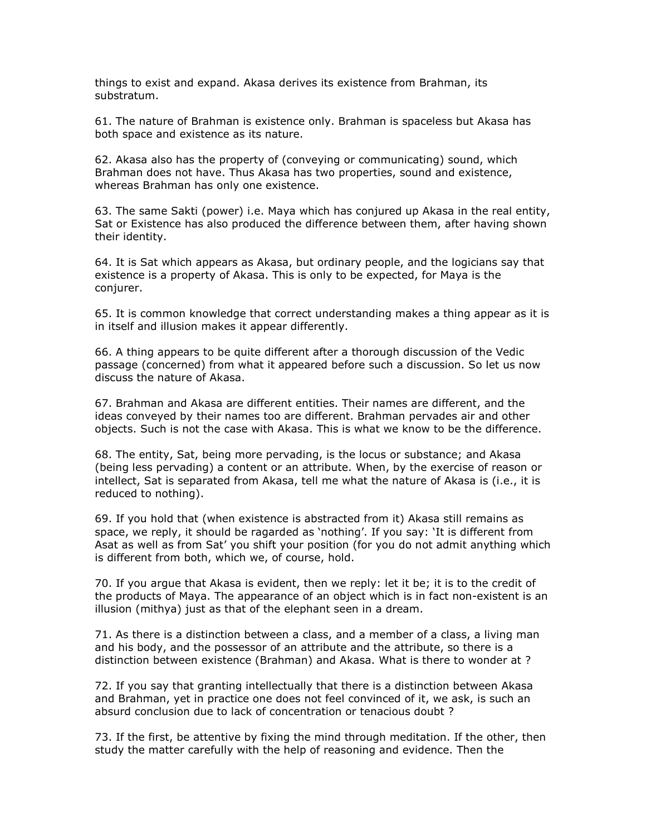things to exist and expand. Akasa derives its existence from Brahman, its substratum.

61. The nature of Brahman is existence only. Brahman is spaceless but Akasa has both space and existence as its nature.

62. Akasa also has the property of (conveying or communicating) sound, which Brahman does not have. Thus Akasa has two properties, sound and existence, whereas Brahman has only one existence.

63. The same Sakti (power) i.e. Maya which has conjured up Akasa in the real entity, Sat or Existence has also produced the difference between them, after having shown their identity.

64. It is Sat which appears as Akasa, but ordinary people, and the logicians say that existence is a property of Akasa. This is only to be expected, for Maya is the conjurer.

65. It is common knowledge that correct understanding makes a thing appear as it is in itself and illusion makes it appear differently.

66. A thing appears to be quite different after a thorough discussion of the Vedic passage (concerned) from what it appeared before such a discussion. So let us now discuss the nature of Akasa.

67. Brahman and Akasa are different entities. Their names are different, and the ideas conveyed by their names too are different. Brahman pervades air and other objects. Such is not the case with Akasa. This is what we know to be the difference.

68. The entity, Sat, being more pervading, is the locus or substance; and Akasa (being less pervading) a content or an attribute. When, by the exercise of reason or intellect, Sat is separated from Akasa, tell me what the nature of Akasa is (i.e., it is reduced to nothing).

69. If you hold that (when existence is abstracted from it) Akasa still remains as space, we reply, it should be ragarded as 'nothing'. If you say: 'It is different from Asat as well as from Sat' you shift your position (for you do not admit anything which is different from both, which we, of course, hold.

70. If you argue that Akasa is evident, then we reply: let it be; it is to the credit of the products of Maya. The appearance of an object which is in fact non-existent is an illusion (mithya) just as that of the elephant seen in a dream.

71. As there is a distinction between a class, and a member of a class, a living man and his body, and the possessor of an attribute and the attribute, so there is a distinction between existence (Brahman) and Akasa. What is there to wonder at ?

72. If you say that granting intellectually that there is a distinction between Akasa and Brahman, yet in practice one does not feel convinced of it, we ask, is such an absurd conclusion due to lack of concentration or tenacious doubt ?

73. If the first, be attentive by fixing the mind through meditation. If the other, then study the matter carefully with the help of reasoning and evidence. Then the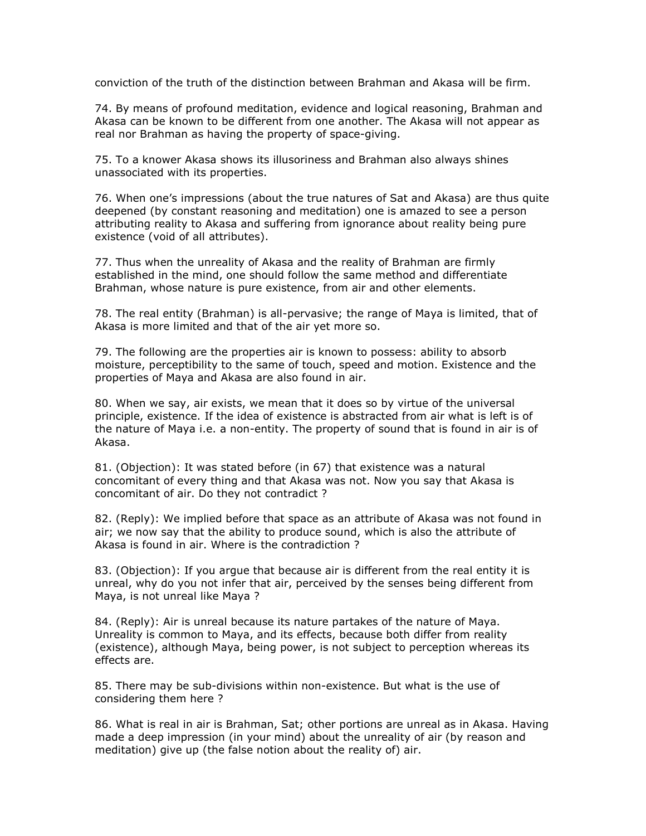conviction of the truth of the distinction between Brahman and Akasa will be firm.

74. By means of profound meditation, evidence and logical reasoning, Brahman and Akasa can be known to be different from one another. The Akasa will not appear as real nor Brahman as having the property of space-giving.

75. To a knower Akasa shows its illusoriness and Brahman also always shines unassociated with its properties.

76. When one's impressions (about the true natures of Sat and Akasa) are thus quite deepened (by constant reasoning and meditation) one is amazed to see a person attributing reality to Akasa and suffering from ignorance about reality being pure existence (void of all attributes).

77. Thus when the unreality of Akasa and the reality of Brahman are firmly established in the mind, one should follow the same method and differentiate Brahman, whose nature is pure existence, from air and other elements.

78. The real entity (Brahman) is all-pervasive; the range of Maya is limited, that of Akasa is more limited and that of the air yet more so.

79. The following are the properties air is known to possess: ability to absorb moisture, perceptibility to the same of touch, speed and motion. Existence and the properties of Maya and Akasa are also found in air.

80. When we say, air exists, we mean that it does so by virtue of the universal principle, existence. If the idea of existence is abstracted from air what is left is of the nature of Maya i.e. a non-entity. The property of sound that is found in air is of Akasa.

81. (Objection): It was stated before (in 67) that existence was a natural concomitant of every thing and that Akasa was not. Now you say that Akasa is concomitant of air. Do they not contradict ?

82. (Reply): We implied before that space as an attribute of Akasa was not found in air; we now say that the ability to produce sound, which is also the attribute of Akasa is found in air. Where is the contradiction ?

83. (Objection): If you argue that because air is different from the real entity it is unreal, why do you not infer that air, perceived by the senses being different from Maya, is not unreal like Maya ?

84. (Reply): Air is unreal because its nature partakes of the nature of Maya. Unreality is common to Maya, and its effects, because both differ from reality (existence), although Maya, being power, is not subject to perception whereas its effects are.

85. There may be sub-divisions within non-existence. But what is the use of considering them here ?

86. What is real in air is Brahman, Sat; other portions are unreal as in Akasa. Having made a deep impression (in your mind) about the unreality of air (by reason and meditation) give up (the false notion about the reality of) air.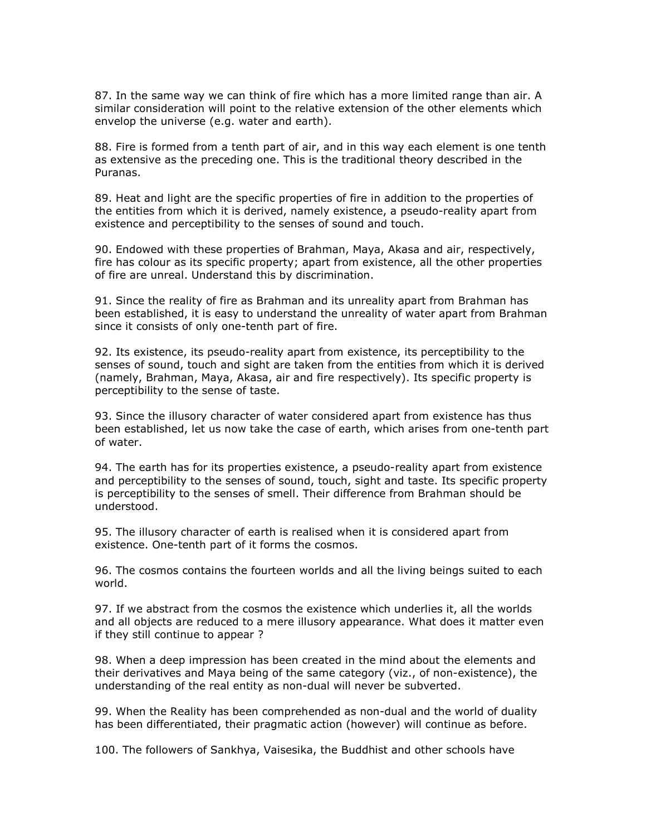87. In the same way we can think of fire which has a more limited range than air. A similar consideration will point to the relative extension of the other elements which envelop the universe (e.g. water and earth).

88. Fire is formed from a tenth part of air, and in this way each element is one tenth as extensive as the preceding one. This is the traditional theory described in the Puranas.

89. Heat and light are the specific properties of fire in addition to the properties of the entities from which it is derived, namely existence, a pseudo-reality apart from existence and perceptibility to the senses of sound and touch.

90. Endowed with these properties of Brahman, Maya, Akasa and air, respectively, fire has colour as its specific property; apart from existence, all the other properties of fire are unreal. Understand this by discrimination.

91. Since the reality of fire as Brahman and its unreality apart from Brahman has been established, it is easy to understand the unreality of water apart from Brahman since it consists of only one-tenth part of fire.

92. Its existence, its pseudo-reality apart from existence, its perceptibility to the senses of sound, touch and sight are taken from the entities from which it is derived (namely, Brahman, Maya, Akasa, air and fire respectively). Its specific property is perceptibility to the sense of taste.

93. Since the illusory character of water considered apart from existence has thus been established, let us now take the case of earth, which arises from one-tenth part of water.

94. The earth has for its properties existence, a pseudo-reality apart from existence and perceptibility to the senses of sound, touch, sight and taste. Its specific property is perceptibility to the senses of smell. Their difference from Brahman should be understood.

95. The illusory character of earth is realised when it is considered apart from existence. One-tenth part of it forms the cosmos.

96. The cosmos contains the fourteen worlds and all the living beings suited to each world.

97. If we abstract from the cosmos the existence which underlies it, all the worlds and all objects are reduced to a mere illusory appearance. What does it matter even if they still continue to appear ?

98. When a deep impression has been created in the mind about the elements and their derivatives and Maya being of the same category (viz., of non-existence), the understanding of the real entity as non-dual will never be subverted.

99. When the Reality has been comprehended as non-dual and the world of duality has been differentiated, their pragmatic action (however) will continue as before.

100. The followers of Sankhya, Vaisesika, the Buddhist and other schools have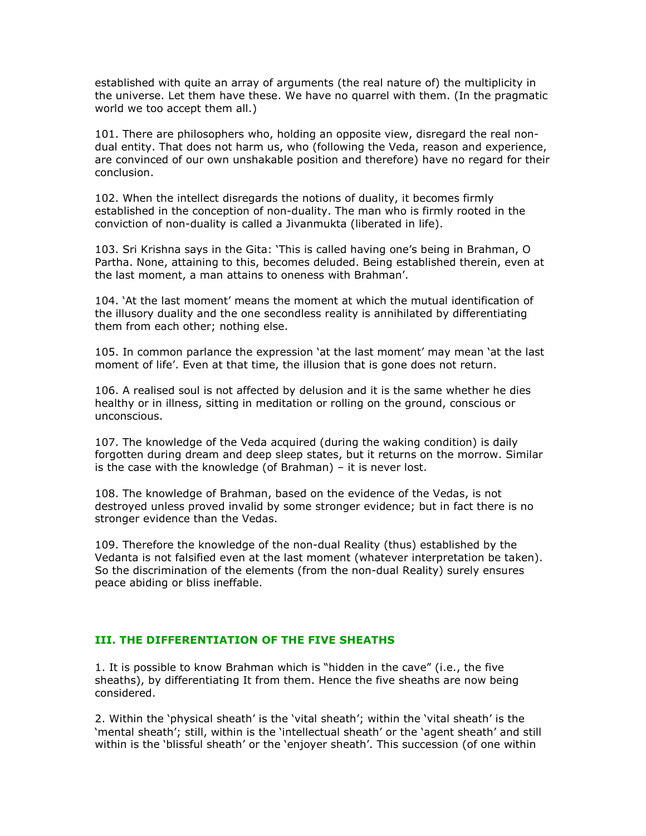established with quite an array of arguments (the real nature of) the multiplicity in the universe. Let them have these. We have no quarrel with them. (In the pragmatic world we too accept them all.)

101. There are philosophers who, holding an opposite view, disregard the real nondual entity. That does not harm us, who (following the Veda, reason and experience, are convinced of our own unshakable position and therefore) have no regard for their conclusion.

102. When the intellect disregards the notions of duality, it becomes firmly established in the conception of non-duality. The man who is firmly rooted in the conviction of non-duality is called a Jivanmukta (liberated in life).

103. Sri Krishna says in the Gita: 'This is called having one's being in Brahman, O Partha. None, attaining to this, becomes deluded. Being established therein, even at the last moment, a man attains to oneness with Brahman'.

104. 'At the last moment' means the moment at which the mutual identification of the illusory duality and the one secondless reality is annihilated by differentiating them from each other; nothing else.

105. In common parlance the expression 'at the last moment' may mean 'at the last moment of life'. Even at that time, the illusion that is gone does not return.

106. A realised soul is not affected by delusion and it is the same whether he dies healthy or in illness, sitting in meditation or rolling on the ground, conscious or unconscious.

107. The knowledge of the Veda acquired (during the waking condition) is daily forgotten during dream and deep sleep states, but it returns on the morrow. Similar is the case with the knowledge (of Brahman) – it is never lost.

108. The knowledge of Brahman, based on the evidence of the Vedas, is not destroyed unless proved invalid by some stronger evidence; but in fact there is no stronger evidence than the Vedas.

109. Therefore the knowledge of the non-dual Reality (thus) established by the Vedanta is not falsified even at the last moment (whatever interpretation be taken). So the discrimination of the elements (from the non-dual Reality) surely ensures peace abiding or bliss ineffable.

### III. THE DIFFERENTIATION OF THE FIVE SHEATHS

1. It is possible to know Brahman which is "hidden in the cave" (i.e., the five sheaths), by differentiating It from them. Hence the five sheaths are now being considered.

2. Within the 'physical sheath' is the 'vital sheath'; within the 'vital sheath' is the 'mental sheath'; still, within is the 'intellectual sheath' or the 'agent sheath' and still within is the 'blissful sheath' or the 'enjoyer sheath'. This succession (of one within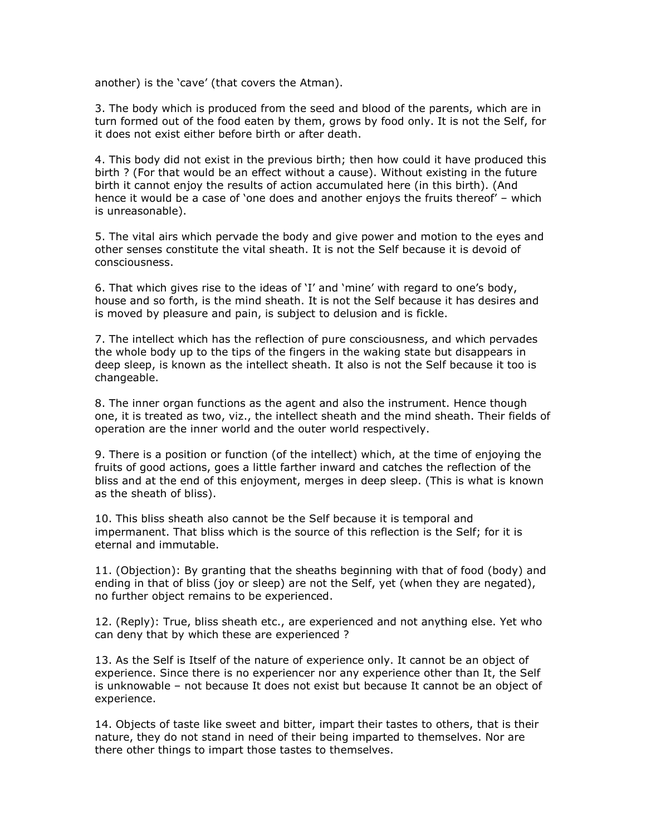another) is the 'cave' (that covers the Atman).

3. The body which is produced from the seed and blood of the parents, which are in turn formed out of the food eaten by them, grows by food only. It is not the Self, for it does not exist either before birth or after death.

4. This body did not exist in the previous birth; then how could it have produced this birth ? (For that would be an effect without a cause). Without existing in the future birth it cannot enjoy the results of action accumulated here (in this birth). (And hence it would be a case of 'one does and another enjoys the fruits thereof' – which is unreasonable).

5. The vital airs which pervade the body and give power and motion to the eyes and other senses constitute the vital sheath. It is not the Self because it is devoid of consciousness.

6. That which gives rise to the ideas of 'I' and 'mine' with regard to one's body, house and so forth, is the mind sheath. It is not the Self because it has desires and is moved by pleasure and pain, is subject to delusion and is fickle.

7. The intellect which has the reflection of pure consciousness, and which pervades the whole body up to the tips of the fingers in the waking state but disappears in deep sleep, is known as the intellect sheath. It also is not the Self because it too is changeable.

8. The inner organ functions as the agent and also the instrument. Hence though one, it is treated as two, viz., the intellect sheath and the mind sheath. Their fields of operation are the inner world and the outer world respectively.

9. There is a position or function (of the intellect) which, at the time of enjoying the fruits of good actions, goes a little farther inward and catches the reflection of the bliss and at the end of this enjoyment, merges in deep sleep. (This is what is known as the sheath of bliss).

10. This bliss sheath also cannot be the Self because it is temporal and impermanent. That bliss which is the source of this reflection is the Self; for it is eternal and immutable.

11. (Objection): By granting that the sheaths beginning with that of food (body) and ending in that of bliss (joy or sleep) are not the Self, yet (when they are negated), no further object remains to be experienced.

12. (Reply): True, bliss sheath etc., are experienced and not anything else. Yet who can deny that by which these are experienced ?

13. As the Self is Itself of the nature of experience only. It cannot be an object of experience. Since there is no experiencer nor any experience other than It, the Self is unknowable – not because It does not exist but because It cannot be an object of experience.

14. Objects of taste like sweet and bitter, impart their tastes to others, that is their nature, they do not stand in need of their being imparted to themselves. Nor are there other things to impart those tastes to themselves.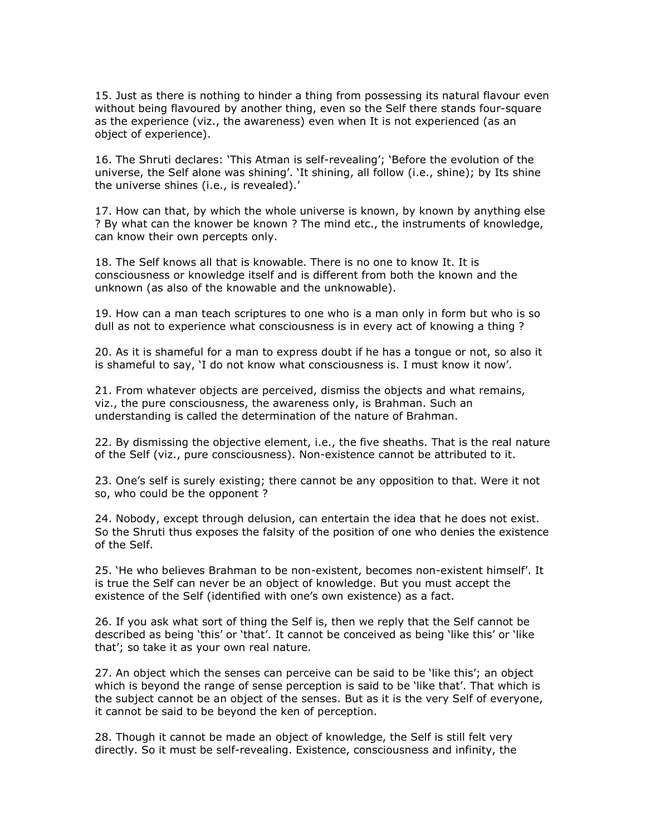15. Just as there is nothing to hinder a thing from possessing its natural flavour even without being flavoured by another thing, even so the Self there stands four-square as the experience (viz., the awareness) even when It is not experienced (as an object of experience).

16. The Shruti declares: 'This Atman is self-revealing'; 'Before the evolution of the universe, the Self alone was shining'. 'It shining, all follow (i.e., shine); by Its shine the universe shines (i.e., is revealed).'

17. How can that, by which the whole universe is known, by known by anything else ? By what can the knower be known ? The mind etc., the instruments of knowledge, can know their own percepts only.

18. The Self knows all that is knowable. There is no one to know It. It is consciousness or knowledge itself and is different from both the known and the unknown (as also of the knowable and the unknowable).

19. How can a man teach scriptures to one who is a man only in form but who is so dull as not to experience what consciousness is in every act of knowing a thing ?

20. As it is shameful for a man to express doubt if he has a tongue or not, so also it is shameful to say, 'I do not know what consciousness is. I must know it now'.

21. From whatever objects are perceived, dismiss the objects and what remains, viz., the pure consciousness, the awareness only, is Brahman. Such an understanding is called the determination of the nature of Brahman.

22. By dismissing the objective element, i.e., the five sheaths. That is the real nature of the Self (viz., pure consciousness). Non-existence cannot be attributed to it.

23. One's self is surely existing; there cannot be any opposition to that. Were it not so, who could be the opponent ?

24. Nobody, except through delusion, can entertain the idea that he does not exist. So the Shruti thus exposes the falsity of the position of one who denies the existence of the Self.

25. 'He who believes Brahman to be non-existent, becomes non-existent himself'. It is true the Self can never be an object of knowledge. But you must accept the existence of the Self (identified with one's own existence) as a fact.

26. If you ask what sort of thing the Self is, then we reply that the Self cannot be described as being 'this' or 'that'. It cannot be conceived as being 'like this' or 'like that'; so take it as your own real nature.

27. An object which the senses can perceive can be said to be 'like this'; an object which is beyond the range of sense perception is said to be 'like that'. That which is the subject cannot be an object of the senses. But as it is the very Self of everyone, it cannot be said to be beyond the ken of perception.

28. Though it cannot be made an object of knowledge, the Self is still felt very directly. So it must be self-revealing. Existence, consciousness and infinity, the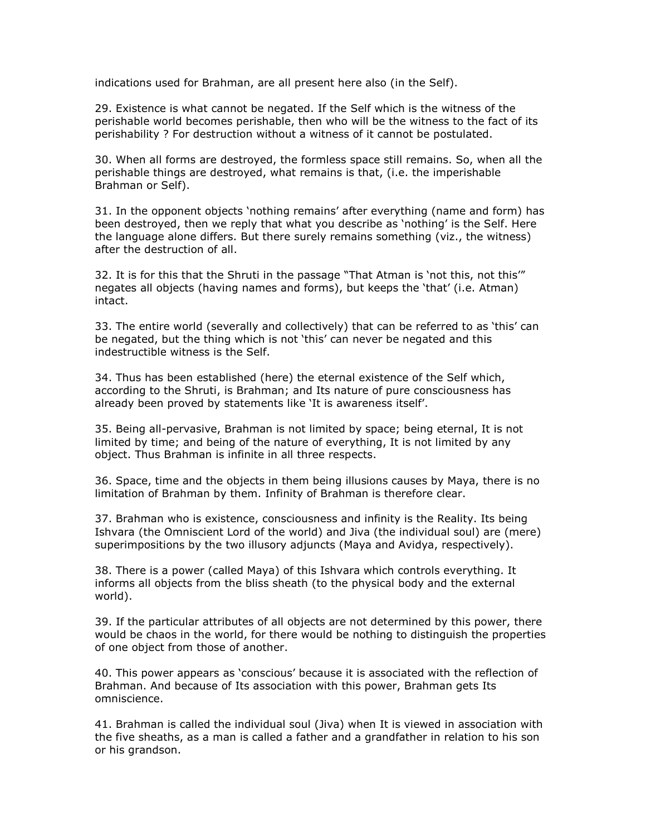indications used for Brahman, are all present here also (in the Self).

29. Existence is what cannot be negated. If the Self which is the witness of the perishable world becomes perishable, then who will be the witness to the fact of its perishability ? For destruction without a witness of it cannot be postulated.

30. When all forms are destroyed, the formless space still remains. So, when all the perishable things are destroyed, what remains is that, (i.e. the imperishable Brahman or Self).

31. In the opponent objects 'nothing remains' after everything (name and form) has been destroyed, then we reply that what you describe as 'nothing' is the Self. Here the language alone differs. But there surely remains something (viz., the witness) after the destruction of all.

32. It is for this that the Shruti in the passage "That Atman is 'not this, not this'" negates all objects (having names and forms), but keeps the 'that' (i.e. Atman) intact.

33. The entire world (severally and collectively) that can be referred to as 'this' can be negated, but the thing which is not 'this' can never be negated and this indestructible witness is the Self.

34. Thus has been established (here) the eternal existence of the Self which, according to the Shruti, is Brahman; and Its nature of pure consciousness has already been proved by statements like 'It is awareness itself'.

35. Being all-pervasive, Brahman is not limited by space; being eternal, It is not limited by time; and being of the nature of everything, It is not limited by any object. Thus Brahman is infinite in all three respects.

36. Space, time and the objects in them being illusions causes by Maya, there is no limitation of Brahman by them. Infinity of Brahman is therefore clear.

37. Brahman who is existence, consciousness and infinity is the Reality. Its being Ishvara (the Omniscient Lord of the world) and Jiva (the individual soul) are (mere) superimpositions by the two illusory adjuncts (Maya and Avidya, respectively).

38. There is a power (called Maya) of this Ishvara which controls everything. It informs all objects from the bliss sheath (to the physical body and the external world).

39. If the particular attributes of all objects are not determined by this power, there would be chaos in the world, for there would be nothing to distinguish the properties of one object from those of another.

40. This power appears as 'conscious' because it is associated with the reflection of Brahman. And because of Its association with this power, Brahman gets Its omniscience.

41. Brahman is called the individual soul (Jiva) when It is viewed in association with the five sheaths, as a man is called a father and a grandfather in relation to his son or his grandson.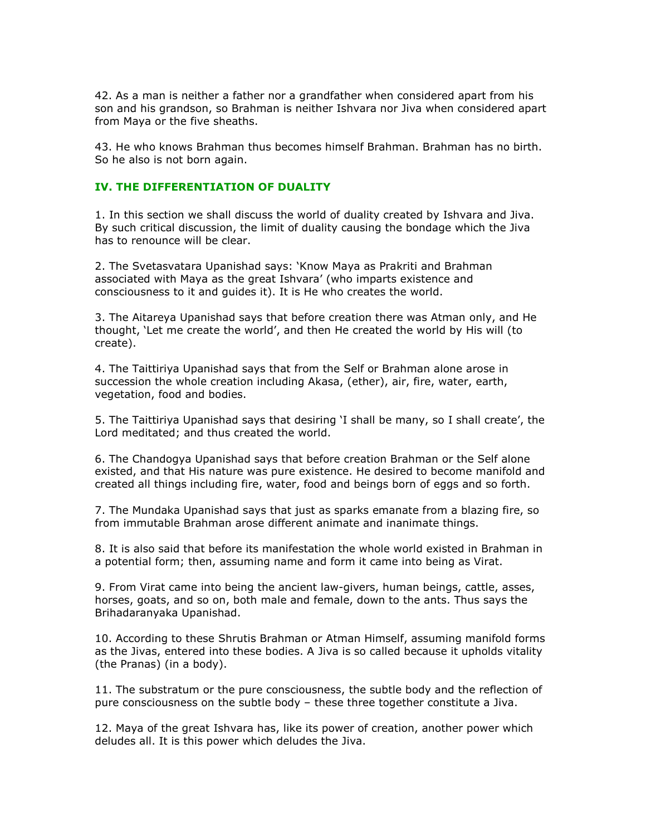42. As a man is neither a father nor a grandfather when considered apart from his son and his grandson, so Brahman is neither Ishvara nor Jiva when considered apart from Maya or the five sheaths.

43. He who knows Brahman thus becomes himself Brahman. Brahman has no birth. So he also is not born again.

#### IV. THE DIFFERENTIATION OF DUALITY

1. In this section we shall discuss the world of duality created by Ishvara and Jiva. By such critical discussion, the limit of duality causing the bondage which the Jiva has to renounce will be clear.

2. The Svetasvatara Upanishad says: 'Know Maya as Prakriti and Brahman associated with Maya as the great Ishvara' (who imparts existence and consciousness to it and guides it). It is He who creates the world.

3. The Aitareya Upanishad says that before creation there was Atman only, and He thought, 'Let me create the world', and then He created the world by His will (to create).

4. The Taittiriya Upanishad says that from the Self or Brahman alone arose in succession the whole creation including Akasa, (ether), air, fire, water, earth, vegetation, food and bodies.

5. The Taittiriya Upanishad says that desiring 'I shall be many, so I shall create', the Lord meditated; and thus created the world.

6. The Chandogya Upanishad says that before creation Brahman or the Self alone existed, and that His nature was pure existence. He desired to become manifold and created all things including fire, water, food and beings born of eggs and so forth.

7. The Mundaka Upanishad says that just as sparks emanate from a blazing fire, so from immutable Brahman arose different animate and inanimate things.

8. It is also said that before its manifestation the whole world existed in Brahman in a potential form; then, assuming name and form it came into being as Virat.

9. From Virat came into being the ancient law-givers, human beings, cattle, asses, horses, goats, and so on, both male and female, down to the ants. Thus says the Brihadaranyaka Upanishad.

10. According to these Shrutis Brahman or Atman Himself, assuming manifold forms as the Jivas, entered into these bodies. A Jiva is so called because it upholds vitality (the Pranas) (in a body).

11. The substratum or the pure consciousness, the subtle body and the reflection of pure consciousness on the subtle body – these three together constitute a Jiva.

12. Maya of the great Ishvara has, like its power of creation, another power which deludes all. It is this power which deludes the Jiva.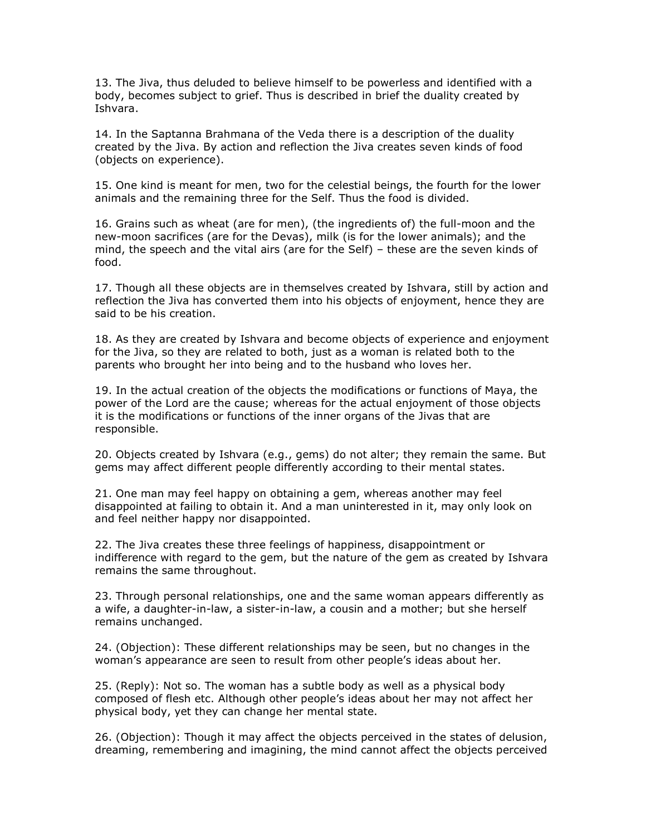13. The Jiva, thus deluded to believe himself to be powerless and identified with a body, becomes subject to grief. Thus is described in brief the duality created by Ishvara.

14. In the Saptanna Brahmana of the Veda there is a description of the duality created by the Jiva. By action and reflection the Jiva creates seven kinds of food (objects on experience).

15. One kind is meant for men, two for the celestial beings, the fourth for the lower animals and the remaining three for the Self. Thus the food is divided.

16. Grains such as wheat (are for men), (the ingredients of) the full-moon and the new-moon sacrifices (are for the Devas), milk (is for the lower animals); and the mind, the speech and the vital airs (are for the Self) – these are the seven kinds of food.

17. Though all these objects are in themselves created by Ishvara, still by action and reflection the Jiva has converted them into his objects of enjoyment, hence they are said to be his creation.

18. As they are created by Ishvara and become objects of experience and enjoyment for the Jiva, so they are related to both, just as a woman is related both to the parents who brought her into being and to the husband who loves her.

19. In the actual creation of the objects the modifications or functions of Maya, the power of the Lord are the cause; whereas for the actual enjoyment of those objects it is the modifications or functions of the inner organs of the Jivas that are responsible.

20. Objects created by Ishvara (e.g., gems) do not alter; they remain the same. But gems may affect different people differently according to their mental states.

21. One man may feel happy on obtaining a gem, whereas another may feel disappointed at failing to obtain it. And a man uninterested in it, may only look on and feel neither happy nor disappointed.

22. The Jiva creates these three feelings of happiness, disappointment or indifference with regard to the gem, but the nature of the gem as created by Ishvara remains the same throughout.

23. Through personal relationships, one and the same woman appears differently as a wife, a daughter-in-law, a sister-in-law, a cousin and a mother; but she herself remains unchanged.

24. (Objection): These different relationships may be seen, but no changes in the woman's appearance are seen to result from other people's ideas about her.

25. (Reply): Not so. The woman has a subtle body as well as a physical body composed of flesh etc. Although other people's ideas about her may not affect her physical body, yet they can change her mental state.

26. (Objection): Though it may affect the objects perceived in the states of delusion, dreaming, remembering and imagining, the mind cannot affect the objects perceived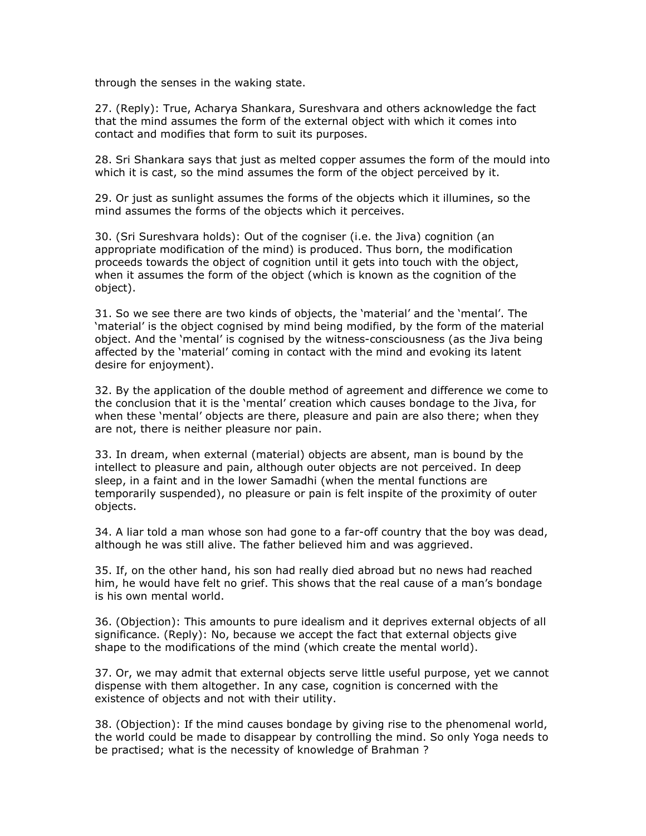through the senses in the waking state.

27. (Reply): True, Acharya Shankara, Sureshvara and others acknowledge the fact that the mind assumes the form of the external object with which it comes into contact and modifies that form to suit its purposes.

28. Sri Shankara says that just as melted copper assumes the form of the mould into which it is cast, so the mind assumes the form of the object perceived by it.

29. Or just as sunlight assumes the forms of the objects which it illumines, so the mind assumes the forms of the objects which it perceives.

30. (Sri Sureshvara holds): Out of the cogniser (i.e. the Jiva) cognition (an appropriate modification of the mind) is produced. Thus born, the modification proceeds towards the object of cognition until it gets into touch with the object, when it assumes the form of the object (which is known as the cognition of the object).

31. So we see there are two kinds of objects, the 'material' and the 'mental'. The 'material' is the object cognised by mind being modified, by the form of the material object. And the 'mental' is cognised by the witness-consciousness (as the Jiva being affected by the 'material' coming in contact with the mind and evoking its latent desire for enjoyment).

32. By the application of the double method of agreement and difference we come to the conclusion that it is the 'mental' creation which causes bondage to the Jiva, for when these 'mental' objects are there, pleasure and pain are also there; when they are not, there is neither pleasure nor pain.

33. In dream, when external (material) objects are absent, man is bound by the intellect to pleasure and pain, although outer objects are not perceived. In deep sleep, in a faint and in the lower Samadhi (when the mental functions are temporarily suspended), no pleasure or pain is felt inspite of the proximity of outer objects.

34. A liar told a man whose son had gone to a far-off country that the boy was dead, although he was still alive. The father believed him and was aggrieved.

35. If, on the other hand, his son had really died abroad but no news had reached him, he would have felt no grief. This shows that the real cause of a man's bondage is his own mental world.

36. (Objection): This amounts to pure idealism and it deprives external objects of all significance. (Reply): No, because we accept the fact that external objects give shape to the modifications of the mind (which create the mental world).

37. Or, we may admit that external objects serve little useful purpose, yet we cannot dispense with them altogether. In any case, cognition is concerned with the existence of objects and not with their utility.

38. (Objection): If the mind causes bondage by giving rise to the phenomenal world, the world could be made to disappear by controlling the mind. So only Yoga needs to be practised; what is the necessity of knowledge of Brahman ?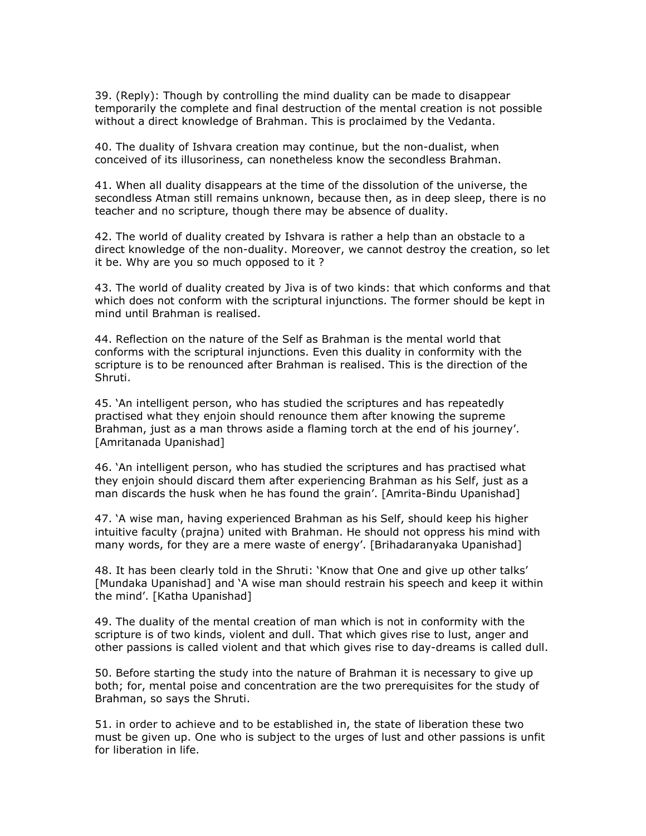39. (Reply): Though by controlling the mind duality can be made to disappear temporarily the complete and final destruction of the mental creation is not possible without a direct knowledge of Brahman. This is proclaimed by the Vedanta.

40. The duality of Ishvara creation may continue, but the non-dualist, when conceived of its illusoriness, can nonetheless know the secondless Brahman.

41. When all duality disappears at the time of the dissolution of the universe, the secondless Atman still remains unknown, because then, as in deep sleep, there is no teacher and no scripture, though there may be absence of duality.

42. The world of duality created by Ishvara is rather a help than an obstacle to a direct knowledge of the non-duality. Moreover, we cannot destroy the creation, so let it be. Why are you so much opposed to it ?

43. The world of duality created by Jiva is of two kinds: that which conforms and that which does not conform with the scriptural injunctions. The former should be kept in mind until Brahman is realised.

44. Reflection on the nature of the Self as Brahman is the mental world that conforms with the scriptural injunctions. Even this duality in conformity with the scripture is to be renounced after Brahman is realised. This is the direction of the Shruti.

45. 'An intelligent person, who has studied the scriptures and has repeatedly practised what they enjoin should renounce them after knowing the supreme Brahman, just as a man throws aside a flaming torch at the end of his journey'. [Amritanada Upanishad]

46. 'An intelligent person, who has studied the scriptures and has practised what they enjoin should discard them after experiencing Brahman as his Self, just as a man discards the husk when he has found the grain'. [Amrita-Bindu Upanishad]

47. 'A wise man, having experienced Brahman as his Self, should keep his higher intuitive faculty (prajna) united with Brahman. He should not oppress his mind with many words, for they are a mere waste of energy'. [Brihadaranyaka Upanishad]

48. It has been clearly told in the Shruti: 'Know that One and give up other talks' [Mundaka Upanishad] and 'A wise man should restrain his speech and keep it within the mind'. [Katha Upanishad]

49. The duality of the mental creation of man which is not in conformity with the scripture is of two kinds, violent and dull. That which gives rise to lust, anger and other passions is called violent and that which gives rise to day-dreams is called dull.

50. Before starting the study into the nature of Brahman it is necessary to give up both; for, mental poise and concentration are the two prerequisites for the study of Brahman, so says the Shruti.

51. in order to achieve and to be established in, the state of liberation these two must be given up. One who is subject to the urges of lust and other passions is unfit for liberation in life.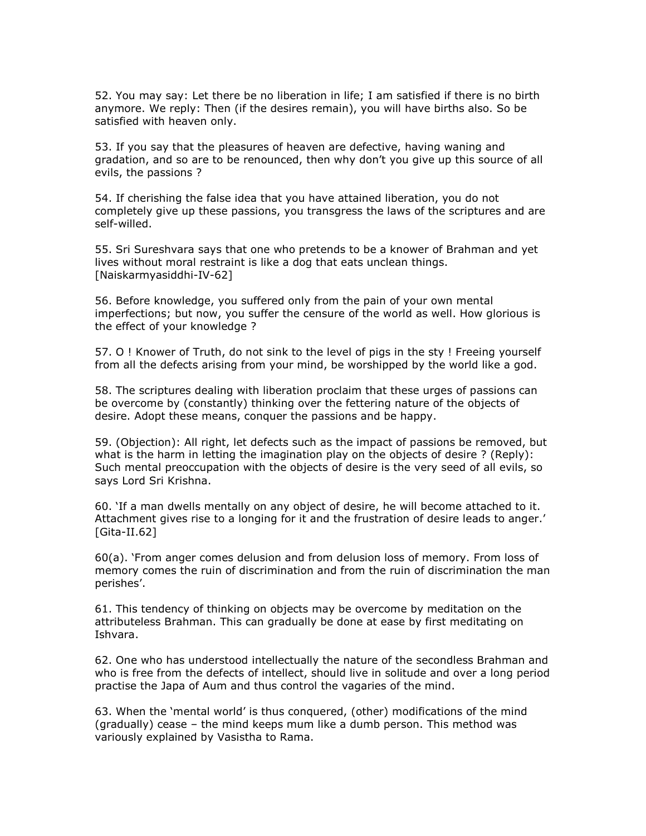52. You may say: Let there be no liberation in life; I am satisfied if there is no birth anymore. We reply: Then (if the desires remain), you will have births also. So be satisfied with heaven only.

53. If you say that the pleasures of heaven are defective, having waning and gradation, and so are to be renounced, then why don't you give up this source of all evils, the passions ?

54. If cherishing the false idea that you have attained liberation, you do not completely give up these passions, you transgress the laws of the scriptures and are self-willed.

55. Sri Sureshvara says that one who pretends to be a knower of Brahman and yet lives without moral restraint is like a dog that eats unclean things. [Naiskarmyasiddhi-IV-62]

56. Before knowledge, you suffered only from the pain of your own mental imperfections; but now, you suffer the censure of the world as well. How glorious is the effect of your knowledge ?

57. O ! Knower of Truth, do not sink to the level of pigs in the sty ! Freeing yourself from all the defects arising from your mind, be worshipped by the world like a god.

58. The scriptures dealing with liberation proclaim that these urges of passions can be overcome by (constantly) thinking over the fettering nature of the objects of desire. Adopt these means, conquer the passions and be happy.

59. (Objection): All right, let defects such as the impact of passions be removed, but what is the harm in letting the imagination play on the objects of desire ? (Reply): Such mental preoccupation with the objects of desire is the very seed of all evils, so says Lord Sri Krishna.

60. 'If a man dwells mentally on any object of desire, he will become attached to it. Attachment gives rise to a longing for it and the frustration of desire leads to anger.' [Gita-II.62]

60(a). 'From anger comes delusion and from delusion loss of memory. From loss of memory comes the ruin of discrimination and from the ruin of discrimination the man perishes'.

61. This tendency of thinking on objects may be overcome by meditation on the attributeless Brahman. This can gradually be done at ease by first meditating on Ishvara.

62. One who has understood intellectually the nature of the secondless Brahman and who is free from the defects of intellect, should live in solitude and over a long period practise the Japa of Aum and thus control the vagaries of the mind.

63. When the 'mental world' is thus conquered, (other) modifications of the mind (gradually) cease – the mind keeps mum like a dumb person. This method was variously explained by Vasistha to Rama.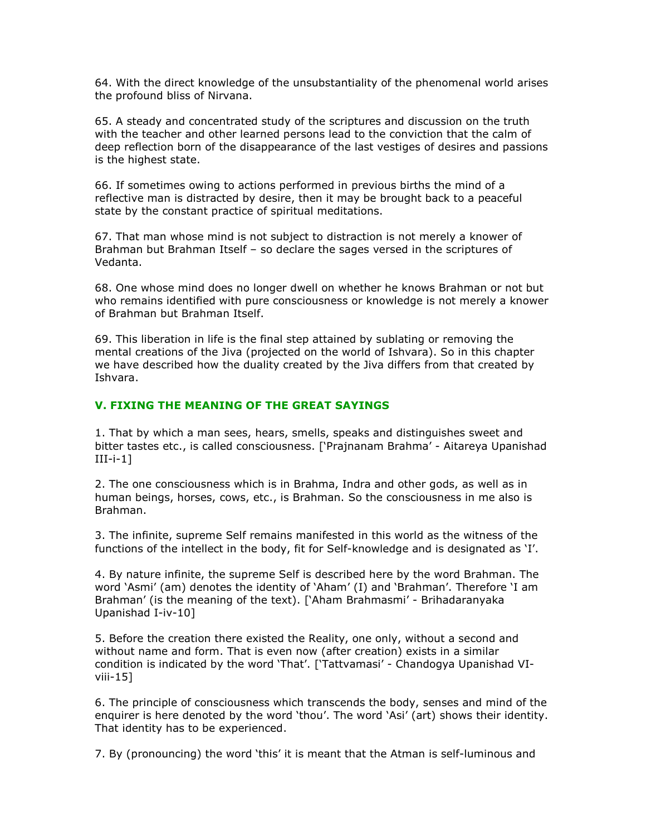64. With the direct knowledge of the unsubstantiality of the phenomenal world arises the profound bliss of Nirvana.

65. A steady and concentrated study of the scriptures and discussion on the truth with the teacher and other learned persons lead to the conviction that the calm of deep reflection born of the disappearance of the last vestiges of desires and passions is the highest state.

66. If sometimes owing to actions performed in previous births the mind of a reflective man is distracted by desire, then it may be brought back to a peaceful state by the constant practice of spiritual meditations.

67. That man whose mind is not subject to distraction is not merely a knower of Brahman but Brahman Itself – so declare the sages versed in the scriptures of Vedanta.

68. One whose mind does no longer dwell on whether he knows Brahman or not but who remains identified with pure consciousness or knowledge is not merely a knower of Brahman but Brahman Itself.

69. This liberation in life is the final step attained by sublating or removing the mental creations of the Jiva (projected on the world of Ishvara). So in this chapter we have described how the duality created by the Jiva differs from that created by Ishvara.

### V. FIXING THE MEANING OF THE GREAT SAYINGS

1. That by which a man sees, hears, smells, speaks and distinguishes sweet and bitter tastes etc., is called consciousness. ['Prajnanam Brahma' - Aitareya Upanishad III-i-1]

2. The one consciousness which is in Brahma, Indra and other gods, as well as in human beings, horses, cows, etc., is Brahman. So the consciousness in me also is Brahman.

3. The infinite, supreme Self remains manifested in this world as the witness of the functions of the intellect in the body, fit for Self-knowledge and is designated as 'I'.

4. By nature infinite, the supreme Self is described here by the word Brahman. The word 'Asmi' (am) denotes the identity of 'Aham' (I) and 'Brahman'. Therefore 'I am Brahman' (is the meaning of the text). ['Aham Brahmasmi' - Brihadaranyaka Upanishad I-iv-10]

5. Before the creation there existed the Reality, one only, without a second and without name and form. That is even now (after creation) exists in a similar condition is indicated by the word 'That'. ['Tattvamasi' - Chandogya Upanishad VIviii-15]

6. The principle of consciousness which transcends the body, senses and mind of the enquirer is here denoted by the word 'thou'. The word 'Asi' (art) shows their identity. That identity has to be experienced.

7. By (pronouncing) the word 'this' it is meant that the Atman is self-luminous and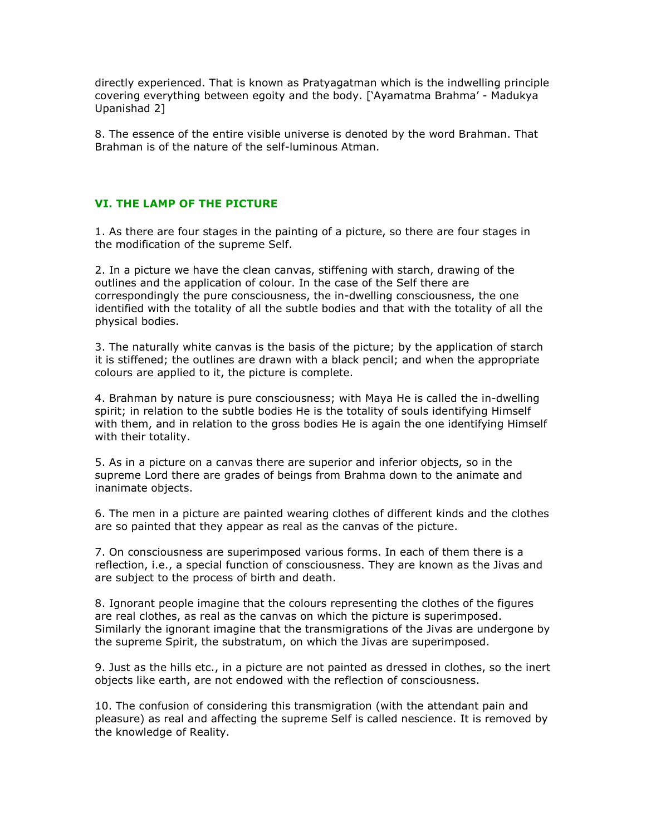directly experienced. That is known as Pratyagatman which is the indwelling principle covering everything between egoity and the body. ['Ayamatma Brahma' - Madukya Upanishad 2]

8. The essence of the entire visible universe is denoted by the word Brahman. That Brahman is of the nature of the self-luminous Atman.

# VI. THE LAMP OF THE PICTURE

1. As there are four stages in the painting of a picture, so there are four stages in the modification of the supreme Self.

2. In a picture we have the clean canvas, stiffening with starch, drawing of the outlines and the application of colour. In the case of the Self there are correspondingly the pure consciousness, the in-dwelling consciousness, the one identified with the totality of all the subtle bodies and that with the totality of all the physical bodies.

3. The naturally white canvas is the basis of the picture; by the application of starch it is stiffened; the outlines are drawn with a black pencil; and when the appropriate colours are applied to it, the picture is complete.

4. Brahman by nature is pure consciousness; with Maya He is called the in-dwelling spirit; in relation to the subtle bodies He is the totality of souls identifying Himself with them, and in relation to the gross bodies He is again the one identifying Himself with their totality.

5. As in a picture on a canvas there are superior and inferior objects, so in the supreme Lord there are grades of beings from Brahma down to the animate and inanimate objects.

6. The men in a picture are painted wearing clothes of different kinds and the clothes are so painted that they appear as real as the canvas of the picture.

7. On consciousness are superimposed various forms. In each of them there is a reflection, i.e., a special function of consciousness. They are known as the Jivas and are subject to the process of birth and death.

8. Ignorant people imagine that the colours representing the clothes of the figures are real clothes, as real as the canvas on which the picture is superimposed. Similarly the ignorant imagine that the transmigrations of the Jivas are undergone by the supreme Spirit, the substratum, on which the Jivas are superimposed.

9. Just as the hills etc., in a picture are not painted as dressed in clothes, so the inert objects like earth, are not endowed with the reflection of consciousness.

10. The confusion of considering this transmigration (with the attendant pain and pleasure) as real and affecting the supreme Self is called nescience. It is removed by the knowledge of Reality.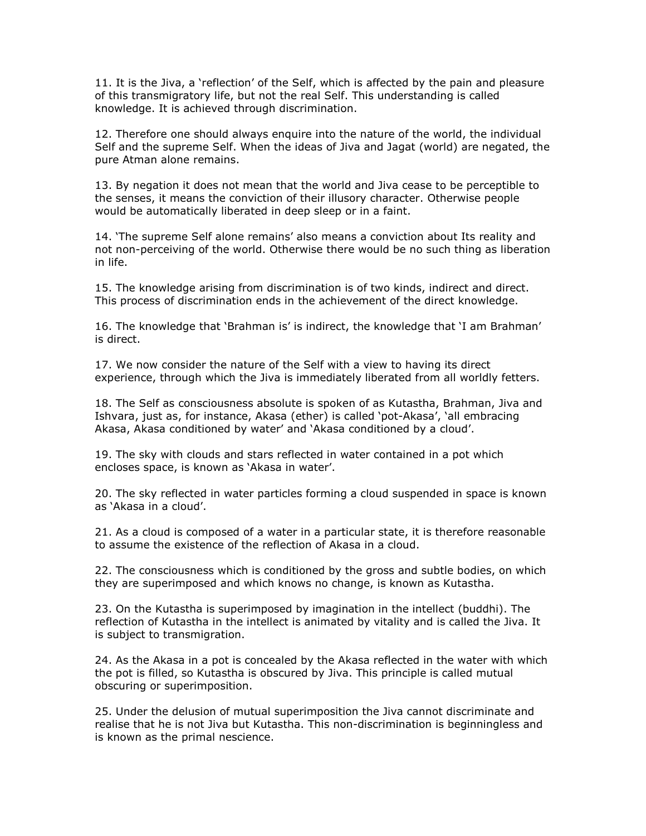11. It is the Jiva, a 'reflection' of the Self, which is affected by the pain and pleasure of this transmigratory life, but not the real Self. This understanding is called knowledge. It is achieved through discrimination.

12. Therefore one should always enquire into the nature of the world, the individual Self and the supreme Self. When the ideas of Jiva and Jagat (world) are negated, the pure Atman alone remains.

13. By negation it does not mean that the world and Jiva cease to be perceptible to the senses, it means the conviction of their illusory character. Otherwise people would be automatically liberated in deep sleep or in a faint.

14. 'The supreme Self alone remains' also means a conviction about Its reality and not non-perceiving of the world. Otherwise there would be no such thing as liberation in life.

15. The knowledge arising from discrimination is of two kinds, indirect and direct. This process of discrimination ends in the achievement of the direct knowledge.

16. The knowledge that 'Brahman is' is indirect, the knowledge that 'I am Brahman' is direct.

17. We now consider the nature of the Self with a view to having its direct experience, through which the Jiva is immediately liberated from all worldly fetters.

18. The Self as consciousness absolute is spoken of as Kutastha, Brahman, Jiva and Ishvara, just as, for instance, Akasa (ether) is called 'pot-Akasa', 'all embracing Akasa, Akasa conditioned by water' and 'Akasa conditioned by a cloud'.

19. The sky with clouds and stars reflected in water contained in a pot which encloses space, is known as 'Akasa in water'.

20. The sky reflected in water particles forming a cloud suspended in space is known as 'Akasa in a cloud'.

21. As a cloud is composed of a water in a particular state, it is therefore reasonable to assume the existence of the reflection of Akasa in a cloud.

22. The consciousness which is conditioned by the gross and subtle bodies, on which they are superimposed and which knows no change, is known as Kutastha.

23. On the Kutastha is superimposed by imagination in the intellect (buddhi). The reflection of Kutastha in the intellect is animated by vitality and is called the Jiva. It is subject to transmigration.

24. As the Akasa in a pot is concealed by the Akasa reflected in the water with which the pot is filled, so Kutastha is obscured by Jiva. This principle is called mutual obscuring or superimposition.

25. Under the delusion of mutual superimposition the Jiva cannot discriminate and realise that he is not Jiva but Kutastha. This non-discrimination is beginningless and is known as the primal nescience.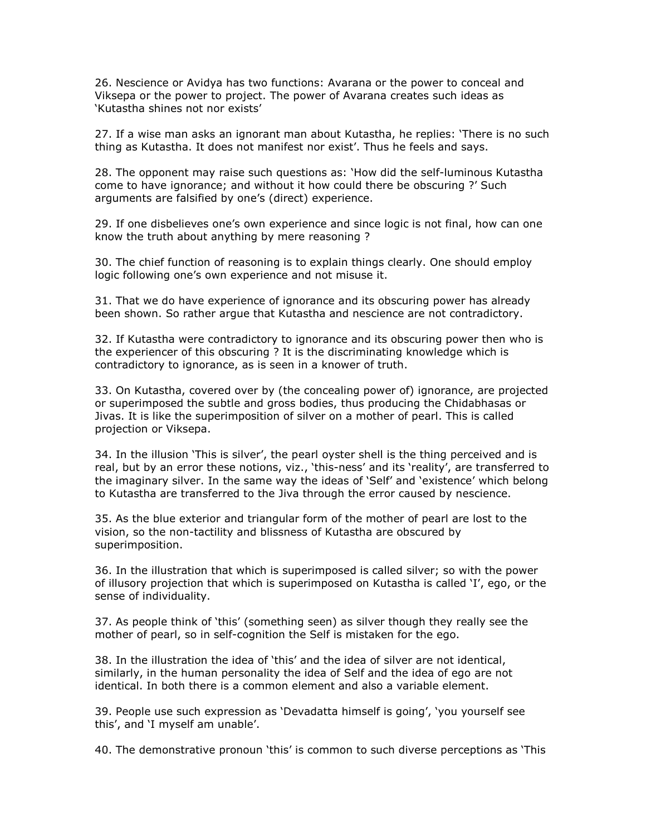26. Nescience or Avidya has two functions: Avarana or the power to conceal and Viksepa or the power to project. The power of Avarana creates such ideas as 'Kutastha shines not nor exists'

27. If a wise man asks an ignorant man about Kutastha, he replies: 'There is no such thing as Kutastha. It does not manifest nor exist'. Thus he feels and says.

28. The opponent may raise such questions as: 'How did the self-luminous Kutastha come to have ignorance; and without it how could there be obscuring ?' Such arguments are falsified by one's (direct) experience.

29. If one disbelieves one's own experience and since logic is not final, how can one know the truth about anything by mere reasoning ?

30. The chief function of reasoning is to explain things clearly. One should employ logic following one's own experience and not misuse it.

31. That we do have experience of ignorance and its obscuring power has already been shown. So rather argue that Kutastha and nescience are not contradictory.

32. If Kutastha were contradictory to ignorance and its obscuring power then who is the experiencer of this obscuring ? It is the discriminating knowledge which is contradictory to ignorance, as is seen in a knower of truth.

33. On Kutastha, covered over by (the concealing power of) ignorance, are projected or superimposed the subtle and gross bodies, thus producing the Chidabhasas or Jivas. It is like the superimposition of silver on a mother of pearl. This is called projection or Viksepa.

34. In the illusion 'This is silver', the pearl oyster shell is the thing perceived and is real, but by an error these notions, viz., 'this-ness' and its 'reality', are transferred to the imaginary silver. In the same way the ideas of 'Self' and 'existence' which belong to Kutastha are transferred to the Jiva through the error caused by nescience.

35. As the blue exterior and triangular form of the mother of pearl are lost to the vision, so the non-tactility and blissness of Kutastha are obscured by superimposition.

36. In the illustration that which is superimposed is called silver; so with the power of illusory projection that which is superimposed on Kutastha is called 'I', ego, or the sense of individuality.

37. As people think of 'this' (something seen) as silver though they really see the mother of pearl, so in self-cognition the Self is mistaken for the ego.

38. In the illustration the idea of 'this' and the idea of silver are not identical, similarly, in the human personality the idea of Self and the idea of ego are not identical. In both there is a common element and also a variable element.

39. People use such expression as 'Devadatta himself is going', 'you yourself see this', and 'I myself am unable'.

40. The demonstrative pronoun 'this' is common to such diverse perceptions as 'This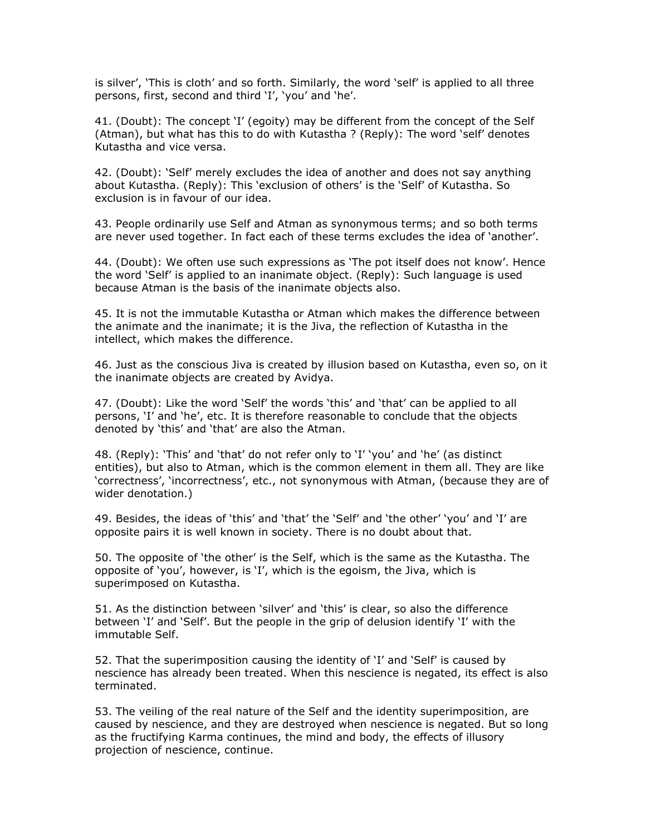is silver', 'This is cloth' and so forth. Similarly, the word 'self' is applied to all three persons, first, second and third 'I', 'you' and 'he'.

41. (Doubt): The concept 'I' (egoity) may be different from the concept of the Self (Atman), but what has this to do with Kutastha ? (Reply): The word 'self' denotes Kutastha and vice versa.

42. (Doubt): 'Self' merely excludes the idea of another and does not say anything about Kutastha. (Reply): This 'exclusion of others' is the 'Self' of Kutastha. So exclusion is in favour of our idea.

43. People ordinarily use Self and Atman as synonymous terms; and so both terms are never used together. In fact each of these terms excludes the idea of 'another'.

44. (Doubt): We often use such expressions as 'The pot itself does not know'. Hence the word 'Self' is applied to an inanimate object. (Reply): Such language is used because Atman is the basis of the inanimate objects also.

45. It is not the immutable Kutastha or Atman which makes the difference between the animate and the inanimate; it is the Jiva, the reflection of Kutastha in the intellect, which makes the difference.

46. Just as the conscious Jiva is created by illusion based on Kutastha, even so, on it the inanimate objects are created by Avidya.

47. (Doubt): Like the word 'Self' the words 'this' and 'that' can be applied to all persons, 'I' and 'he', etc. It is therefore reasonable to conclude that the objects denoted by 'this' and 'that' are also the Atman.

48. (Reply): 'This' and 'that' do not refer only to 'I' 'you' and 'he' (as distinct entities), but also to Atman, which is the common element in them all. They are like 'correctness', 'incorrectness', etc., not synonymous with Atman, (because they are of wider denotation.)

49. Besides, the ideas of 'this' and 'that' the 'Self' and 'the other' 'you' and 'I' are opposite pairs it is well known in society. There is no doubt about that.

50. The opposite of 'the other' is the Self, which is the same as the Kutastha. The opposite of 'you', however, is 'I', which is the egoism, the Jiva, which is superimposed on Kutastha.

51. As the distinction between 'silver' and 'this' is clear, so also the difference between 'I' and 'Self'. But the people in the grip of delusion identify 'I' with the immutable Self.

52. That the superimposition causing the identity of 'I' and 'Self' is caused by nescience has already been treated. When this nescience is negated, its effect is also terminated.

53. The veiling of the real nature of the Self and the identity superimposition, are caused by nescience, and they are destroyed when nescience is negated. But so long as the fructifying Karma continues, the mind and body, the effects of illusory projection of nescience, continue.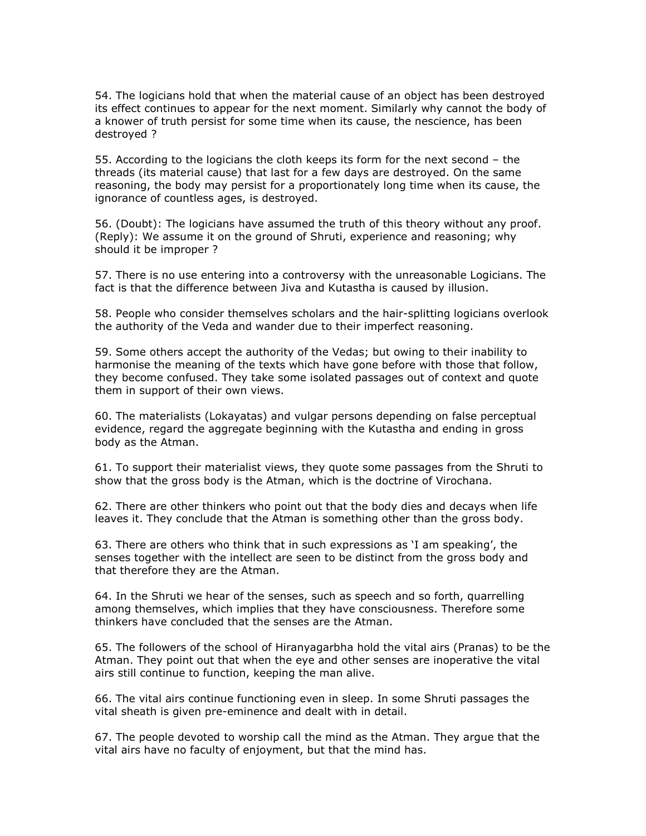54. The logicians hold that when the material cause of an object has been destroyed its effect continues to appear for the next moment. Similarly why cannot the body of a knower of truth persist for some time when its cause, the nescience, has been destroyed ?

55. According to the logicians the cloth keeps its form for the next second – the threads (its material cause) that last for a few days are destroyed. On the same reasoning, the body may persist for a proportionately long time when its cause, the ignorance of countless ages, is destroyed.

56. (Doubt): The logicians have assumed the truth of this theory without any proof. (Reply): We assume it on the ground of Shruti, experience and reasoning; why should it be improper ?

57. There is no use entering into a controversy with the unreasonable Logicians. The fact is that the difference between Jiva and Kutastha is caused by illusion.

58. People who consider themselves scholars and the hair-splitting logicians overlook the authority of the Veda and wander due to their imperfect reasoning.

59. Some others accept the authority of the Vedas; but owing to their inability to harmonise the meaning of the texts which have gone before with those that follow, they become confused. They take some isolated passages out of context and quote them in support of their own views.

60. The materialists (Lokayatas) and vulgar persons depending on false perceptual evidence, regard the aggregate beginning with the Kutastha and ending in gross body as the Atman.

61. To support their materialist views, they quote some passages from the Shruti to show that the gross body is the Atman, which is the doctrine of Virochana.

62. There are other thinkers who point out that the body dies and decays when life leaves it. They conclude that the Atman is something other than the gross body.

63. There are others who think that in such expressions as 'I am speaking', the senses together with the intellect are seen to be distinct from the gross body and that therefore they are the Atman.

64. In the Shruti we hear of the senses, such as speech and so forth, quarrelling among themselves, which implies that they have consciousness. Therefore some thinkers have concluded that the senses are the Atman.

65. The followers of the school of Hiranyagarbha hold the vital airs (Pranas) to be the Atman. They point out that when the eye and other senses are inoperative the vital airs still continue to function, keeping the man alive.

66. The vital airs continue functioning even in sleep. In some Shruti passages the vital sheath is given pre-eminence and dealt with in detail.

67. The people devoted to worship call the mind as the Atman. They argue that the vital airs have no faculty of enjoyment, but that the mind has.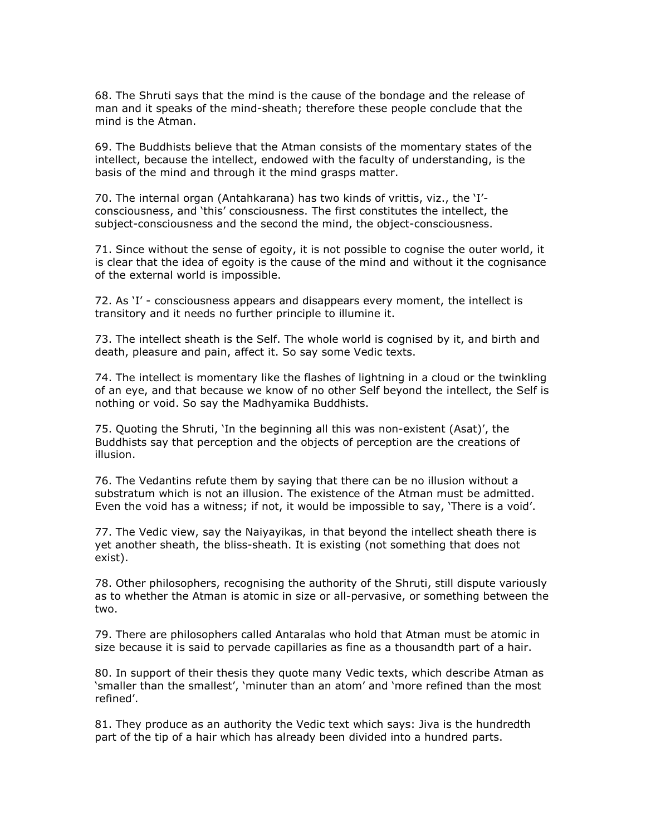68. The Shruti says that the mind is the cause of the bondage and the release of man and it speaks of the mind-sheath; therefore these people conclude that the mind is the Atman.

69. The Buddhists believe that the Atman consists of the momentary states of the intellect, because the intellect, endowed with the faculty of understanding, is the basis of the mind and through it the mind grasps matter.

70. The internal organ (Antahkarana) has two kinds of vrittis, viz., the 'I' consciousness, and 'this' consciousness. The first constitutes the intellect, the subject-consciousness and the second the mind, the object-consciousness.

71. Since without the sense of egoity, it is not possible to cognise the outer world, it is clear that the idea of egoity is the cause of the mind and without it the cognisance of the external world is impossible.

72. As 'I' - consciousness appears and disappears every moment, the intellect is transitory and it needs no further principle to illumine it.

73. The intellect sheath is the Self. The whole world is cognised by it, and birth and death, pleasure and pain, affect it. So say some Vedic texts.

74. The intellect is momentary like the flashes of lightning in a cloud or the twinkling of an eye, and that because we know of no other Self beyond the intellect, the Self is nothing or void. So say the Madhyamika Buddhists.

75. Quoting the Shruti, 'In the beginning all this was non-existent (Asat)', the Buddhists say that perception and the objects of perception are the creations of illusion.

76. The Vedantins refute them by saying that there can be no illusion without a substratum which is not an illusion. The existence of the Atman must be admitted. Even the void has a witness; if not, it would be impossible to say, 'There is a void'.

77. The Vedic view, say the Naiyayikas, in that beyond the intellect sheath there is yet another sheath, the bliss-sheath. It is existing (not something that does not exist).

78. Other philosophers, recognising the authority of the Shruti, still dispute variously as to whether the Atman is atomic in size or all-pervasive, or something between the two.

79. There are philosophers called Antaralas who hold that Atman must be atomic in size because it is said to pervade capillaries as fine as a thousandth part of a hair.

80. In support of their thesis they quote many Vedic texts, which describe Atman as 'smaller than the smallest', 'minuter than an atom' and 'more refined than the most refined'.

81. They produce as an authority the Vedic text which says: Jiva is the hundredth part of the tip of a hair which has already been divided into a hundred parts.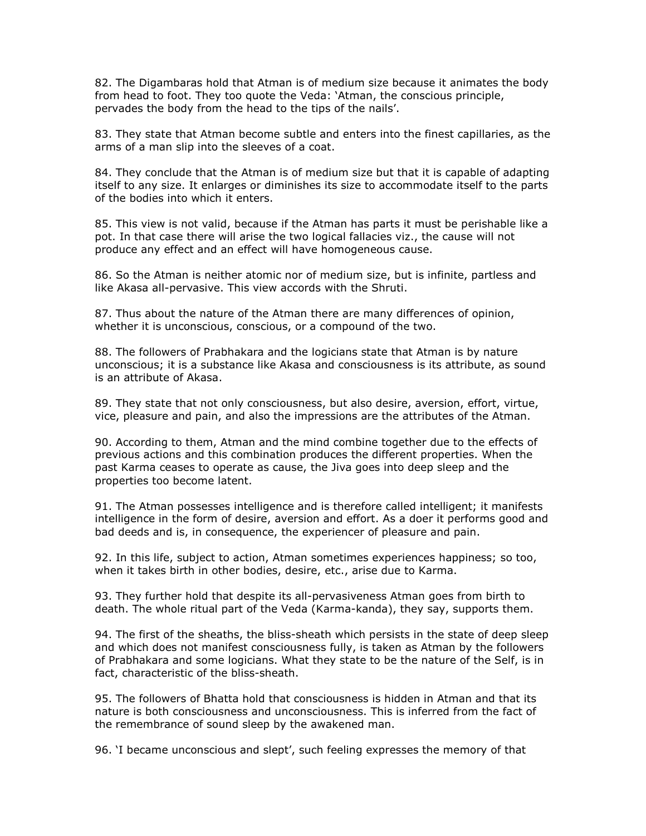82. The Digambaras hold that Atman is of medium size because it animates the body from head to foot. They too quote the Veda: 'Atman, the conscious principle, pervades the body from the head to the tips of the nails'.

83. They state that Atman become subtle and enters into the finest capillaries, as the arms of a man slip into the sleeves of a coat.

84. They conclude that the Atman is of medium size but that it is capable of adapting itself to any size. It enlarges or diminishes its size to accommodate itself to the parts of the bodies into which it enters.

85. This view is not valid, because if the Atman has parts it must be perishable like a pot. In that case there will arise the two logical fallacies viz., the cause will not produce any effect and an effect will have homogeneous cause.

86. So the Atman is neither atomic nor of medium size, but is infinite, partless and like Akasa all-pervasive. This view accords with the Shruti.

87. Thus about the nature of the Atman there are many differences of opinion, whether it is unconscious, conscious, or a compound of the two.

88. The followers of Prabhakara and the logicians state that Atman is by nature unconscious; it is a substance like Akasa and consciousness is its attribute, as sound is an attribute of Akasa.

89. They state that not only consciousness, but also desire, aversion, effort, virtue, vice, pleasure and pain, and also the impressions are the attributes of the Atman.

90. According to them, Atman and the mind combine together due to the effects of previous actions and this combination produces the different properties. When the past Karma ceases to operate as cause, the Jiva goes into deep sleep and the properties too become latent.

91. The Atman possesses intelligence and is therefore called intelligent; it manifests intelligence in the form of desire, aversion and effort. As a doer it performs good and bad deeds and is, in consequence, the experiencer of pleasure and pain.

92. In this life, subject to action, Atman sometimes experiences happiness; so too, when it takes birth in other bodies, desire, etc., arise due to Karma.

93. They further hold that despite its all-pervasiveness Atman goes from birth to death. The whole ritual part of the Veda (Karma-kanda), they say, supports them.

94. The first of the sheaths, the bliss-sheath which persists in the state of deep sleep and which does not manifest consciousness fully, is taken as Atman by the followers of Prabhakara and some logicians. What they state to be the nature of the Self, is in fact, characteristic of the bliss-sheath.

95. The followers of Bhatta hold that consciousness is hidden in Atman and that its nature is both consciousness and unconsciousness. This is inferred from the fact of the remembrance of sound sleep by the awakened man.

96. 'I became unconscious and slept', such feeling expresses the memory of that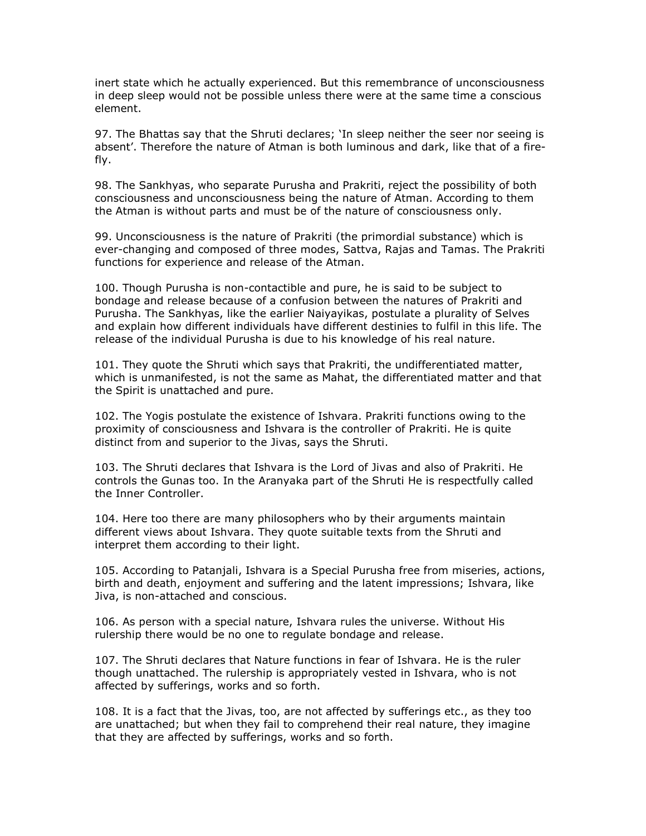inert state which he actually experienced. But this remembrance of unconsciousness in deep sleep would not be possible unless there were at the same time a conscious element.

97. The Bhattas say that the Shruti declares; 'In sleep neither the seer nor seeing is absent'. Therefore the nature of Atman is both luminous and dark, like that of a firefly.

98. The Sankhyas, who separate Purusha and Prakriti, reject the possibility of both consciousness and unconsciousness being the nature of Atman. According to them the Atman is without parts and must be of the nature of consciousness only.

99. Unconsciousness is the nature of Prakriti (the primordial substance) which is ever-changing and composed of three modes, Sattva, Rajas and Tamas. The Prakriti functions for experience and release of the Atman.

100. Though Purusha is non-contactible and pure, he is said to be subject to bondage and release because of a confusion between the natures of Prakriti and Purusha. The Sankhyas, like the earlier Naiyayikas, postulate a plurality of Selves and explain how different individuals have different destinies to fulfil in this life. The release of the individual Purusha is due to his knowledge of his real nature.

101. They quote the Shruti which says that Prakriti, the undifferentiated matter, which is unmanifested, is not the same as Mahat, the differentiated matter and that the Spirit is unattached and pure.

102. The Yogis postulate the existence of Ishvara. Prakriti functions owing to the proximity of consciousness and Ishvara is the controller of Prakriti. He is quite distinct from and superior to the Jivas, says the Shruti.

103. The Shruti declares that Ishvara is the Lord of Jivas and also of Prakriti. He controls the Gunas too. In the Aranyaka part of the Shruti He is respectfully called the Inner Controller.

104. Here too there are many philosophers who by their arguments maintain different views about Ishvara. They quote suitable texts from the Shruti and interpret them according to their light.

105. According to Patanjali, Ishvara is a Special Purusha free from miseries, actions, birth and death, enjoyment and suffering and the latent impressions; Ishvara, like Jiva, is non-attached and conscious.

106. As person with a special nature, Ishvara rules the universe. Without His rulership there would be no one to regulate bondage and release.

107. The Shruti declares that Nature functions in fear of Ishvara. He is the ruler though unattached. The rulership is appropriately vested in Ishvara, who is not affected by sufferings, works and so forth.

108. It is a fact that the Jivas, too, are not affected by sufferings etc., as they too are unattached; but when they fail to comprehend their real nature, they imagine that they are affected by sufferings, works and so forth.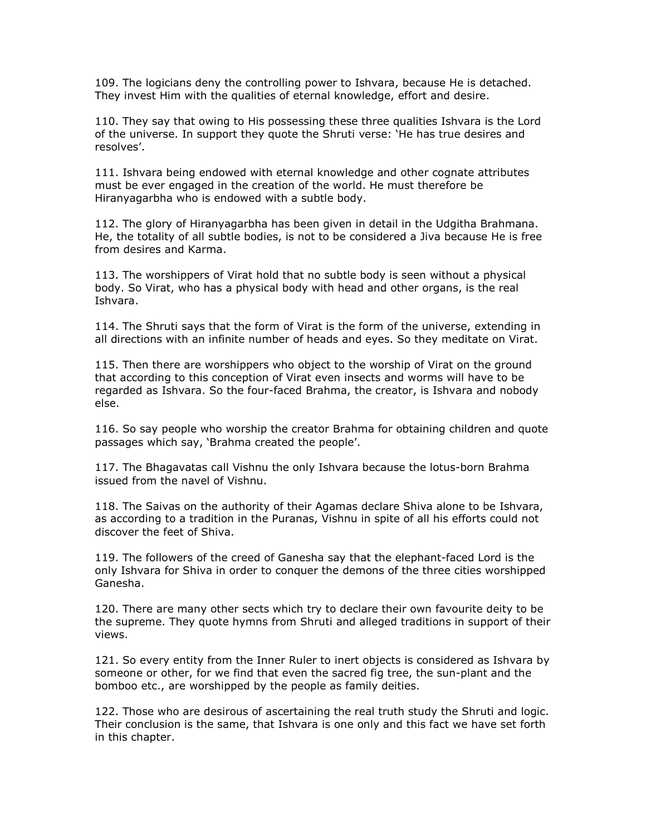109. The logicians deny the controlling power to Ishvara, because He is detached. They invest Him with the qualities of eternal knowledge, effort and desire.

110. They say that owing to His possessing these three qualities Ishvara is the Lord of the universe. In support they quote the Shruti verse: 'He has true desires and resolves'.

111. Ishvara being endowed with eternal knowledge and other cognate attributes must be ever engaged in the creation of the world. He must therefore be Hiranyagarbha who is endowed with a subtle body.

112. The glory of Hiranyagarbha has been given in detail in the Udgitha Brahmana. He, the totality of all subtle bodies, is not to be considered a Jiva because He is free from desires and Karma.

113. The worshippers of Virat hold that no subtle body is seen without a physical body. So Virat, who has a physical body with head and other organs, is the real Ishvara.

114. The Shruti says that the form of Virat is the form of the universe, extending in all directions with an infinite number of heads and eyes. So they meditate on Virat.

115. Then there are worshippers who object to the worship of Virat on the ground that according to this conception of Virat even insects and worms will have to be regarded as Ishvara. So the four-faced Brahma, the creator, is Ishvara and nobody else.

116. So say people who worship the creator Brahma for obtaining children and quote passages which say, 'Brahma created the people'.

117. The Bhagavatas call Vishnu the only Ishvara because the lotus-born Brahma issued from the navel of Vishnu.

118. The Saivas on the authority of their Agamas declare Shiva alone to be Ishvara, as according to a tradition in the Puranas, Vishnu in spite of all his efforts could not discover the feet of Shiva.

119. The followers of the creed of Ganesha say that the elephant-faced Lord is the only Ishvara for Shiva in order to conquer the demons of the three cities worshipped Ganesha.

120. There are many other sects which try to declare their own favourite deity to be the supreme. They quote hymns from Shruti and alleged traditions in support of their views.

121. So every entity from the Inner Ruler to inert objects is considered as Ishvara by someone or other, for we find that even the sacred fig tree, the sun-plant and the bomboo etc., are worshipped by the people as family deities.

122. Those who are desirous of ascertaining the real truth study the Shruti and logic. Their conclusion is the same, that Ishvara is one only and this fact we have set forth in this chapter.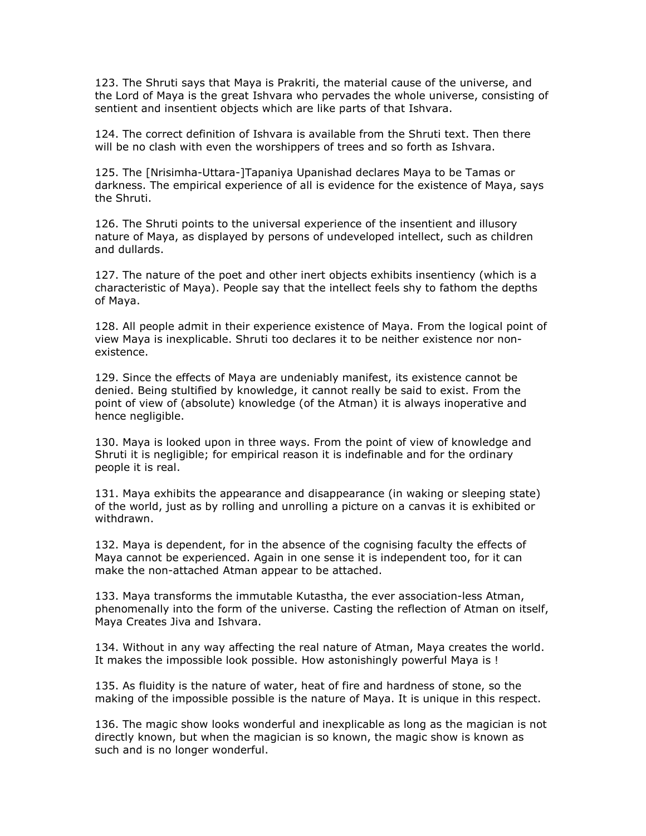123. The Shruti says that Maya is Prakriti, the material cause of the universe, and the Lord of Maya is the great Ishvara who pervades the whole universe, consisting of sentient and insentient objects which are like parts of that Ishvara.

124. The correct definition of Ishvara is available from the Shruti text. Then there will be no clash with even the worshippers of trees and so forth as Ishvara.

125. The [Nrisimha-Uttara-]Tapaniya Upanishad declares Maya to be Tamas or darkness. The empirical experience of all is evidence for the existence of Maya, says the Shruti.

126. The Shruti points to the universal experience of the insentient and illusory nature of Maya, as displayed by persons of undeveloped intellect, such as children and dullards.

127. The nature of the poet and other inert objects exhibits insentiency (which is a characteristic of Maya). People say that the intellect feels shy to fathom the depths of Maya.

128. All people admit in their experience existence of Maya. From the logical point of view Maya is inexplicable. Shruti too declares it to be neither existence nor nonexistence.

129. Since the effects of Maya are undeniably manifest, its existence cannot be denied. Being stultified by knowledge, it cannot really be said to exist. From the point of view of (absolute) knowledge (of the Atman) it is always inoperative and hence negligible.

130. Maya is looked upon in three ways. From the point of view of knowledge and Shruti it is negligible; for empirical reason it is indefinable and for the ordinary people it is real.

131. Maya exhibits the appearance and disappearance (in waking or sleeping state) of the world, just as by rolling and unrolling a picture on a canvas it is exhibited or withdrawn.

132. Maya is dependent, for in the absence of the cognising faculty the effects of Maya cannot be experienced. Again in one sense it is independent too, for it can make the non-attached Atman appear to be attached.

133. Maya transforms the immutable Kutastha, the ever association-less Atman, phenomenally into the form of the universe. Casting the reflection of Atman on itself, Maya Creates Jiva and Ishvara.

134. Without in any way affecting the real nature of Atman, Maya creates the world. It makes the impossible look possible. How astonishingly powerful Maya is !

135. As fluidity is the nature of water, heat of fire and hardness of stone, so the making of the impossible possible is the nature of Maya. It is unique in this respect.

136. The magic show looks wonderful and inexplicable as long as the magician is not directly known, but when the magician is so known, the magic show is known as such and is no longer wonderful.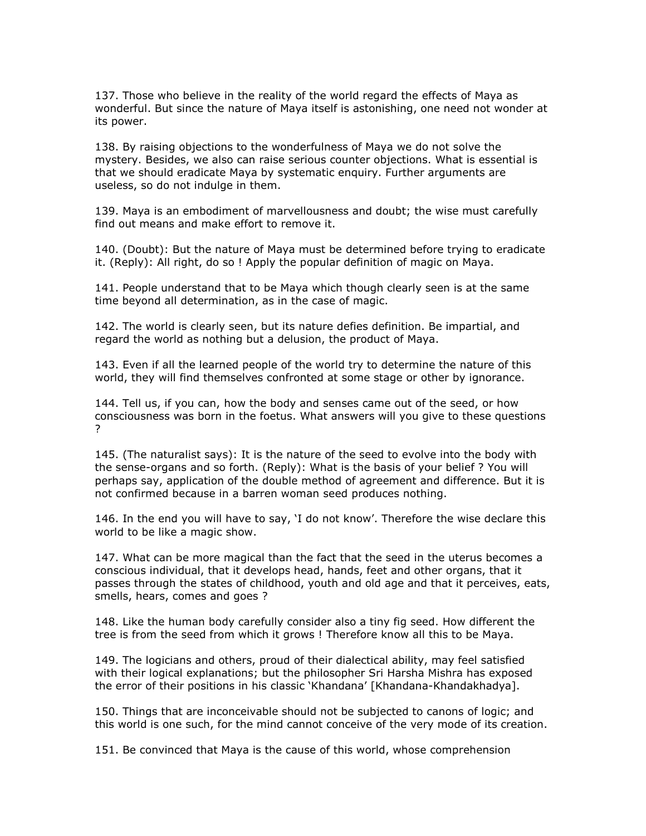137. Those who believe in the reality of the world regard the effects of Maya as wonderful. But since the nature of Maya itself is astonishing, one need not wonder at its power.

138. By raising objections to the wonderfulness of Maya we do not solve the mystery. Besides, we also can raise serious counter objections. What is essential is that we should eradicate Maya by systematic enquiry. Further arguments are useless, so do not indulge in them.

139. Maya is an embodiment of marvellousness and doubt; the wise must carefully find out means and make effort to remove it.

140. (Doubt): But the nature of Maya must be determined before trying to eradicate it. (Reply): All right, do so ! Apply the popular definition of magic on Maya.

141. People understand that to be Maya which though clearly seen is at the same time beyond all determination, as in the case of magic.

142. The world is clearly seen, but its nature defies definition. Be impartial, and regard the world as nothing but a delusion, the product of Maya.

143. Even if all the learned people of the world try to determine the nature of this world, they will find themselves confronted at some stage or other by ignorance.

144. Tell us, if you can, how the body and senses came out of the seed, or how consciousness was born in the foetus. What answers will you give to these questions ?

145. (The naturalist says): It is the nature of the seed to evolve into the body with the sense-organs and so forth. (Reply): What is the basis of your belief ? You will perhaps say, application of the double method of agreement and difference. But it is not confirmed because in a barren woman seed produces nothing.

146. In the end you will have to say, 'I do not know'. Therefore the wise declare this world to be like a magic show.

147. What can be more magical than the fact that the seed in the uterus becomes a conscious individual, that it develops head, hands, feet and other organs, that it passes through the states of childhood, youth and old age and that it perceives, eats, smells, hears, comes and goes ?

148. Like the human body carefully consider also a tiny fig seed. How different the tree is from the seed from which it grows ! Therefore know all this to be Maya.

149. The logicians and others, proud of their dialectical ability, may feel satisfied with their logical explanations; but the philosopher Sri Harsha Mishra has exposed the error of their positions in his classic 'Khandana' [Khandana-Khandakhadya].

150. Things that are inconceivable should not be subjected to canons of logic; and this world is one such, for the mind cannot conceive of the very mode of its creation.

151. Be convinced that Maya is the cause of this world, whose comprehension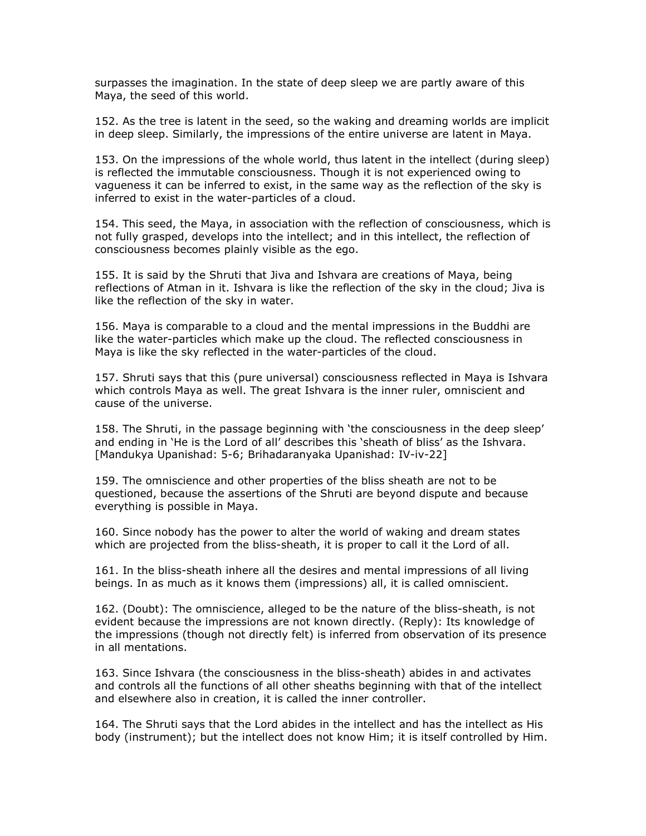surpasses the imagination. In the state of deep sleep we are partly aware of this Maya, the seed of this world.

152. As the tree is latent in the seed, so the waking and dreaming worlds are implicit in deep sleep. Similarly, the impressions of the entire universe are latent in Maya.

153. On the impressions of the whole world, thus latent in the intellect (during sleep) is reflected the immutable consciousness. Though it is not experienced owing to vagueness it can be inferred to exist, in the same way as the reflection of the sky is inferred to exist in the water-particles of a cloud.

154. This seed, the Maya, in association with the reflection of consciousness, which is not fully grasped, develops into the intellect; and in this intellect, the reflection of consciousness becomes plainly visible as the ego.

155. It is said by the Shruti that Jiva and Ishvara are creations of Maya, being reflections of Atman in it. Ishvara is like the reflection of the sky in the cloud; Jiva is like the reflection of the sky in water.

156. Maya is comparable to a cloud and the mental impressions in the Buddhi are like the water-particles which make up the cloud. The reflected consciousness in Maya is like the sky reflected in the water-particles of the cloud.

157. Shruti says that this (pure universal) consciousness reflected in Maya is Ishvara which controls Maya as well. The great Ishvara is the inner ruler, omniscient and cause of the universe.

158. The Shruti, in the passage beginning with 'the consciousness in the deep sleep' and ending in 'He is the Lord of all' describes this 'sheath of bliss' as the Ishvara. [Mandukya Upanishad: 5-6; Brihadaranyaka Upanishad: IV-iv-22]

159. The omniscience and other properties of the bliss sheath are not to be questioned, because the assertions of the Shruti are beyond dispute and because everything is possible in Maya.

160. Since nobody has the power to alter the world of waking and dream states which are projected from the bliss-sheath, it is proper to call it the Lord of all.

161. In the bliss-sheath inhere all the desires and mental impressions of all living beings. In as much as it knows them (impressions) all, it is called omniscient.

162. (Doubt): The omniscience, alleged to be the nature of the bliss-sheath, is not evident because the impressions are not known directly. (Reply): Its knowledge of the impressions (though not directly felt) is inferred from observation of its presence in all mentations.

163. Since Ishvara (the consciousness in the bliss-sheath) abides in and activates and controls all the functions of all other sheaths beginning with that of the intellect and elsewhere also in creation, it is called the inner controller.

164. The Shruti says that the Lord abides in the intellect and has the intellect as His body (instrument); but the intellect does not know Him; it is itself controlled by Him.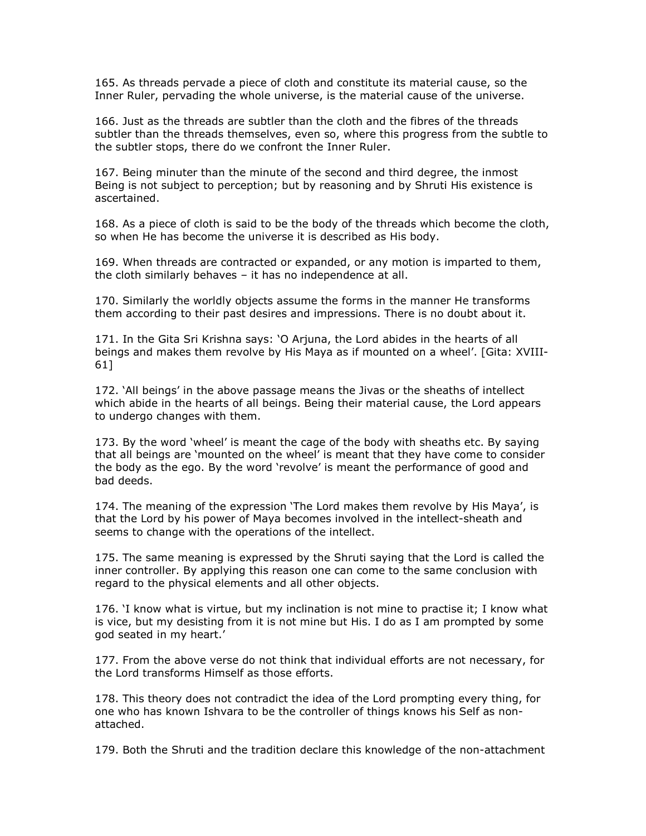165. As threads pervade a piece of cloth and constitute its material cause, so the Inner Ruler, pervading the whole universe, is the material cause of the universe.

166. Just as the threads are subtler than the cloth and the fibres of the threads subtler than the threads themselves, even so, where this progress from the subtle to the subtler stops, there do we confront the Inner Ruler.

167. Being minuter than the minute of the second and third degree, the inmost Being is not subject to perception; but by reasoning and by Shruti His existence is ascertained.

168. As a piece of cloth is said to be the body of the threads which become the cloth, so when He has become the universe it is described as His body.

169. When threads are contracted or expanded, or any motion is imparted to them, the cloth similarly behaves – it has no independence at all.

170. Similarly the worldly objects assume the forms in the manner He transforms them according to their past desires and impressions. There is no doubt about it.

171. In the Gita Sri Krishna says: 'O Arjuna, the Lord abides in the hearts of all beings and makes them revolve by His Maya as if mounted on a wheel'. [Gita: XVIII-61]

172. 'All beings' in the above passage means the Jivas or the sheaths of intellect which abide in the hearts of all beings. Being their material cause, the Lord appears to undergo changes with them.

173. By the word 'wheel' is meant the cage of the body with sheaths etc. By saying that all beings are 'mounted on the wheel' is meant that they have come to consider the body as the ego. By the word 'revolve' is meant the performance of good and bad deeds.

174. The meaning of the expression 'The Lord makes them revolve by His Maya', is that the Lord by his power of Maya becomes involved in the intellect-sheath and seems to change with the operations of the intellect.

175. The same meaning is expressed by the Shruti saying that the Lord is called the inner controller. By applying this reason one can come to the same conclusion with regard to the physical elements and all other objects.

176. 'I know what is virtue, but my inclination is not mine to practise it; I know what is vice, but my desisting from it is not mine but His. I do as I am prompted by some god seated in my heart.'

177. From the above verse do not think that individual efforts are not necessary, for the Lord transforms Himself as those efforts.

178. This theory does not contradict the idea of the Lord prompting every thing, for one who has known Ishvara to be the controller of things knows his Self as nonattached.

179. Both the Shruti and the tradition declare this knowledge of the non-attachment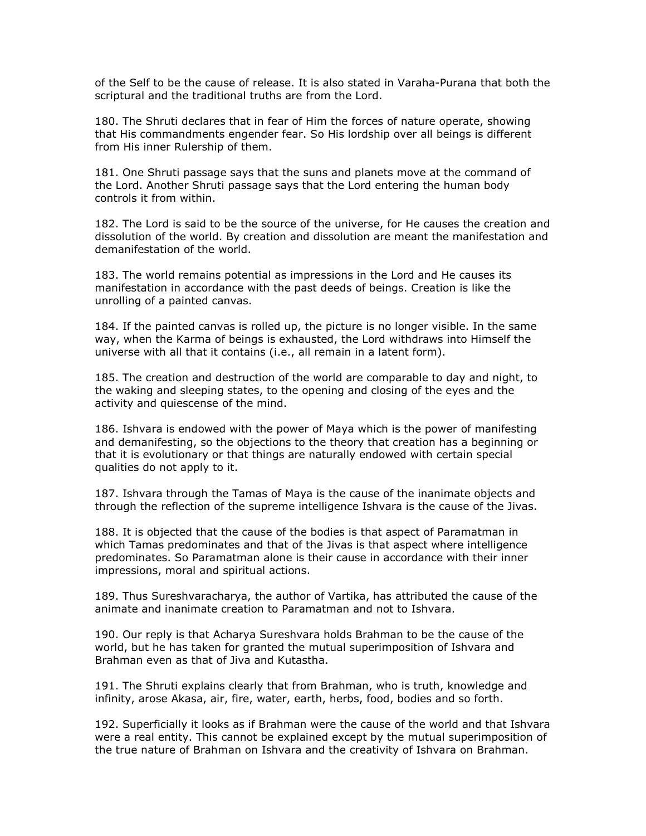of the Self to be the cause of release. It is also stated in Varaha-Purana that both the scriptural and the traditional truths are from the Lord.

180. The Shruti declares that in fear of Him the forces of nature operate, showing that His commandments engender fear. So His lordship over all beings is different from His inner Rulership of them.

181. One Shruti passage says that the suns and planets move at the command of the Lord. Another Shruti passage says that the Lord entering the human body controls it from within.

182. The Lord is said to be the source of the universe, for He causes the creation and dissolution of the world. By creation and dissolution are meant the manifestation and demanifestation of the world.

183. The world remains potential as impressions in the Lord and He causes its manifestation in accordance with the past deeds of beings. Creation is like the unrolling of a painted canvas.

184. If the painted canvas is rolled up, the picture is no longer visible. In the same way, when the Karma of beings is exhausted, the Lord withdraws into Himself the universe with all that it contains (i.e., all remain in a latent form).

185. The creation and destruction of the world are comparable to day and night, to the waking and sleeping states, to the opening and closing of the eyes and the activity and quiescense of the mind.

186. Ishvara is endowed with the power of Maya which is the power of manifesting and demanifesting, so the objections to the theory that creation has a beginning or that it is evolutionary or that things are naturally endowed with certain special qualities do not apply to it.

187. Ishvara through the Tamas of Maya is the cause of the inanimate objects and through the reflection of the supreme intelligence Ishvara is the cause of the Jivas.

188. It is objected that the cause of the bodies is that aspect of Paramatman in which Tamas predominates and that of the Jivas is that aspect where intelligence predominates. So Paramatman alone is their cause in accordance with their inner impressions, moral and spiritual actions.

189. Thus Sureshvaracharya, the author of Vartika, has attributed the cause of the animate and inanimate creation to Paramatman and not to Ishvara.

190. Our reply is that Acharya Sureshvara holds Brahman to be the cause of the world, but he has taken for granted the mutual superimposition of Ishvara and Brahman even as that of Jiva and Kutastha.

191. The Shruti explains clearly that from Brahman, who is truth, knowledge and infinity, arose Akasa, air, fire, water, earth, herbs, food, bodies and so forth.

192. Superficially it looks as if Brahman were the cause of the world and that Ishvara were a real entity. This cannot be explained except by the mutual superimposition of the true nature of Brahman on Ishvara and the creativity of Ishvara on Brahman.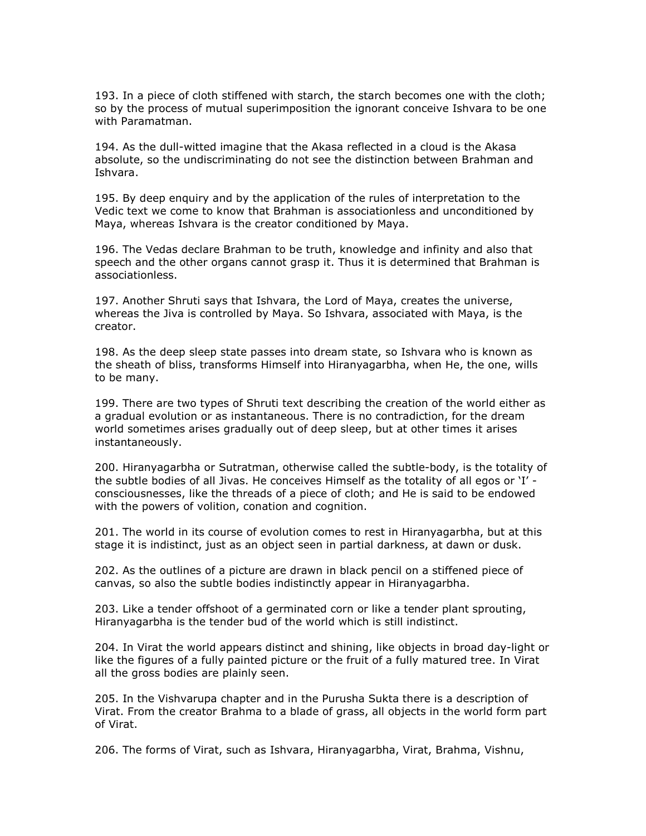193. In a piece of cloth stiffened with starch, the starch becomes one with the cloth; so by the process of mutual superimposition the ignorant conceive Ishvara to be one with Paramatman.

194. As the dull-witted imagine that the Akasa reflected in a cloud is the Akasa absolute, so the undiscriminating do not see the distinction between Brahman and Ishvara.

195. By deep enquiry and by the application of the rules of interpretation to the Vedic text we come to know that Brahman is associationless and unconditioned by Maya, whereas Ishvara is the creator conditioned by Maya.

196. The Vedas declare Brahman to be truth, knowledge and infinity and also that speech and the other organs cannot grasp it. Thus it is determined that Brahman is associationless.

197. Another Shruti says that Ishvara, the Lord of Maya, creates the universe, whereas the Jiva is controlled by Maya. So Ishvara, associated with Maya, is the creator.

198. As the deep sleep state passes into dream state, so Ishvara who is known as the sheath of bliss, transforms Himself into Hiranyagarbha, when He, the one, wills to be many.

199. There are two types of Shruti text describing the creation of the world either as a gradual evolution or as instantaneous. There is no contradiction, for the dream world sometimes arises gradually out of deep sleep, but at other times it arises instantaneously.

200. Hiranyagarbha or Sutratman, otherwise called the subtle-body, is the totality of the subtle bodies of all Jivas. He conceives Himself as the totality of all egos or 'I' consciousnesses, like the threads of a piece of cloth; and He is said to be endowed with the powers of volition, conation and cognition.

201. The world in its course of evolution comes to rest in Hiranyagarbha, but at this stage it is indistinct, just as an object seen in partial darkness, at dawn or dusk.

202. As the outlines of a picture are drawn in black pencil on a stiffened piece of canvas, so also the subtle bodies indistinctly appear in Hiranyagarbha.

203. Like a tender offshoot of a germinated corn or like a tender plant sprouting, Hiranyagarbha is the tender bud of the world which is still indistinct.

204. In Virat the world appears distinct and shining, like objects in broad day-light or like the figures of a fully painted picture or the fruit of a fully matured tree. In Virat all the gross bodies are plainly seen.

205. In the Vishvarupa chapter and in the Purusha Sukta there is a description of Virat. From the creator Brahma to a blade of grass, all objects in the world form part of Virat.

206. The forms of Virat, such as Ishvara, Hiranyagarbha, Virat, Brahma, Vishnu,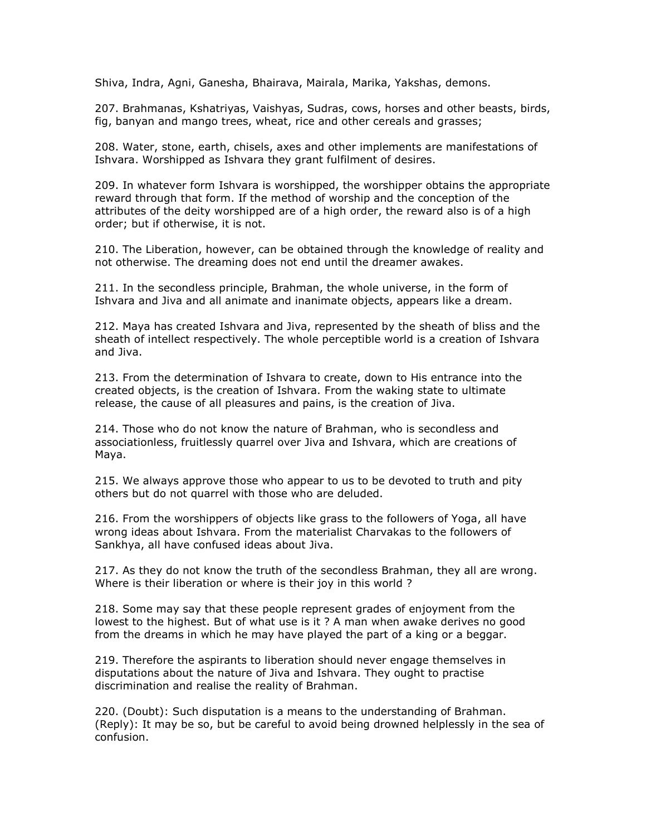Shiva, Indra, Agni, Ganesha, Bhairava, Mairala, Marika, Yakshas, demons.

207. Brahmanas, Kshatriyas, Vaishyas, Sudras, cows, horses and other beasts, birds, fig, banyan and mango trees, wheat, rice and other cereals and grasses;

208. Water, stone, earth, chisels, axes and other implements are manifestations of Ishvara. Worshipped as Ishvara they grant fulfilment of desires.

209. In whatever form Ishvara is worshipped, the worshipper obtains the appropriate reward through that form. If the method of worship and the conception of the attributes of the deity worshipped are of a high order, the reward also is of a high order; but if otherwise, it is not.

210. The Liberation, however, can be obtained through the knowledge of reality and not otherwise. The dreaming does not end until the dreamer awakes.

211. In the secondless principle, Brahman, the whole universe, in the form of Ishvara and Jiva and all animate and inanimate objects, appears like a dream.

212. Maya has created Ishvara and Jiva, represented by the sheath of bliss and the sheath of intellect respectively. The whole perceptible world is a creation of Ishvara and Jiva.

213. From the determination of Ishvara to create, down to His entrance into the created objects, is the creation of Ishvara. From the waking state to ultimate release, the cause of all pleasures and pains, is the creation of Jiva.

214. Those who do not know the nature of Brahman, who is secondless and associationless, fruitlessly quarrel over Jiva and Ishvara, which are creations of Maya.

215. We always approve those who appear to us to be devoted to truth and pity others but do not quarrel with those who are deluded.

216. From the worshippers of objects like grass to the followers of Yoga, all have wrong ideas about Ishvara. From the materialist Charvakas to the followers of Sankhya, all have confused ideas about Jiva.

217. As they do not know the truth of the secondless Brahman, they all are wrong. Where is their liberation or where is their joy in this world ?

218. Some may say that these people represent grades of enjoyment from the lowest to the highest. But of what use is it ? A man when awake derives no good from the dreams in which he may have played the part of a king or a beggar.

219. Therefore the aspirants to liberation should never engage themselves in disputations about the nature of Jiva and Ishvara. They ought to practise discrimination and realise the reality of Brahman.

220. (Doubt): Such disputation is a means to the understanding of Brahman. (Reply): It may be so, but be careful to avoid being drowned helplessly in the sea of confusion.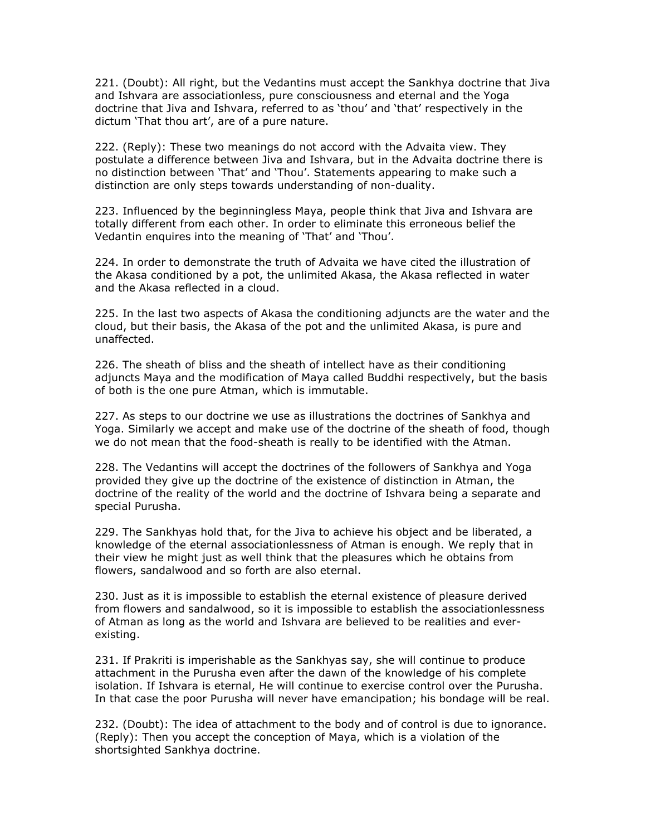221. (Doubt): All right, but the Vedantins must accept the Sankhya doctrine that Jiva and Ishvara are associationless, pure consciousness and eternal and the Yoga doctrine that Jiva and Ishvara, referred to as 'thou' and 'that' respectively in the dictum 'That thou art', are of a pure nature.

222. (Reply): These two meanings do not accord with the Advaita view. They postulate a difference between Jiva and Ishvara, but in the Advaita doctrine there is no distinction between 'That' and 'Thou'. Statements appearing to make such a distinction are only steps towards understanding of non-duality.

223. Influenced by the beginningless Maya, people think that Jiva and Ishvara are totally different from each other. In order to eliminate this erroneous belief the Vedantin enquires into the meaning of 'That' and 'Thou'.

224. In order to demonstrate the truth of Advaita we have cited the illustration of the Akasa conditioned by a pot, the unlimited Akasa, the Akasa reflected in water and the Akasa reflected in a cloud.

225. In the last two aspects of Akasa the conditioning adjuncts are the water and the cloud, but their basis, the Akasa of the pot and the unlimited Akasa, is pure and unaffected.

226. The sheath of bliss and the sheath of intellect have as their conditioning adjuncts Maya and the modification of Maya called Buddhi respectively, but the basis of both is the one pure Atman, which is immutable.

227. As steps to our doctrine we use as illustrations the doctrines of Sankhya and Yoga. Similarly we accept and make use of the doctrine of the sheath of food, though we do not mean that the food-sheath is really to be identified with the Atman.

228. The Vedantins will accept the doctrines of the followers of Sankhya and Yoga provided they give up the doctrine of the existence of distinction in Atman, the doctrine of the reality of the world and the doctrine of Ishvara being a separate and special Purusha.

229. The Sankhyas hold that, for the Jiva to achieve his object and be liberated, a knowledge of the eternal associationlessness of Atman is enough. We reply that in their view he might just as well think that the pleasures which he obtains from flowers, sandalwood and so forth are also eternal.

230. Just as it is impossible to establish the eternal existence of pleasure derived from flowers and sandalwood, so it is impossible to establish the associationlessness of Atman as long as the world and Ishvara are believed to be realities and everexisting.

231. If Prakriti is imperishable as the Sankhyas say, she will continue to produce attachment in the Purusha even after the dawn of the knowledge of his complete isolation. If Ishvara is eternal, He will continue to exercise control over the Purusha. In that case the poor Purusha will never have emancipation; his bondage will be real.

232. (Doubt): The idea of attachment to the body and of control is due to ignorance. (Reply): Then you accept the conception of Maya, which is a violation of the shortsighted Sankhya doctrine.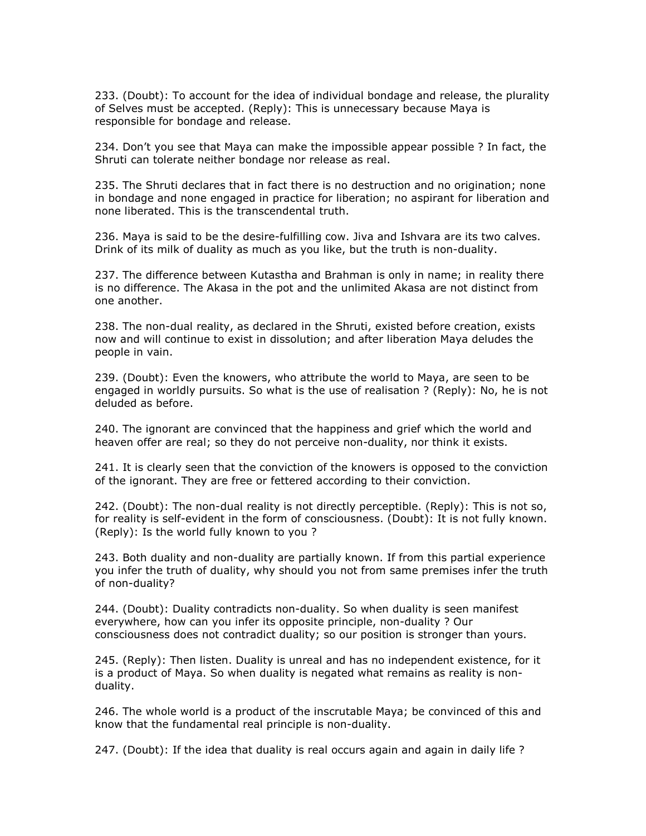233. (Doubt): To account for the idea of individual bondage and release, the plurality of Selves must be accepted. (Reply): This is unnecessary because Maya is responsible for bondage and release.

234. Don't you see that Maya can make the impossible appear possible ? In fact, the Shruti can tolerate neither bondage nor release as real.

235. The Shruti declares that in fact there is no destruction and no origination; none in bondage and none engaged in practice for liberation; no aspirant for liberation and none liberated. This is the transcendental truth.

236. Maya is said to be the desire-fulfilling cow. Jiva and Ishvara are its two calves. Drink of its milk of duality as much as you like, but the truth is non-duality.

237. The difference between Kutastha and Brahman is only in name; in reality there is no difference. The Akasa in the pot and the unlimited Akasa are not distinct from one another.

238. The non-dual reality, as declared in the Shruti, existed before creation, exists now and will continue to exist in dissolution; and after liberation Maya deludes the people in vain.

239. (Doubt): Even the knowers, who attribute the world to Maya, are seen to be engaged in worldly pursuits. So what is the use of realisation ? (Reply): No, he is not deluded as before.

240. The ignorant are convinced that the happiness and grief which the world and heaven offer are real; so they do not perceive non-duality, nor think it exists.

241. It is clearly seen that the conviction of the knowers is opposed to the conviction of the ignorant. They are free or fettered according to their conviction.

242. (Doubt): The non-dual reality is not directly perceptible. (Reply): This is not so, for reality is self-evident in the form of consciousness. (Doubt): It is not fully known. (Reply): Is the world fully known to you ?

243. Both duality and non-duality are partially known. If from this partial experience you infer the truth of duality, why should you not from same premises infer the truth of non-duality?

244. (Doubt): Duality contradicts non-duality. So when duality is seen manifest everywhere, how can you infer its opposite principle, non-duality ? Our consciousness does not contradict duality; so our position is stronger than yours.

245. (Reply): Then listen. Duality is unreal and has no independent existence, for it is a product of Maya. So when duality is negated what remains as reality is nonduality.

246. The whole world is a product of the inscrutable Maya; be convinced of this and know that the fundamental real principle is non-duality.

247. (Doubt): If the idea that duality is real occurs again and again in daily life ?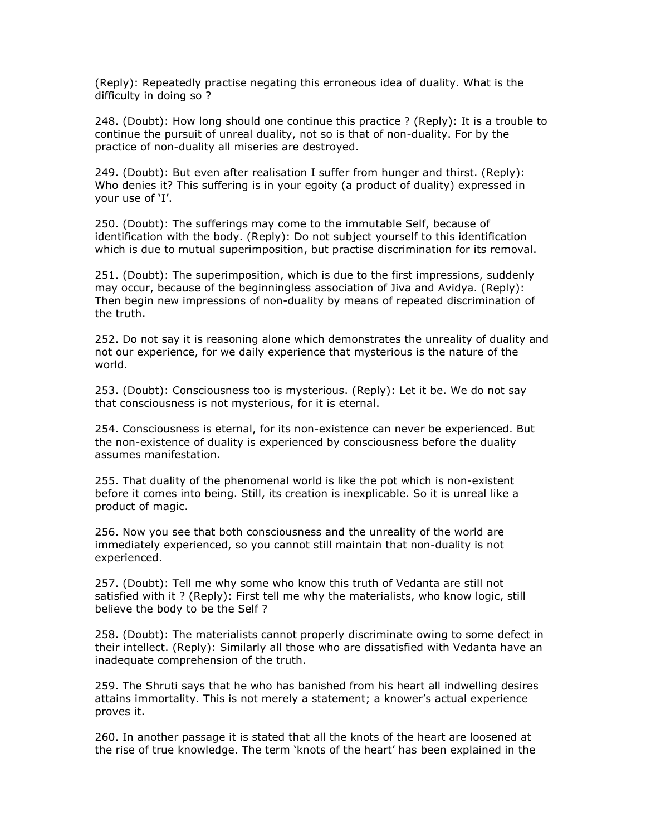(Reply): Repeatedly practise negating this erroneous idea of duality. What is the difficulty in doing so ?

248. (Doubt): How long should one continue this practice ? (Reply): It is a trouble to continue the pursuit of unreal duality, not so is that of non-duality. For by the practice of non-duality all miseries are destroyed.

249. (Doubt): But even after realisation I suffer from hunger and thirst. (Reply): Who denies it? This suffering is in your egoity (a product of duality) expressed in your use of 'I'.

250. (Doubt): The sufferings may come to the immutable Self, because of identification with the body. (Reply): Do not subject yourself to this identification which is due to mutual superimposition, but practise discrimination for its removal.

251. (Doubt): The superimposition, which is due to the first impressions, suddenly may occur, because of the beginningless association of Jiva and Avidya. (Reply): Then begin new impressions of non-duality by means of repeated discrimination of the truth.

252. Do not say it is reasoning alone which demonstrates the unreality of duality and not our experience, for we daily experience that mysterious is the nature of the world.

253. (Doubt): Consciousness too is mysterious. (Reply): Let it be. We do not say that consciousness is not mysterious, for it is eternal.

254. Consciousness is eternal, for its non-existence can never be experienced. But the non-existence of duality is experienced by consciousness before the duality assumes manifestation.

255. That duality of the phenomenal world is like the pot which is non-existent before it comes into being. Still, its creation is inexplicable. So it is unreal like a product of magic.

256. Now you see that both consciousness and the unreality of the world are immediately experienced, so you cannot still maintain that non-duality is not experienced.

257. (Doubt): Tell me why some who know this truth of Vedanta are still not satisfied with it ? (Reply): First tell me why the materialists, who know logic, still believe the body to be the Self ?

258. (Doubt): The materialists cannot properly discriminate owing to some defect in their intellect. (Reply): Similarly all those who are dissatisfied with Vedanta have an inadequate comprehension of the truth.

259. The Shruti says that he who has banished from his heart all indwelling desires attains immortality. This is not merely a statement; a knower's actual experience proves it.

260. In another passage it is stated that all the knots of the heart are loosened at the rise of true knowledge. The term 'knots of the heart' has been explained in the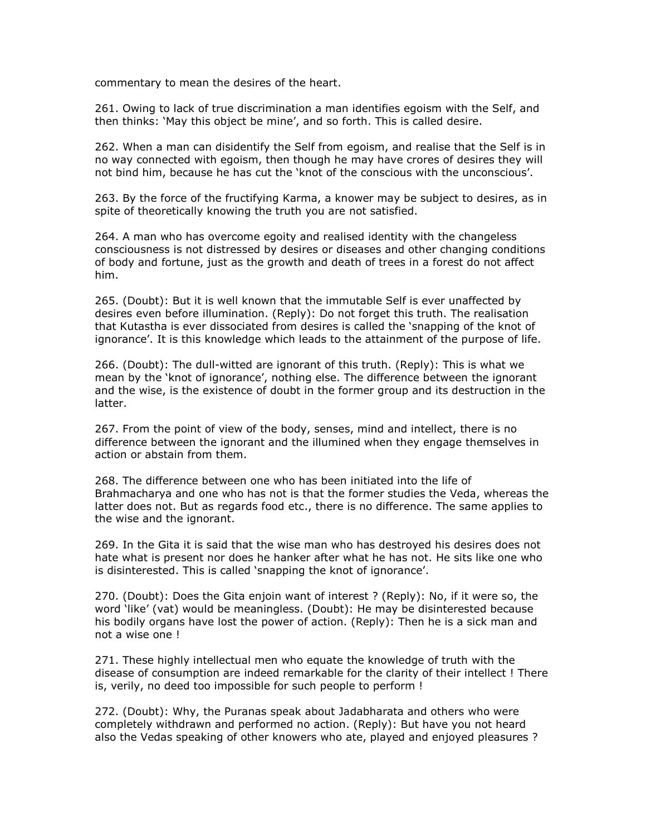commentary to mean the desires of the heart.

261. Owing to lack of true discrimination a man identifies egoism with the Self, and then thinks: 'May this object be mine', and so forth. This is called desire.

262. When a man can disidentify the Self from egoism, and realise that the Self is in no way connected with egoism, then though he may have crores of desires they will not bind him, because he has cut the 'knot of the conscious with the unconscious'.

263. By the force of the fructifying Karma, a knower may be subject to desires, as in spite of theoretically knowing the truth you are not satisfied.

264. A man who has overcome egoity and realised identity with the changeless consciousness is not distressed by desires or diseases and other changing conditions of body and fortune, just as the growth and death of trees in a forest do not affect him.

265. (Doubt): But it is well known that the immutable Self is ever unaffected by desires even before illumination. (Reply): Do not forget this truth. The realisation that Kutastha is ever dissociated from desires is called the 'snapping of the knot of ignorance'. It is this knowledge which leads to the attainment of the purpose of life.

266. (Doubt): The dull-witted are ignorant of this truth. (Reply): This is what we mean by the 'knot of ignorance', nothing else. The difference between the ignorant and the wise, is the existence of doubt in the former group and its destruction in the latter.

267. From the point of view of the body, senses, mind and intellect, there is no difference between the ignorant and the illumined when they engage themselves in action or abstain from them.

268. The difference between one who has been initiated into the life of Brahmacharya and one who has not is that the former studies the Veda, whereas the latter does not. But as regards food etc., there is no difference. The same applies to the wise and the ignorant.

269. In the Gita it is said that the wise man who has destroyed his desires does not hate what is present nor does he hanker after what he has not. He sits like one who is disinterested. This is called 'snapping the knot of ignorance'.

270. (Doubt): Does the Gita enjoin want of interest ? (Reply): No, if it were so, the word 'like' (vat) would be meaningless. (Doubt): He may be disinterested because his bodily organs have lost the power of action. (Reply): Then he is a sick man and not a wise one !

271. These highly intellectual men who equate the knowledge of truth with the disease of consumption are indeed remarkable for the clarity of their intellect ! There is, verily, no deed too impossible for such people to perform !

272. (Doubt): Why, the Puranas speak about Jadabharata and others who were completely withdrawn and performed no action. (Reply): But have you not heard also the Vedas speaking of other knowers who ate, played and enjoyed pleasures ?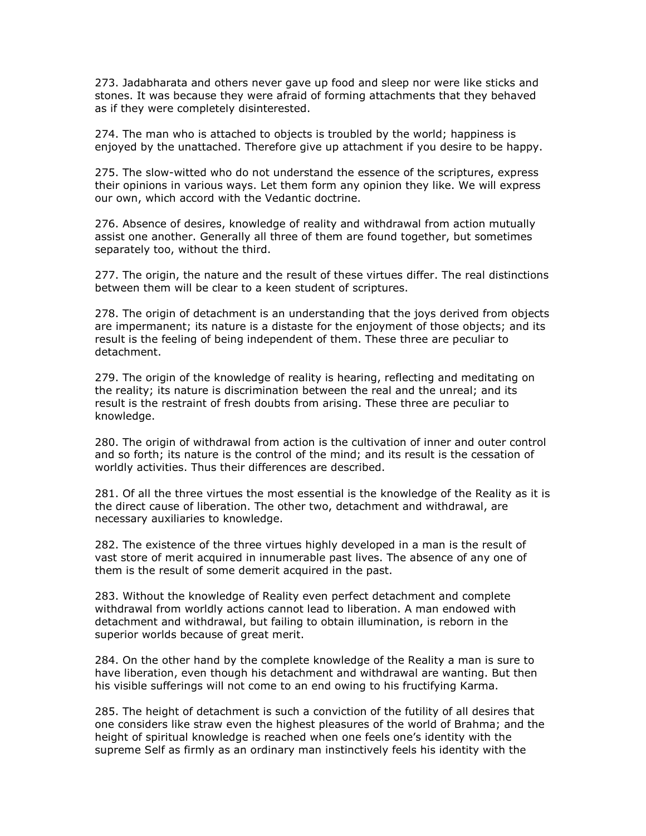273. Jadabharata and others never gave up food and sleep nor were like sticks and stones. It was because they were afraid of forming attachments that they behaved as if they were completely disinterested.

274. The man who is attached to objects is troubled by the world; happiness is enjoyed by the unattached. Therefore give up attachment if you desire to be happy.

275. The slow-witted who do not understand the essence of the scriptures, express their opinions in various ways. Let them form any opinion they like. We will express our own, which accord with the Vedantic doctrine.

276. Absence of desires, knowledge of reality and withdrawal from action mutually assist one another. Generally all three of them are found together, but sometimes separately too, without the third.

277. The origin, the nature and the result of these virtues differ. The real distinctions between them will be clear to a keen student of scriptures.

278. The origin of detachment is an understanding that the joys derived from objects are impermanent; its nature is a distaste for the enjoyment of those objects; and its result is the feeling of being independent of them. These three are peculiar to detachment.

279. The origin of the knowledge of reality is hearing, reflecting and meditating on the reality; its nature is discrimination between the real and the unreal; and its result is the restraint of fresh doubts from arising. These three are peculiar to knowledge.

280. The origin of withdrawal from action is the cultivation of inner and outer control and so forth; its nature is the control of the mind; and its result is the cessation of worldly activities. Thus their differences are described.

281. Of all the three virtues the most essential is the knowledge of the Reality as it is the direct cause of liberation. The other two, detachment and withdrawal, are necessary auxiliaries to knowledge.

282. The existence of the three virtues highly developed in a man is the result of vast store of merit acquired in innumerable past lives. The absence of any one of them is the result of some demerit acquired in the past.

283. Without the knowledge of Reality even perfect detachment and complete withdrawal from worldly actions cannot lead to liberation. A man endowed with detachment and withdrawal, but failing to obtain illumination, is reborn in the superior worlds because of great merit.

284. On the other hand by the complete knowledge of the Reality a man is sure to have liberation, even though his detachment and withdrawal are wanting. But then his visible sufferings will not come to an end owing to his fructifying Karma.

285. The height of detachment is such a conviction of the futility of all desires that one considers like straw even the highest pleasures of the world of Brahma; and the height of spiritual knowledge is reached when one feels one's identity with the supreme Self as firmly as an ordinary man instinctively feels his identity with the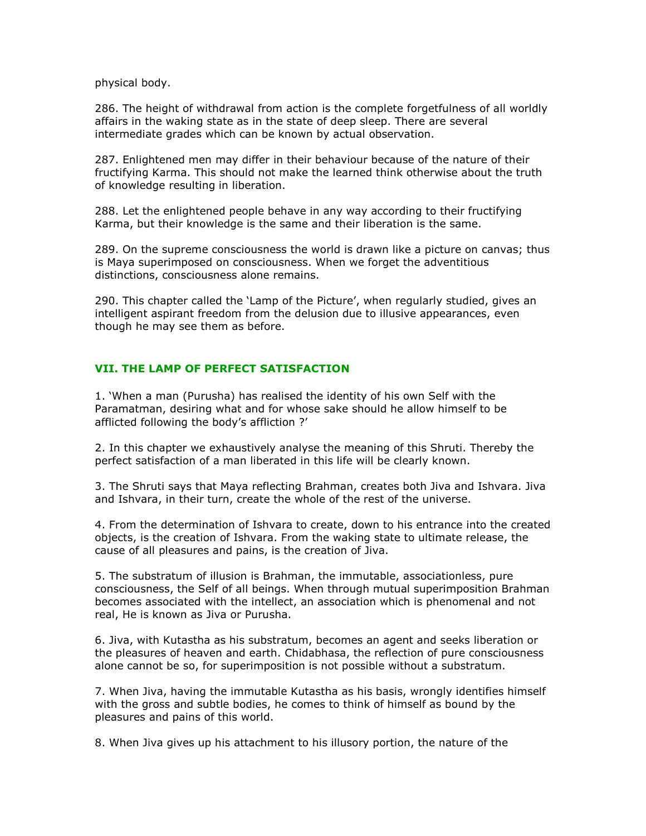physical body.

286. The height of withdrawal from action is the complete forgetfulness of all worldly affairs in the waking state as in the state of deep sleep. There are several intermediate grades which can be known by actual observation.

287. Enlightened men may differ in their behaviour because of the nature of their fructifying Karma. This should not make the learned think otherwise about the truth of knowledge resulting in liberation.

288. Let the enlightened people behave in any way according to their fructifying Karma, but their knowledge is the same and their liberation is the same.

289. On the supreme consciousness the world is drawn like a picture on canvas; thus is Maya superimposed on consciousness. When we forget the adventitious distinctions, consciousness alone remains.

290. This chapter called the 'Lamp of the Picture', when regularly studied, gives an intelligent aspirant freedom from the delusion due to illusive appearances, even though he may see them as before.

## VII. THE LAMP OF PERFECT SATISFACTION

1. 'When a man (Purusha) has realised the identity of his own Self with the Paramatman, desiring what and for whose sake should he allow himself to be afflicted following the body's affliction ?'

2. In this chapter we exhaustively analyse the meaning of this Shruti. Thereby the perfect satisfaction of a man liberated in this life will be clearly known.

3. The Shruti says that Maya reflecting Brahman, creates both Jiva and Ishvara. Jiva and Ishvara, in their turn, create the whole of the rest of the universe.

4. From the determination of Ishvara to create, down to his entrance into the created objects, is the creation of Ishvara. From the waking state to ultimate release, the cause of all pleasures and pains, is the creation of Jiva.

5. The substratum of illusion is Brahman, the immutable, associationless, pure consciousness, the Self of all beings. When through mutual superimposition Brahman becomes associated with the intellect, an association which is phenomenal and not real, He is known as Jiva or Purusha.

6. Jiva, with Kutastha as his substratum, becomes an agent and seeks liberation or the pleasures of heaven and earth. Chidabhasa, the reflection of pure consciousness alone cannot be so, for superimposition is not possible without a substratum.

7. When Jiva, having the immutable Kutastha as his basis, wrongly identifies himself with the gross and subtle bodies, he comes to think of himself as bound by the pleasures and pains of this world.

8. When Jiva gives up his attachment to his illusory portion, the nature of the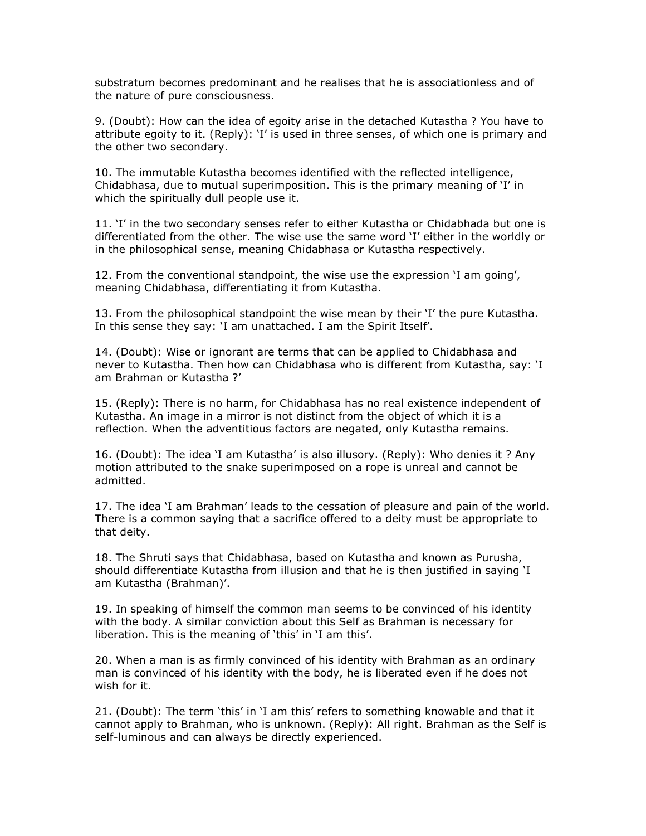substratum becomes predominant and he realises that he is associationless and of the nature of pure consciousness.

9. (Doubt): How can the idea of egoity arise in the detached Kutastha ? You have to attribute egoity to it. (Reply): 'I' is used in three senses, of which one is primary and the other two secondary.

10. The immutable Kutastha becomes identified with the reflected intelligence, Chidabhasa, due to mutual superimposition. This is the primary meaning of 'I' in which the spiritually dull people use it.

11. 'I' in the two secondary senses refer to either Kutastha or Chidabhada but one is differentiated from the other. The wise use the same word 'I' either in the worldly or in the philosophical sense, meaning Chidabhasa or Kutastha respectively.

12. From the conventional standpoint, the wise use the expression 'I am going', meaning Chidabhasa, differentiating it from Kutastha.

13. From the philosophical standpoint the wise mean by their 'I' the pure Kutastha. In this sense they say: 'I am unattached. I am the Spirit Itself'.

14. (Doubt): Wise or ignorant are terms that can be applied to Chidabhasa and never to Kutastha. Then how can Chidabhasa who is different from Kutastha, say: 'I am Brahman or Kutastha ?'

15. (Reply): There is no harm, for Chidabhasa has no real existence independent of Kutastha. An image in a mirror is not distinct from the object of which it is a reflection. When the adventitious factors are negated, only Kutastha remains.

16. (Doubt): The idea 'I am Kutastha' is also illusory. (Reply): Who denies it ? Any motion attributed to the snake superimposed on a rope is unreal and cannot be admitted.

17. The idea 'I am Brahman' leads to the cessation of pleasure and pain of the world. There is a common saying that a sacrifice offered to a deity must be appropriate to that deity.

18. The Shruti says that Chidabhasa, based on Kutastha and known as Purusha, should differentiate Kutastha from illusion and that he is then justified in saying 'I am Kutastha (Brahman)'.

19. In speaking of himself the common man seems to be convinced of his identity with the body. A similar conviction about this Self as Brahman is necessary for liberation. This is the meaning of 'this' in 'I am this'.

20. When a man is as firmly convinced of his identity with Brahman as an ordinary man is convinced of his identity with the body, he is liberated even if he does not wish for it.

21. (Doubt): The term 'this' in 'I am this' refers to something knowable and that it cannot apply to Brahman, who is unknown. (Reply): All right. Brahman as the Self is self-luminous and can always be directly experienced.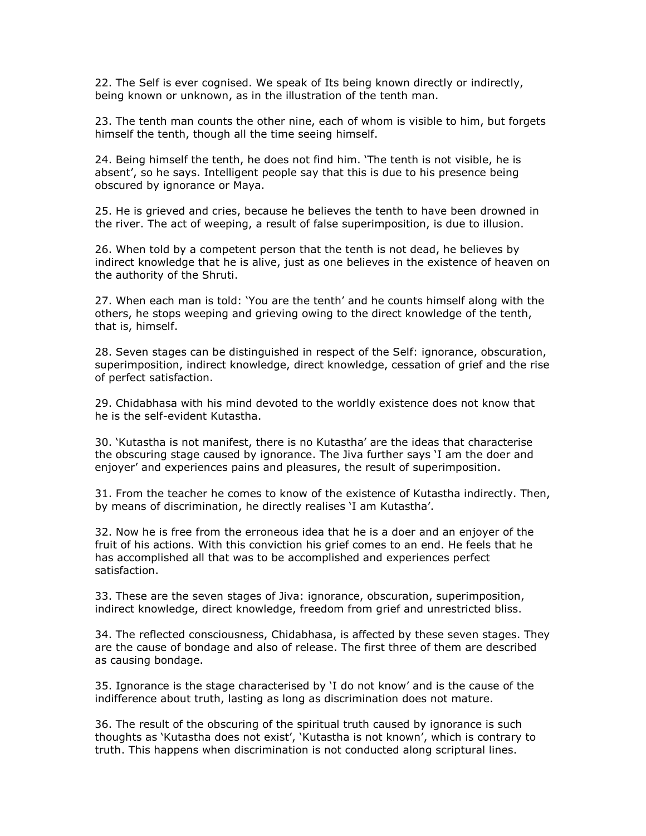22. The Self is ever cognised. We speak of Its being known directly or indirectly, being known or unknown, as in the illustration of the tenth man.

23. The tenth man counts the other nine, each of whom is visible to him, but forgets himself the tenth, though all the time seeing himself.

24. Being himself the tenth, he does not find him. 'The tenth is not visible, he is absent', so he says. Intelligent people say that this is due to his presence being obscured by ignorance or Maya.

25. He is grieved and cries, because he believes the tenth to have been drowned in the river. The act of weeping, a result of false superimposition, is due to illusion.

26. When told by a competent person that the tenth is not dead, he believes by indirect knowledge that he is alive, just as one believes in the existence of heaven on the authority of the Shruti.

27. When each man is told: 'You are the tenth' and he counts himself along with the others, he stops weeping and grieving owing to the direct knowledge of the tenth, that is, himself.

28. Seven stages can be distinguished in respect of the Self: ignorance, obscuration, superimposition, indirect knowledge, direct knowledge, cessation of grief and the rise of perfect satisfaction.

29. Chidabhasa with his mind devoted to the worldly existence does not know that he is the self-evident Kutastha.

30. 'Kutastha is not manifest, there is no Kutastha' are the ideas that characterise the obscuring stage caused by ignorance. The Jiva further says 'I am the doer and enjoyer' and experiences pains and pleasures, the result of superimposition.

31. From the teacher he comes to know of the existence of Kutastha indirectly. Then, by means of discrimination, he directly realises 'I am Kutastha'.

32. Now he is free from the erroneous idea that he is a doer and an enjoyer of the fruit of his actions. With this conviction his grief comes to an end. He feels that he has accomplished all that was to be accomplished and experiences perfect satisfaction.

33. These are the seven stages of Jiva: ignorance, obscuration, superimposition, indirect knowledge, direct knowledge, freedom from grief and unrestricted bliss.

34. The reflected consciousness, Chidabhasa, is affected by these seven stages. They are the cause of bondage and also of release. The first three of them are described as causing bondage.

35. Ignorance is the stage characterised by 'I do not know' and is the cause of the indifference about truth, lasting as long as discrimination does not mature.

36. The result of the obscuring of the spiritual truth caused by ignorance is such thoughts as 'Kutastha does not exist', 'Kutastha is not known', which is contrary to truth. This happens when discrimination is not conducted along scriptural lines.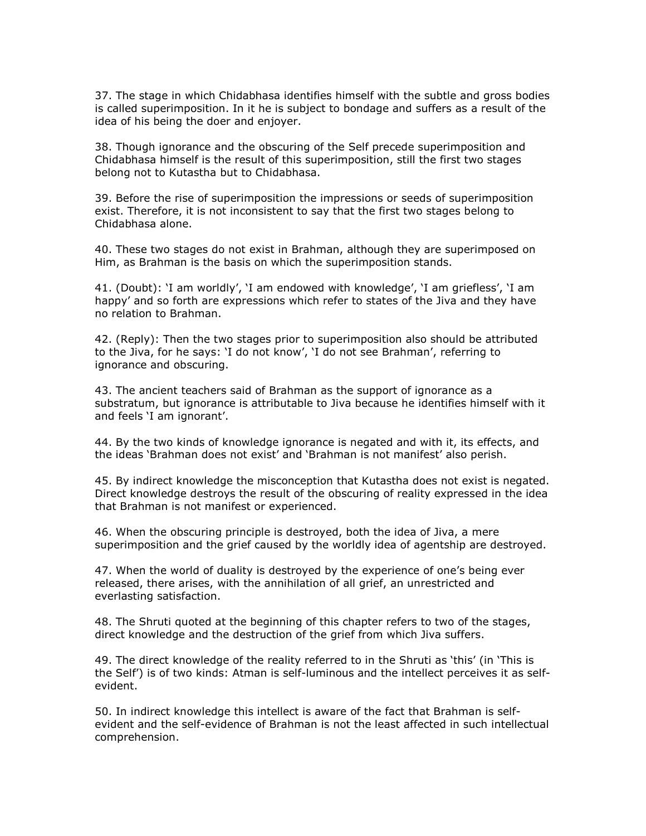37. The stage in which Chidabhasa identifies himself with the subtle and gross bodies is called superimposition. In it he is subject to bondage and suffers as a result of the idea of his being the doer and enjoyer.

38. Though ignorance and the obscuring of the Self precede superimposition and Chidabhasa himself is the result of this superimposition, still the first two stages belong not to Kutastha but to Chidabhasa.

39. Before the rise of superimposition the impressions or seeds of superimposition exist. Therefore, it is not inconsistent to say that the first two stages belong to Chidabhasa alone.

40. These two stages do not exist in Brahman, although they are superimposed on Him, as Brahman is the basis on which the superimposition stands.

41. (Doubt): 'I am worldly', 'I am endowed with knowledge', 'I am griefless', 'I am happy' and so forth are expressions which refer to states of the Jiva and they have no relation to Brahman.

42. (Reply): Then the two stages prior to superimposition also should be attributed to the Jiva, for he says: 'I do not know', 'I do not see Brahman', referring to ignorance and obscuring.

43. The ancient teachers said of Brahman as the support of ignorance as a substratum, but ignorance is attributable to Jiva because he identifies himself with it and feels 'I am ignorant'.

44. By the two kinds of knowledge ignorance is negated and with it, its effects, and the ideas 'Brahman does not exist' and 'Brahman is not manifest' also perish.

45. By indirect knowledge the misconception that Kutastha does not exist is negated. Direct knowledge destroys the result of the obscuring of reality expressed in the idea that Brahman is not manifest or experienced.

46. When the obscuring principle is destroyed, both the idea of Jiva, a mere superimposition and the grief caused by the worldly idea of agentship are destroyed.

47. When the world of duality is destroyed by the experience of one's being ever released, there arises, with the annihilation of all grief, an unrestricted and everlasting satisfaction.

48. The Shruti quoted at the beginning of this chapter refers to two of the stages, direct knowledge and the destruction of the grief from which Jiva suffers.

49. The direct knowledge of the reality referred to in the Shruti as 'this' (in 'This is the Self') is of two kinds: Atman is self-luminous and the intellect perceives it as selfevident.

50. In indirect knowledge this intellect is aware of the fact that Brahman is selfevident and the self-evidence of Brahman is not the least affected in such intellectual comprehension.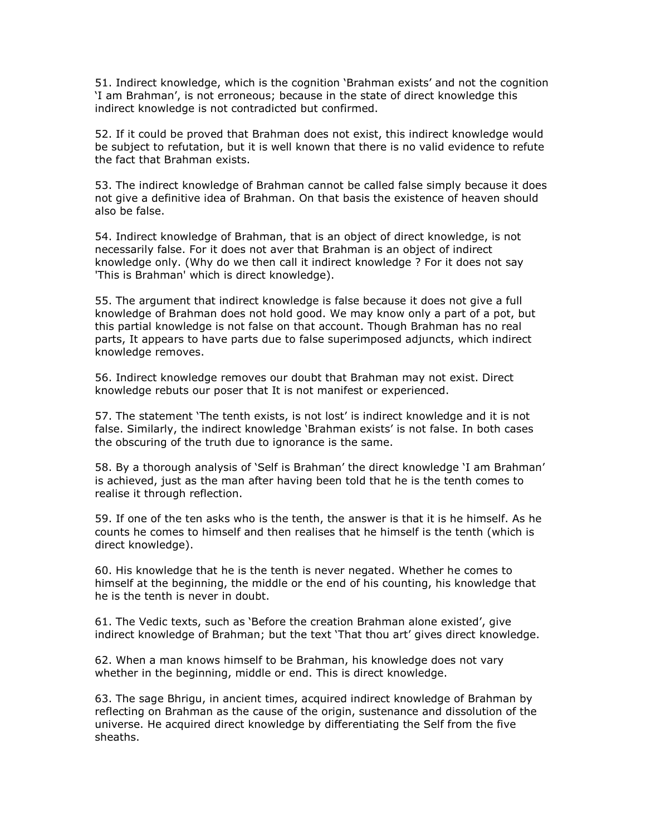51. Indirect knowledge, which is the cognition 'Brahman exists' and not the cognition 'I am Brahman', is not erroneous; because in the state of direct knowledge this indirect knowledge is not contradicted but confirmed.

52. If it could be proved that Brahman does not exist, this indirect knowledge would be subject to refutation, but it is well known that there is no valid evidence to refute the fact that Brahman exists.

53. The indirect knowledge of Brahman cannot be called false simply because it does not give a definitive idea of Brahman. On that basis the existence of heaven should also be false.

54. Indirect knowledge of Brahman, that is an object of direct knowledge, is not necessarily false. For it does not aver that Brahman is an object of indirect knowledge only. (Why do we then call it indirect knowledge ? For it does not say 'This is Brahman' which is direct knowledge).

55. The argument that indirect knowledge is false because it does not give a full knowledge of Brahman does not hold good. We may know only a part of a pot, but this partial knowledge is not false on that account. Though Brahman has no real parts, It appears to have parts due to false superimposed adjuncts, which indirect knowledge removes.

56. Indirect knowledge removes our doubt that Brahman may not exist. Direct knowledge rebuts our poser that It is not manifest or experienced.

57. The statement 'The tenth exists, is not lost' is indirect knowledge and it is not false. Similarly, the indirect knowledge 'Brahman exists' is not false. In both cases the obscuring of the truth due to ignorance is the same.

58. By a thorough analysis of 'Self is Brahman' the direct knowledge 'I am Brahman' is achieved, just as the man after having been told that he is the tenth comes to realise it through reflection.

59. If one of the ten asks who is the tenth, the answer is that it is he himself. As he counts he comes to himself and then realises that he himself is the tenth (which is direct knowledge).

60. His knowledge that he is the tenth is never negated. Whether he comes to himself at the beginning, the middle or the end of his counting, his knowledge that he is the tenth is never in doubt.

61. The Vedic texts, such as 'Before the creation Brahman alone existed', give indirect knowledge of Brahman; but the text 'That thou art' gives direct knowledge.

62. When a man knows himself to be Brahman, his knowledge does not vary whether in the beginning, middle or end. This is direct knowledge.

63. The sage Bhrigu, in ancient times, acquired indirect knowledge of Brahman by reflecting on Brahman as the cause of the origin, sustenance and dissolution of the universe. He acquired direct knowledge by differentiating the Self from the five sheaths.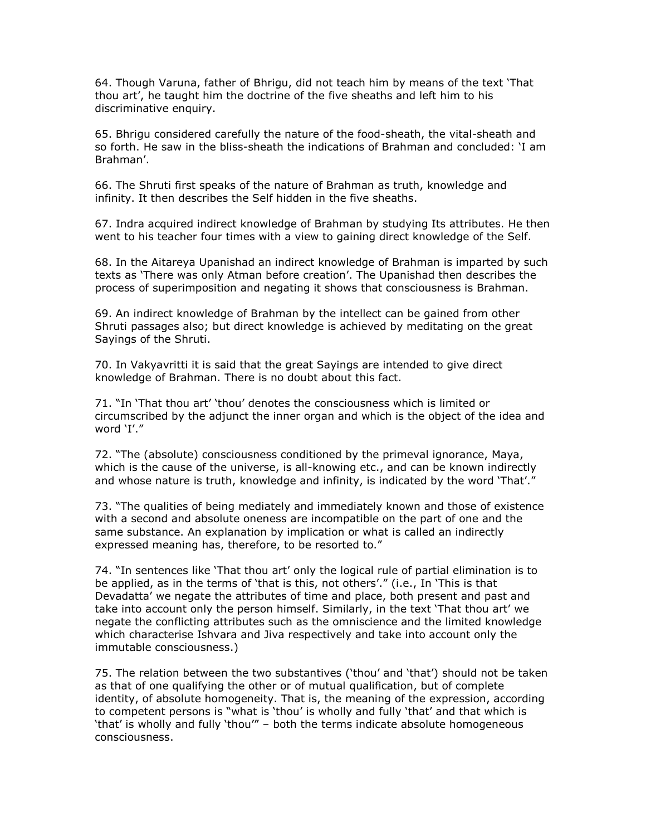64. Though Varuna, father of Bhrigu, did not teach him by means of the text 'That thou art', he taught him the doctrine of the five sheaths and left him to his discriminative enquiry.

65. Bhrigu considered carefully the nature of the food-sheath, the vital-sheath and so forth. He saw in the bliss-sheath the indications of Brahman and concluded: 'I am Brahman'.

66. The Shruti first speaks of the nature of Brahman as truth, knowledge and infinity. It then describes the Self hidden in the five sheaths.

67. Indra acquired indirect knowledge of Brahman by studying Its attributes. He then went to his teacher four times with a view to gaining direct knowledge of the Self.

68. In the Aitareya Upanishad an indirect knowledge of Brahman is imparted by such texts as 'There was only Atman before creation'. The Upanishad then describes the process of superimposition and negating it shows that consciousness is Brahman.

69. An indirect knowledge of Brahman by the intellect can be gained from other Shruti passages also; but direct knowledge is achieved by meditating on the great Sayings of the Shruti.

70. In Vakyavritti it is said that the great Sayings are intended to give direct knowledge of Brahman. There is no doubt about this fact.

71. "In 'That thou art' 'thou' denotes the consciousness which is limited or circumscribed by the adjunct the inner organ and which is the object of the idea and word 'I'."

72. "The (absolute) consciousness conditioned by the primeval ignorance, Maya, which is the cause of the universe, is all-knowing etc., and can be known indirectly and whose nature is truth, knowledge and infinity, is indicated by the word 'That'."

73. "The qualities of being mediately and immediately known and those of existence with a second and absolute oneness are incompatible on the part of one and the same substance. An explanation by implication or what is called an indirectly expressed meaning has, therefore, to be resorted to."

74. "In sentences like 'That thou art' only the logical rule of partial elimination is to be applied, as in the terms of 'that is this, not others'." (i.e., In 'This is that Devadatta' we negate the attributes of time and place, both present and past and take into account only the person himself. Similarly, in the text 'That thou art' we negate the conflicting attributes such as the omniscience and the limited knowledge which characterise Ishvara and Jiva respectively and take into account only the immutable consciousness.)

75. The relation between the two substantives ('thou' and 'that') should not be taken as that of one qualifying the other or of mutual qualification, but of complete identity, of absolute homogeneity. That is, the meaning of the expression, according to competent persons is "what is 'thou' is wholly and fully 'that' and that which is 'that' is wholly and fully 'thou'" – both the terms indicate absolute homogeneous consciousness.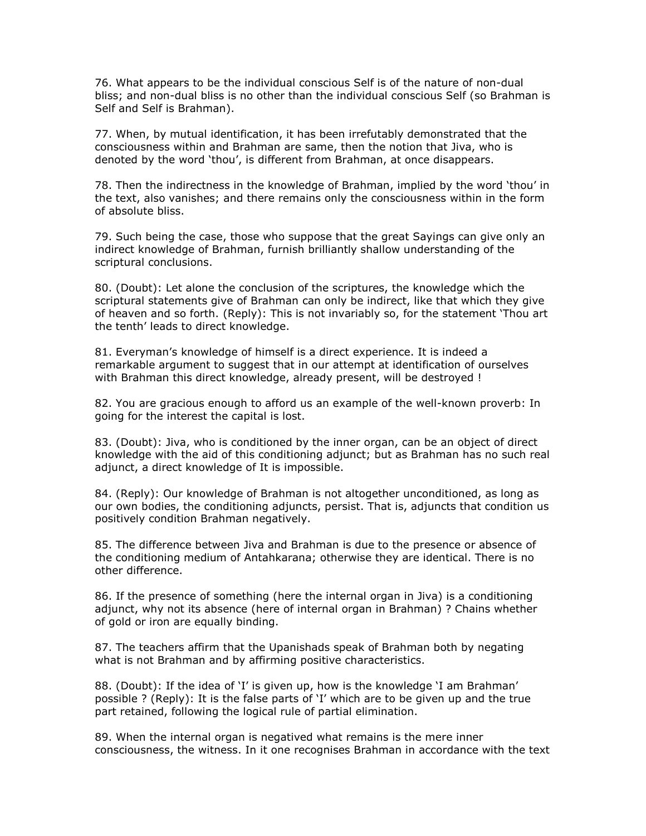76. What appears to be the individual conscious Self is of the nature of non-dual bliss; and non-dual bliss is no other than the individual conscious Self (so Brahman is Self and Self is Brahman).

77. When, by mutual identification, it has been irrefutably demonstrated that the consciousness within and Brahman are same, then the notion that Jiva, who is denoted by the word 'thou', is different from Brahman, at once disappears.

78. Then the indirectness in the knowledge of Brahman, implied by the word 'thou' in the text, also vanishes; and there remains only the consciousness within in the form of absolute bliss.

79. Such being the case, those who suppose that the great Sayings can give only an indirect knowledge of Brahman, furnish brilliantly shallow understanding of the scriptural conclusions.

80. (Doubt): Let alone the conclusion of the scriptures, the knowledge which the scriptural statements give of Brahman can only be indirect, like that which they give of heaven and so forth. (Reply): This is not invariably so, for the statement 'Thou art the tenth' leads to direct knowledge.

81. Everyman's knowledge of himself is a direct experience. It is indeed a remarkable argument to suggest that in our attempt at identification of ourselves with Brahman this direct knowledge, already present, will be destroyed !

82. You are gracious enough to afford us an example of the well-known proverb: In going for the interest the capital is lost.

83. (Doubt): Jiva, who is conditioned by the inner organ, can be an object of direct knowledge with the aid of this conditioning adjunct; but as Brahman has no such real adjunct, a direct knowledge of It is impossible.

84. (Reply): Our knowledge of Brahman is not altogether unconditioned, as long as our own bodies, the conditioning adjuncts, persist. That is, adjuncts that condition us positively condition Brahman negatively.

85. The difference between Jiva and Brahman is due to the presence or absence of the conditioning medium of Antahkarana; otherwise they are identical. There is no other difference.

86. If the presence of something (here the internal organ in Jiva) is a conditioning adjunct, why not its absence (here of internal organ in Brahman) ? Chains whether of gold or iron are equally binding.

87. The teachers affirm that the Upanishads speak of Brahman both by negating what is not Brahman and by affirming positive characteristics.

88. (Doubt): If the idea of 'I' is given up, how is the knowledge 'I am Brahman' possible ? (Reply): It is the false parts of 'I' which are to be given up and the true part retained, following the logical rule of partial elimination.

89. When the internal organ is negatived what remains is the mere inner consciousness, the witness. In it one recognises Brahman in accordance with the text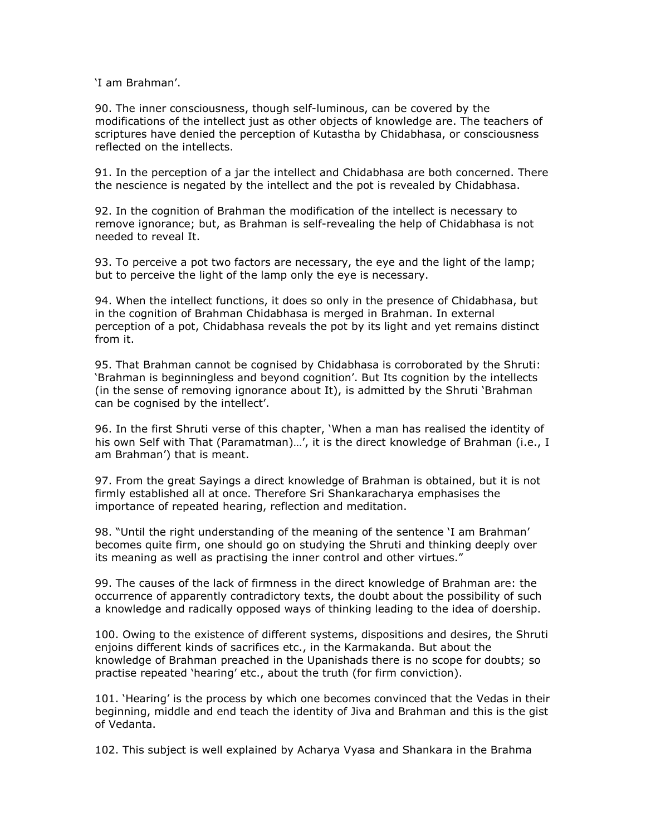'I am Brahman'.

90. The inner consciousness, though self-luminous, can be covered by the modifications of the intellect just as other objects of knowledge are. The teachers of scriptures have denied the perception of Kutastha by Chidabhasa, or consciousness reflected on the intellects.

91. In the perception of a jar the intellect and Chidabhasa are both concerned. There the nescience is negated by the intellect and the pot is revealed by Chidabhasa.

92. In the cognition of Brahman the modification of the intellect is necessary to remove ignorance; but, as Brahman is self-revealing the help of Chidabhasa is not needed to reveal It.

93. To perceive a pot two factors are necessary, the eye and the light of the lamp; but to perceive the light of the lamp only the eye is necessary.

94. When the intellect functions, it does so only in the presence of Chidabhasa, but in the cognition of Brahman Chidabhasa is merged in Brahman. In external perception of a pot, Chidabhasa reveals the pot by its light and yet remains distinct from it.

95. That Brahman cannot be cognised by Chidabhasa is corroborated by the Shruti: 'Brahman is beginningless and beyond cognition'. But Its cognition by the intellects (in the sense of removing ignorance about It), is admitted by the Shruti 'Brahman can be cognised by the intellect'.

96. In the first Shruti verse of this chapter, 'When a man has realised the identity of his own Self with That (Paramatman)...', it is the direct knowledge of Brahman (i.e., I am Brahman') that is meant.

97. From the great Sayings a direct knowledge of Brahman is obtained, but it is not firmly established all at once. Therefore Sri Shankaracharya emphasises the importance of repeated hearing, reflection and meditation.

98. "Until the right understanding of the meaning of the sentence 'I am Brahman' becomes quite firm, one should go on studying the Shruti and thinking deeply over its meaning as well as practising the inner control and other virtues."

99. The causes of the lack of firmness in the direct knowledge of Brahman are: the occurrence of apparently contradictory texts, the doubt about the possibility of such a knowledge and radically opposed ways of thinking leading to the idea of doership.

100. Owing to the existence of different systems, dispositions and desires, the Shruti enjoins different kinds of sacrifices etc., in the Karmakanda. But about the knowledge of Brahman preached in the Upanishads there is no scope for doubts; so practise repeated 'hearing' etc., about the truth (for firm conviction).

101. 'Hearing' is the process by which one becomes convinced that the Vedas in their beginning, middle and end teach the identity of Jiva and Brahman and this is the gist of Vedanta.

102. This subject is well explained by Acharya Vyasa and Shankara in the Brahma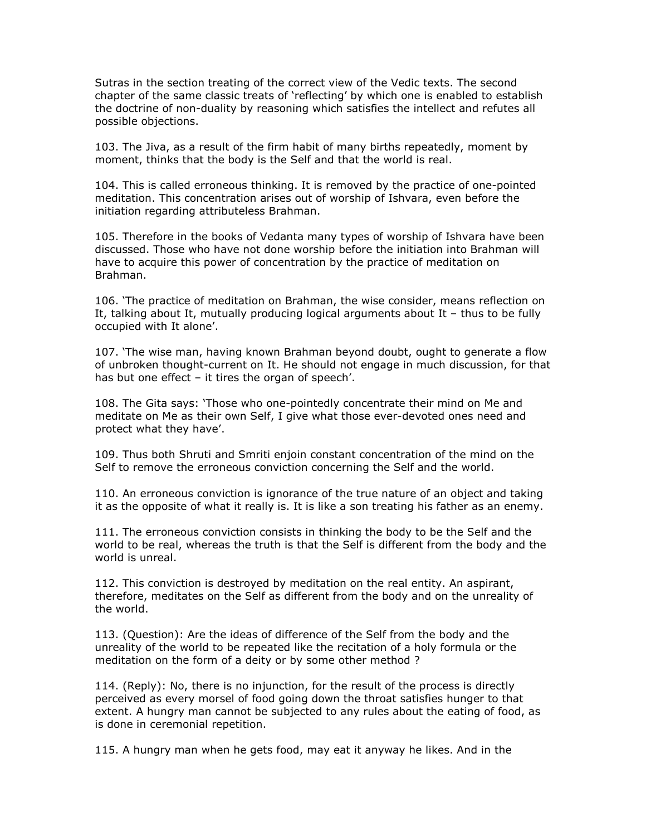Sutras in the section treating of the correct view of the Vedic texts. The second chapter of the same classic treats of 'reflecting' by which one is enabled to establish the doctrine of non-duality by reasoning which satisfies the intellect and refutes all possible objections.

103. The Jiva, as a result of the firm habit of many births repeatedly, moment by moment, thinks that the body is the Self and that the world is real.

104. This is called erroneous thinking. It is removed by the practice of one-pointed meditation. This concentration arises out of worship of Ishvara, even before the initiation regarding attributeless Brahman.

105. Therefore in the books of Vedanta many types of worship of Ishvara have been discussed. Those who have not done worship before the initiation into Brahman will have to acquire this power of concentration by the practice of meditation on Brahman.

106. 'The practice of meditation on Brahman, the wise consider, means reflection on It, talking about It, mutually producing logical arguments about It  $-$  thus to be fully occupied with It alone'.

107. 'The wise man, having known Brahman beyond doubt, ought to generate a flow of unbroken thought-current on It. He should not engage in much discussion, for that has but one effect – it tires the organ of speech'.

108. The Gita says: 'Those who one-pointedly concentrate their mind on Me and meditate on Me as their own Self, I give what those ever-devoted ones need and protect what they have'.

109. Thus both Shruti and Smriti enjoin constant concentration of the mind on the Self to remove the erroneous conviction concerning the Self and the world.

110. An erroneous conviction is ignorance of the true nature of an object and taking it as the opposite of what it really is. It is like a son treating his father as an enemy.

111. The erroneous conviction consists in thinking the body to be the Self and the world to be real, whereas the truth is that the Self is different from the body and the world is unreal.

112. This conviction is destroyed by meditation on the real entity. An aspirant, therefore, meditates on the Self as different from the body and on the unreality of the world.

113. (Question): Are the ideas of difference of the Self from the body and the unreality of the world to be repeated like the recitation of a holy formula or the meditation on the form of a deity or by some other method ?

114. (Reply): No, there is no injunction, for the result of the process is directly perceived as every morsel of food going down the throat satisfies hunger to that extent. A hungry man cannot be subjected to any rules about the eating of food, as is done in ceremonial repetition.

115. A hungry man when he gets food, may eat it anyway he likes. And in the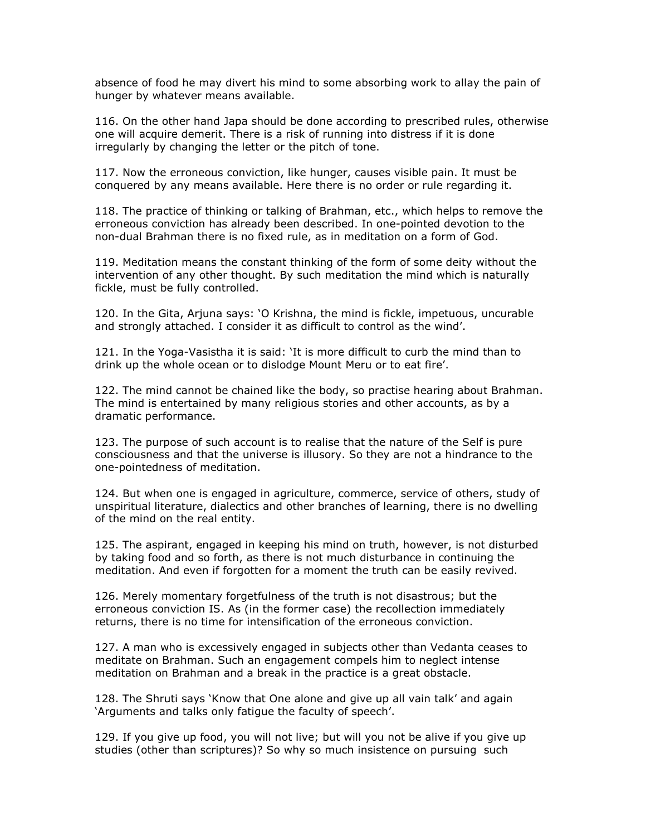absence of food he may divert his mind to some absorbing work to allay the pain of hunger by whatever means available.

116. On the other hand Japa should be done according to prescribed rules, otherwise one will acquire demerit. There is a risk of running into distress if it is done irregularly by changing the letter or the pitch of tone.

117. Now the erroneous conviction, like hunger, causes visible pain. It must be conquered by any means available. Here there is no order or rule regarding it.

118. The practice of thinking or talking of Brahman, etc., which helps to remove the erroneous conviction has already been described. In one-pointed devotion to the non-dual Brahman there is no fixed rule, as in meditation on a form of God.

119. Meditation means the constant thinking of the form of some deity without the intervention of any other thought. By such meditation the mind which is naturally fickle, must be fully controlled.

120. In the Gita, Arjuna says: 'O Krishna, the mind is fickle, impetuous, uncurable and strongly attached. I consider it as difficult to control as the wind'.

121. In the Yoga-Vasistha it is said: 'It is more difficult to curb the mind than to drink up the whole ocean or to dislodge Mount Meru or to eat fire'.

122. The mind cannot be chained like the body, so practise hearing about Brahman. The mind is entertained by many religious stories and other accounts, as by a dramatic performance.

123. The purpose of such account is to realise that the nature of the Self is pure consciousness and that the universe is illusory. So they are not a hindrance to the one-pointedness of meditation.

124. But when one is engaged in agriculture, commerce, service of others, study of unspiritual literature, dialectics and other branches of learning, there is no dwelling of the mind on the real entity.

125. The aspirant, engaged in keeping his mind on truth, however, is not disturbed by taking food and so forth, as there is not much disturbance in continuing the meditation. And even if forgotten for a moment the truth can be easily revived.

126. Merely momentary forgetfulness of the truth is not disastrous; but the erroneous conviction IS. As (in the former case) the recollection immediately returns, there is no time for intensification of the erroneous conviction.

127. A man who is excessively engaged in subjects other than Vedanta ceases to meditate on Brahman. Such an engagement compels him to neglect intense meditation on Brahman and a break in the practice is a great obstacle.

128. The Shruti says 'Know that One alone and give up all vain talk' and again 'Arguments and talks only fatigue the faculty of speech'.

129. If you give up food, you will not live; but will you not be alive if you give up studies (other than scriptures)? So why so much insistence on pursuing such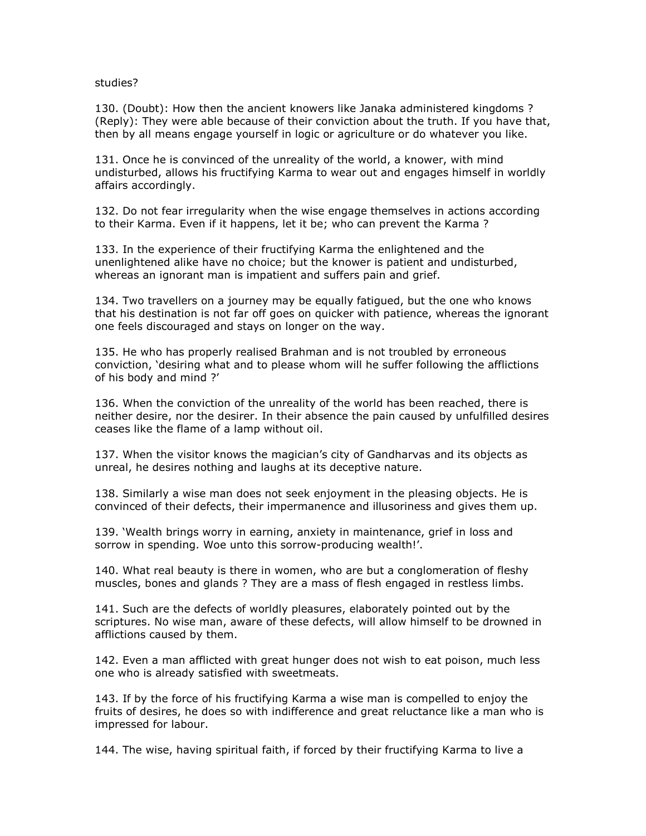## studies?

130. (Doubt): How then the ancient knowers like Janaka administered kingdoms ? (Reply): They were able because of their conviction about the truth. If you have that, then by all means engage yourself in logic or agriculture or do whatever you like.

131. Once he is convinced of the unreality of the world, a knower, with mind undisturbed, allows his fructifying Karma to wear out and engages himself in worldly affairs accordingly.

132. Do not fear irregularity when the wise engage themselves in actions according to their Karma. Even if it happens, let it be; who can prevent the Karma ?

133. In the experience of their fructifying Karma the enlightened and the unenlightened alike have no choice; but the knower is patient and undisturbed, whereas an ignorant man is impatient and suffers pain and grief.

134. Two travellers on a journey may be equally fatigued, but the one who knows that his destination is not far off goes on quicker with patience, whereas the ignorant one feels discouraged and stays on longer on the way.

135. He who has properly realised Brahman and is not troubled by erroneous conviction, 'desiring what and to please whom will he suffer following the afflictions of his body and mind ?'

136. When the conviction of the unreality of the world has been reached, there is neither desire, nor the desirer. In their absence the pain caused by unfulfilled desires ceases like the flame of a lamp without oil.

137. When the visitor knows the magician's city of Gandharvas and its objects as unreal, he desires nothing and laughs at its deceptive nature.

138. Similarly a wise man does not seek enjoyment in the pleasing objects. He is convinced of their defects, their impermanence and illusoriness and gives them up.

139. 'Wealth brings worry in earning, anxiety in maintenance, grief in loss and sorrow in spending. Woe unto this sorrow-producing wealth!'.

140. What real beauty is there in women, who are but a conglomeration of fleshy muscles, bones and glands ? They are a mass of flesh engaged in restless limbs.

141. Such are the defects of worldly pleasures, elaborately pointed out by the scriptures. No wise man, aware of these defects, will allow himself to be drowned in afflictions caused by them.

142. Even a man afflicted with great hunger does not wish to eat poison, much less one who is already satisfied with sweetmeats.

143. If by the force of his fructifying Karma a wise man is compelled to enjoy the fruits of desires, he does so with indifference and great reluctance like a man who is impressed for labour.

144. The wise, having spiritual faith, if forced by their fructifying Karma to live a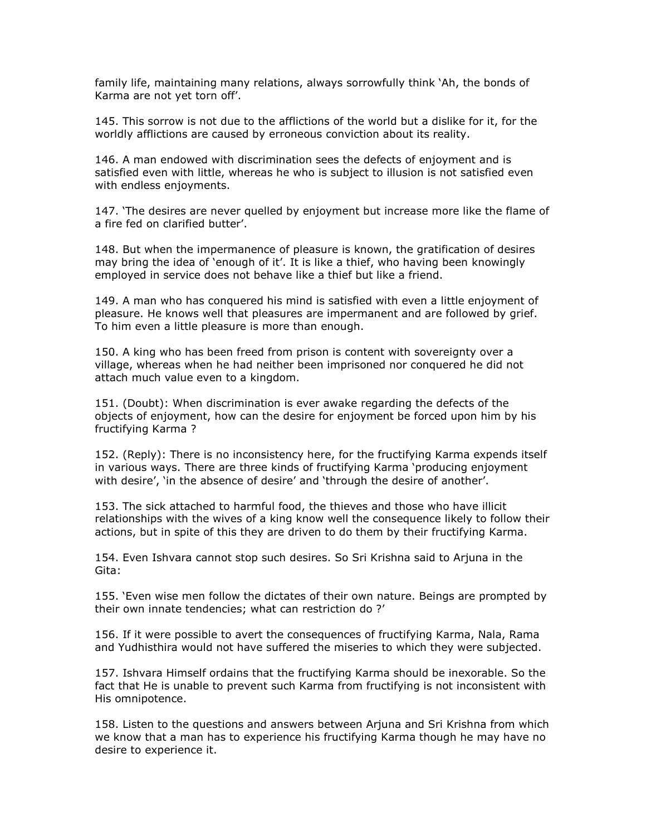family life, maintaining many relations, always sorrowfully think 'Ah, the bonds of Karma are not yet torn off'.

145. This sorrow is not due to the afflictions of the world but a dislike for it, for the worldly afflictions are caused by erroneous conviction about its reality.

146. A man endowed with discrimination sees the defects of enjoyment and is satisfied even with little, whereas he who is subject to illusion is not satisfied even with endless enjoyments.

147. 'The desires are never quelled by enjoyment but increase more like the flame of a fire fed on clarified butter'.

148. But when the impermanence of pleasure is known, the gratification of desires may bring the idea of 'enough of it'. It is like a thief, who having been knowingly employed in service does not behave like a thief but like a friend.

149. A man who has conquered his mind is satisfied with even a little enjoyment of pleasure. He knows well that pleasures are impermanent and are followed by grief. To him even a little pleasure is more than enough.

150. A king who has been freed from prison is content with sovereignty over a village, whereas when he had neither been imprisoned nor conquered he did not attach much value even to a kingdom.

151. (Doubt): When discrimination is ever awake regarding the defects of the objects of enjoyment, how can the desire for enjoyment be forced upon him by his fructifying Karma ?

152. (Reply): There is no inconsistency here, for the fructifying Karma expends itself in various ways. There are three kinds of fructifying Karma 'producing enjoyment with desire', 'in the absence of desire' and 'through the desire of another'.

153. The sick attached to harmful food, the thieves and those who have illicit relationships with the wives of a king know well the consequence likely to follow their actions, but in spite of this they are driven to do them by their fructifying Karma.

154. Even Ishvara cannot stop such desires. So Sri Krishna said to Arjuna in the Gita:

155. 'Even wise men follow the dictates of their own nature. Beings are prompted by their own innate tendencies; what can restriction do ?'

156. If it were possible to avert the consequences of fructifying Karma, Nala, Rama and Yudhisthira would not have suffered the miseries to which they were subjected.

157. Ishvara Himself ordains that the fructifying Karma should be inexorable. So the fact that He is unable to prevent such Karma from fructifying is not inconsistent with His omnipotence.

158. Listen to the questions and answers between Arjuna and Sri Krishna from which we know that a man has to experience his fructifying Karma though he may have no desire to experience it.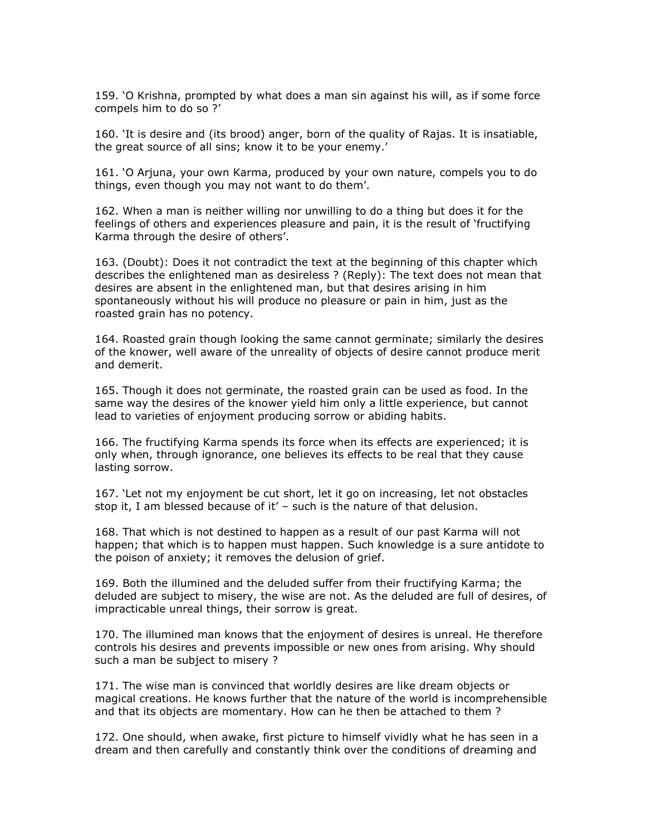159. 'O Krishna, prompted by what does a man sin against his will, as if some force compels him to do so ?'

160. 'It is desire and (its brood) anger, born of the quality of Rajas. It is insatiable, the great source of all sins; know it to be your enemy.'

161. 'O Arjuna, your own Karma, produced by your own nature, compels you to do things, even though you may not want to do them'.

162. When a man is neither willing nor unwilling to do a thing but does it for the feelings of others and experiences pleasure and pain, it is the result of 'fructifying Karma through the desire of others'.

163. (Doubt): Does it not contradict the text at the beginning of this chapter which describes the enlightened man as desireless ? (Reply): The text does not mean that desires are absent in the enlightened man, but that desires arising in him spontaneously without his will produce no pleasure or pain in him, just as the roasted grain has no potency.

164. Roasted grain though looking the same cannot germinate; similarly the desires of the knower, well aware of the unreality of objects of desire cannot produce merit and demerit.

165. Though it does not germinate, the roasted grain can be used as food. In the same way the desires of the knower yield him only a little experience, but cannot lead to varieties of enjoyment producing sorrow or abiding habits.

166. The fructifying Karma spends its force when its effects are experienced; it is only when, through ignorance, one believes its effects to be real that they cause lasting sorrow.

167. 'Let not my enjoyment be cut short, let it go on increasing, let not obstacles stop it, I am blessed because of it' – such is the nature of that delusion.

168. That which is not destined to happen as a result of our past Karma will not happen; that which is to happen must happen. Such knowledge is a sure antidote to the poison of anxiety; it removes the delusion of grief.

169. Both the illumined and the deluded suffer from their fructifying Karma; the deluded are subject to misery, the wise are not. As the deluded are full of desires, of impracticable unreal things, their sorrow is great.

170. The illumined man knows that the enjoyment of desires is unreal. He therefore controls his desires and prevents impossible or new ones from arising. Why should such a man be subject to misery ?

171. The wise man is convinced that worldly desires are like dream objects or magical creations. He knows further that the nature of the world is incomprehensible and that its objects are momentary. How can he then be attached to them ?

172. One should, when awake, first picture to himself vividly what he has seen in a dream and then carefully and constantly think over the conditions of dreaming and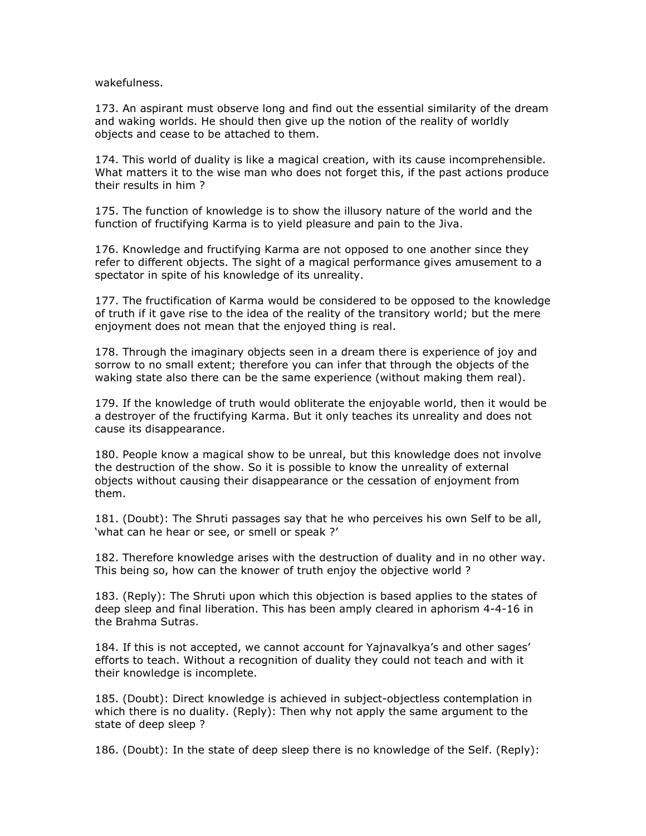wakefulness.

173. An aspirant must observe long and find out the essential similarity of the dream and waking worlds. He should then give up the notion of the reality of worldly objects and cease to be attached to them.

174. This world of duality is like a magical creation, with its cause incomprehensible. What matters it to the wise man who does not forget this, if the past actions produce their results in him ?

175. The function of knowledge is to show the illusory nature of the world and the function of fructifying Karma is to yield pleasure and pain to the Jiva.

176. Knowledge and fructifying Karma are not opposed to one another since they refer to different objects. The sight of a magical performance gives amusement to a spectator in spite of his knowledge of its unreality.

177. The fructification of Karma would be considered to be opposed to the knowledge of truth if it gave rise to the idea of the reality of the transitory world; but the mere enjoyment does not mean that the enjoyed thing is real.

178. Through the imaginary objects seen in a dream there is experience of joy and sorrow to no small extent; therefore you can infer that through the objects of the waking state also there can be the same experience (without making them real).

179. If the knowledge of truth would obliterate the enjoyable world, then it would be a destroyer of the fructifying Karma. But it only teaches its unreality and does not cause its disappearance.

180. People know a magical show to be unreal, but this knowledge does not involve the destruction of the show. So it is possible to know the unreality of external objects without causing their disappearance or the cessation of enjoyment from them.

181. (Doubt): The Shruti passages say that he who perceives his own Self to be all, 'what can he hear or see, or smell or speak ?'

182. Therefore knowledge arises with the destruction of duality and in no other way. This being so, how can the knower of truth enjoy the objective world ?

183. (Reply): The Shruti upon which this objection is based applies to the states of deep sleep and final liberation. This has been amply cleared in aphorism 4-4-16 in the Brahma Sutras.

184. If this is not accepted, we cannot account for Yajnavalkya's and other sages' efforts to teach. Without a recognition of duality they could not teach and with it their knowledge is incomplete.

185. (Doubt): Direct knowledge is achieved in subject-objectless contemplation in which there is no duality. (Reply): Then why not apply the same argument to the state of deep sleep ?

186. (Doubt): In the state of deep sleep there is no knowledge of the Self. (Reply):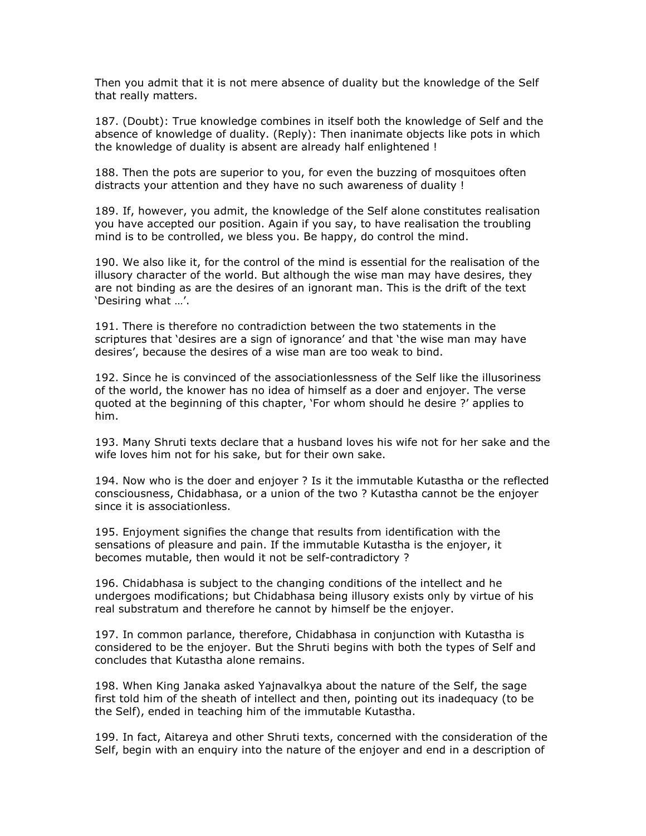Then you admit that it is not mere absence of duality but the knowledge of the Self that really matters.

187. (Doubt): True knowledge combines in itself both the knowledge of Self and the absence of knowledge of duality. (Reply): Then inanimate objects like pots in which the knowledge of duality is absent are already half enlightened !

188. Then the pots are superior to you, for even the buzzing of mosquitoes often distracts your attention and they have no such awareness of duality !

189. If, however, you admit, the knowledge of the Self alone constitutes realisation you have accepted our position. Again if you say, to have realisation the troubling mind is to be controlled, we bless you. Be happy, do control the mind.

190. We also like it, for the control of the mind is essential for the realisation of the illusory character of the world. But although the wise man may have desires, they are not binding as are the desires of an ignorant man. This is the drift of the text 'Desiring what …'.

191. There is therefore no contradiction between the two statements in the scriptures that 'desires are a sign of ignorance' and that 'the wise man may have desires', because the desires of a wise man are too weak to bind.

192. Since he is convinced of the associationlessness of the Self like the illusoriness of the world, the knower has no idea of himself as a doer and enjoyer. The verse quoted at the beginning of this chapter, 'For whom should he desire ?' applies to him.

193. Many Shruti texts declare that a husband loves his wife not for her sake and the wife loves him not for his sake, but for their own sake.

194. Now who is the doer and enjoyer ? Is it the immutable Kutastha or the reflected consciousness, Chidabhasa, or a union of the two ? Kutastha cannot be the enjoyer since it is associationless.

195. Enjoyment signifies the change that results from identification with the sensations of pleasure and pain. If the immutable Kutastha is the enjoyer, it becomes mutable, then would it not be self-contradictory ?

196. Chidabhasa is subject to the changing conditions of the intellect and he undergoes modifications; but Chidabhasa being illusory exists only by virtue of his real substratum and therefore he cannot by himself be the enjoyer.

197. In common parlance, therefore, Chidabhasa in conjunction with Kutastha is considered to be the enjoyer. But the Shruti begins with both the types of Self and concludes that Kutastha alone remains.

198. When King Janaka asked Yajnavalkya about the nature of the Self, the sage first told him of the sheath of intellect and then, pointing out its inadequacy (to be the Self), ended in teaching him of the immutable Kutastha.

199. In fact, Aitareya and other Shruti texts, concerned with the consideration of the Self, begin with an enquiry into the nature of the enjoyer and end in a description of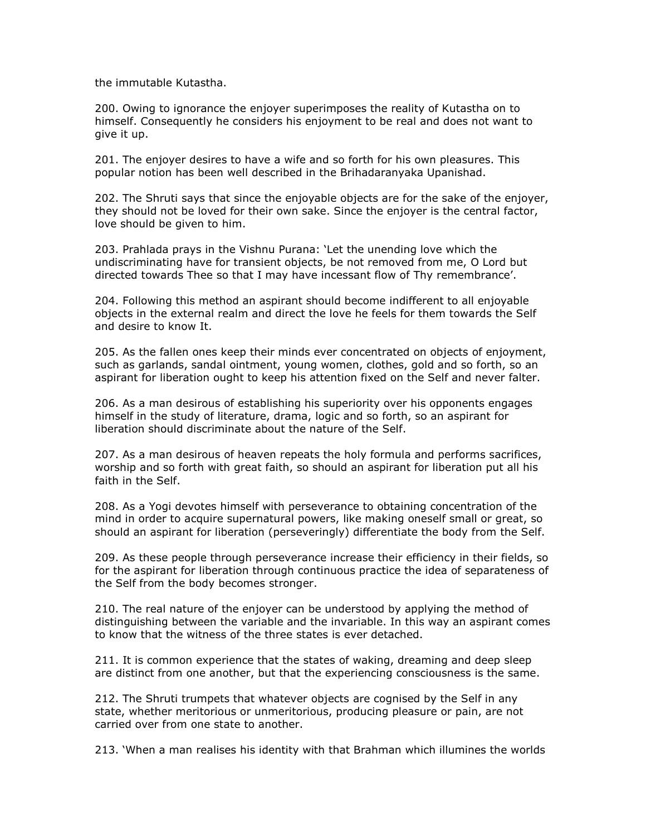the immutable Kutastha.

200. Owing to ignorance the enjoyer superimposes the reality of Kutastha on to himself. Consequently he considers his enjoyment to be real and does not want to give it up.

201. The enjoyer desires to have a wife and so forth for his own pleasures. This popular notion has been well described in the Brihadaranyaka Upanishad.

202. The Shruti says that since the enjoyable objects are for the sake of the enjoyer, they should not be loved for their own sake. Since the enjoyer is the central factor, love should be given to him.

203. Prahlada prays in the Vishnu Purana: 'Let the unending love which the undiscriminating have for transient objects, be not removed from me, O Lord but directed towards Thee so that I may have incessant flow of Thy remembrance'.

204. Following this method an aspirant should become indifferent to all enjoyable objects in the external realm and direct the love he feels for them towards the Self and desire to know It.

205. As the fallen ones keep their minds ever concentrated on objects of enjoyment, such as garlands, sandal ointment, young women, clothes, gold and so forth, so an aspirant for liberation ought to keep his attention fixed on the Self and never falter.

206. As a man desirous of establishing his superiority over his opponents engages himself in the study of literature, drama, logic and so forth, so an aspirant for liberation should discriminate about the nature of the Self.

207. As a man desirous of heaven repeats the holy formula and performs sacrifices, worship and so forth with great faith, so should an aspirant for liberation put all his faith in the Self.

208. As a Yogi devotes himself with perseverance to obtaining concentration of the mind in order to acquire supernatural powers, like making oneself small or great, so should an aspirant for liberation (perseveringly) differentiate the body from the Self.

209. As these people through perseverance increase their efficiency in their fields, so for the aspirant for liberation through continuous practice the idea of separateness of the Self from the body becomes stronger.

210. The real nature of the enjoyer can be understood by applying the method of distinguishing between the variable and the invariable. In this way an aspirant comes to know that the witness of the three states is ever detached.

211. It is common experience that the states of waking, dreaming and deep sleep are distinct from one another, but that the experiencing consciousness is the same.

212. The Shruti trumpets that whatever objects are cognised by the Self in any state, whether meritorious or unmeritorious, producing pleasure or pain, are not carried over from one state to another.

213. 'When a man realises his identity with that Brahman which illumines the worlds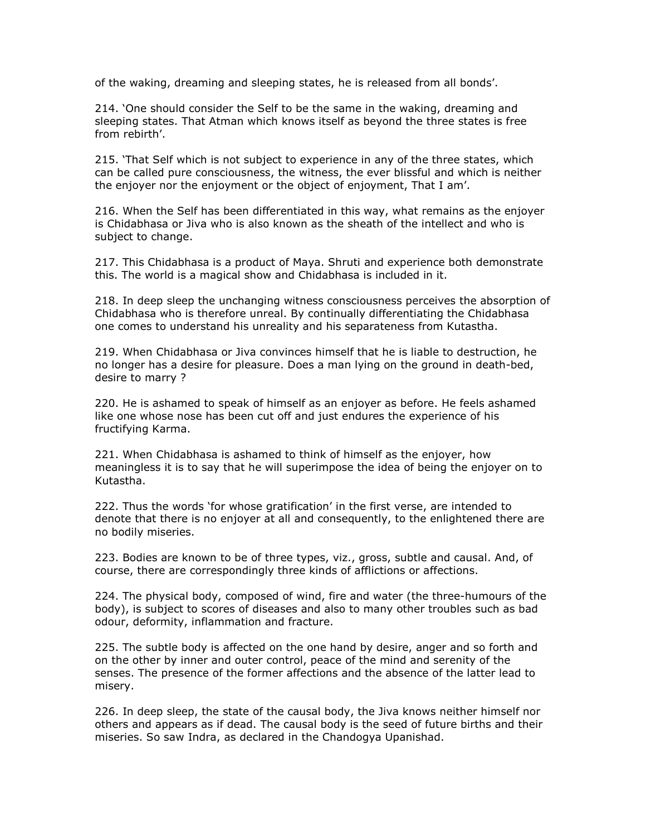of the waking, dreaming and sleeping states, he is released from all bonds'.

214. 'One should consider the Self to be the same in the waking, dreaming and sleeping states. That Atman which knows itself as beyond the three states is free from rebirth'.

215. 'That Self which is not subject to experience in any of the three states, which can be called pure consciousness, the witness, the ever blissful and which is neither the enjoyer nor the enjoyment or the object of enjoyment, That I am'.

216. When the Self has been differentiated in this way, what remains as the enjoyer is Chidabhasa or Jiva who is also known as the sheath of the intellect and who is subject to change.

217. This Chidabhasa is a product of Maya. Shruti and experience both demonstrate this. The world is a magical show and Chidabhasa is included in it.

218. In deep sleep the unchanging witness consciousness perceives the absorption of Chidabhasa who is therefore unreal. By continually differentiating the Chidabhasa one comes to understand his unreality and his separateness from Kutastha.

219. When Chidabhasa or Jiva convinces himself that he is liable to destruction, he no longer has a desire for pleasure. Does a man lying on the ground in death-bed, desire to marry ?

220. He is ashamed to speak of himself as an enjoyer as before. He feels ashamed like one whose nose has been cut off and just endures the experience of his fructifying Karma.

221. When Chidabhasa is ashamed to think of himself as the enjoyer, how meaningless it is to say that he will superimpose the idea of being the enjoyer on to Kutastha.

222. Thus the words 'for whose gratification' in the first verse, are intended to denote that there is no enjoyer at all and consequently, to the enlightened there are no bodily miseries.

223. Bodies are known to be of three types, viz., gross, subtle and causal. And, of course, there are correspondingly three kinds of afflictions or affections.

224. The physical body, composed of wind, fire and water (the three-humours of the body), is subject to scores of diseases and also to many other troubles such as bad odour, deformity, inflammation and fracture.

225. The subtle body is affected on the one hand by desire, anger and so forth and on the other by inner and outer control, peace of the mind and serenity of the senses. The presence of the former affections and the absence of the latter lead to misery.

226. In deep sleep, the state of the causal body, the Jiva knows neither himself nor others and appears as if dead. The causal body is the seed of future births and their miseries. So saw Indra, as declared in the Chandogya Upanishad.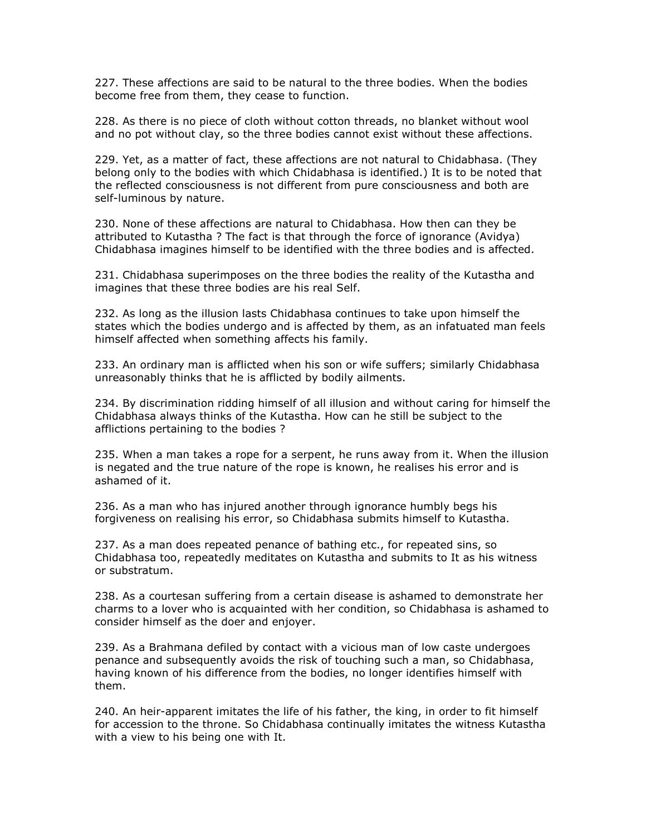227. These affections are said to be natural to the three bodies. When the bodies become free from them, they cease to function.

228. As there is no piece of cloth without cotton threads, no blanket without wool and no pot without clay, so the three bodies cannot exist without these affections.

229. Yet, as a matter of fact, these affections are not natural to Chidabhasa. (They belong only to the bodies with which Chidabhasa is identified.) It is to be noted that the reflected consciousness is not different from pure consciousness and both are self-luminous by nature.

230. None of these affections are natural to Chidabhasa. How then can they be attributed to Kutastha ? The fact is that through the force of ignorance (Avidya) Chidabhasa imagines himself to be identified with the three bodies and is affected.

231. Chidabhasa superimposes on the three bodies the reality of the Kutastha and imagines that these three bodies are his real Self.

232. As long as the illusion lasts Chidabhasa continues to take upon himself the states which the bodies undergo and is affected by them, as an infatuated man feels himself affected when something affects his family.

233. An ordinary man is afflicted when his son or wife suffers; similarly Chidabhasa unreasonably thinks that he is afflicted by bodily ailments.

234. By discrimination ridding himself of all illusion and without caring for himself the Chidabhasa always thinks of the Kutastha. How can he still be subject to the afflictions pertaining to the bodies ?

235. When a man takes a rope for a serpent, he runs away from it. When the illusion is negated and the true nature of the rope is known, he realises his error and is ashamed of it.

236. As a man who has injured another through ignorance humbly begs his forgiveness on realising his error, so Chidabhasa submits himself to Kutastha.

237. As a man does repeated penance of bathing etc., for repeated sins, so Chidabhasa too, repeatedly meditates on Kutastha and submits to It as his witness or substratum.

238. As a courtesan suffering from a certain disease is ashamed to demonstrate her charms to a lover who is acquainted with her condition, so Chidabhasa is ashamed to consider himself as the doer and enjoyer.

239. As a Brahmana defiled by contact with a vicious man of low caste undergoes penance and subsequently avoids the risk of touching such a man, so Chidabhasa, having known of his difference from the bodies, no longer identifies himself with them.

240. An heir-apparent imitates the life of his father, the king, in order to fit himself for accession to the throne. So Chidabhasa continually imitates the witness Kutastha with a view to his being one with It.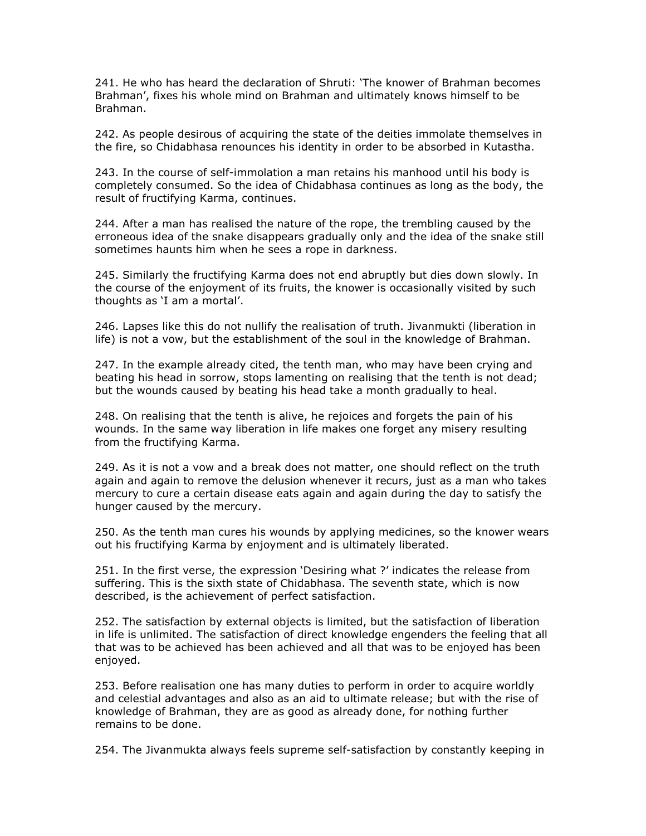241. He who has heard the declaration of Shruti: 'The knower of Brahman becomes Brahman', fixes his whole mind on Brahman and ultimately knows himself to be Brahman.

242. As people desirous of acquiring the state of the deities immolate themselves in the fire, so Chidabhasa renounces his identity in order to be absorbed in Kutastha.

243. In the course of self-immolation a man retains his manhood until his body is completely consumed. So the idea of Chidabhasa continues as long as the body, the result of fructifying Karma, continues.

244. After a man has realised the nature of the rope, the trembling caused by the erroneous idea of the snake disappears gradually only and the idea of the snake still sometimes haunts him when he sees a rope in darkness.

245. Similarly the fructifying Karma does not end abruptly but dies down slowly. In the course of the enjoyment of its fruits, the knower is occasionally visited by such thoughts as 'I am a mortal'.

246. Lapses like this do not nullify the realisation of truth. Jivanmukti (liberation in life) is not a vow, but the establishment of the soul in the knowledge of Brahman.

247. In the example already cited, the tenth man, who may have been crying and beating his head in sorrow, stops lamenting on realising that the tenth is not dead; but the wounds caused by beating his head take a month gradually to heal.

248. On realising that the tenth is alive, he rejoices and forgets the pain of his wounds. In the same way liberation in life makes one forget any misery resulting from the fructifying Karma.

249. As it is not a vow and a break does not matter, one should reflect on the truth again and again to remove the delusion whenever it recurs, just as a man who takes mercury to cure a certain disease eats again and again during the day to satisfy the hunger caused by the mercury.

250. As the tenth man cures his wounds by applying medicines, so the knower wears out his fructifying Karma by enjoyment and is ultimately liberated.

251. In the first verse, the expression 'Desiring what ?' indicates the release from suffering. This is the sixth state of Chidabhasa. The seventh state, which is now described, is the achievement of perfect satisfaction.

252. The satisfaction by external objects is limited, but the satisfaction of liberation in life is unlimited. The satisfaction of direct knowledge engenders the feeling that all that was to be achieved has been achieved and all that was to be enjoyed has been enjoyed.

253. Before realisation one has many duties to perform in order to acquire worldly and celestial advantages and also as an aid to ultimate release; but with the rise of knowledge of Brahman, they are as good as already done, for nothing further remains to be done.

254. The Jivanmukta always feels supreme self-satisfaction by constantly keeping in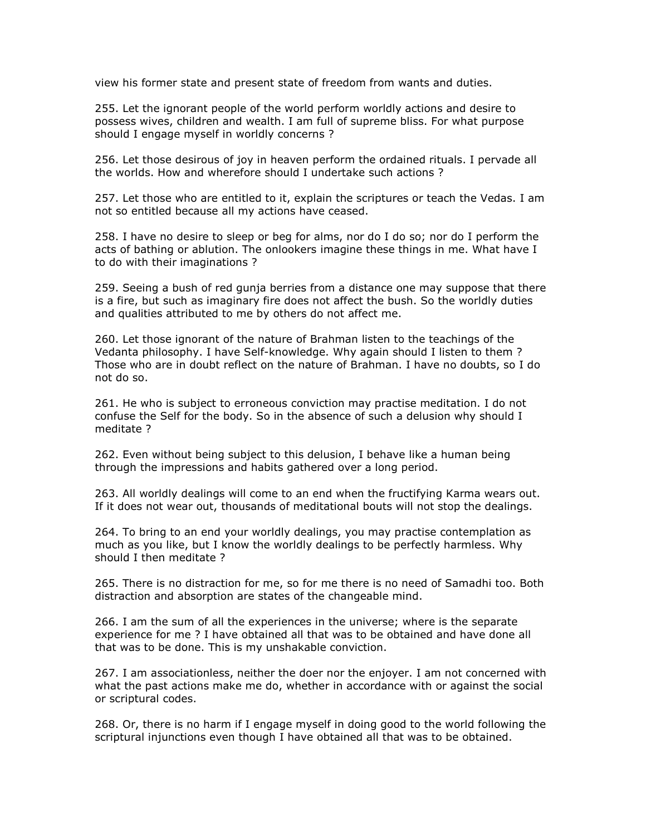view his former state and present state of freedom from wants and duties.

255. Let the ignorant people of the world perform worldly actions and desire to possess wives, children and wealth. I am full of supreme bliss. For what purpose should I engage myself in worldly concerns ?

256. Let those desirous of joy in heaven perform the ordained rituals. I pervade all the worlds. How and wherefore should I undertake such actions ?

257. Let those who are entitled to it, explain the scriptures or teach the Vedas. I am not so entitled because all my actions have ceased.

258. I have no desire to sleep or beg for alms, nor do I do so; nor do I perform the acts of bathing or ablution. The onlookers imagine these things in me. What have I to do with their imaginations ?

259. Seeing a bush of red gunja berries from a distance one may suppose that there is a fire, but such as imaginary fire does not affect the bush. So the worldly duties and qualities attributed to me by others do not affect me.

260. Let those ignorant of the nature of Brahman listen to the teachings of the Vedanta philosophy. I have Self-knowledge. Why again should I listen to them ? Those who are in doubt reflect on the nature of Brahman. I have no doubts, so I do not do so.

261. He who is subject to erroneous conviction may practise meditation. I do not confuse the Self for the body. So in the absence of such a delusion why should I meditate ?

262. Even without being subject to this delusion, I behave like a human being through the impressions and habits gathered over a long period.

263. All worldly dealings will come to an end when the fructifying Karma wears out. If it does not wear out, thousands of meditational bouts will not stop the dealings.

264. To bring to an end your worldly dealings, you may practise contemplation as much as you like, but I know the worldly dealings to be perfectly harmless. Why should I then meditate ?

265. There is no distraction for me, so for me there is no need of Samadhi too. Both distraction and absorption are states of the changeable mind.

266. I am the sum of all the experiences in the universe; where is the separate experience for me ? I have obtained all that was to be obtained and have done all that was to be done. This is my unshakable conviction.

267. I am associationless, neither the doer nor the enjoyer. I am not concerned with what the past actions make me do, whether in accordance with or against the social or scriptural codes.

268. Or, there is no harm if I engage myself in doing good to the world following the scriptural injunctions even though I have obtained all that was to be obtained.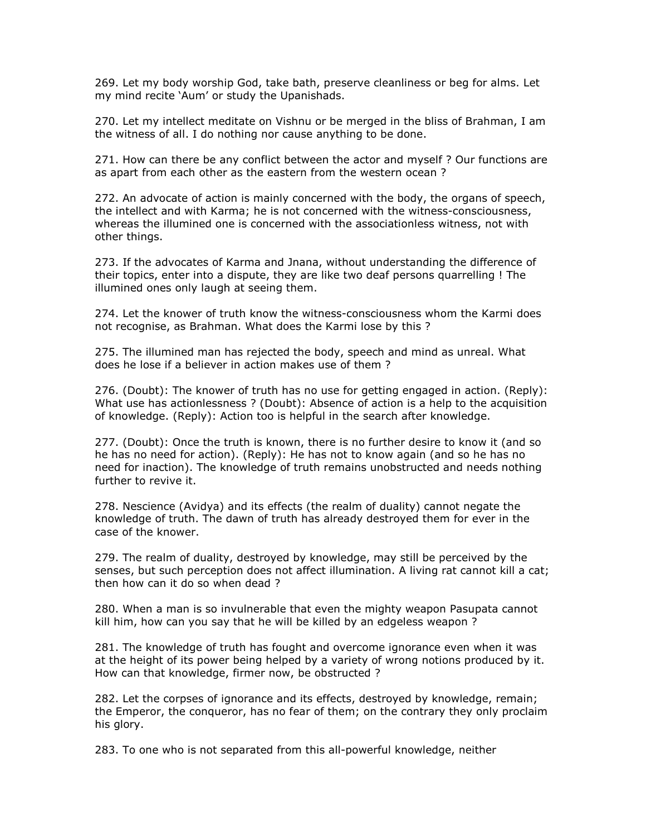269. Let my body worship God, take bath, preserve cleanliness or beg for alms. Let my mind recite 'Aum' or study the Upanishads.

270. Let my intellect meditate on Vishnu or be merged in the bliss of Brahman, I am the witness of all. I do nothing nor cause anything to be done.

271. How can there be any conflict between the actor and myself ? Our functions are as apart from each other as the eastern from the western ocean ?

272. An advocate of action is mainly concerned with the body, the organs of speech, the intellect and with Karma; he is not concerned with the witness-consciousness, whereas the illumined one is concerned with the associationless witness, not with other things.

273. If the advocates of Karma and Jnana, without understanding the difference of their topics, enter into a dispute, they are like two deaf persons quarrelling ! The illumined ones only laugh at seeing them.

274. Let the knower of truth know the witness-consciousness whom the Karmi does not recognise, as Brahman. What does the Karmi lose by this ?

275. The illumined man has rejected the body, speech and mind as unreal. What does he lose if a believer in action makes use of them ?

276. (Doubt): The knower of truth has no use for getting engaged in action. (Reply): What use has actionlessness ? (Doubt): Absence of action is a help to the acquisition of knowledge. (Reply): Action too is helpful in the search after knowledge.

277. (Doubt): Once the truth is known, there is no further desire to know it (and so he has no need for action). (Reply): He has not to know again (and so he has no need for inaction). The knowledge of truth remains unobstructed and needs nothing further to revive it.

278. Nescience (Avidya) and its effects (the realm of duality) cannot negate the knowledge of truth. The dawn of truth has already destroyed them for ever in the case of the knower.

279. The realm of duality, destroyed by knowledge, may still be perceived by the senses, but such perception does not affect illumination. A living rat cannot kill a cat; then how can it do so when dead ?

280. When a man is so invulnerable that even the mighty weapon Pasupata cannot kill him, how can you say that he will be killed by an edgeless weapon ?

281. The knowledge of truth has fought and overcome ignorance even when it was at the height of its power being helped by a variety of wrong notions produced by it. How can that knowledge, firmer now, be obstructed ?

282. Let the corpses of ignorance and its effects, destroyed by knowledge, remain; the Emperor, the conqueror, has no fear of them; on the contrary they only proclaim his glory.

283. To one who is not separated from this all-powerful knowledge, neither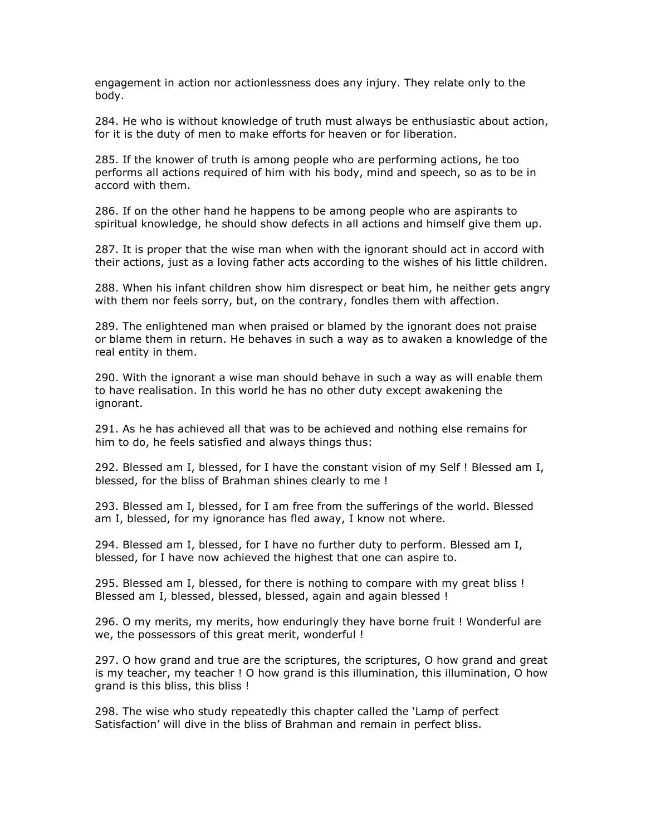engagement in action nor actionlessness does any injury. They relate only to the body.

284. He who is without knowledge of truth must always be enthusiastic about action, for it is the duty of men to make efforts for heaven or for liberation.

285. If the knower of truth is among people who are performing actions, he too performs all actions required of him with his body, mind and speech, so as to be in accord with them.

286. If on the other hand he happens to be among people who are aspirants to spiritual knowledge, he should show defects in all actions and himself give them up.

287. It is proper that the wise man when with the ignorant should act in accord with their actions, just as a loving father acts according to the wishes of his little children.

288. When his infant children show him disrespect or beat him, he neither gets angry with them nor feels sorry, but, on the contrary, fondles them with affection.

289. The enlightened man when praised or blamed by the ignorant does not praise or blame them in return. He behaves in such a way as to awaken a knowledge of the real entity in them.

290. With the ignorant a wise man should behave in such a way as will enable them to have realisation. In this world he has no other duty except awakening the ignorant.

291. As he has achieved all that was to be achieved and nothing else remains for him to do, he feels satisfied and always things thus:

292. Blessed am I, blessed, for I have the constant vision of my Self ! Blessed am I, blessed, for the bliss of Brahman shines clearly to me !

293. Blessed am I, blessed, for I am free from the sufferings of the world. Blessed am I, blessed, for my ignorance has fled away, I know not where.

294. Blessed am I, blessed, for I have no further duty to perform. Blessed am I, blessed, for I have now achieved the highest that one can aspire to.

295. Blessed am I, blessed, for there is nothing to compare with my great bliss ! Blessed am I, blessed, blessed, blessed, again and again blessed !

296. O my merits, my merits, how enduringly they have borne fruit ! Wonderful are we, the possessors of this great merit, wonderful !

297. O how grand and true are the scriptures, the scriptures, O how grand and great is my teacher, my teacher ! O how grand is this illumination, this illumination, O how grand is this bliss, this bliss !

298. The wise who study repeatedly this chapter called the 'Lamp of perfect Satisfaction' will dive in the bliss of Brahman and remain in perfect bliss.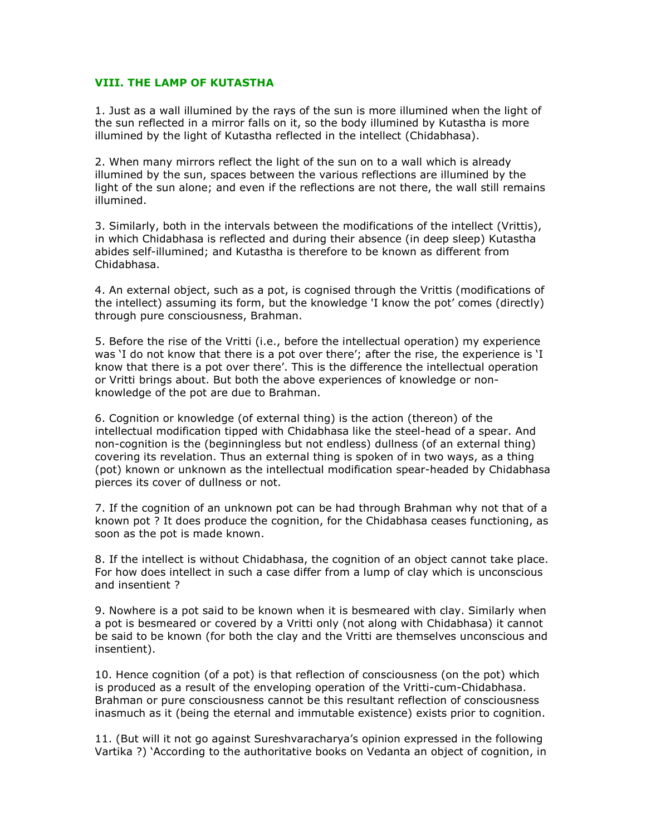## VIII. THE LAMP OF KUTASTHA

1. Just as a wall illumined by the rays of the sun is more illumined when the light of the sun reflected in a mirror falls on it, so the body illumined by Kutastha is more illumined by the light of Kutastha reflected in the intellect (Chidabhasa).

2. When many mirrors reflect the light of the sun on to a wall which is already illumined by the sun, spaces between the various reflections are illumined by the light of the sun alone; and even if the reflections are not there, the wall still remains illumined.

3. Similarly, both in the intervals between the modifications of the intellect (Vrittis), in which Chidabhasa is reflected and during their absence (in deep sleep) Kutastha abides self-illumined; and Kutastha is therefore to be known as different from Chidabhasa.

4. An external object, such as a pot, is cognised through the Vrittis (modifications of the intellect) assuming its form, but the knowledge 'I know the pot' comes (directly) through pure consciousness, Brahman.

5. Before the rise of the Vritti (i.e., before the intellectual operation) my experience was 'I do not know that there is a pot over there'; after the rise, the experience is 'I know that there is a pot over there'. This is the difference the intellectual operation or Vritti brings about. But both the above experiences of knowledge or nonknowledge of the pot are due to Brahman.

6. Cognition or knowledge (of external thing) is the action (thereon) of the intellectual modification tipped with Chidabhasa like the steel-head of a spear. And non-cognition is the (beginningless but not endless) dullness (of an external thing) covering its revelation. Thus an external thing is spoken of in two ways, as a thing (pot) known or unknown as the intellectual modification spear-headed by Chidabhasa pierces its cover of dullness or not.

7. If the cognition of an unknown pot can be had through Brahman why not that of a known pot ? It does produce the cognition, for the Chidabhasa ceases functioning, as soon as the pot is made known.

8. If the intellect is without Chidabhasa, the cognition of an object cannot take place. For how does intellect in such a case differ from a lump of clay which is unconscious and insentient ?

9. Nowhere is a pot said to be known when it is besmeared with clay. Similarly when a pot is besmeared or covered by a Vritti only (not along with Chidabhasa) it cannot be said to be known (for both the clay and the Vritti are themselves unconscious and insentient).

10. Hence cognition (of a pot) is that reflection of consciousness (on the pot) which is produced as a result of the enveloping operation of the Vritti-cum-Chidabhasa. Brahman or pure consciousness cannot be this resultant reflection of consciousness inasmuch as it (being the eternal and immutable existence) exists prior to cognition.

11. (But will it not go against Sureshvaracharya's opinion expressed in the following Vartika ?) 'According to the authoritative books on Vedanta an object of cognition, in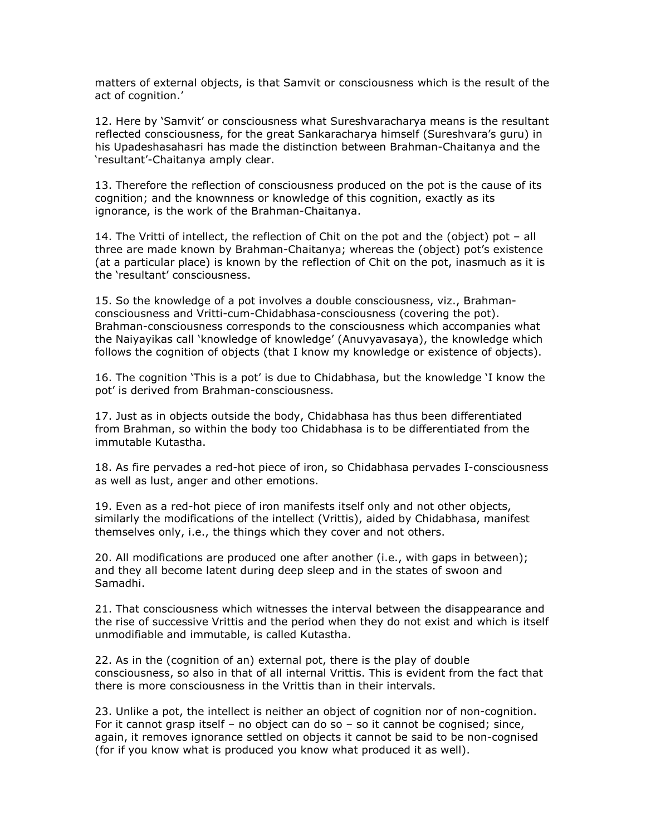matters of external objects, is that Samvit or consciousness which is the result of the act of cognition.'

12. Here by 'Samvit' or consciousness what Sureshvaracharya means is the resultant reflected consciousness, for the great Sankaracharya himself (Sureshvara's guru) in his Upadeshasahasri has made the distinction between Brahman-Chaitanya and the 'resultant'-Chaitanya amply clear.

13. Therefore the reflection of consciousness produced on the pot is the cause of its cognition; and the knownness or knowledge of this cognition, exactly as its ignorance, is the work of the Brahman-Chaitanya.

14. The Vritti of intellect, the reflection of Chit on the pot and the (object) pot – all three are made known by Brahman-Chaitanya; whereas the (object) pot's existence (at a particular place) is known by the reflection of Chit on the pot, inasmuch as it is the 'resultant' consciousness.

15. So the knowledge of a pot involves a double consciousness, viz., Brahmanconsciousness and Vritti-cum-Chidabhasa-consciousness (covering the pot). Brahman-consciousness corresponds to the consciousness which accompanies what the Naiyayikas call 'knowledge of knowledge' (Anuvyavasaya), the knowledge which follows the cognition of objects (that I know my knowledge or existence of objects).

16. The cognition 'This is a pot' is due to Chidabhasa, but the knowledge 'I know the pot' is derived from Brahman-consciousness.

17. Just as in objects outside the body, Chidabhasa has thus been differentiated from Brahman, so within the body too Chidabhasa is to be differentiated from the immutable Kutastha.

18. As fire pervades a red-hot piece of iron, so Chidabhasa pervades I-consciousness as well as lust, anger and other emotions.

19. Even as a red-hot piece of iron manifests itself only and not other objects, similarly the modifications of the intellect (Vrittis), aided by Chidabhasa, manifest themselves only, i.e., the things which they cover and not others.

20. All modifications are produced one after another (i.e., with gaps in between); and they all become latent during deep sleep and in the states of swoon and Samadhi.

21. That consciousness which witnesses the interval between the disappearance and the rise of successive Vrittis and the period when they do not exist and which is itself unmodifiable and immutable, is called Kutastha.

22. As in the (cognition of an) external pot, there is the play of double consciousness, so also in that of all internal Vrittis. This is evident from the fact that there is more consciousness in the Vrittis than in their intervals.

23. Unlike a pot, the intellect is neither an object of cognition nor of non-cognition. For it cannot grasp itself – no object can do so – so it cannot be cognised; since, again, it removes ignorance settled on objects it cannot be said to be non-cognised (for if you know what is produced you know what produced it as well).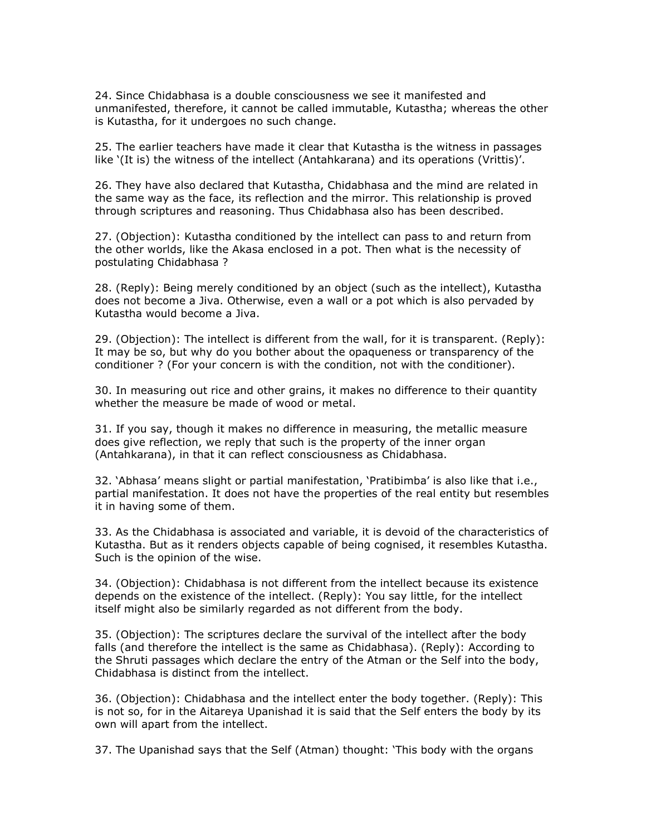24. Since Chidabhasa is a double consciousness we see it manifested and unmanifested, therefore, it cannot be called immutable, Kutastha; whereas the other is Kutastha, for it undergoes no such change.

25. The earlier teachers have made it clear that Kutastha is the witness in passages like '(It is) the witness of the intellect (Antahkarana) and its operations (Vrittis)'.

26. They have also declared that Kutastha, Chidabhasa and the mind are related in the same way as the face, its reflection and the mirror. This relationship is proved through scriptures and reasoning. Thus Chidabhasa also has been described.

27. (Objection): Kutastha conditioned by the intellect can pass to and return from the other worlds, like the Akasa enclosed in a pot. Then what is the necessity of postulating Chidabhasa ?

28. (Reply): Being merely conditioned by an object (such as the intellect), Kutastha does not become a Jiva. Otherwise, even a wall or a pot which is also pervaded by Kutastha would become a Jiva.

29. (Objection): The intellect is different from the wall, for it is transparent. (Reply): It may be so, but why do you bother about the opaqueness or transparency of the conditioner ? (For your concern is with the condition, not with the conditioner).

30. In measuring out rice and other grains, it makes no difference to their quantity whether the measure be made of wood or metal.

31. If you say, though it makes no difference in measuring, the metallic measure does give reflection, we reply that such is the property of the inner organ (Antahkarana), in that it can reflect consciousness as Chidabhasa.

32. 'Abhasa' means slight or partial manifestation, 'Pratibimba' is also like that i.e., partial manifestation. It does not have the properties of the real entity but resembles it in having some of them.

33. As the Chidabhasa is associated and variable, it is devoid of the characteristics of Kutastha. But as it renders objects capable of being cognised, it resembles Kutastha. Such is the opinion of the wise.

34. (Objection): Chidabhasa is not different from the intellect because its existence depends on the existence of the intellect. (Reply): You say little, for the intellect itself might also be similarly regarded as not different from the body.

35. (Objection): The scriptures declare the survival of the intellect after the body falls (and therefore the intellect is the same as Chidabhasa). (Reply): According to the Shruti passages which declare the entry of the Atman or the Self into the body, Chidabhasa is distinct from the intellect.

36. (Objection): Chidabhasa and the intellect enter the body together. (Reply): This is not so, for in the Aitareya Upanishad it is said that the Self enters the body by its own will apart from the intellect.

37. The Upanishad says that the Self (Atman) thought: 'This body with the organs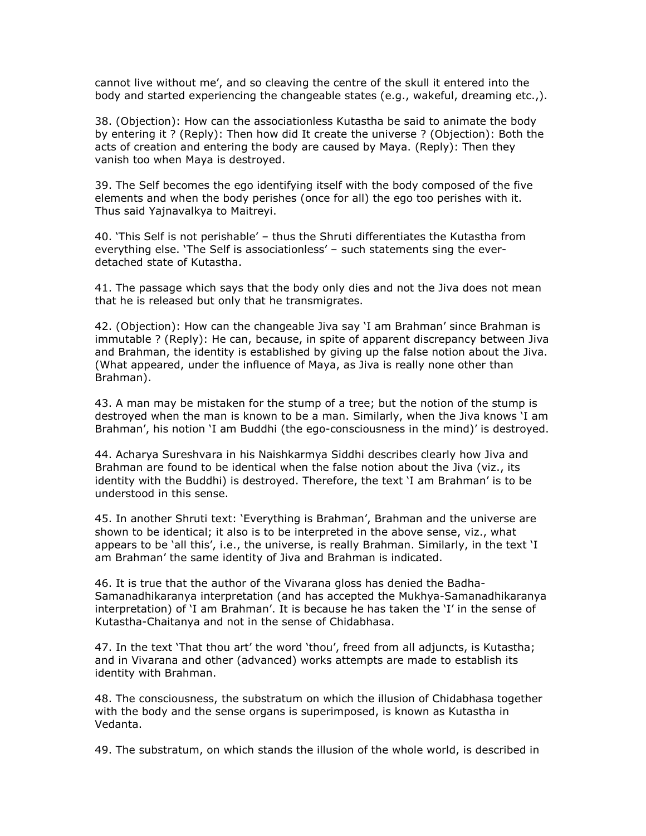cannot live without me', and so cleaving the centre of the skull it entered into the body and started experiencing the changeable states (e.g., wakeful, dreaming etc.,).

38. (Objection): How can the associationless Kutastha be said to animate the body by entering it ? (Reply): Then how did It create the universe ? (Objection): Both the acts of creation and entering the body are caused by Maya. (Reply): Then they vanish too when Maya is destroyed.

39. The Self becomes the ego identifying itself with the body composed of the five elements and when the body perishes (once for all) the ego too perishes with it. Thus said Yajnavalkya to Maitreyi.

40. 'This Self is not perishable' – thus the Shruti differentiates the Kutastha from everything else. 'The Self is associationless' – such statements sing the everdetached state of Kutastha.

41. The passage which says that the body only dies and not the Jiva does not mean that he is released but only that he transmigrates.

42. (Objection): How can the changeable Jiva say 'I am Brahman' since Brahman is immutable ? (Reply): He can, because, in spite of apparent discrepancy between Jiva and Brahman, the identity is established by giving up the false notion about the Jiva. (What appeared, under the influence of Maya, as Jiva is really none other than Brahman).

43. A man may be mistaken for the stump of a tree; but the notion of the stump is destroyed when the man is known to be a man. Similarly, when the Jiva knows 'I am Brahman', his notion 'I am Buddhi (the ego-consciousness in the mind)' is destroyed.

44. Acharya Sureshvara in his Naishkarmya Siddhi describes clearly how Jiva and Brahman are found to be identical when the false notion about the Jiva (viz., its identity with the Buddhi) is destroyed. Therefore, the text 'I am Brahman' is to be understood in this sense.

45. In another Shruti text: 'Everything is Brahman', Brahman and the universe are shown to be identical; it also is to be interpreted in the above sense, viz., what appears to be 'all this', i.e., the universe, is really Brahman. Similarly, in the text 'I am Brahman' the same identity of Jiva and Brahman is indicated.

46. It is true that the author of the Vivarana gloss has denied the Badha-Samanadhikaranya interpretation (and has accepted the Mukhya-Samanadhikaranya interpretation) of 'I am Brahman'. It is because he has taken the 'I' in the sense of Kutastha-Chaitanya and not in the sense of Chidabhasa.

47. In the text 'That thou art' the word 'thou', freed from all adjuncts, is Kutastha; and in Vivarana and other (advanced) works attempts are made to establish its identity with Brahman.

48. The consciousness, the substratum on which the illusion of Chidabhasa together with the body and the sense organs is superimposed, is known as Kutastha in Vedanta.

49. The substratum, on which stands the illusion of the whole world, is described in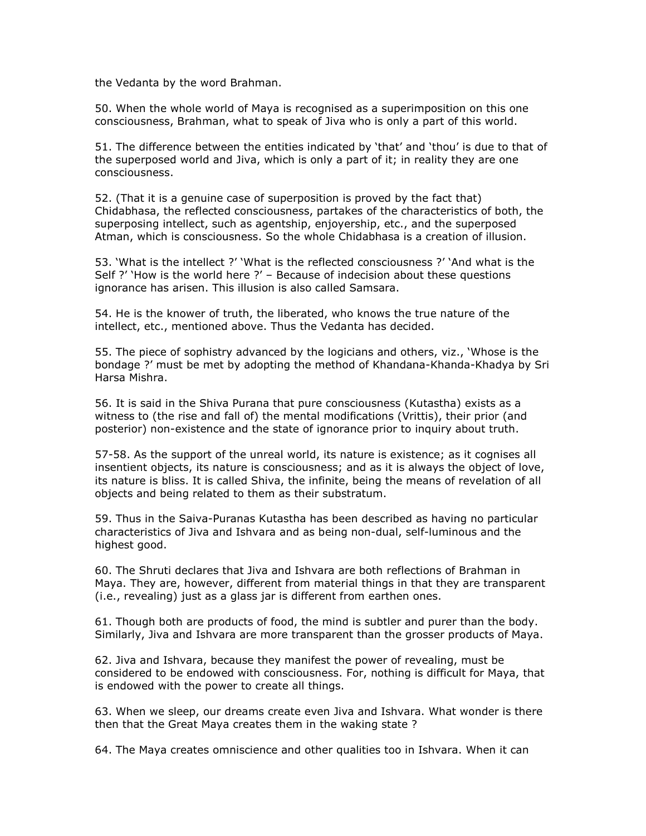the Vedanta by the word Brahman.

50. When the whole world of Maya is recognised as a superimposition on this one consciousness, Brahman, what to speak of Jiva who is only a part of this world.

51. The difference between the entities indicated by 'that' and 'thou' is due to that of the superposed world and Jiva, which is only a part of it; in reality they are one consciousness.

52. (That it is a genuine case of superposition is proved by the fact that) Chidabhasa, the reflected consciousness, partakes of the characteristics of both, the superposing intellect, such as agentship, enjoyership, etc., and the superposed Atman, which is consciousness. So the whole Chidabhasa is a creation of illusion.

53. 'What is the intellect ?' 'What is the reflected consciousness ?' 'And what is the Self ?' 'How is the world here ?' – Because of indecision about these questions ignorance has arisen. This illusion is also called Samsara.

54. He is the knower of truth, the liberated, who knows the true nature of the intellect, etc., mentioned above. Thus the Vedanta has decided.

55. The piece of sophistry advanced by the logicians and others, viz., 'Whose is the bondage ?' must be met by adopting the method of Khandana-Khanda-Khadya by Sri Harsa Mishra.

56. It is said in the Shiva Purana that pure consciousness (Kutastha) exists as a witness to (the rise and fall of) the mental modifications (Vrittis), their prior (and posterior) non-existence and the state of ignorance prior to inquiry about truth.

57-58. As the support of the unreal world, its nature is existence; as it cognises all insentient objects, its nature is consciousness; and as it is always the object of love, its nature is bliss. It is called Shiva, the infinite, being the means of revelation of all objects and being related to them as their substratum.

59. Thus in the Saiva-Puranas Kutastha has been described as having no particular characteristics of Jiva and Ishvara and as being non-dual, self-luminous and the highest good.

60. The Shruti declares that Jiva and Ishvara are both reflections of Brahman in Maya. They are, however, different from material things in that they are transparent (i.e., revealing) just as a glass jar is different from earthen ones.

61. Though both are products of food, the mind is subtler and purer than the body. Similarly, Jiva and Ishvara are more transparent than the grosser products of Maya.

62. Jiva and Ishvara, because they manifest the power of revealing, must be considered to be endowed with consciousness. For, nothing is difficult for Maya, that is endowed with the power to create all things.

63. When we sleep, our dreams create even Jiva and Ishvara. What wonder is there then that the Great Maya creates them in the waking state ?

64. The Maya creates omniscience and other qualities too in Ishvara. When it can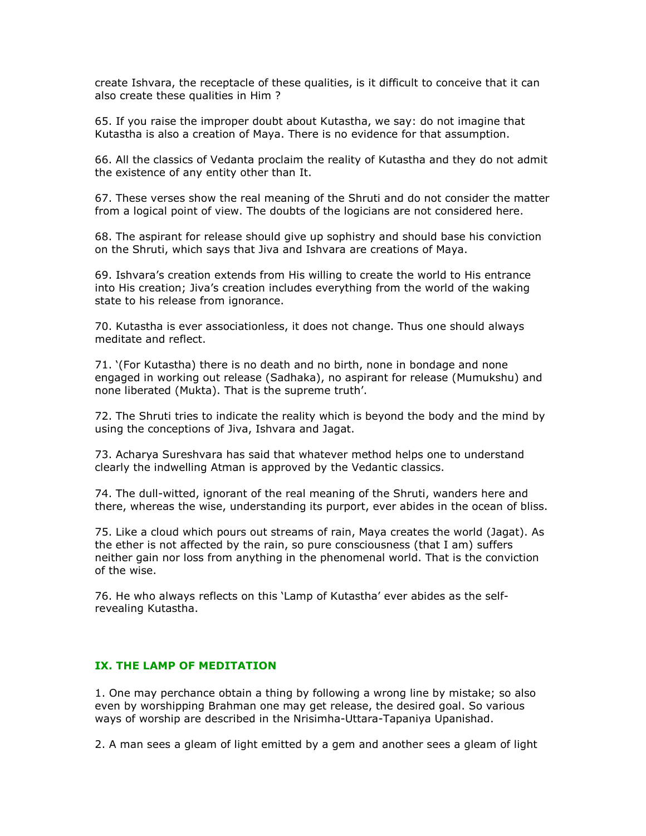create Ishvara, the receptacle of these qualities, is it difficult to conceive that it can also create these qualities in Him ?

65. If you raise the improper doubt about Kutastha, we say: do not imagine that Kutastha is also a creation of Maya. There is no evidence for that assumption.

66. All the classics of Vedanta proclaim the reality of Kutastha and they do not admit the existence of any entity other than It.

67. These verses show the real meaning of the Shruti and do not consider the matter from a logical point of view. The doubts of the logicians are not considered here.

68. The aspirant for release should give up sophistry and should base his conviction on the Shruti, which says that Jiva and Ishvara are creations of Maya.

69. Ishvara's creation extends from His willing to create the world to His entrance into His creation; Jiva's creation includes everything from the world of the waking state to his release from ignorance.

70. Kutastha is ever associationless, it does not change. Thus one should always meditate and reflect.

71. '(For Kutastha) there is no death and no birth, none in bondage and none engaged in working out release (Sadhaka), no aspirant for release (Mumukshu) and none liberated (Mukta). That is the supreme truth'.

72. The Shruti tries to indicate the reality which is beyond the body and the mind by using the conceptions of Jiva, Ishvara and Jagat.

73. Acharya Sureshvara has said that whatever method helps one to understand clearly the indwelling Atman is approved by the Vedantic classics.

74. The dull-witted, ignorant of the real meaning of the Shruti, wanders here and there, whereas the wise, understanding its purport, ever abides in the ocean of bliss.

75. Like a cloud which pours out streams of rain, Maya creates the world (Jagat). As the ether is not affected by the rain, so pure consciousness (that I am) suffers neither gain nor loss from anything in the phenomenal world. That is the conviction of the wise.

76. He who always reflects on this 'Lamp of Kutastha' ever abides as the selfrevealing Kutastha.

## IX. THE LAMP OF MEDITATION

1. One may perchance obtain a thing by following a wrong line by mistake; so also even by worshipping Brahman one may get release, the desired goal. So various ways of worship are described in the Nrisimha-Uttara-Tapaniya Upanishad.

2. A man sees a gleam of light emitted by a gem and another sees a gleam of light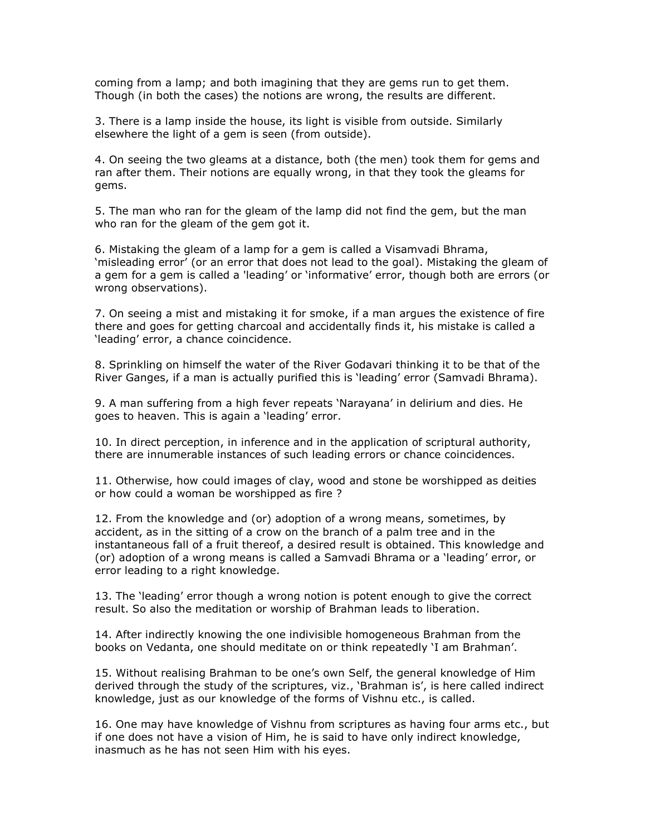coming from a lamp; and both imagining that they are gems run to get them. Though (in both the cases) the notions are wrong, the results are different.

3. There is a lamp inside the house, its light is visible from outside. Similarly elsewhere the light of a gem is seen (from outside).

4. On seeing the two gleams at a distance, both (the men) took them for gems and ran after them. Their notions are equally wrong, in that they took the gleams for gems.

5. The man who ran for the gleam of the lamp did not find the gem, but the man who ran for the gleam of the gem got it.

6. Mistaking the gleam of a lamp for a gem is called a Visamvadi Bhrama, 'misleading error' (or an error that does not lead to the goal). Mistaking the gleam of a gem for a gem is called a 'leading' or 'informative' error, though both are errors (or wrong observations).

7. On seeing a mist and mistaking it for smoke, if a man argues the existence of fire there and goes for getting charcoal and accidentally finds it, his mistake is called a 'leading' error, a chance coincidence.

8. Sprinkling on himself the water of the River Godavari thinking it to be that of the River Ganges, if a man is actually purified this is 'leading' error (Samvadi Bhrama).

9. A man suffering from a high fever repeats 'Narayana' in delirium and dies. He goes to heaven. This is again a 'leading' error.

10. In direct perception, in inference and in the application of scriptural authority, there are innumerable instances of such leading errors or chance coincidences.

11. Otherwise, how could images of clay, wood and stone be worshipped as deities or how could a woman be worshipped as fire ?

12. From the knowledge and (or) adoption of a wrong means, sometimes, by accident, as in the sitting of a crow on the branch of a palm tree and in the instantaneous fall of a fruit thereof, a desired result is obtained. This knowledge and (or) adoption of a wrong means is called a Samvadi Bhrama or a 'leading' error, or error leading to a right knowledge.

13. The 'leading' error though a wrong notion is potent enough to give the correct result. So also the meditation or worship of Brahman leads to liberation.

14. After indirectly knowing the one indivisible homogeneous Brahman from the books on Vedanta, one should meditate on or think repeatedly 'I am Brahman'.

15. Without realising Brahman to be one's own Self, the general knowledge of Him derived through the study of the scriptures, viz., 'Brahman is', is here called indirect knowledge, just as our knowledge of the forms of Vishnu etc., is called.

16. One may have knowledge of Vishnu from scriptures as having four arms etc., but if one does not have a vision of Him, he is said to have only indirect knowledge, inasmuch as he has not seen Him with his eyes.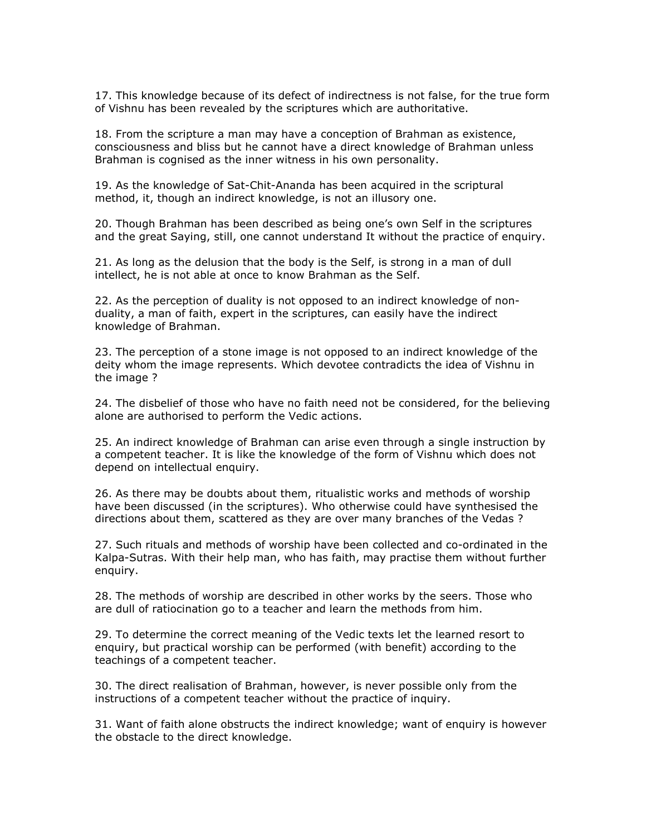17. This knowledge because of its defect of indirectness is not false, for the true form of Vishnu has been revealed by the scriptures which are authoritative.

18. From the scripture a man may have a conception of Brahman as existence, consciousness and bliss but he cannot have a direct knowledge of Brahman unless Brahman is cognised as the inner witness in his own personality.

19. As the knowledge of Sat-Chit-Ananda has been acquired in the scriptural method, it, though an indirect knowledge, is not an illusory one.

20. Though Brahman has been described as being one's own Self in the scriptures and the great Saying, still, one cannot understand It without the practice of enquiry.

21. As long as the delusion that the body is the Self, is strong in a man of dull intellect, he is not able at once to know Brahman as the Self.

22. As the perception of duality is not opposed to an indirect knowledge of nonduality, a man of faith, expert in the scriptures, can easily have the indirect knowledge of Brahman.

23. The perception of a stone image is not opposed to an indirect knowledge of the deity whom the image represents. Which devotee contradicts the idea of Vishnu in the image ?

24. The disbelief of those who have no faith need not be considered, for the believing alone are authorised to perform the Vedic actions.

25. An indirect knowledge of Brahman can arise even through a single instruction by a competent teacher. It is like the knowledge of the form of Vishnu which does not depend on intellectual enquiry.

26. As there may be doubts about them, ritualistic works and methods of worship have been discussed (in the scriptures). Who otherwise could have synthesised the directions about them, scattered as they are over many branches of the Vedas ?

27. Such rituals and methods of worship have been collected and co-ordinated in the Kalpa-Sutras. With their help man, who has faith, may practise them without further enquiry.

28. The methods of worship are described in other works by the seers. Those who are dull of ratiocination go to a teacher and learn the methods from him.

29. To determine the correct meaning of the Vedic texts let the learned resort to enquiry, but practical worship can be performed (with benefit) according to the teachings of a competent teacher.

30. The direct realisation of Brahman, however, is never possible only from the instructions of a competent teacher without the practice of inquiry.

31. Want of faith alone obstructs the indirect knowledge; want of enquiry is however the obstacle to the direct knowledge.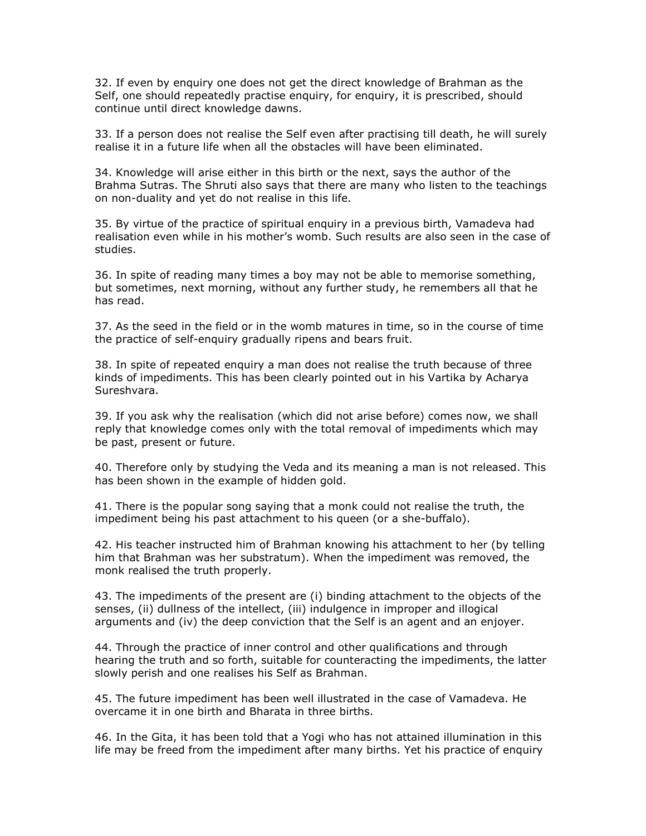32. If even by enquiry one does not get the direct knowledge of Brahman as the Self, one should repeatedly practise enquiry, for enquiry, it is prescribed, should continue until direct knowledge dawns.

33. If a person does not realise the Self even after practising till death, he will surely realise it in a future life when all the obstacles will have been eliminated.

34. Knowledge will arise either in this birth or the next, says the author of the Brahma Sutras. The Shruti also says that there are many who listen to the teachings on non-duality and yet do not realise in this life.

35. By virtue of the practice of spiritual enquiry in a previous birth, Vamadeva had realisation even while in his mother's womb. Such results are also seen in the case of studies.

36. In spite of reading many times a boy may not be able to memorise something, but sometimes, next morning, without any further study, he remembers all that he has read.

37. As the seed in the field or in the womb matures in time, so in the course of time the practice of self-enquiry gradually ripens and bears fruit.

38. In spite of repeated enquiry a man does not realise the truth because of three kinds of impediments. This has been clearly pointed out in his Vartika by Acharya Sureshvara.

39. If you ask why the realisation (which did not arise before) comes now, we shall reply that knowledge comes only with the total removal of impediments which may be past, present or future.

40. Therefore only by studying the Veda and its meaning a man is not released. This has been shown in the example of hidden gold.

41. There is the popular song saying that a monk could not realise the truth, the impediment being his past attachment to his queen (or a she-buffalo).

42. His teacher instructed him of Brahman knowing his attachment to her (by telling him that Brahman was her substratum). When the impediment was removed, the monk realised the truth properly.

43. The impediments of the present are (i) binding attachment to the objects of the senses, (ii) dullness of the intellect, (iii) indulgence in improper and illogical arguments and (iv) the deep conviction that the Self is an agent and an enjoyer.

44. Through the practice of inner control and other qualifications and through hearing the truth and so forth, suitable for counteracting the impediments, the latter slowly perish and one realises his Self as Brahman.

45. The future impediment has been well illustrated in the case of Vamadeva. He overcame it in one birth and Bharata in three births.

46. In the Gita, it has been told that a Yogi who has not attained illumination in this life may be freed from the impediment after many births. Yet his practice of enquiry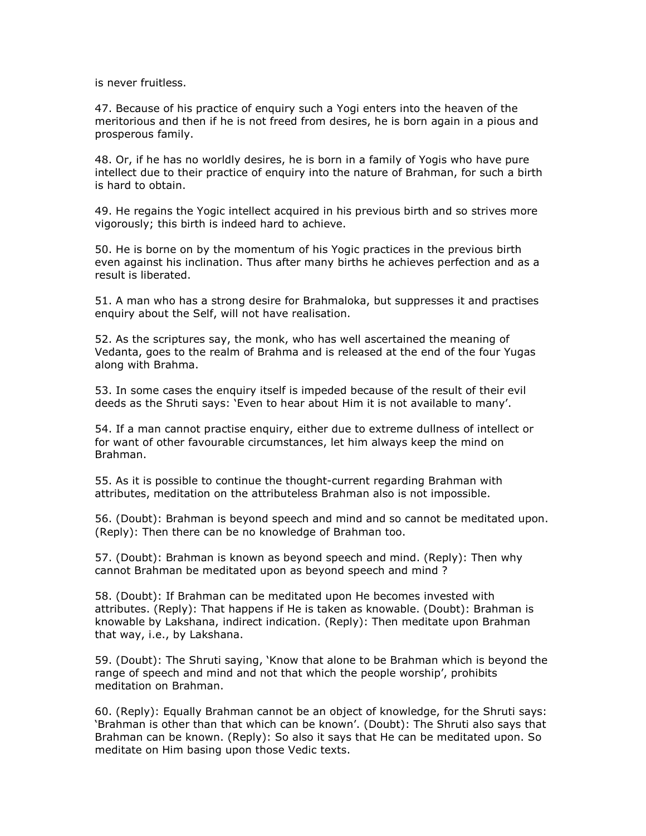is never fruitless.

47. Because of his practice of enquiry such a Yogi enters into the heaven of the meritorious and then if he is not freed from desires, he is born again in a pious and prosperous family.

48. Or, if he has no worldly desires, he is born in a family of Yogis who have pure intellect due to their practice of enquiry into the nature of Brahman, for such a birth is hard to obtain.

49. He regains the Yogic intellect acquired in his previous birth and so strives more vigorously; this birth is indeed hard to achieve.

50. He is borne on by the momentum of his Yogic practices in the previous birth even against his inclination. Thus after many births he achieves perfection and as a result is liberated.

51. A man who has a strong desire for Brahmaloka, but suppresses it and practises enquiry about the Self, will not have realisation.

52. As the scriptures say, the monk, who has well ascertained the meaning of Vedanta, goes to the realm of Brahma and is released at the end of the four Yugas along with Brahma.

53. In some cases the enquiry itself is impeded because of the result of their evil deeds as the Shruti says: 'Even to hear about Him it is not available to many'.

54. If a man cannot practise enquiry, either due to extreme dullness of intellect or for want of other favourable circumstances, let him always keep the mind on Brahman.

55. As it is possible to continue the thought-current regarding Brahman with attributes, meditation on the attributeless Brahman also is not impossible.

56. (Doubt): Brahman is beyond speech and mind and so cannot be meditated upon. (Reply): Then there can be no knowledge of Brahman too.

57. (Doubt): Brahman is known as beyond speech and mind. (Reply): Then why cannot Brahman be meditated upon as beyond speech and mind ?

58. (Doubt): If Brahman can be meditated upon He becomes invested with attributes. (Reply): That happens if He is taken as knowable. (Doubt): Brahman is knowable by Lakshana, indirect indication. (Reply): Then meditate upon Brahman that way, i.e., by Lakshana.

59. (Doubt): The Shruti saying, 'Know that alone to be Brahman which is beyond the range of speech and mind and not that which the people worship', prohibits meditation on Brahman.

60. (Reply): Equally Brahman cannot be an object of knowledge, for the Shruti says: 'Brahman is other than that which can be known'. (Doubt): The Shruti also says that Brahman can be known. (Reply): So also it says that He can be meditated upon. So meditate on Him basing upon those Vedic texts.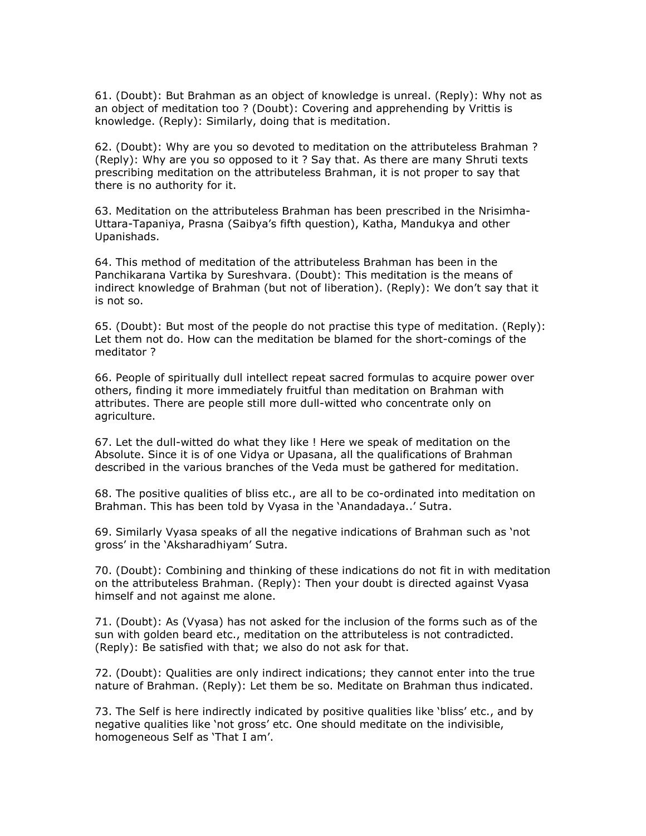61. (Doubt): But Brahman as an object of knowledge is unreal. (Reply): Why not as an object of meditation too ? (Doubt): Covering and apprehending by Vrittis is knowledge. (Reply): Similarly, doing that is meditation.

62. (Doubt): Why are you so devoted to meditation on the attributeless Brahman ? (Reply): Why are you so opposed to it ? Say that. As there are many Shruti texts prescribing meditation on the attributeless Brahman, it is not proper to say that there is no authority for it.

63. Meditation on the attributeless Brahman has been prescribed in the Nrisimha-Uttara-Tapaniya, Prasna (Saibya's fifth question), Katha, Mandukya and other Upanishads.

64. This method of meditation of the attributeless Brahman has been in the Panchikarana Vartika by Sureshvara. (Doubt): This meditation is the means of indirect knowledge of Brahman (but not of liberation). (Reply): We don't say that it is not so.

65. (Doubt): But most of the people do not practise this type of meditation. (Reply): Let them not do. How can the meditation be blamed for the short-comings of the meditator ?

66. People of spiritually dull intellect repeat sacred formulas to acquire power over others, finding it more immediately fruitful than meditation on Brahman with attributes. There are people still more dull-witted who concentrate only on agriculture.

67. Let the dull-witted do what they like ! Here we speak of meditation on the Absolute. Since it is of one Vidya or Upasana, all the qualifications of Brahman described in the various branches of the Veda must be gathered for meditation.

68. The positive qualities of bliss etc., are all to be co-ordinated into meditation on Brahman. This has been told by Vyasa in the 'Anandadaya..' Sutra.

69. Similarly Vyasa speaks of all the negative indications of Brahman such as 'not gross' in the 'Aksharadhiyam' Sutra.

70. (Doubt): Combining and thinking of these indications do not fit in with meditation on the attributeless Brahman. (Reply): Then your doubt is directed against Vyasa himself and not against me alone.

71. (Doubt): As (Vyasa) has not asked for the inclusion of the forms such as of the sun with golden beard etc., meditation on the attributeless is not contradicted. (Reply): Be satisfied with that; we also do not ask for that.

72. (Doubt): Qualities are only indirect indications; they cannot enter into the true nature of Brahman. (Reply): Let them be so. Meditate on Brahman thus indicated.

73. The Self is here indirectly indicated by positive qualities like 'bliss' etc., and by negative qualities like 'not gross' etc. One should meditate on the indivisible, homogeneous Self as 'That I am'.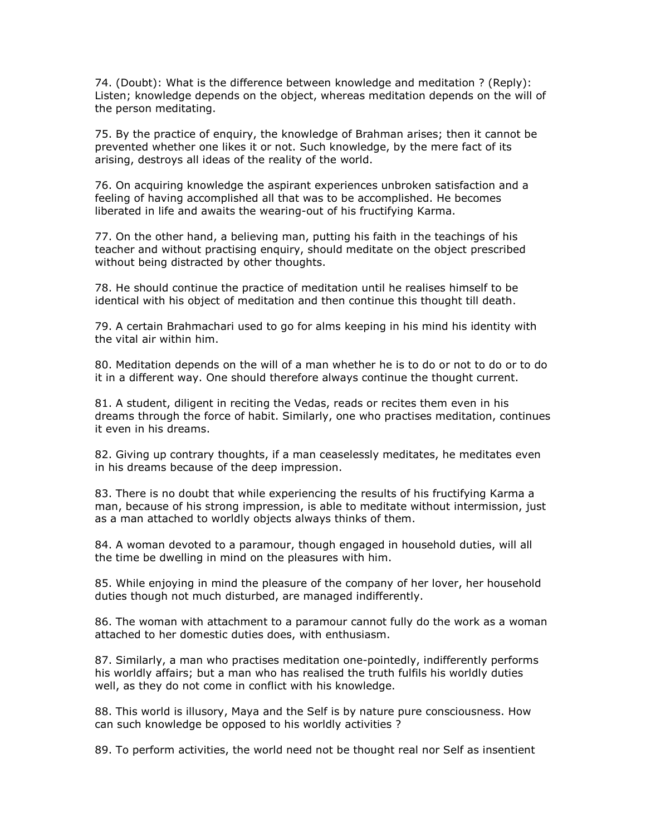74. (Doubt): What is the difference between knowledge and meditation ? (Reply): Listen; knowledge depends on the object, whereas meditation depends on the will of the person meditating.

75. By the practice of enquiry, the knowledge of Brahman arises; then it cannot be prevented whether one likes it or not. Such knowledge, by the mere fact of its arising, destroys all ideas of the reality of the world.

76. On acquiring knowledge the aspirant experiences unbroken satisfaction and a feeling of having accomplished all that was to be accomplished. He becomes liberated in life and awaits the wearing-out of his fructifying Karma.

77. On the other hand, a believing man, putting his faith in the teachings of his teacher and without practising enquiry, should meditate on the object prescribed without being distracted by other thoughts.

78. He should continue the practice of meditation until he realises himself to be identical with his object of meditation and then continue this thought till death.

79. A certain Brahmachari used to go for alms keeping in his mind his identity with the vital air within him.

80. Meditation depends on the will of a man whether he is to do or not to do or to do it in a different way. One should therefore always continue the thought current.

81. A student, diligent in reciting the Vedas, reads or recites them even in his dreams through the force of habit. Similarly, one who practises meditation, continues it even in his dreams.

82. Giving up contrary thoughts, if a man ceaselessly meditates, he meditates even in his dreams because of the deep impression.

83. There is no doubt that while experiencing the results of his fructifying Karma a man, because of his strong impression, is able to meditate without intermission, just as a man attached to worldly objects always thinks of them.

84. A woman devoted to a paramour, though engaged in household duties, will all the time be dwelling in mind on the pleasures with him.

85. While enjoying in mind the pleasure of the company of her lover, her household duties though not much disturbed, are managed indifferently.

86. The woman with attachment to a paramour cannot fully do the work as a woman attached to her domestic duties does, with enthusiasm.

87. Similarly, a man who practises meditation one-pointedly, indifferently performs his worldly affairs; but a man who has realised the truth fulfils his worldly duties well, as they do not come in conflict with his knowledge.

88. This world is illusory, Maya and the Self is by nature pure consciousness. How can such knowledge be opposed to his worldly activities ?

89. To perform activities, the world need not be thought real nor Self as insentient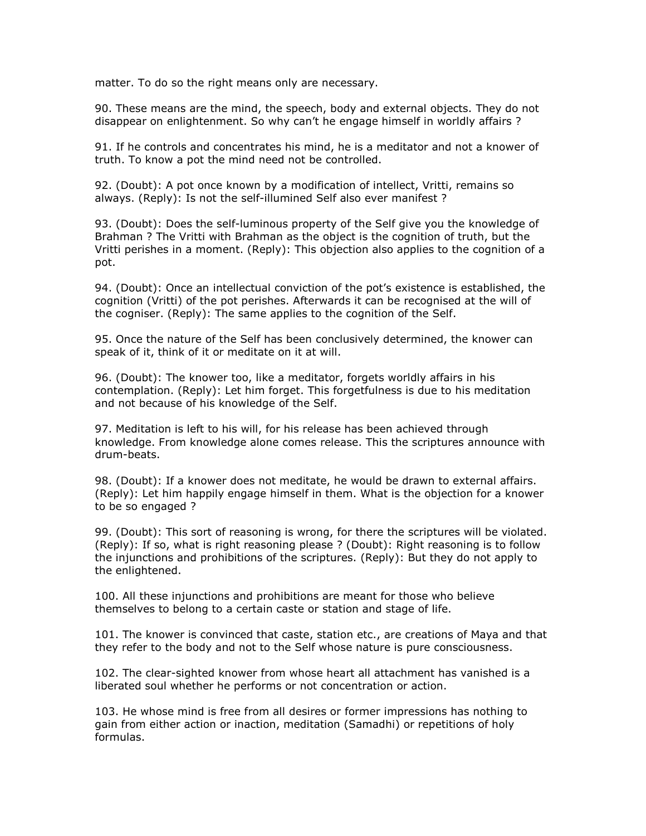matter. To do so the right means only are necessary.

90. These means are the mind, the speech, body and external objects. They do not disappear on enlightenment. So why can't he engage himself in worldly affairs ?

91. If he controls and concentrates his mind, he is a meditator and not a knower of truth. To know a pot the mind need not be controlled.

92. (Doubt): A pot once known by a modification of intellect, Vritti, remains so always. (Reply): Is not the self-illumined Self also ever manifest ?

93. (Doubt): Does the self-luminous property of the Self give you the knowledge of Brahman ? The Vritti with Brahman as the object is the cognition of truth, but the Vritti perishes in a moment. (Reply): This objection also applies to the cognition of a pot.

94. (Doubt): Once an intellectual conviction of the pot's existence is established, the cognition (Vritti) of the pot perishes. Afterwards it can be recognised at the will of the cogniser. (Reply): The same applies to the cognition of the Self.

95. Once the nature of the Self has been conclusively determined, the knower can speak of it, think of it or meditate on it at will.

96. (Doubt): The knower too, like a meditator, forgets worldly affairs in his contemplation. (Reply): Let him forget. This forgetfulness is due to his meditation and not because of his knowledge of the Self.

97. Meditation is left to his will, for his release has been achieved through knowledge. From knowledge alone comes release. This the scriptures announce with drum-beats.

98. (Doubt): If a knower does not meditate, he would be drawn to external affairs. (Reply): Let him happily engage himself in them. What is the objection for a knower to be so engaged ?

99. (Doubt): This sort of reasoning is wrong, for there the scriptures will be violated. (Reply): If so, what is right reasoning please ? (Doubt): Right reasoning is to follow the injunctions and prohibitions of the scriptures. (Reply): But they do not apply to the enlightened.

100. All these injunctions and prohibitions are meant for those who believe themselves to belong to a certain caste or station and stage of life.

101. The knower is convinced that caste, station etc., are creations of Maya and that they refer to the body and not to the Self whose nature is pure consciousness.

102. The clear-sighted knower from whose heart all attachment has vanished is a liberated soul whether he performs or not concentration or action.

103. He whose mind is free from all desires or former impressions has nothing to gain from either action or inaction, meditation (Samadhi) or repetitions of holy formulas.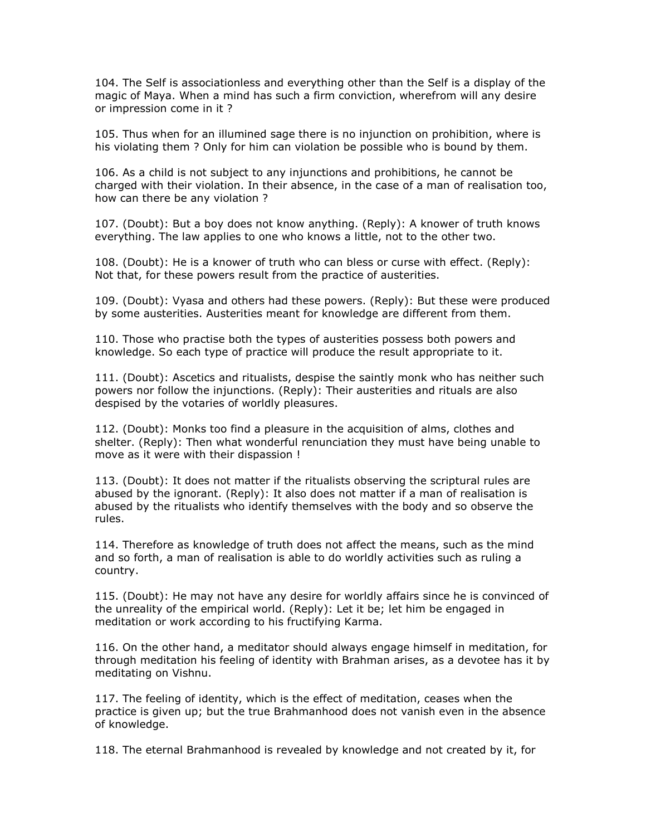104. The Self is associationless and everything other than the Self is a display of the magic of Maya. When a mind has such a firm conviction, wherefrom will any desire or impression come in it ?

105. Thus when for an illumined sage there is no injunction on prohibition, where is his violating them ? Only for him can violation be possible who is bound by them.

106. As a child is not subject to any injunctions and prohibitions, he cannot be charged with their violation. In their absence, in the case of a man of realisation too, how can there be any violation ?

107. (Doubt): But a boy does not know anything. (Reply): A knower of truth knows everything. The law applies to one who knows a little, not to the other two.

108. (Doubt): He is a knower of truth who can bless or curse with effect. (Reply): Not that, for these powers result from the practice of austerities.

109. (Doubt): Vyasa and others had these powers. (Reply): But these were produced by some austerities. Austerities meant for knowledge are different from them.

110. Those who practise both the types of austerities possess both powers and knowledge. So each type of practice will produce the result appropriate to it.

111. (Doubt): Ascetics and ritualists, despise the saintly monk who has neither such powers nor follow the injunctions. (Reply): Their austerities and rituals are also despised by the votaries of worldly pleasures.

112. (Doubt): Monks too find a pleasure in the acquisition of alms, clothes and shelter. (Reply): Then what wonderful renunciation they must have being unable to move as it were with their dispassion !

113. (Doubt): It does not matter if the ritualists observing the scriptural rules are abused by the ignorant. (Reply): It also does not matter if a man of realisation is abused by the ritualists who identify themselves with the body and so observe the rules.

114. Therefore as knowledge of truth does not affect the means, such as the mind and so forth, a man of realisation is able to do worldly activities such as ruling a country.

115. (Doubt): He may not have any desire for worldly affairs since he is convinced of the unreality of the empirical world. (Reply): Let it be; let him be engaged in meditation or work according to his fructifying Karma.

116. On the other hand, a meditator should always engage himself in meditation, for through meditation his feeling of identity with Brahman arises, as a devotee has it by meditating on Vishnu.

117. The feeling of identity, which is the effect of meditation, ceases when the practice is given up; but the true Brahmanhood does not vanish even in the absence of knowledge.

118. The eternal Brahmanhood is revealed by knowledge and not created by it, for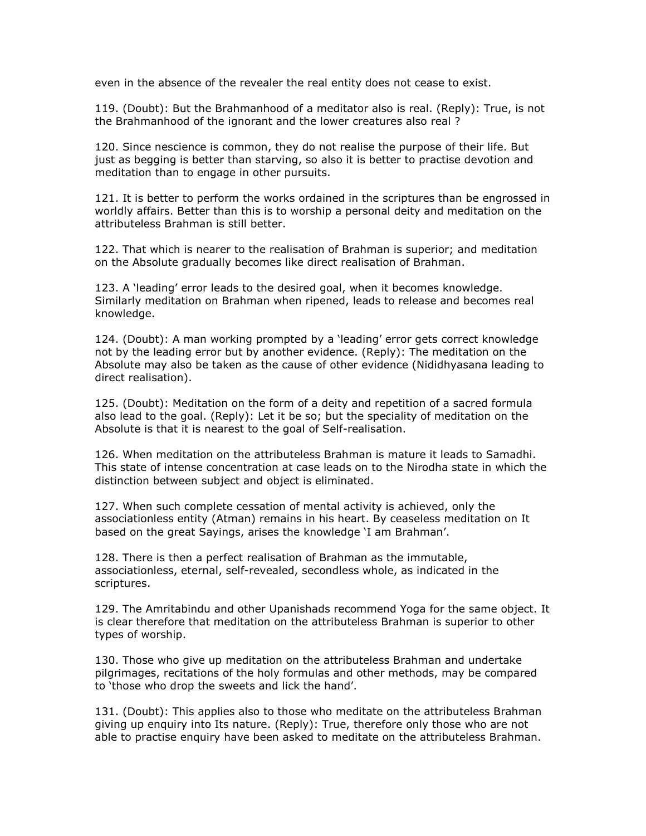even in the absence of the revealer the real entity does not cease to exist.

119. (Doubt): But the Brahmanhood of a meditator also is real. (Reply): True, is not the Brahmanhood of the ignorant and the lower creatures also real ?

120. Since nescience is common, they do not realise the purpose of their life. But just as begging is better than starving, so also it is better to practise devotion and meditation than to engage in other pursuits.

121. It is better to perform the works ordained in the scriptures than be engrossed in worldly affairs. Better than this is to worship a personal deity and meditation on the attributeless Brahman is still better.

122. That which is nearer to the realisation of Brahman is superior; and meditation on the Absolute gradually becomes like direct realisation of Brahman.

123. A 'leading' error leads to the desired goal, when it becomes knowledge. Similarly meditation on Brahman when ripened, leads to release and becomes real knowledge.

124. (Doubt): A man working prompted by a 'leading' error gets correct knowledge not by the leading error but by another evidence. (Reply): The meditation on the Absolute may also be taken as the cause of other evidence (Nididhyasana leading to direct realisation).

125. (Doubt): Meditation on the form of a deity and repetition of a sacred formula also lead to the goal. (Reply): Let it be so; but the speciality of meditation on the Absolute is that it is nearest to the goal of Self-realisation.

126. When meditation on the attributeless Brahman is mature it leads to Samadhi. This state of intense concentration at case leads on to the Nirodha state in which the distinction between subject and object is eliminated.

127. When such complete cessation of mental activity is achieved, only the associationless entity (Atman) remains in his heart. By ceaseless meditation on It based on the great Sayings, arises the knowledge 'I am Brahman'.

128. There is then a perfect realisation of Brahman as the immutable, associationless, eternal, self-revealed, secondless whole, as indicated in the scriptures.

129. The Amritabindu and other Upanishads recommend Yoga for the same object. It is clear therefore that meditation on the attributeless Brahman is superior to other types of worship.

130. Those who give up meditation on the attributeless Brahman and undertake pilgrimages, recitations of the holy formulas and other methods, may be compared to 'those who drop the sweets and lick the hand'.

131. (Doubt): This applies also to those who meditate on the attributeless Brahman giving up enquiry into Its nature. (Reply): True, therefore only those who are not able to practise enquiry have been asked to meditate on the attributeless Brahman.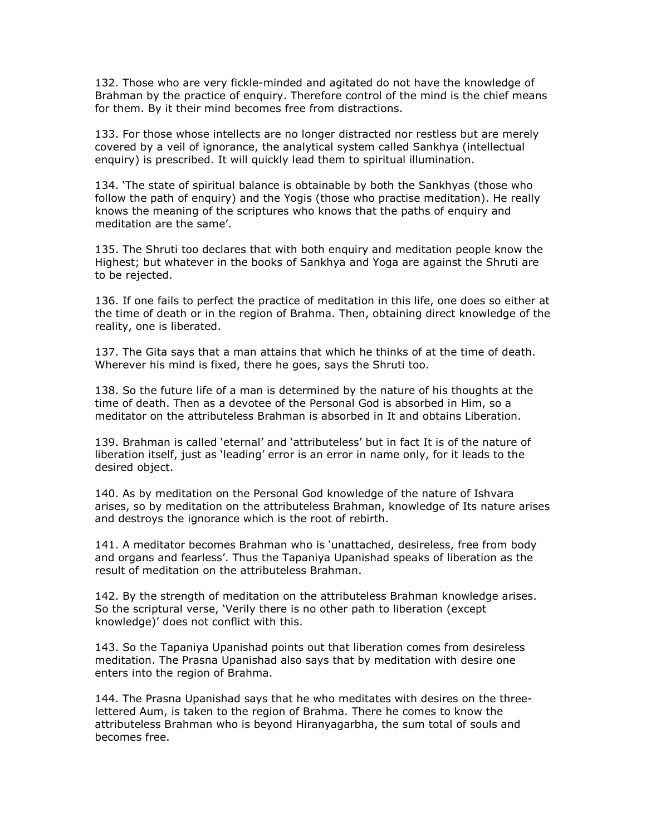132. Those who are very fickle-minded and agitated do not have the knowledge of Brahman by the practice of enquiry. Therefore control of the mind is the chief means for them. By it their mind becomes free from distractions.

133. For those whose intellects are no longer distracted nor restless but are merely covered by a veil of ignorance, the analytical system called Sankhya (intellectual enquiry) is prescribed. It will quickly lead them to spiritual illumination.

134. 'The state of spiritual balance is obtainable by both the Sankhyas (those who follow the path of enquiry) and the Yogis (those who practise meditation). He really knows the meaning of the scriptures who knows that the paths of enquiry and meditation are the same'.

135. The Shruti too declares that with both enquiry and meditation people know the Highest; but whatever in the books of Sankhya and Yoga are against the Shruti are to be rejected.

136. If one fails to perfect the practice of meditation in this life, one does so either at the time of death or in the region of Brahma. Then, obtaining direct knowledge of the reality, one is liberated.

137. The Gita says that a man attains that which he thinks of at the time of death. Wherever his mind is fixed, there he goes, says the Shruti too.

138. So the future life of a man is determined by the nature of his thoughts at the time of death. Then as a devotee of the Personal God is absorbed in Him, so a meditator on the attributeless Brahman is absorbed in It and obtains Liberation.

139. Brahman is called 'eternal' and 'attributeless' but in fact It is of the nature of liberation itself, just as 'leading' error is an error in name only, for it leads to the desired object.

140. As by meditation on the Personal God knowledge of the nature of Ishvara arises, so by meditation on the attributeless Brahman, knowledge of Its nature arises and destroys the ignorance which is the root of rebirth.

141. A meditator becomes Brahman who is 'unattached, desireless, free from body and organs and fearless'. Thus the Tapaniya Upanishad speaks of liberation as the result of meditation on the attributeless Brahman.

142. By the strength of meditation on the attributeless Brahman knowledge arises. So the scriptural verse, 'Verily there is no other path to liberation (except knowledge)' does not conflict with this.

143. So the Tapaniya Upanishad points out that liberation comes from desireless meditation. The Prasna Upanishad also says that by meditation with desire one enters into the region of Brahma.

144. The Prasna Upanishad says that he who meditates with desires on the threelettered Aum, is taken to the region of Brahma. There he comes to know the attributeless Brahman who is beyond Hiranyagarbha, the sum total of souls and becomes free.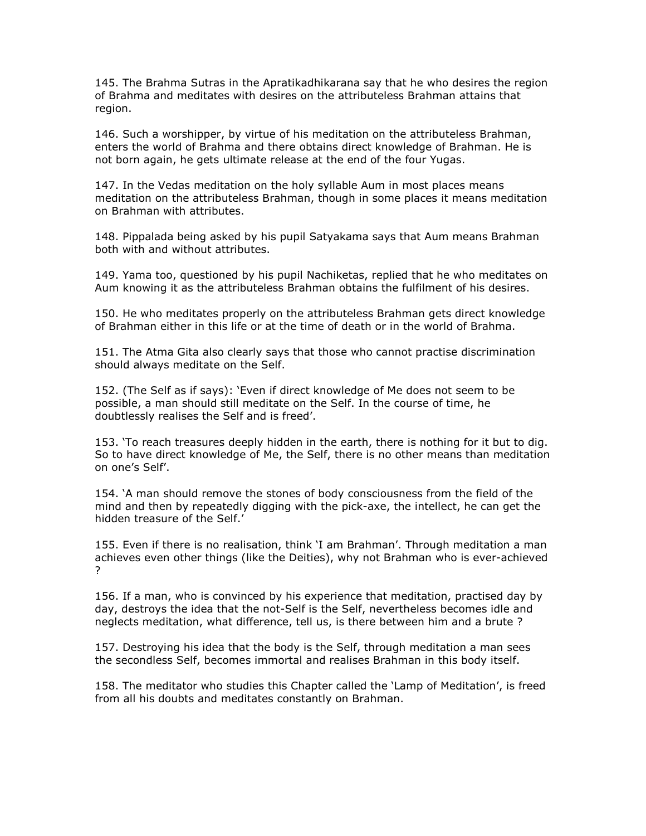145. The Brahma Sutras in the Apratikadhikarana say that he who desires the region of Brahma and meditates with desires on the attributeless Brahman attains that region.

146. Such a worshipper, by virtue of his meditation on the attributeless Brahman, enters the world of Brahma and there obtains direct knowledge of Brahman. He is not born again, he gets ultimate release at the end of the four Yugas.

147. In the Vedas meditation on the holy syllable Aum in most places means meditation on the attributeless Brahman, though in some places it means meditation on Brahman with attributes.

148. Pippalada being asked by his pupil Satyakama says that Aum means Brahman both with and without attributes.

149. Yama too, questioned by his pupil Nachiketas, replied that he who meditates on Aum knowing it as the attributeless Brahman obtains the fulfilment of his desires.

150. He who meditates properly on the attributeless Brahman gets direct knowledge of Brahman either in this life or at the time of death or in the world of Brahma.

151. The Atma Gita also clearly says that those who cannot practise discrimination should always meditate on the Self.

152. (The Self as if says): 'Even if direct knowledge of Me does not seem to be possible, a man should still meditate on the Self. In the course of time, he doubtlessly realises the Self and is freed'.

153. 'To reach treasures deeply hidden in the earth, there is nothing for it but to dig. So to have direct knowledge of Me, the Self, there is no other means than meditation on one's Self'.

154. 'A man should remove the stones of body consciousness from the field of the mind and then by repeatedly digging with the pick-axe, the intellect, he can get the hidden treasure of the Self.'

155. Even if there is no realisation, think 'I am Brahman'. Through meditation a man achieves even other things (like the Deities), why not Brahman who is ever-achieved ?

156. If a man, who is convinced by his experience that meditation, practised day by day, destroys the idea that the not-Self is the Self, nevertheless becomes idle and neglects meditation, what difference, tell us, is there between him and a brute ?

157. Destroying his idea that the body is the Self, through meditation a man sees the secondless Self, becomes immortal and realises Brahman in this body itself.

158. The meditator who studies this Chapter called the 'Lamp of Meditation', is freed from all his doubts and meditates constantly on Brahman.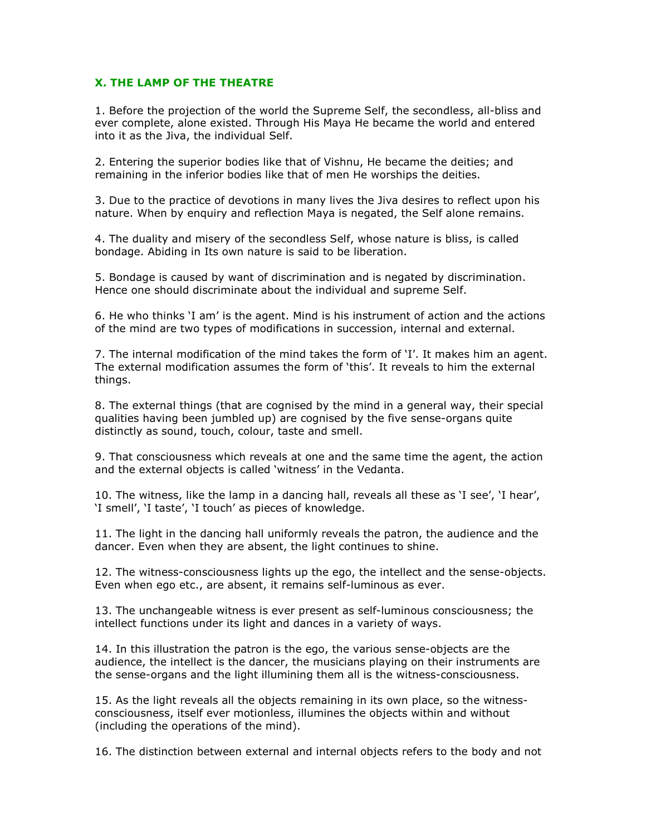## X. THE LAMP OF THE THEATRE

1. Before the projection of the world the Supreme Self, the secondless, all-bliss and ever complete, alone existed. Through His Maya He became the world and entered into it as the Jiva, the individual Self.

2. Entering the superior bodies like that of Vishnu, He became the deities; and remaining in the inferior bodies like that of men He worships the deities.

3. Due to the practice of devotions in many lives the Jiva desires to reflect upon his nature. When by enquiry and reflection Maya is negated, the Self alone remains.

4. The duality and misery of the secondless Self, whose nature is bliss, is called bondage. Abiding in Its own nature is said to be liberation.

5. Bondage is caused by want of discrimination and is negated by discrimination. Hence one should discriminate about the individual and supreme Self.

6. He who thinks 'I am' is the agent. Mind is his instrument of action and the actions of the mind are two types of modifications in succession, internal and external.

7. The internal modification of the mind takes the form of 'I'. It makes him an agent. The external modification assumes the form of 'this'. It reveals to him the external things.

8. The external things (that are cognised by the mind in a general way, their special qualities having been jumbled up) are cognised by the five sense-organs quite distinctly as sound, touch, colour, taste and smell.

9. That consciousness which reveals at one and the same time the agent, the action and the external objects is called 'witness' in the Vedanta.

10. The witness, like the lamp in a dancing hall, reveals all these as 'I see', 'I hear', 'I smell', 'I taste', 'I touch' as pieces of knowledge.

11. The light in the dancing hall uniformly reveals the patron, the audience and the dancer. Even when they are absent, the light continues to shine.

12. The witness-consciousness lights up the ego, the intellect and the sense-objects. Even when ego etc., are absent, it remains self-luminous as ever.

13. The unchangeable witness is ever present as self-luminous consciousness; the intellect functions under its light and dances in a variety of ways.

14. In this illustration the patron is the ego, the various sense-objects are the audience, the intellect is the dancer, the musicians playing on their instruments are the sense-organs and the light illumining them all is the witness-consciousness.

15. As the light reveals all the objects remaining in its own place, so the witnessconsciousness, itself ever motionless, illumines the objects within and without (including the operations of the mind).

16. The distinction between external and internal objects refers to the body and not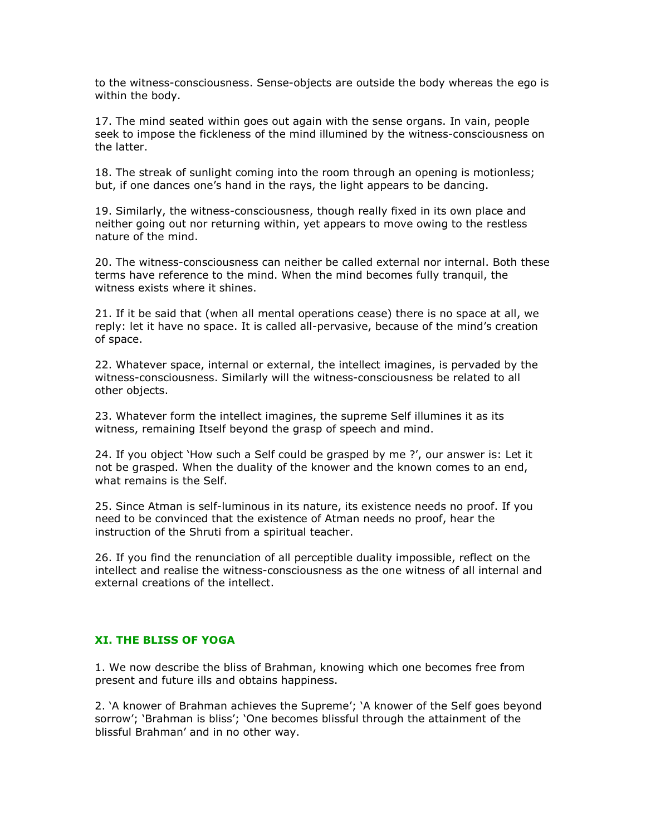to the witness-consciousness. Sense-objects are outside the body whereas the ego is within the body.

17. The mind seated within goes out again with the sense organs. In vain, people seek to impose the fickleness of the mind illumined by the witness-consciousness on the latter.

18. The streak of sunlight coming into the room through an opening is motionless; but, if one dances one's hand in the rays, the light appears to be dancing.

19. Similarly, the witness-consciousness, though really fixed in its own place and neither going out nor returning within, yet appears to move owing to the restless nature of the mind.

20. The witness-consciousness can neither be called external nor internal. Both these terms have reference to the mind. When the mind becomes fully tranquil, the witness exists where it shines.

21. If it be said that (when all mental operations cease) there is no space at all, we reply: let it have no space. It is called all-pervasive, because of the mind's creation of space.

22. Whatever space, internal or external, the intellect imagines, is pervaded by the witness-consciousness. Similarly will the witness-consciousness be related to all other objects.

23. Whatever form the intellect imagines, the supreme Self illumines it as its witness, remaining Itself beyond the grasp of speech and mind.

24. If you object 'How such a Self could be grasped by me ?', our answer is: Let it not be grasped. When the duality of the knower and the known comes to an end, what remains is the Self.

25. Since Atman is self-luminous in its nature, its existence needs no proof. If you need to be convinced that the existence of Atman needs no proof, hear the instruction of the Shruti from a spiritual teacher.

26. If you find the renunciation of all perceptible duality impossible, reflect on the intellect and realise the witness-consciousness as the one witness of all internal and external creations of the intellect.

## XI. THE BLISS OF YOGA

1. We now describe the bliss of Brahman, knowing which one becomes free from present and future ills and obtains happiness.

2. 'A knower of Brahman achieves the Supreme'; 'A knower of the Self goes beyond sorrow'; 'Brahman is bliss'; 'One becomes blissful through the attainment of the blissful Brahman' and in no other way.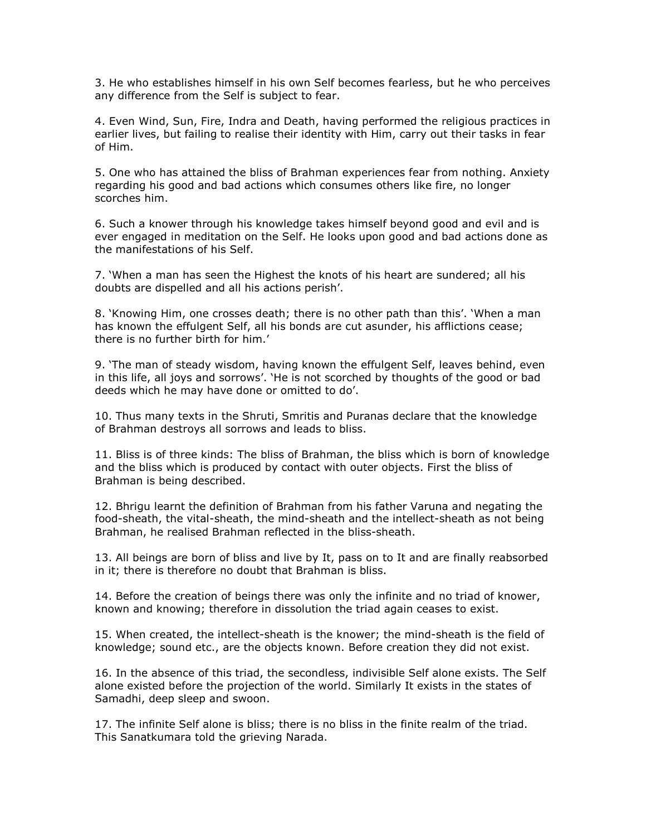3. He who establishes himself in his own Self becomes fearless, but he who perceives any difference from the Self is subject to fear.

4. Even Wind, Sun, Fire, Indra and Death, having performed the religious practices in earlier lives, but failing to realise their identity with Him, carry out their tasks in fear of Him.

5. One who has attained the bliss of Brahman experiences fear from nothing. Anxiety regarding his good and bad actions which consumes others like fire, no longer scorches him.

6. Such a knower through his knowledge takes himself beyond good and evil and is ever engaged in meditation on the Self. He looks upon good and bad actions done as the manifestations of his Self.

7. 'When a man has seen the Highest the knots of his heart are sundered; all his doubts are dispelled and all his actions perish'.

8. 'Knowing Him, one crosses death; there is no other path than this'. 'When a man has known the effulgent Self, all his bonds are cut asunder, his afflictions cease; there is no further birth for him.'

9. 'The man of steady wisdom, having known the effulgent Self, leaves behind, even in this life, all joys and sorrows'. 'He is not scorched by thoughts of the good or bad deeds which he may have done or omitted to do'.

10. Thus many texts in the Shruti, Smritis and Puranas declare that the knowledge of Brahman destroys all sorrows and leads to bliss.

11. Bliss is of three kinds: The bliss of Brahman, the bliss which is born of knowledge and the bliss which is produced by contact with outer objects. First the bliss of Brahman is being described.

12. Bhrigu learnt the definition of Brahman from his father Varuna and negating the food-sheath, the vital-sheath, the mind-sheath and the intellect-sheath as not being Brahman, he realised Brahman reflected in the bliss-sheath.

13. All beings are born of bliss and live by It, pass on to It and are finally reabsorbed in it; there is therefore no doubt that Brahman is bliss.

14. Before the creation of beings there was only the infinite and no triad of knower, known and knowing; therefore in dissolution the triad again ceases to exist.

15. When created, the intellect-sheath is the knower; the mind-sheath is the field of knowledge; sound etc., are the objects known. Before creation they did not exist.

16. In the absence of this triad, the secondless, indivisible Self alone exists. The Self alone existed before the projection of the world. Similarly It exists in the states of Samadhi, deep sleep and swoon.

17. The infinite Self alone is bliss; there is no bliss in the finite realm of the triad. This Sanatkumara told the grieving Narada.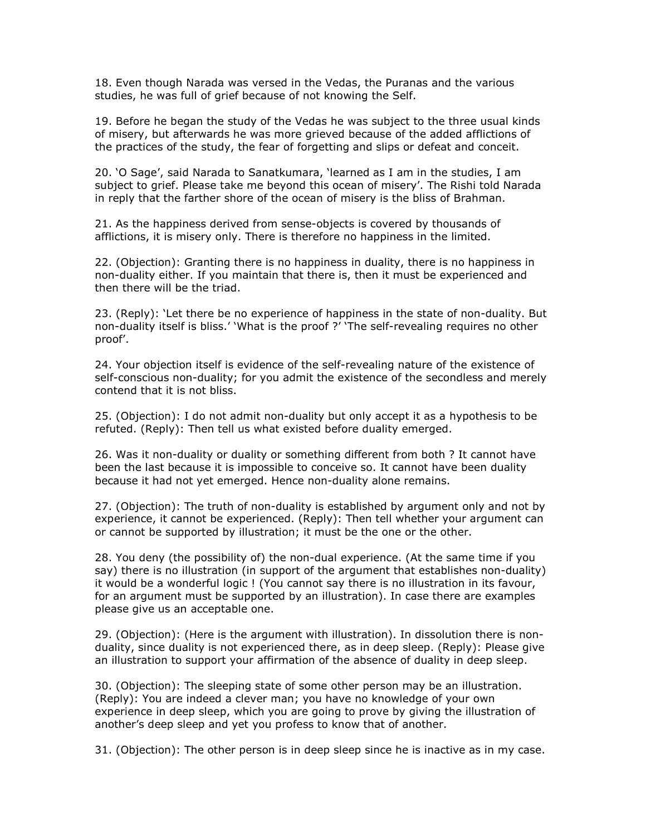18. Even though Narada was versed in the Vedas, the Puranas and the various studies, he was full of grief because of not knowing the Self.

19. Before he began the study of the Vedas he was subject to the three usual kinds of misery, but afterwards he was more grieved because of the added afflictions of the practices of the study, the fear of forgetting and slips or defeat and conceit.

20. 'O Sage', said Narada to Sanatkumara, 'learned as I am in the studies, I am subject to grief. Please take me beyond this ocean of misery'. The Rishi told Narada in reply that the farther shore of the ocean of misery is the bliss of Brahman.

21. As the happiness derived from sense-objects is covered by thousands of afflictions, it is misery only. There is therefore no happiness in the limited.

22. (Objection): Granting there is no happiness in duality, there is no happiness in non-duality either. If you maintain that there is, then it must be experienced and then there will be the triad.

23. (Reply): 'Let there be no experience of happiness in the state of non-duality. But non-duality itself is bliss.' 'What is the proof ?' 'The self-revealing requires no other proof'.

24. Your objection itself is evidence of the self-revealing nature of the existence of self-conscious non-duality; for you admit the existence of the secondless and merely contend that it is not bliss.

25. (Objection): I do not admit non-duality but only accept it as a hypothesis to be refuted. (Reply): Then tell us what existed before duality emerged.

26. Was it non-duality or duality or something different from both ? It cannot have been the last because it is impossible to conceive so. It cannot have been duality because it had not yet emerged. Hence non-duality alone remains.

27. (Objection): The truth of non-duality is established by argument only and not by experience, it cannot be experienced. (Reply): Then tell whether your argument can or cannot be supported by illustration; it must be the one or the other.

28. You deny (the possibility of) the non-dual experience. (At the same time if you say) there is no illustration (in support of the argument that establishes non-duality) it would be a wonderful logic ! (You cannot say there is no illustration in its favour, for an argument must be supported by an illustration). In case there are examples please give us an acceptable one.

29. (Objection): (Here is the argument with illustration). In dissolution there is nonduality, since duality is not experienced there, as in deep sleep. (Reply): Please give an illustration to support your affirmation of the absence of duality in deep sleep.

30. (Objection): The sleeping state of some other person may be an illustration. (Reply): You are indeed a clever man; you have no knowledge of your own experience in deep sleep, which you are going to prove by giving the illustration of another's deep sleep and yet you profess to know that of another.

31. (Objection): The other person is in deep sleep since he is inactive as in my case.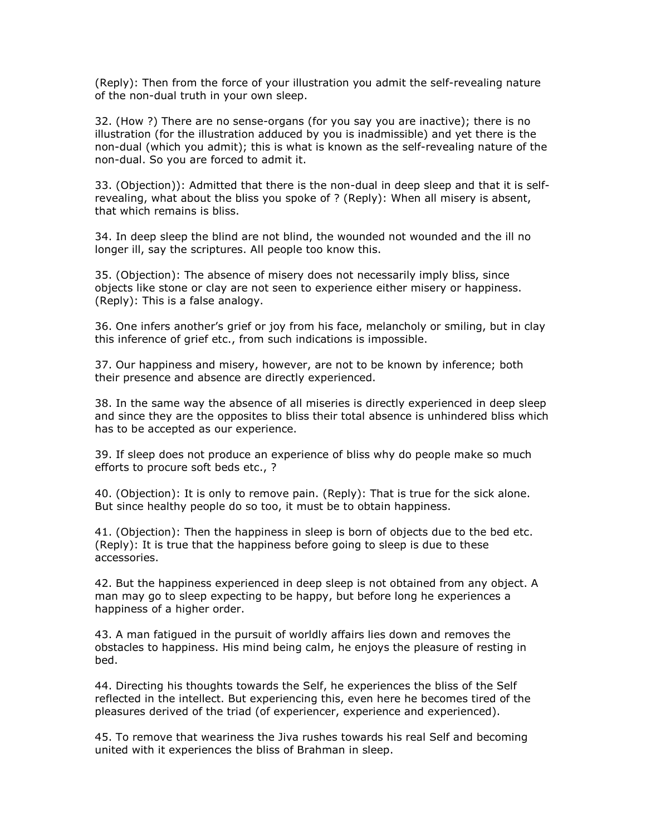(Reply): Then from the force of your illustration you admit the self-revealing nature of the non-dual truth in your own sleep.

32. (How ?) There are no sense-organs (for you say you are inactive); there is no illustration (for the illustration adduced by you is inadmissible) and yet there is the non-dual (which you admit); this is what is known as the self-revealing nature of the non-dual. So you are forced to admit it.

33. (Objection)): Admitted that there is the non-dual in deep sleep and that it is selfrevealing, what about the bliss you spoke of ? (Reply): When all misery is absent, that which remains is bliss.

34. In deep sleep the blind are not blind, the wounded not wounded and the ill no longer ill, say the scriptures. All people too know this.

35. (Objection): The absence of misery does not necessarily imply bliss, since objects like stone or clay are not seen to experience either misery or happiness. (Reply): This is a false analogy.

36. One infers another's grief or joy from his face, melancholy or smiling, but in clay this inference of grief etc., from such indications is impossible.

37. Our happiness and misery, however, are not to be known by inference; both their presence and absence are directly experienced.

38. In the same way the absence of all miseries is directly experienced in deep sleep and since they are the opposites to bliss their total absence is unhindered bliss which has to be accepted as our experience.

39. If sleep does not produce an experience of bliss why do people make so much efforts to procure soft beds etc., ?

40. (Objection): It is only to remove pain. (Reply): That is true for the sick alone. But since healthy people do so too, it must be to obtain happiness.

41. (Objection): Then the happiness in sleep is born of objects due to the bed etc. (Reply): It is true that the happiness before going to sleep is due to these accessories.

42. But the happiness experienced in deep sleep is not obtained from any object. A man may go to sleep expecting to be happy, but before long he experiences a happiness of a higher order.

43. A man fatigued in the pursuit of worldly affairs lies down and removes the obstacles to happiness. His mind being calm, he enjoys the pleasure of resting in bed.

44. Directing his thoughts towards the Self, he experiences the bliss of the Self reflected in the intellect. But experiencing this, even here he becomes tired of the pleasures derived of the triad (of experiencer, experience and experienced).

45. To remove that weariness the Jiva rushes towards his real Self and becoming united with it experiences the bliss of Brahman in sleep.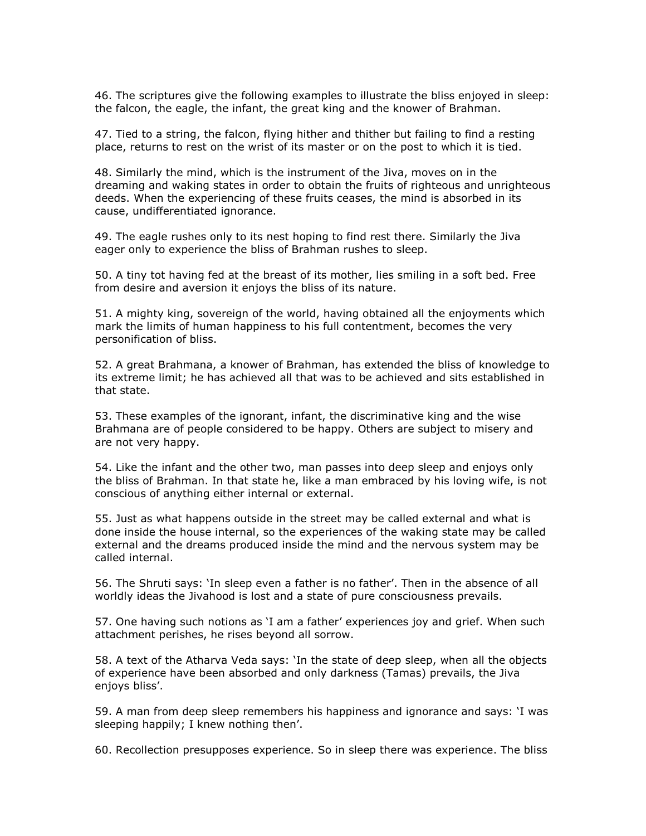46. The scriptures give the following examples to illustrate the bliss enjoyed in sleep: the falcon, the eagle, the infant, the great king and the knower of Brahman.

47. Tied to a string, the falcon, flying hither and thither but failing to find a resting place, returns to rest on the wrist of its master or on the post to which it is tied.

48. Similarly the mind, which is the instrument of the Jiva, moves on in the dreaming and waking states in order to obtain the fruits of righteous and unrighteous deeds. When the experiencing of these fruits ceases, the mind is absorbed in its cause, undifferentiated ignorance.

49. The eagle rushes only to its nest hoping to find rest there. Similarly the Jiva eager only to experience the bliss of Brahman rushes to sleep.

50. A tiny tot having fed at the breast of its mother, lies smiling in a soft bed. Free from desire and aversion it enjoys the bliss of its nature.

51. A mighty king, sovereign of the world, having obtained all the enjoyments which mark the limits of human happiness to his full contentment, becomes the very personification of bliss.

52. A great Brahmana, a knower of Brahman, has extended the bliss of knowledge to its extreme limit; he has achieved all that was to be achieved and sits established in that state.

53. These examples of the ignorant, infant, the discriminative king and the wise Brahmana are of people considered to be happy. Others are subject to misery and are not very happy.

54. Like the infant and the other two, man passes into deep sleep and enjoys only the bliss of Brahman. In that state he, like a man embraced by his loving wife, is not conscious of anything either internal or external.

55. Just as what happens outside in the street may be called external and what is done inside the house internal, so the experiences of the waking state may be called external and the dreams produced inside the mind and the nervous system may be called internal.

56. The Shruti says: 'In sleep even a father is no father'. Then in the absence of all worldly ideas the Jivahood is lost and a state of pure consciousness prevails.

57. One having such notions as 'I am a father' experiences joy and grief. When such attachment perishes, he rises beyond all sorrow.

58. A text of the Atharva Veda says: 'In the state of deep sleep, when all the objects of experience have been absorbed and only darkness (Tamas) prevails, the Jiva enjoys bliss'.

59. A man from deep sleep remembers his happiness and ignorance and says: 'I was sleeping happily; I knew nothing then'.

60. Recollection presupposes experience. So in sleep there was experience. The bliss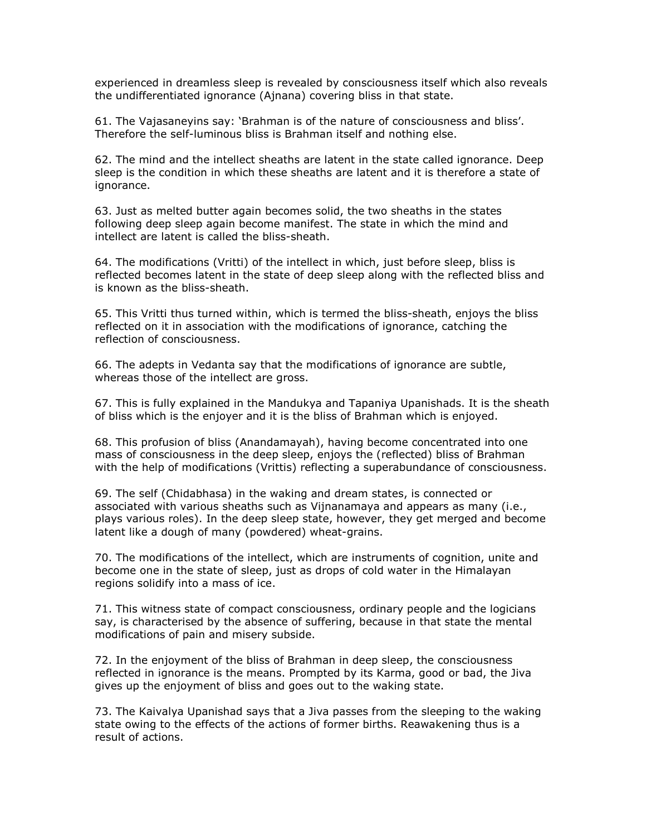experienced in dreamless sleep is revealed by consciousness itself which also reveals the undifferentiated ignorance (Ajnana) covering bliss in that state.

61. The Vajasaneyins say: 'Brahman is of the nature of consciousness and bliss'. Therefore the self-luminous bliss is Brahman itself and nothing else.

62. The mind and the intellect sheaths are latent in the state called ignorance. Deep sleep is the condition in which these sheaths are latent and it is therefore a state of ignorance.

63. Just as melted butter again becomes solid, the two sheaths in the states following deep sleep again become manifest. The state in which the mind and intellect are latent is called the bliss-sheath.

64. The modifications (Vritti) of the intellect in which, just before sleep, bliss is reflected becomes latent in the state of deep sleep along with the reflected bliss and is known as the bliss-sheath.

65. This Vritti thus turned within, which is termed the bliss-sheath, enjoys the bliss reflected on it in association with the modifications of ignorance, catching the reflection of consciousness.

66. The adepts in Vedanta say that the modifications of ignorance are subtle, whereas those of the intellect are gross.

67. This is fully explained in the Mandukya and Tapaniya Upanishads. It is the sheath of bliss which is the enjoyer and it is the bliss of Brahman which is enjoyed.

68. This profusion of bliss (Anandamayah), having become concentrated into one mass of consciousness in the deep sleep, enjoys the (reflected) bliss of Brahman with the help of modifications (Vrittis) reflecting a superabundance of consciousness.

69. The self (Chidabhasa) in the waking and dream states, is connected or associated with various sheaths such as Vijnanamaya and appears as many (i.e., plays various roles). In the deep sleep state, however, they get merged and become latent like a dough of many (powdered) wheat-grains.

70. The modifications of the intellect, which are instruments of cognition, unite and become one in the state of sleep, just as drops of cold water in the Himalayan regions solidify into a mass of ice.

71. This witness state of compact consciousness, ordinary people and the logicians say, is characterised by the absence of suffering, because in that state the mental modifications of pain and misery subside.

72. In the enjoyment of the bliss of Brahman in deep sleep, the consciousness reflected in ignorance is the means. Prompted by its Karma, good or bad, the Jiva gives up the enjoyment of bliss and goes out to the waking state.

73. The Kaivalya Upanishad says that a Jiva passes from the sleeping to the waking state owing to the effects of the actions of former births. Reawakening thus is a result of actions.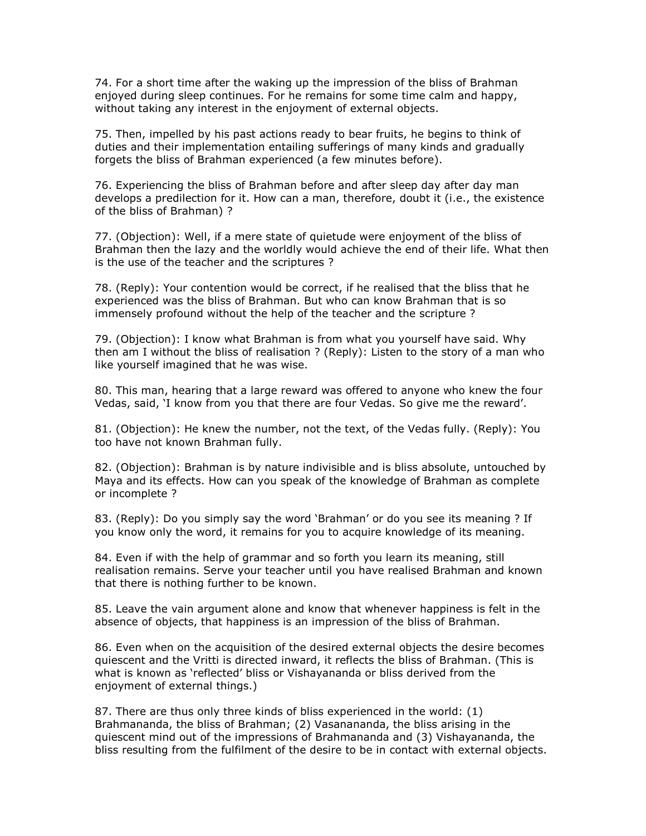74. For a short time after the waking up the impression of the bliss of Brahman enjoyed during sleep continues. For he remains for some time calm and happy, without taking any interest in the enjoyment of external objects.

75. Then, impelled by his past actions ready to bear fruits, he begins to think of duties and their implementation entailing sufferings of many kinds and gradually forgets the bliss of Brahman experienced (a few minutes before).

76. Experiencing the bliss of Brahman before and after sleep day after day man develops a predilection for it. How can a man, therefore, doubt it (i.e., the existence of the bliss of Brahman) ?

77. (Objection): Well, if a mere state of quietude were enjoyment of the bliss of Brahman then the lazy and the worldly would achieve the end of their life. What then is the use of the teacher and the scriptures ?

78. (Reply): Your contention would be correct, if he realised that the bliss that he experienced was the bliss of Brahman. But who can know Brahman that is so immensely profound without the help of the teacher and the scripture ?

79. (Objection): I know what Brahman is from what you yourself have said. Why then am I without the bliss of realisation ? (Reply): Listen to the story of a man who like yourself imagined that he was wise.

80. This man, hearing that a large reward was offered to anyone who knew the four Vedas, said, 'I know from you that there are four Vedas. So give me the reward'.

81. (Objection): He knew the number, not the text, of the Vedas fully. (Reply): You too have not known Brahman fully.

82. (Objection): Brahman is by nature indivisible and is bliss absolute, untouched by Maya and its effects. How can you speak of the knowledge of Brahman as complete or incomplete ?

83. (Reply): Do you simply say the word 'Brahman' or do you see its meaning ? If you know only the word, it remains for you to acquire knowledge of its meaning.

84. Even if with the help of grammar and so forth you learn its meaning, still realisation remains. Serve your teacher until you have realised Brahman and known that there is nothing further to be known.

85. Leave the vain argument alone and know that whenever happiness is felt in the absence of objects, that happiness is an impression of the bliss of Brahman.

86. Even when on the acquisition of the desired external objects the desire becomes quiescent and the Vritti is directed inward, it reflects the bliss of Brahman. (This is what is known as 'reflected' bliss or Vishayananda or bliss derived from the enjoyment of external things.)

87. There are thus only three kinds of bliss experienced in the world: (1) Brahmananda, the bliss of Brahman; (2) Vasanananda, the bliss arising in the quiescent mind out of the impressions of Brahmananda and (3) Vishayananda, the bliss resulting from the fulfilment of the desire to be in contact with external objects.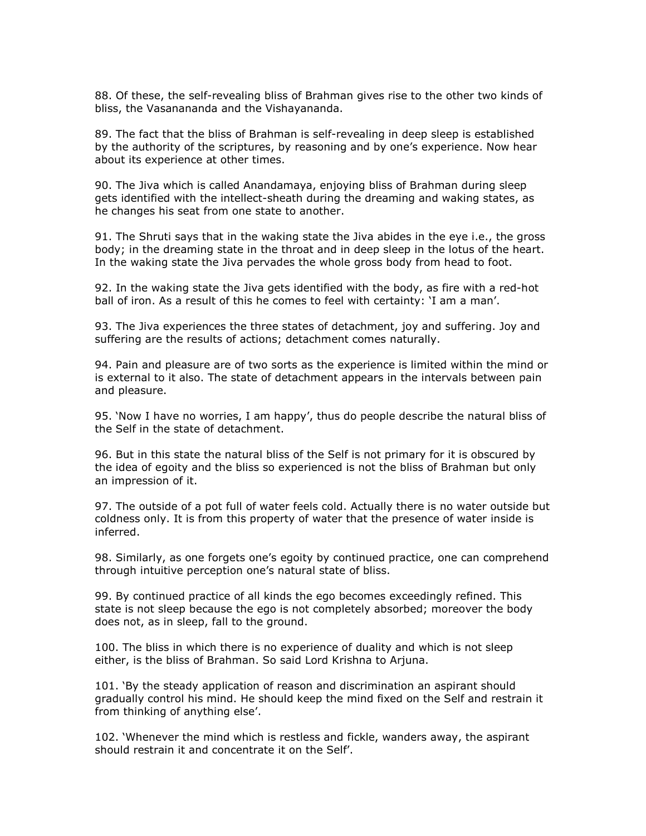88. Of these, the self-revealing bliss of Brahman gives rise to the other two kinds of bliss, the Vasanananda and the Vishayananda.

89. The fact that the bliss of Brahman is self-revealing in deep sleep is established by the authority of the scriptures, by reasoning and by one's experience. Now hear about its experience at other times.

90. The Jiva which is called Anandamaya, enjoying bliss of Brahman during sleep gets identified with the intellect-sheath during the dreaming and waking states, as he changes his seat from one state to another.

91. The Shruti says that in the waking state the Jiva abides in the eye i.e., the gross body; in the dreaming state in the throat and in deep sleep in the lotus of the heart. In the waking state the Jiva pervades the whole gross body from head to foot.

92. In the waking state the Jiva gets identified with the body, as fire with a red-hot ball of iron. As a result of this he comes to feel with certainty: 'I am a man'.

93. The Jiva experiences the three states of detachment, joy and suffering. Joy and suffering are the results of actions; detachment comes naturally.

94. Pain and pleasure are of two sorts as the experience is limited within the mind or is external to it also. The state of detachment appears in the intervals between pain and pleasure.

95. 'Now I have no worries, I am happy', thus do people describe the natural bliss of the Self in the state of detachment.

96. But in this state the natural bliss of the Self is not primary for it is obscured by the idea of egoity and the bliss so experienced is not the bliss of Brahman but only an impression of it.

97. The outside of a pot full of water feels cold. Actually there is no water outside but coldness only. It is from this property of water that the presence of water inside is inferred.

98. Similarly, as one forgets one's egoity by continued practice, one can comprehend through intuitive perception one's natural state of bliss.

99. By continued practice of all kinds the ego becomes exceedingly refined. This state is not sleep because the ego is not completely absorbed; moreover the body does not, as in sleep, fall to the ground.

100. The bliss in which there is no experience of duality and which is not sleep either, is the bliss of Brahman. So said Lord Krishna to Arjuna.

101. 'By the steady application of reason and discrimination an aspirant should gradually control his mind. He should keep the mind fixed on the Self and restrain it from thinking of anything else'.

102. 'Whenever the mind which is restless and fickle, wanders away, the aspirant should restrain it and concentrate it on the Self'.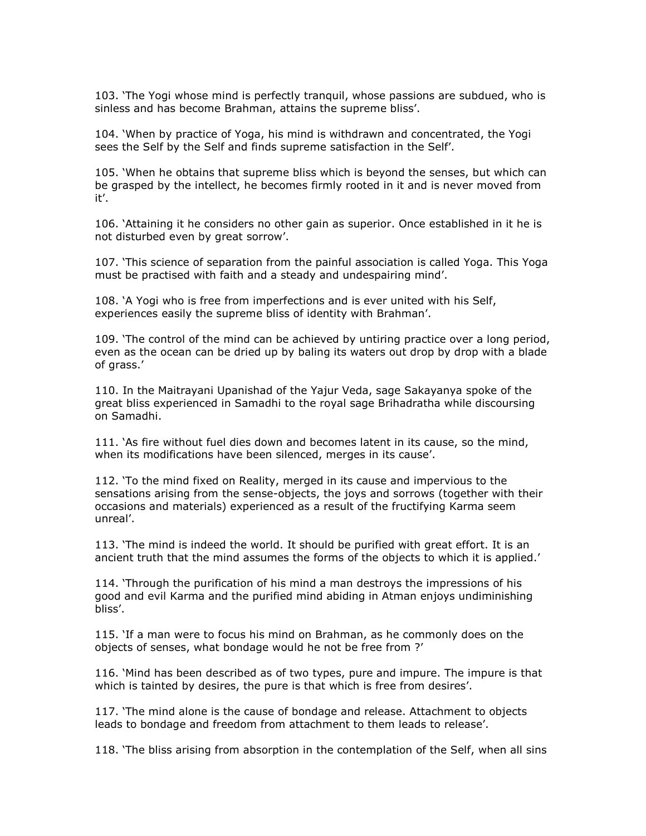103. 'The Yogi whose mind is perfectly tranquil, whose passions are subdued, who is sinless and has become Brahman, attains the supreme bliss'.

104. 'When by practice of Yoga, his mind is withdrawn and concentrated, the Yogi sees the Self by the Self and finds supreme satisfaction in the Self'.

105. 'When he obtains that supreme bliss which is beyond the senses, but which can be grasped by the intellect, he becomes firmly rooted in it and is never moved from it'.

106. 'Attaining it he considers no other gain as superior. Once established in it he is not disturbed even by great sorrow'.

107. 'This science of separation from the painful association is called Yoga. This Yoga must be practised with faith and a steady and undespairing mind'.

108. 'A Yogi who is free from imperfections and is ever united with his Self, experiences easily the supreme bliss of identity with Brahman'.

109. 'The control of the mind can be achieved by untiring practice over a long period, even as the ocean can be dried up by baling its waters out drop by drop with a blade of grass.'

110. In the Maitrayani Upanishad of the Yajur Veda, sage Sakayanya spoke of the great bliss experienced in Samadhi to the royal sage Brihadratha while discoursing on Samadhi.

111. 'As fire without fuel dies down and becomes latent in its cause, so the mind, when its modifications have been silenced, merges in its cause'.

112. 'To the mind fixed on Reality, merged in its cause and impervious to the sensations arising from the sense-objects, the joys and sorrows (together with their occasions and materials) experienced as a result of the fructifying Karma seem unreal'.

113. 'The mind is indeed the world. It should be purified with great effort. It is an ancient truth that the mind assumes the forms of the objects to which it is applied.'

114. 'Through the purification of his mind a man destroys the impressions of his good and evil Karma and the purified mind abiding in Atman enjoys undiminishing bliss'.

115. 'If a man were to focus his mind on Brahman, as he commonly does on the objects of senses, what bondage would he not be free from ?'

116. 'Mind has been described as of two types, pure and impure. The impure is that which is tainted by desires, the pure is that which is free from desires'.

117. 'The mind alone is the cause of bondage and release. Attachment to objects leads to bondage and freedom from attachment to them leads to release'.

118. 'The bliss arising from absorption in the contemplation of the Self, when all sins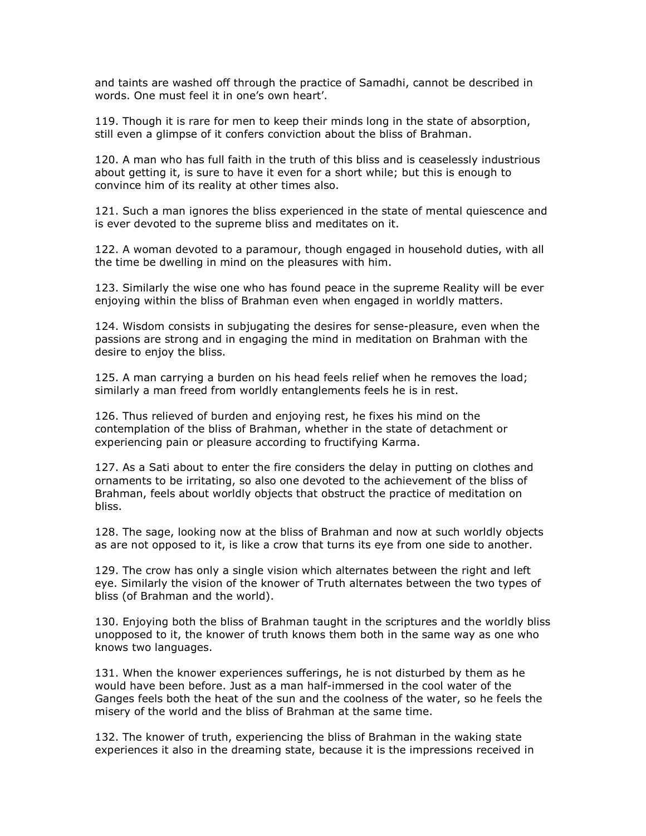and taints are washed off through the practice of Samadhi, cannot be described in words. One must feel it in one's own heart'.

119. Though it is rare for men to keep their minds long in the state of absorption, still even a glimpse of it confers conviction about the bliss of Brahman.

120. A man who has full faith in the truth of this bliss and is ceaselessly industrious about getting it, is sure to have it even for a short while; but this is enough to convince him of its reality at other times also.

121. Such a man ignores the bliss experienced in the state of mental quiescence and is ever devoted to the supreme bliss and meditates on it.

122. A woman devoted to a paramour, though engaged in household duties, with all the time be dwelling in mind on the pleasures with him.

123. Similarly the wise one who has found peace in the supreme Reality will be ever enjoying within the bliss of Brahman even when engaged in worldly matters.

124. Wisdom consists in subjugating the desires for sense-pleasure, even when the passions are strong and in engaging the mind in meditation on Brahman with the desire to enjoy the bliss.

125. A man carrying a burden on his head feels relief when he removes the load; similarly a man freed from worldly entanglements feels he is in rest.

126. Thus relieved of burden and enjoying rest, he fixes his mind on the contemplation of the bliss of Brahman, whether in the state of detachment or experiencing pain or pleasure according to fructifying Karma.

127. As a Sati about to enter the fire considers the delay in putting on clothes and ornaments to be irritating, so also one devoted to the achievement of the bliss of Brahman, feels about worldly objects that obstruct the practice of meditation on bliss.

128. The sage, looking now at the bliss of Brahman and now at such worldly objects as are not opposed to it, is like a crow that turns its eye from one side to another.

129. The crow has only a single vision which alternates between the right and left eye. Similarly the vision of the knower of Truth alternates between the two types of bliss (of Brahman and the world).

130. Enjoying both the bliss of Brahman taught in the scriptures and the worldly bliss unopposed to it, the knower of truth knows them both in the same way as one who knows two languages.

131. When the knower experiences sufferings, he is not disturbed by them as he would have been before. Just as a man half-immersed in the cool water of the Ganges feels both the heat of the sun and the coolness of the water, so he feels the misery of the world and the bliss of Brahman at the same time.

132. The knower of truth, experiencing the bliss of Brahman in the waking state experiences it also in the dreaming state, because it is the impressions received in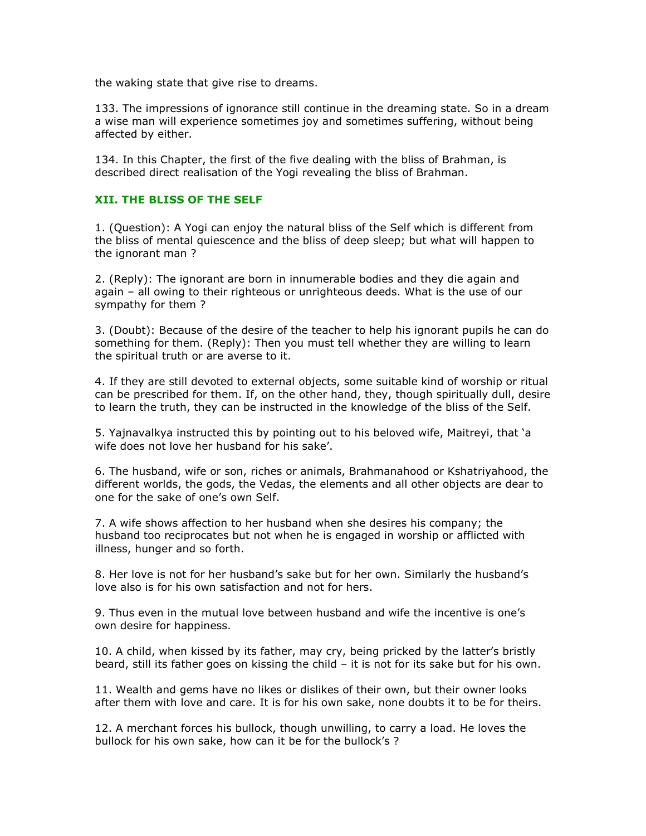the waking state that give rise to dreams.

133. The impressions of ignorance still continue in the dreaming state. So in a dream a wise man will experience sometimes joy and sometimes suffering, without being affected by either.

134. In this Chapter, the first of the five dealing with the bliss of Brahman, is described direct realisation of the Yogi revealing the bliss of Brahman.

## XII. THE BLISS OF THE SELF

1. (Question): A Yogi can enjoy the natural bliss of the Self which is different from the bliss of mental quiescence and the bliss of deep sleep; but what will happen to the ignorant man ?

2. (Reply): The ignorant are born in innumerable bodies and they die again and again – all owing to their righteous or unrighteous deeds. What is the use of our sympathy for them ?

3. (Doubt): Because of the desire of the teacher to help his ignorant pupils he can do something for them. (Reply): Then you must tell whether they are willing to learn the spiritual truth or are averse to it.

4. If they are still devoted to external objects, some suitable kind of worship or ritual can be prescribed for them. If, on the other hand, they, though spiritually dull, desire to learn the truth, they can be instructed in the knowledge of the bliss of the Self.

5. Yajnavalkya instructed this by pointing out to his beloved wife, Maitreyi, that 'a wife does not love her husband for his sake'.

6. The husband, wife or son, riches or animals, Brahmanahood or Kshatriyahood, the different worlds, the gods, the Vedas, the elements and all other objects are dear to one for the sake of one's own Self.

7. A wife shows affection to her husband when she desires his company; the husband too reciprocates but not when he is engaged in worship or afflicted with illness, hunger and so forth.

8. Her love is not for her husband's sake but for her own. Similarly the husband's love also is for his own satisfaction and not for hers.

9. Thus even in the mutual love between husband and wife the incentive is one's own desire for happiness.

10. A child, when kissed by its father, may cry, being pricked by the latter's bristly beard, still its father goes on kissing the child – it is not for its sake but for his own.

11. Wealth and gems have no likes or dislikes of their own, but their owner looks after them with love and care. It is for his own sake, none doubts it to be for theirs.

12. A merchant forces his bullock, though unwilling, to carry a load. He loves the bullock for his own sake, how can it be for the bullock's ?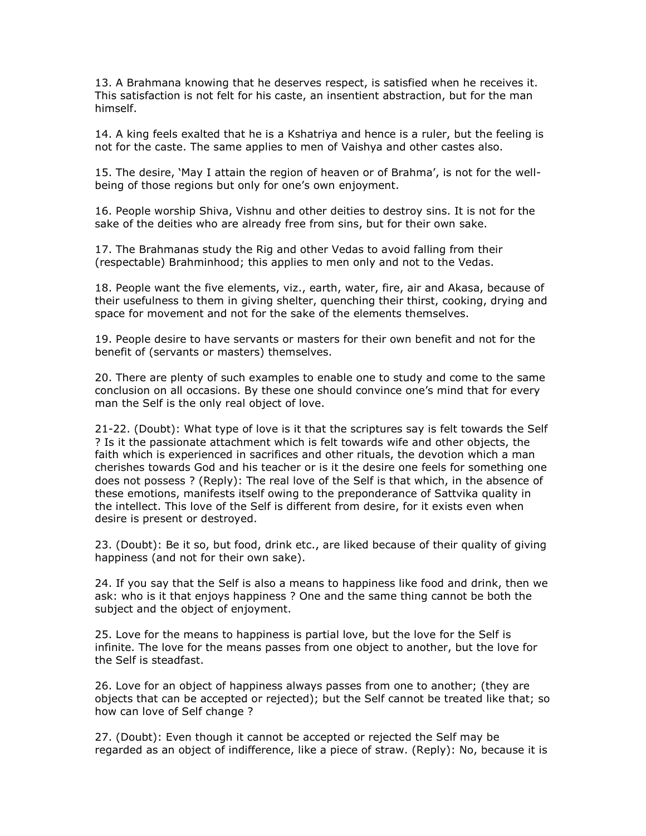13. A Brahmana knowing that he deserves respect, is satisfied when he receives it. This satisfaction is not felt for his caste, an insentient abstraction, but for the man himself.

14. A king feels exalted that he is a Kshatriya and hence is a ruler, but the feeling is not for the caste. The same applies to men of Vaishya and other castes also.

15. The desire, 'May I attain the region of heaven or of Brahma', is not for the wellbeing of those regions but only for one's own enjoyment.

16. People worship Shiva, Vishnu and other deities to destroy sins. It is not for the sake of the deities who are already free from sins, but for their own sake.

17. The Brahmanas study the Rig and other Vedas to avoid falling from their (respectable) Brahminhood; this applies to men only and not to the Vedas.

18. People want the five elements, viz., earth, water, fire, air and Akasa, because of their usefulness to them in giving shelter, quenching their thirst, cooking, drying and space for movement and not for the sake of the elements themselves.

19. People desire to have servants or masters for their own benefit and not for the benefit of (servants or masters) themselves.

20. There are plenty of such examples to enable one to study and come to the same conclusion on all occasions. By these one should convince one's mind that for every man the Self is the only real object of love.

21-22. (Doubt): What type of love is it that the scriptures say is felt towards the Self ? Is it the passionate attachment which is felt towards wife and other objects, the faith which is experienced in sacrifices and other rituals, the devotion which a man cherishes towards God and his teacher or is it the desire one feels for something one does not possess ? (Reply): The real love of the Self is that which, in the absence of these emotions, manifests itself owing to the preponderance of Sattvika quality in the intellect. This love of the Self is different from desire, for it exists even when desire is present or destroyed.

23. (Doubt): Be it so, but food, drink etc., are liked because of their quality of giving happiness (and not for their own sake).

24. If you say that the Self is also a means to happiness like food and drink, then we ask: who is it that enjoys happiness ? One and the same thing cannot be both the subject and the object of enjoyment.

25. Love for the means to happiness is partial love, but the love for the Self is infinite. The love for the means passes from one object to another, but the love for the Self is steadfast.

26. Love for an object of happiness always passes from one to another; (they are objects that can be accepted or rejected); but the Self cannot be treated like that; so how can love of Self change ?

27. (Doubt): Even though it cannot be accepted or rejected the Self may be regarded as an object of indifference, like a piece of straw. (Reply): No, because it is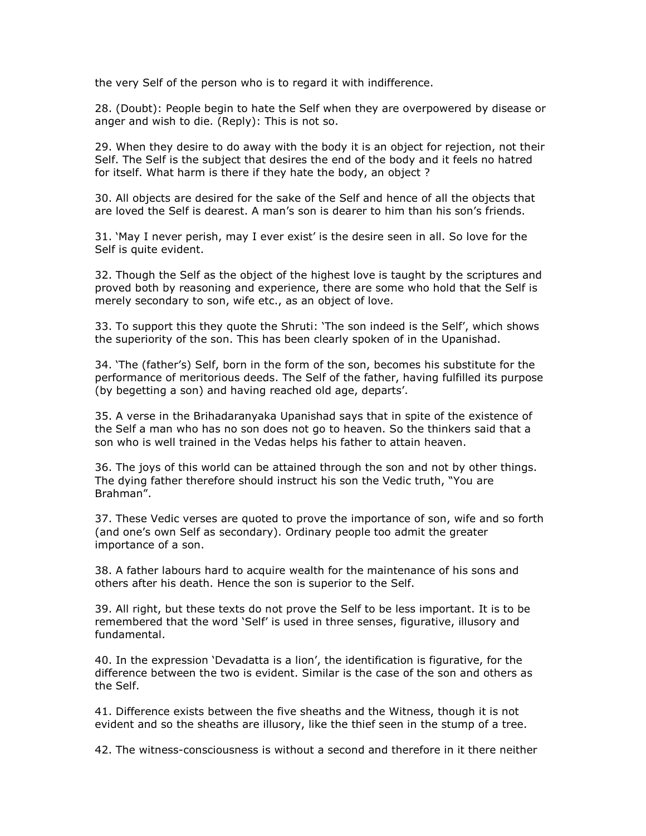the very Self of the person who is to regard it with indifference.

28. (Doubt): People begin to hate the Self when they are overpowered by disease or anger and wish to die. (Reply): This is not so.

29. When they desire to do away with the body it is an object for rejection, not their Self. The Self is the subject that desires the end of the body and it feels no hatred for itself. What harm is there if they hate the body, an object ?

30. All objects are desired for the sake of the Self and hence of all the objects that are loved the Self is dearest. A man's son is dearer to him than his son's friends.

31. 'May I never perish, may I ever exist' is the desire seen in all. So love for the Self is quite evident.

32. Though the Self as the object of the highest love is taught by the scriptures and proved both by reasoning and experience, there are some who hold that the Self is merely secondary to son, wife etc., as an object of love.

33. To support this they quote the Shruti: 'The son indeed is the Self', which shows the superiority of the son. This has been clearly spoken of in the Upanishad.

34. 'The (father's) Self, born in the form of the son, becomes his substitute for the performance of meritorious deeds. The Self of the father, having fulfilled its purpose (by begetting a son) and having reached old age, departs'.

35. A verse in the Brihadaranyaka Upanishad says that in spite of the existence of the Self a man who has no son does not go to heaven. So the thinkers said that a son who is well trained in the Vedas helps his father to attain heaven.

36. The joys of this world can be attained through the son and not by other things. The dying father therefore should instruct his son the Vedic truth, "You are Brahman".

37. These Vedic verses are quoted to prove the importance of son, wife and so forth (and one's own Self as secondary). Ordinary people too admit the greater importance of a son.

38. A father labours hard to acquire wealth for the maintenance of his sons and others after his death. Hence the son is superior to the Self.

39. All right, but these texts do not prove the Self to be less important. It is to be remembered that the word 'Self' is used in three senses, figurative, illusory and fundamental.

40. In the expression 'Devadatta is a lion', the identification is figurative, for the difference between the two is evident. Similar is the case of the son and others as the Self.

41. Difference exists between the five sheaths and the Witness, though it is not evident and so the sheaths are illusory, like the thief seen in the stump of a tree.

42. The witness-consciousness is without a second and therefore in it there neither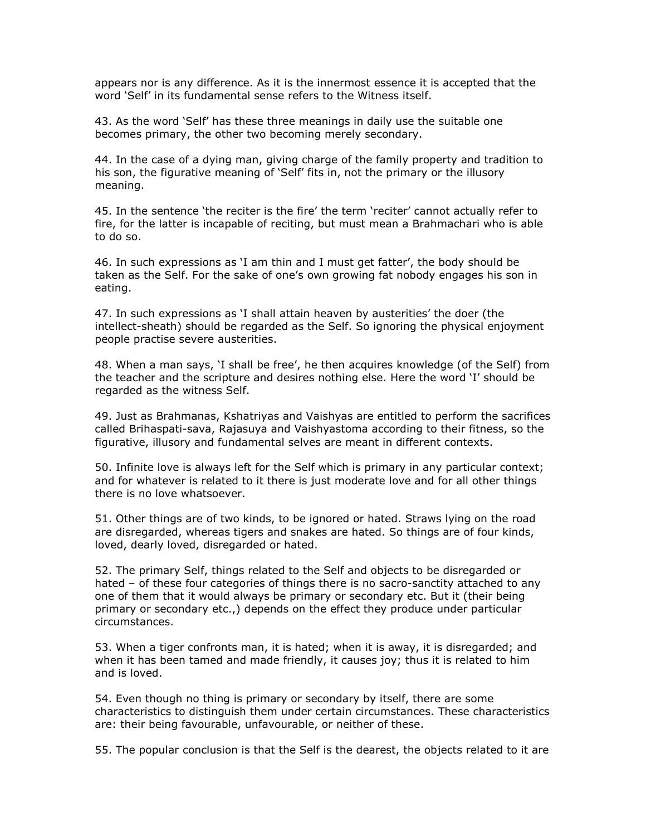appears nor is any difference. As it is the innermost essence it is accepted that the word 'Self' in its fundamental sense refers to the Witness itself.

43. As the word 'Self' has these three meanings in daily use the suitable one becomes primary, the other two becoming merely secondary.

44. In the case of a dying man, giving charge of the family property and tradition to his son, the figurative meaning of 'Self' fits in, not the primary or the illusory meaning.

45. In the sentence 'the reciter is the fire' the term 'reciter' cannot actually refer to fire, for the latter is incapable of reciting, but must mean a Brahmachari who is able to do so.

46. In such expressions as 'I am thin and I must get fatter', the body should be taken as the Self. For the sake of one's own growing fat nobody engages his son in eating.

47. In such expressions as 'I shall attain heaven by austerities' the doer (the intellect-sheath) should be regarded as the Self. So ignoring the physical enjoyment people practise severe austerities.

48. When a man says, 'I shall be free', he then acquires knowledge (of the Self) from the teacher and the scripture and desires nothing else. Here the word 'I' should be regarded as the witness Self.

49. Just as Brahmanas, Kshatriyas and Vaishyas are entitled to perform the sacrifices called Brihaspati-sava, Rajasuya and Vaishyastoma according to their fitness, so the figurative, illusory and fundamental selves are meant in different contexts.

50. Infinite love is always left for the Self which is primary in any particular context; and for whatever is related to it there is just moderate love and for all other things there is no love whatsoever.

51. Other things are of two kinds, to be ignored or hated. Straws lying on the road are disregarded, whereas tigers and snakes are hated. So things are of four kinds, loved, dearly loved, disregarded or hated.

52. The primary Self, things related to the Self and objects to be disregarded or hated – of these four categories of things there is no sacro-sanctity attached to any one of them that it would always be primary or secondary etc. But it (their being primary or secondary etc.,) depends on the effect they produce under particular circumstances.

53. When a tiger confronts man, it is hated; when it is away, it is disregarded; and when it has been tamed and made friendly, it causes joy; thus it is related to him and is loved.

54. Even though no thing is primary or secondary by itself, there are some characteristics to distinguish them under certain circumstances. These characteristics are: their being favourable, unfavourable, or neither of these.

55. The popular conclusion is that the Self is the dearest, the objects related to it are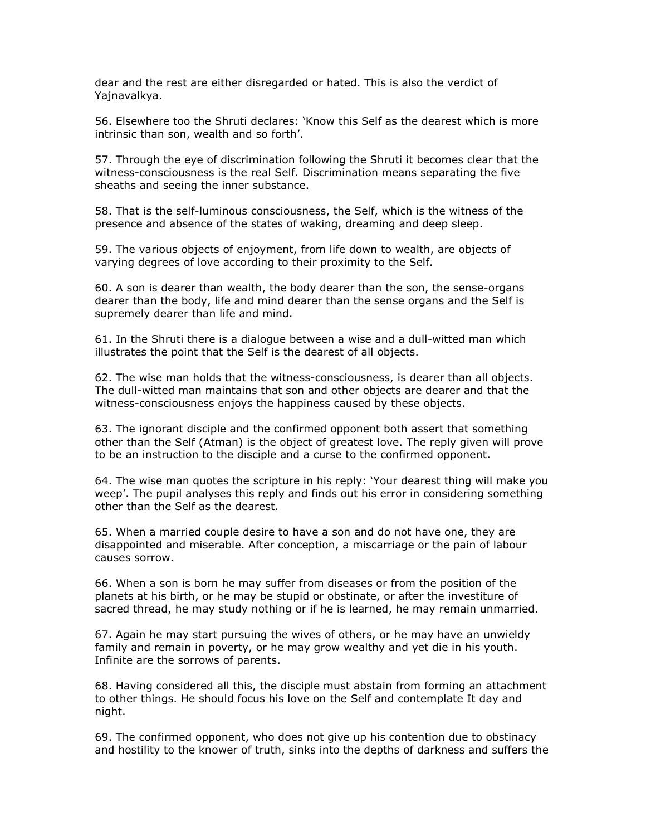dear and the rest are either disregarded or hated. This is also the verdict of Yajnavalkya.

56. Elsewhere too the Shruti declares: 'Know this Self as the dearest which is more intrinsic than son, wealth and so forth'.

57. Through the eye of discrimination following the Shruti it becomes clear that the witness-consciousness is the real Self. Discrimination means separating the five sheaths and seeing the inner substance.

58. That is the self-luminous consciousness, the Self, which is the witness of the presence and absence of the states of waking, dreaming and deep sleep.

59. The various objects of enjoyment, from life down to wealth, are objects of varying degrees of love according to their proximity to the Self.

60. A son is dearer than wealth, the body dearer than the son, the sense-organs dearer than the body, life and mind dearer than the sense organs and the Self is supremely dearer than life and mind.

61. In the Shruti there is a dialogue between a wise and a dull-witted man which illustrates the point that the Self is the dearest of all objects.

62. The wise man holds that the witness-consciousness, is dearer than all objects. The dull-witted man maintains that son and other objects are dearer and that the witness-consciousness enjoys the happiness caused by these objects.

63. The ignorant disciple and the confirmed opponent both assert that something other than the Self (Atman) is the object of greatest love. The reply given will prove to be an instruction to the disciple and a curse to the confirmed opponent.

64. The wise man quotes the scripture in his reply: 'Your dearest thing will make you weep'. The pupil analyses this reply and finds out his error in considering something other than the Self as the dearest.

65. When a married couple desire to have a son and do not have one, they are disappointed and miserable. After conception, a miscarriage or the pain of labour causes sorrow.

66. When a son is born he may suffer from diseases or from the position of the planets at his birth, or he may be stupid or obstinate, or after the investiture of sacred thread, he may study nothing or if he is learned, he may remain unmarried.

67. Again he may start pursuing the wives of others, or he may have an unwieldy family and remain in poverty, or he may grow wealthy and yet die in his youth. Infinite are the sorrows of parents.

68. Having considered all this, the disciple must abstain from forming an attachment to other things. He should focus his love on the Self and contemplate It day and night.

69. The confirmed opponent, who does not give up his contention due to obstinacy and hostility to the knower of truth, sinks into the depths of darkness and suffers the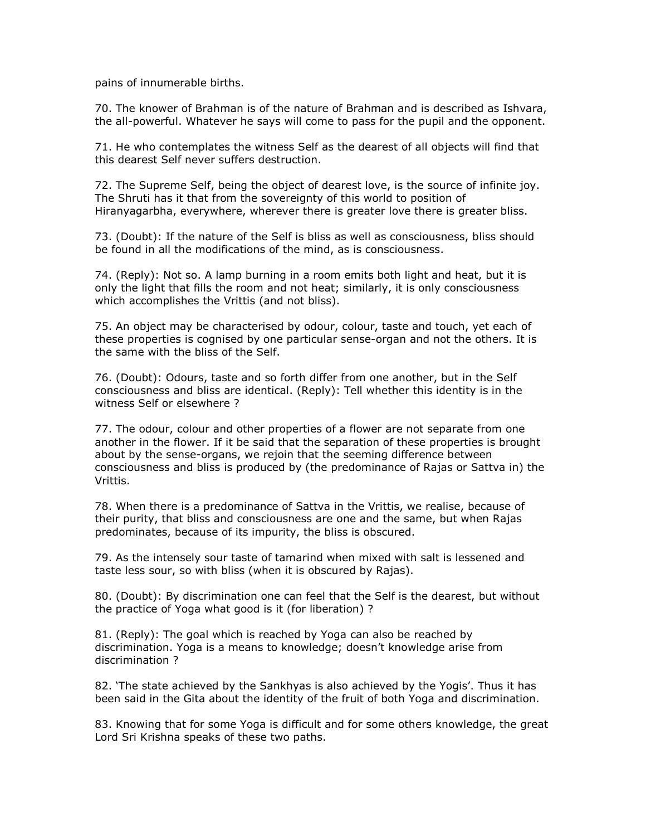pains of innumerable births.

70. The knower of Brahman is of the nature of Brahman and is described as Ishvara, the all-powerful. Whatever he says will come to pass for the pupil and the opponent.

71. He who contemplates the witness Self as the dearest of all objects will find that this dearest Self never suffers destruction.

72. The Supreme Self, being the object of dearest love, is the source of infinite joy. The Shruti has it that from the sovereignty of this world to position of Hiranyagarbha, everywhere, wherever there is greater love there is greater bliss.

73. (Doubt): If the nature of the Self is bliss as well as consciousness, bliss should be found in all the modifications of the mind, as is consciousness.

74. (Reply): Not so. A lamp burning in a room emits both light and heat, but it is only the light that fills the room and not heat; similarly, it is only consciousness which accomplishes the Vrittis (and not bliss).

75. An object may be characterised by odour, colour, taste and touch, yet each of these properties is cognised by one particular sense-organ and not the others. It is the same with the bliss of the Self.

76. (Doubt): Odours, taste and so forth differ from one another, but in the Self consciousness and bliss are identical. (Reply): Tell whether this identity is in the witness Self or elsewhere ?

77. The odour, colour and other properties of a flower are not separate from one another in the flower. If it be said that the separation of these properties is brought about by the sense-organs, we rejoin that the seeming difference between consciousness and bliss is produced by (the predominance of Rajas or Sattva in) the Vrittis.

78. When there is a predominance of Sattva in the Vrittis, we realise, because of their purity, that bliss and consciousness are one and the same, but when Rajas predominates, because of its impurity, the bliss is obscured.

79. As the intensely sour taste of tamarind when mixed with salt is lessened and taste less sour, so with bliss (when it is obscured by Rajas).

80. (Doubt): By discrimination one can feel that the Self is the dearest, but without the practice of Yoga what good is it (for liberation) ?

81. (Reply): The goal which is reached by Yoga can also be reached by discrimination. Yoga is a means to knowledge; doesn't knowledge arise from discrimination ?

82. 'The state achieved by the Sankhyas is also achieved by the Yogis'. Thus it has been said in the Gita about the identity of the fruit of both Yoga and discrimination.

83. Knowing that for some Yoga is difficult and for some others knowledge, the great Lord Sri Krishna speaks of these two paths.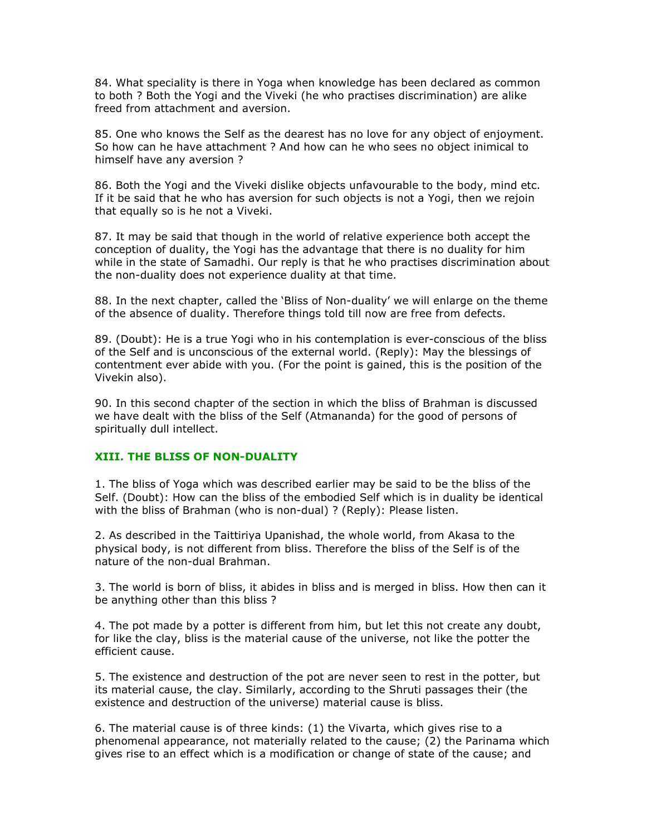84. What speciality is there in Yoga when knowledge has been declared as common to both ? Both the Yogi and the Viveki (he who practises discrimination) are alike freed from attachment and aversion.

85. One who knows the Self as the dearest has no love for any object of enjoyment. So how can he have attachment ? And how can he who sees no object inimical to himself have any aversion ?

86. Both the Yogi and the Viveki dislike objects unfavourable to the body, mind etc. If it be said that he who has aversion for such objects is not a Yogi, then we rejoin that equally so is he not a Viveki.

87. It may be said that though in the world of relative experience both accept the conception of duality, the Yogi has the advantage that there is no duality for him while in the state of Samadhi. Our reply is that he who practises discrimination about the non-duality does not experience duality at that time.

88. In the next chapter, called the 'Bliss of Non-duality' we will enlarge on the theme of the absence of duality. Therefore things told till now are free from defects.

89. (Doubt): He is a true Yogi who in his contemplation is ever-conscious of the bliss of the Self and is unconscious of the external world. (Reply): May the blessings of contentment ever abide with you. (For the point is gained, this is the position of the Vivekin also).

90. In this second chapter of the section in which the bliss of Brahman is discussed we have dealt with the bliss of the Self (Atmananda) for the good of persons of spiritually dull intellect.

# XIII. THE BLISS OF NON-DUALITY

1. The bliss of Yoga which was described earlier may be said to be the bliss of the Self. (Doubt): How can the bliss of the embodied Self which is in duality be identical with the bliss of Brahman (who is non-dual) ? (Reply): Please listen.

2. As described in the Taittiriya Upanishad, the whole world, from Akasa to the physical body, is not different from bliss. Therefore the bliss of the Self is of the nature of the non-dual Brahman.

3. The world is born of bliss, it abides in bliss and is merged in bliss. How then can it be anything other than this bliss ?

4. The pot made by a potter is different from him, but let this not create any doubt, for like the clay, bliss is the material cause of the universe, not like the potter the efficient cause.

5. The existence and destruction of the pot are never seen to rest in the potter, but its material cause, the clay. Similarly, according to the Shruti passages their (the existence and destruction of the universe) material cause is bliss.

6. The material cause is of three kinds: (1) the Vivarta, which gives rise to a phenomenal appearance, not materially related to the cause; (2) the Parinama which gives rise to an effect which is a modification or change of state of the cause; and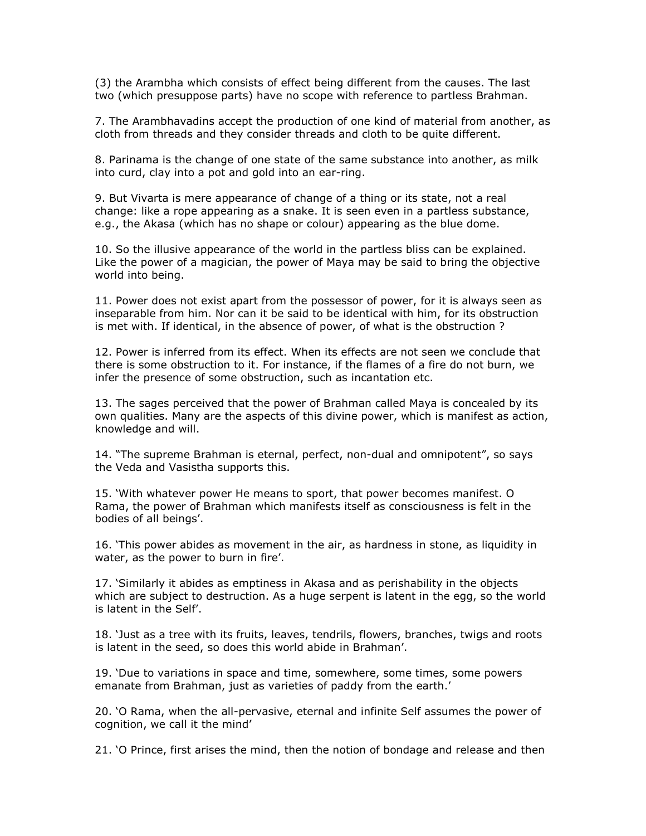(3) the Arambha which consists of effect being different from the causes. The last two (which presuppose parts) have no scope with reference to partless Brahman.

7. The Arambhavadins accept the production of one kind of material from another, as cloth from threads and they consider threads and cloth to be quite different.

8. Parinama is the change of one state of the same substance into another, as milk into curd, clay into a pot and gold into an ear-ring.

9. But Vivarta is mere appearance of change of a thing or its state, not a real change: like a rope appearing as a snake. It is seen even in a partless substance, e.g., the Akasa (which has no shape or colour) appearing as the blue dome.

10. So the illusive appearance of the world in the partless bliss can be explained. Like the power of a magician, the power of Maya may be said to bring the objective world into being.

11. Power does not exist apart from the possessor of power, for it is always seen as inseparable from him. Nor can it be said to be identical with him, for its obstruction is met with. If identical, in the absence of power, of what is the obstruction ?

12. Power is inferred from its effect. When its effects are not seen we conclude that there is some obstruction to it. For instance, if the flames of a fire do not burn, we infer the presence of some obstruction, such as incantation etc.

13. The sages perceived that the power of Brahman called Maya is concealed by its own qualities. Many are the aspects of this divine power, which is manifest as action, knowledge and will.

14. "The supreme Brahman is eternal, perfect, non-dual and omnipotent", so says the Veda and Vasistha supports this.

15. 'With whatever power He means to sport, that power becomes manifest. O Rama, the power of Brahman which manifests itself as consciousness is felt in the bodies of all beings'.

16. 'This power abides as movement in the air, as hardness in stone, as liquidity in water, as the power to burn in fire'.

17. 'Similarly it abides as emptiness in Akasa and as perishability in the objects which are subject to destruction. As a huge serpent is latent in the egg, so the world is latent in the Self'.

18. 'Just as a tree with its fruits, leaves, tendrils, flowers, branches, twigs and roots is latent in the seed, so does this world abide in Brahman'.

19. 'Due to variations in space and time, somewhere, some times, some powers emanate from Brahman, just as varieties of paddy from the earth.'

20. 'O Rama, when the all-pervasive, eternal and infinite Self assumes the power of cognition, we call it the mind'

21. 'O Prince, first arises the mind, then the notion of bondage and release and then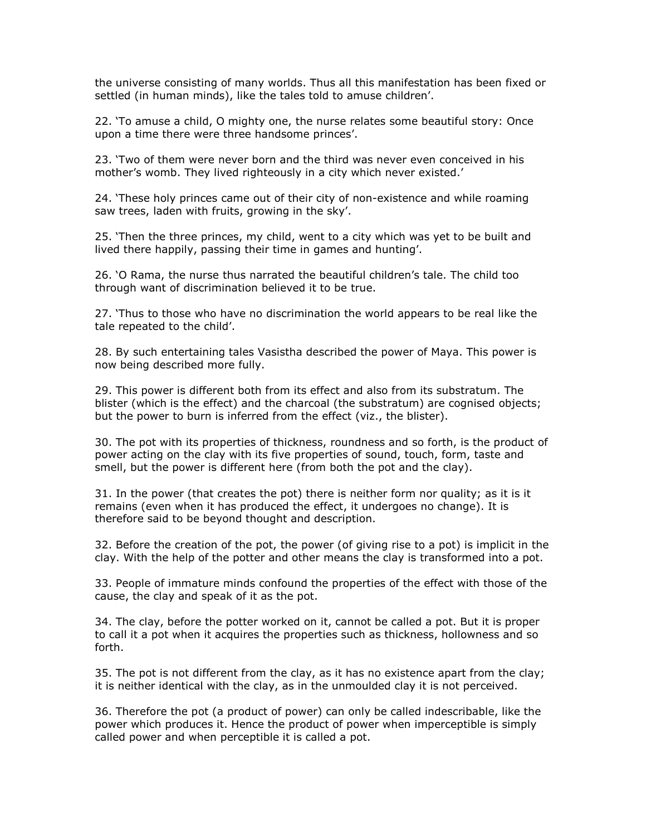the universe consisting of many worlds. Thus all this manifestation has been fixed or settled (in human minds), like the tales told to amuse children'.

22. 'To amuse a child, O mighty one, the nurse relates some beautiful story: Once upon a time there were three handsome princes'.

23. 'Two of them were never born and the third was never even conceived in his mother's womb. They lived righteously in a city which never existed.'

24. 'These holy princes came out of their city of non-existence and while roaming saw trees, laden with fruits, growing in the sky'.

25. 'Then the three princes, my child, went to a city which was yet to be built and lived there happily, passing their time in games and hunting'.

26. 'O Rama, the nurse thus narrated the beautiful children's tale. The child too through want of discrimination believed it to be true.

27. 'Thus to those who have no discrimination the world appears to be real like the tale repeated to the child'.

28. By such entertaining tales Vasistha described the power of Maya. This power is now being described more fully.

29. This power is different both from its effect and also from its substratum. The blister (which is the effect) and the charcoal (the substratum) are cognised objects; but the power to burn is inferred from the effect (viz., the blister).

30. The pot with its properties of thickness, roundness and so forth, is the product of power acting on the clay with its five properties of sound, touch, form, taste and smell, but the power is different here (from both the pot and the clay).

31. In the power (that creates the pot) there is neither form nor quality; as it is it remains (even when it has produced the effect, it undergoes no change). It is therefore said to be beyond thought and description.

32. Before the creation of the pot, the power (of giving rise to a pot) is implicit in the clay. With the help of the potter and other means the clay is transformed into a pot.

33. People of immature minds confound the properties of the effect with those of the cause, the clay and speak of it as the pot.

34. The clay, before the potter worked on it, cannot be called a pot. But it is proper to call it a pot when it acquires the properties such as thickness, hollowness and so forth.

35. The pot is not different from the clay, as it has no existence apart from the clay; it is neither identical with the clay, as in the unmoulded clay it is not perceived.

36. Therefore the pot (a product of power) can only be called indescribable, like the power which produces it. Hence the product of power when imperceptible is simply called power and when perceptible it is called a pot.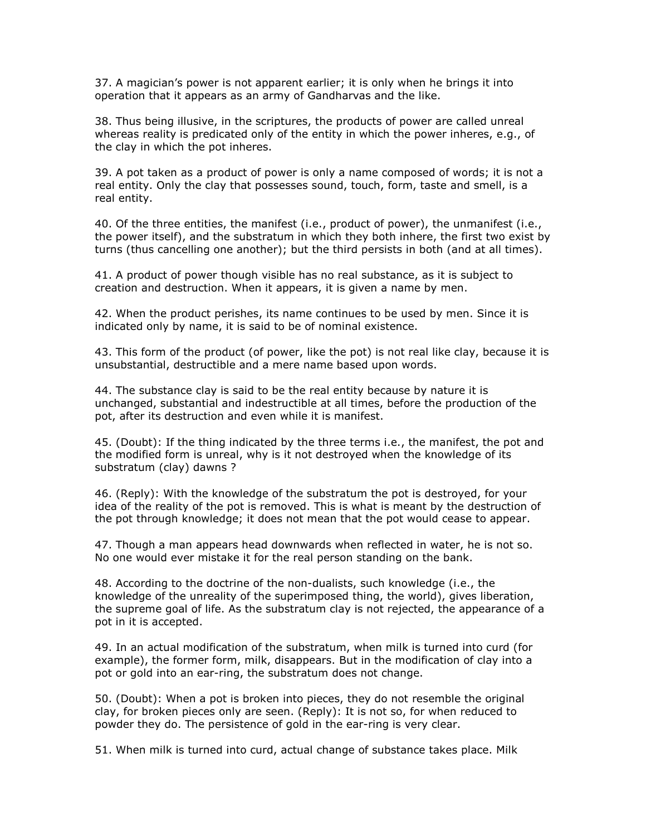37. A magician's power is not apparent earlier; it is only when he brings it into operation that it appears as an army of Gandharvas and the like.

38. Thus being illusive, in the scriptures, the products of power are called unreal whereas reality is predicated only of the entity in which the power inheres, e.g., of the clay in which the pot inheres.

39. A pot taken as a product of power is only a name composed of words; it is not a real entity. Only the clay that possesses sound, touch, form, taste and smell, is a real entity.

40. Of the three entities, the manifest (i.e., product of power), the unmanifest (i.e., the power itself), and the substratum in which they both inhere, the first two exist by turns (thus cancelling one another); but the third persists in both (and at all times).

41. A product of power though visible has no real substance, as it is subject to creation and destruction. When it appears, it is given a name by men.

42. When the product perishes, its name continues to be used by men. Since it is indicated only by name, it is said to be of nominal existence.

43. This form of the product (of power, like the pot) is not real like clay, because it is unsubstantial, destructible and a mere name based upon words.

44. The substance clay is said to be the real entity because by nature it is unchanged, substantial and indestructible at all times, before the production of the pot, after its destruction and even while it is manifest.

45. (Doubt): If the thing indicated by the three terms i.e., the manifest, the pot and the modified form is unreal, why is it not destroyed when the knowledge of its substratum (clay) dawns ?

46. (Reply): With the knowledge of the substratum the pot is destroyed, for your idea of the reality of the pot is removed. This is what is meant by the destruction of the pot through knowledge; it does not mean that the pot would cease to appear.

47. Though a man appears head downwards when reflected in water, he is not so. No one would ever mistake it for the real person standing on the bank.

48. According to the doctrine of the non-dualists, such knowledge (i.e., the knowledge of the unreality of the superimposed thing, the world), gives liberation, the supreme goal of life. As the substratum clay is not rejected, the appearance of a pot in it is accepted.

49. In an actual modification of the substratum, when milk is turned into curd (for example), the former form, milk, disappears. But in the modification of clay into a pot or gold into an ear-ring, the substratum does not change.

50. (Doubt): When a pot is broken into pieces, they do not resemble the original clay, for broken pieces only are seen. (Reply): It is not so, for when reduced to powder they do. The persistence of gold in the ear-ring is very clear.

51. When milk is turned into curd, actual change of substance takes place. Milk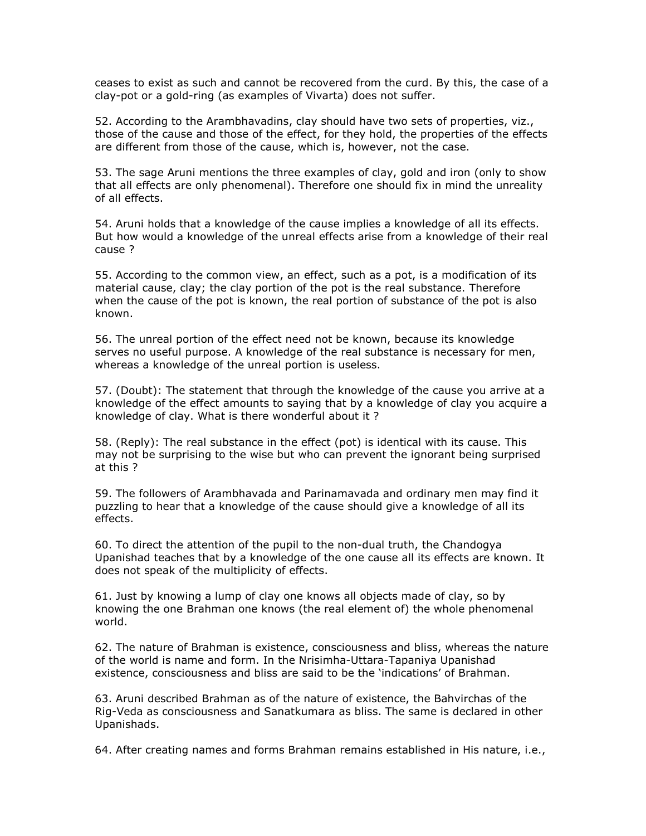ceases to exist as such and cannot be recovered from the curd. By this, the case of a clay-pot or a gold-ring (as examples of Vivarta) does not suffer.

52. According to the Arambhavadins, clay should have two sets of properties, viz., those of the cause and those of the effect, for they hold, the properties of the effects are different from those of the cause, which is, however, not the case.

53. The sage Aruni mentions the three examples of clay, gold and iron (only to show that all effects are only phenomenal). Therefore one should fix in mind the unreality of all effects.

54. Aruni holds that a knowledge of the cause implies a knowledge of all its effects. But how would a knowledge of the unreal effects arise from a knowledge of their real cause ?

55. According to the common view, an effect, such as a pot, is a modification of its material cause, clay; the clay portion of the pot is the real substance. Therefore when the cause of the pot is known, the real portion of substance of the pot is also known.

56. The unreal portion of the effect need not be known, because its knowledge serves no useful purpose. A knowledge of the real substance is necessary for men, whereas a knowledge of the unreal portion is useless.

57. (Doubt): The statement that through the knowledge of the cause you arrive at a knowledge of the effect amounts to saying that by a knowledge of clay you acquire a knowledge of clay. What is there wonderful about it ?

58. (Reply): The real substance in the effect (pot) is identical with its cause. This may not be surprising to the wise but who can prevent the ignorant being surprised at this ?

59. The followers of Arambhavada and Parinamavada and ordinary men may find it puzzling to hear that a knowledge of the cause should give a knowledge of all its effects.

60. To direct the attention of the pupil to the non-dual truth, the Chandogya Upanishad teaches that by a knowledge of the one cause all its effects are known. It does not speak of the multiplicity of effects.

61. Just by knowing a lump of clay one knows all objects made of clay, so by knowing the one Brahman one knows (the real element of) the whole phenomenal world.

62. The nature of Brahman is existence, consciousness and bliss, whereas the nature of the world is name and form. In the Nrisimha-Uttara-Tapaniya Upanishad existence, consciousness and bliss are said to be the 'indications' of Brahman.

63. Aruni described Brahman as of the nature of existence, the Bahvirchas of the Rig-Veda as consciousness and Sanatkumara as bliss. The same is declared in other Upanishads.

64. After creating names and forms Brahman remains established in His nature, i.e.,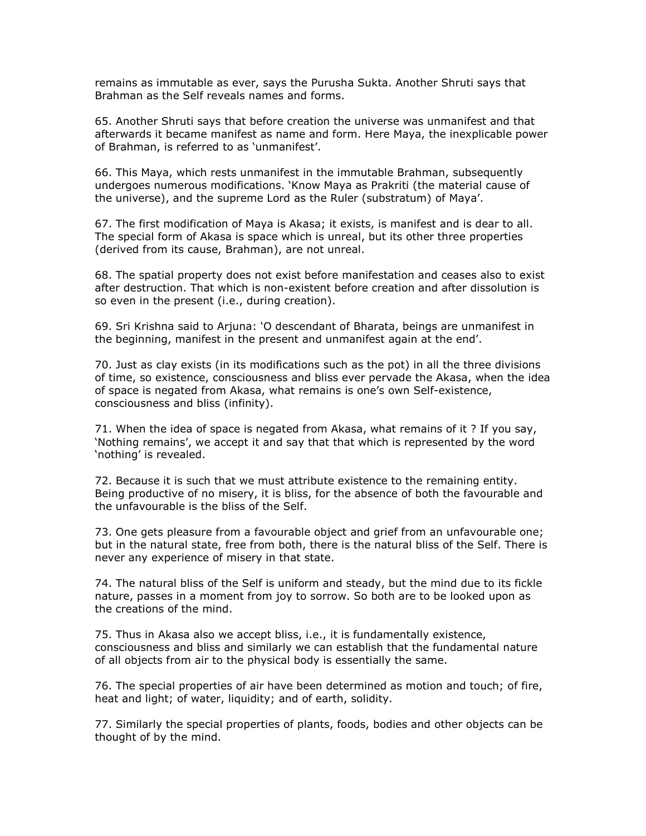remains as immutable as ever, says the Purusha Sukta. Another Shruti says that Brahman as the Self reveals names and forms.

65. Another Shruti says that before creation the universe was unmanifest and that afterwards it became manifest as name and form. Here Maya, the inexplicable power of Brahman, is referred to as 'unmanifest'.

66. This Maya, which rests unmanifest in the immutable Brahman, subsequently undergoes numerous modifications. 'Know Maya as Prakriti (the material cause of the universe), and the supreme Lord as the Ruler (substratum) of Maya'.

67. The first modification of Maya is Akasa; it exists, is manifest and is dear to all. The special form of Akasa is space which is unreal, but its other three properties (derived from its cause, Brahman), are not unreal.

68. The spatial property does not exist before manifestation and ceases also to exist after destruction. That which is non-existent before creation and after dissolution is so even in the present (i.e., during creation).

69. Sri Krishna said to Arjuna: 'O descendant of Bharata, beings are unmanifest in the beginning, manifest in the present and unmanifest again at the end'.

70. Just as clay exists (in its modifications such as the pot) in all the three divisions of time, so existence, consciousness and bliss ever pervade the Akasa, when the idea of space is negated from Akasa, what remains is one's own Self-existence, consciousness and bliss (infinity).

71. When the idea of space is negated from Akasa, what remains of it ? If you say, 'Nothing remains', we accept it and say that that which is represented by the word 'nothing' is revealed.

72. Because it is such that we must attribute existence to the remaining entity. Being productive of no misery, it is bliss, for the absence of both the favourable and the unfavourable is the bliss of the Self.

73. One gets pleasure from a favourable object and grief from an unfavourable one; but in the natural state, free from both, there is the natural bliss of the Self. There is never any experience of misery in that state.

74. The natural bliss of the Self is uniform and steady, but the mind due to its fickle nature, passes in a moment from joy to sorrow. So both are to be looked upon as the creations of the mind.

75. Thus in Akasa also we accept bliss, i.e., it is fundamentally existence, consciousness and bliss and similarly we can establish that the fundamental nature of all objects from air to the physical body is essentially the same.

76. The special properties of air have been determined as motion and touch; of fire, heat and light; of water, liquidity; and of earth, solidity.

77. Similarly the special properties of plants, foods, bodies and other objects can be thought of by the mind.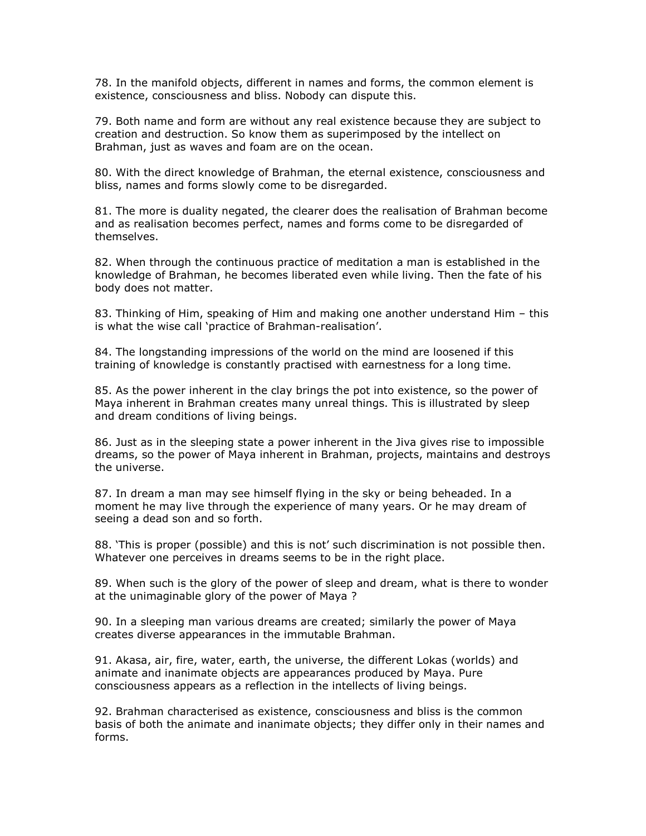78. In the manifold objects, different in names and forms, the common element is existence, consciousness and bliss. Nobody can dispute this.

79. Both name and form are without any real existence because they are subject to creation and destruction. So know them as superimposed by the intellect on Brahman, just as waves and foam are on the ocean.

80. With the direct knowledge of Brahman, the eternal existence, consciousness and bliss, names and forms slowly come to be disregarded.

81. The more is duality negated, the clearer does the realisation of Brahman become and as realisation becomes perfect, names and forms come to be disregarded of themselves.

82. When through the continuous practice of meditation a man is established in the knowledge of Brahman, he becomes liberated even while living. Then the fate of his body does not matter.

83. Thinking of Him, speaking of Him and making one another understand Him – this is what the wise call 'practice of Brahman-realisation'.

84. The longstanding impressions of the world on the mind are loosened if this training of knowledge is constantly practised with earnestness for a long time.

85. As the power inherent in the clay brings the pot into existence, so the power of Maya inherent in Brahman creates many unreal things. This is illustrated by sleep and dream conditions of living beings.

86. Just as in the sleeping state a power inherent in the Jiva gives rise to impossible dreams, so the power of Maya inherent in Brahman, projects, maintains and destroys the universe.

87. In dream a man may see himself flying in the sky or being beheaded. In a moment he may live through the experience of many years. Or he may dream of seeing a dead son and so forth.

88. 'This is proper (possible) and this is not' such discrimination is not possible then. Whatever one perceives in dreams seems to be in the right place.

89. When such is the glory of the power of sleep and dream, what is there to wonder at the unimaginable glory of the power of Maya ?

90. In a sleeping man various dreams are created; similarly the power of Maya creates diverse appearances in the immutable Brahman.

91. Akasa, air, fire, water, earth, the universe, the different Lokas (worlds) and animate and inanimate objects are appearances produced by Maya. Pure consciousness appears as a reflection in the intellects of living beings.

92. Brahman characterised as existence, consciousness and bliss is the common basis of both the animate and inanimate objects; they differ only in their names and forms.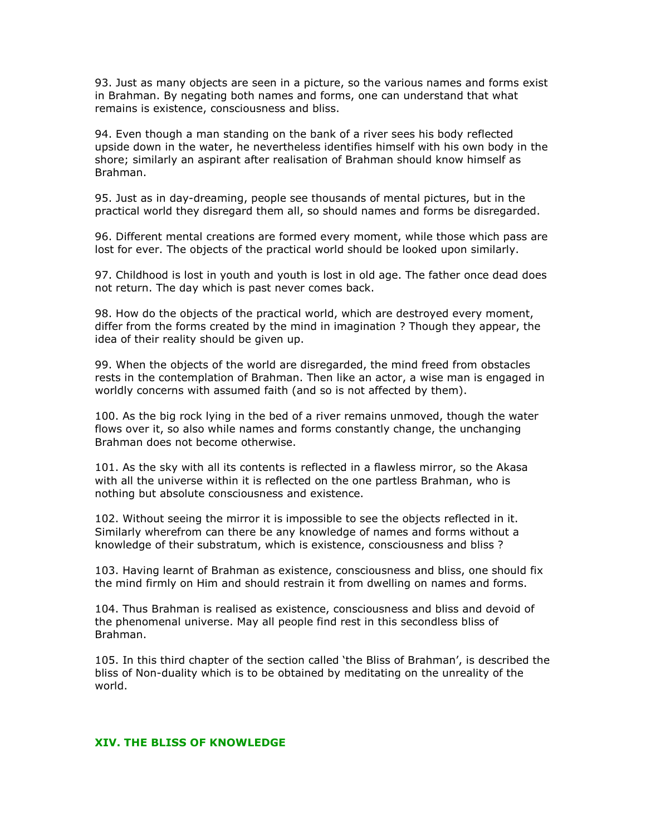93. Just as many objects are seen in a picture, so the various names and forms exist in Brahman. By negating both names and forms, one can understand that what remains is existence, consciousness and bliss.

94. Even though a man standing on the bank of a river sees his body reflected upside down in the water, he nevertheless identifies himself with his own body in the shore; similarly an aspirant after realisation of Brahman should know himself as Brahman.

95. Just as in day-dreaming, people see thousands of mental pictures, but in the practical world they disregard them all, so should names and forms be disregarded.

96. Different mental creations are formed every moment, while those which pass are lost for ever. The objects of the practical world should be looked upon similarly.

97. Childhood is lost in youth and youth is lost in old age. The father once dead does not return. The day which is past never comes back.

98. How do the objects of the practical world, which are destroyed every moment, differ from the forms created by the mind in imagination ? Though they appear, the idea of their reality should be given up.

99. When the objects of the world are disregarded, the mind freed from obstacles rests in the contemplation of Brahman. Then like an actor, a wise man is engaged in worldly concerns with assumed faith (and so is not affected by them).

100. As the big rock lying in the bed of a river remains unmoved, though the water flows over it, so also while names and forms constantly change, the unchanging Brahman does not become otherwise.

101. As the sky with all its contents is reflected in a flawless mirror, so the Akasa with all the universe within it is reflected on the one partless Brahman, who is nothing but absolute consciousness and existence.

102. Without seeing the mirror it is impossible to see the objects reflected in it. Similarly wherefrom can there be any knowledge of names and forms without a knowledge of their substratum, which is existence, consciousness and bliss ?

103. Having learnt of Brahman as existence, consciousness and bliss, one should fix the mind firmly on Him and should restrain it from dwelling on names and forms.

104. Thus Brahman is realised as existence, consciousness and bliss and devoid of the phenomenal universe. May all people find rest in this secondless bliss of Brahman.

105. In this third chapter of the section called 'the Bliss of Brahman', is described the bliss of Non-duality which is to be obtained by meditating on the unreality of the world.

## XIV. THE BLISS OF KNOWLEDGE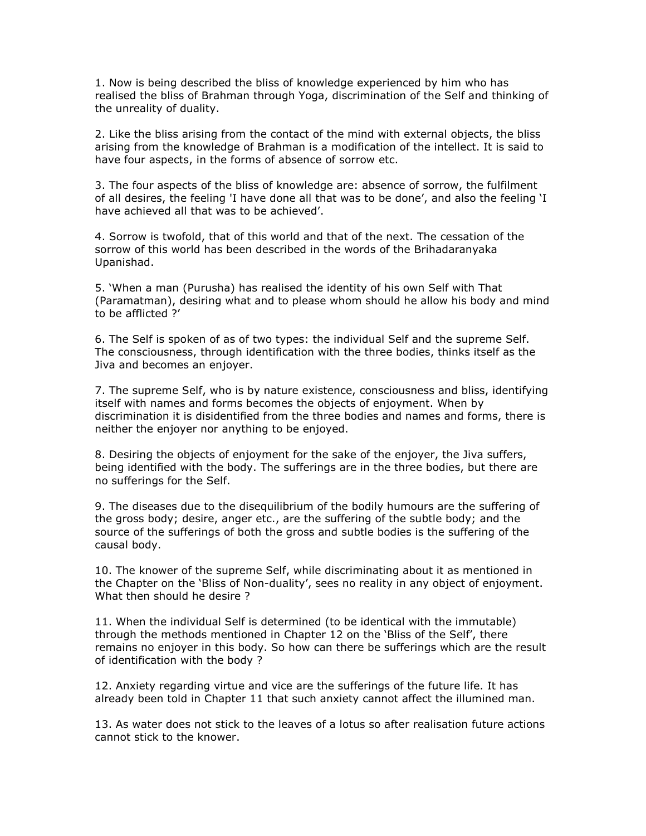1. Now is being described the bliss of knowledge experienced by him who has realised the bliss of Brahman through Yoga, discrimination of the Self and thinking of the unreality of duality.

2. Like the bliss arising from the contact of the mind with external objects, the bliss arising from the knowledge of Brahman is a modification of the intellect. It is said to have four aspects, in the forms of absence of sorrow etc.

3. The four aspects of the bliss of knowledge are: absence of sorrow, the fulfilment of all desires, the feeling 'I have done all that was to be done', and also the feeling 'I have achieved all that was to be achieved'.

4. Sorrow is twofold, that of this world and that of the next. The cessation of the sorrow of this world has been described in the words of the Brihadaranyaka Upanishad.

5. 'When a man (Purusha) has realised the identity of his own Self with That (Paramatman), desiring what and to please whom should he allow his body and mind to be afflicted ?'

6. The Self is spoken of as of two types: the individual Self and the supreme Self. The consciousness, through identification with the three bodies, thinks itself as the Jiva and becomes an enjoyer.

7. The supreme Self, who is by nature existence, consciousness and bliss, identifying itself with names and forms becomes the objects of enjoyment. When by discrimination it is disidentified from the three bodies and names and forms, there is neither the enjoyer nor anything to be enjoyed.

8. Desiring the objects of enjoyment for the sake of the enjoyer, the Jiva suffers, being identified with the body. The sufferings are in the three bodies, but there are no sufferings for the Self.

9. The diseases due to the disequilibrium of the bodily humours are the suffering of the gross body; desire, anger etc., are the suffering of the subtle body; and the source of the sufferings of both the gross and subtle bodies is the suffering of the causal body.

10. The knower of the supreme Self, while discriminating about it as mentioned in the Chapter on the 'Bliss of Non-duality', sees no reality in any object of enjoyment. What then should he desire ?

11. When the individual Self is determined (to be identical with the immutable) through the methods mentioned in Chapter 12 on the 'Bliss of the Self', there remains no enjoyer in this body. So how can there be sufferings which are the result of identification with the body ?

12. Anxiety regarding virtue and vice are the sufferings of the future life. It has already been told in Chapter 11 that such anxiety cannot affect the illumined man.

13. As water does not stick to the leaves of a lotus so after realisation future actions cannot stick to the knower.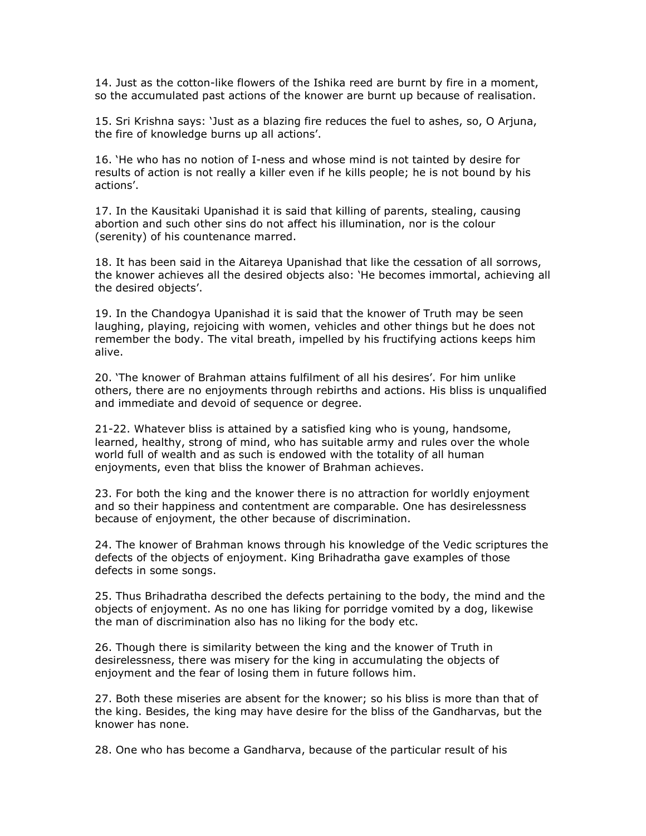14. Just as the cotton-like flowers of the Ishika reed are burnt by fire in a moment, so the accumulated past actions of the knower are burnt up because of realisation.

15. Sri Krishna says: 'Just as a blazing fire reduces the fuel to ashes, so, O Arjuna, the fire of knowledge burns up all actions'.

16. 'He who has no notion of I-ness and whose mind is not tainted by desire for results of action is not really a killer even if he kills people; he is not bound by his actions'.

17. In the Kausitaki Upanishad it is said that killing of parents, stealing, causing abortion and such other sins do not affect his illumination, nor is the colour (serenity) of his countenance marred.

18. It has been said in the Aitareya Upanishad that like the cessation of all sorrows, the knower achieves all the desired objects also: 'He becomes immortal, achieving all the desired objects'.

19. In the Chandogya Upanishad it is said that the knower of Truth may be seen laughing, playing, rejoicing with women, vehicles and other things but he does not remember the body. The vital breath, impelled by his fructifying actions keeps him alive.

20. 'The knower of Brahman attains fulfilment of all his desires'. For him unlike others, there are no enjoyments through rebirths and actions. His bliss is unqualified and immediate and devoid of sequence or degree.

21-22. Whatever bliss is attained by a satisfied king who is young, handsome, learned, healthy, strong of mind, who has suitable army and rules over the whole world full of wealth and as such is endowed with the totality of all human enjoyments, even that bliss the knower of Brahman achieves.

23. For both the king and the knower there is no attraction for worldly enjoyment and so their happiness and contentment are comparable. One has desirelessness because of enjoyment, the other because of discrimination.

24. The knower of Brahman knows through his knowledge of the Vedic scriptures the defects of the objects of enjoyment. King Brihadratha gave examples of those defects in some songs.

25. Thus Brihadratha described the defects pertaining to the body, the mind and the objects of enjoyment. As no one has liking for porridge vomited by a dog, likewise the man of discrimination also has no liking for the body etc.

26. Though there is similarity between the king and the knower of Truth in desirelessness, there was misery for the king in accumulating the objects of enjoyment and the fear of losing them in future follows him.

27. Both these miseries are absent for the knower; so his bliss is more than that of the king. Besides, the king may have desire for the bliss of the Gandharvas, but the knower has none.

28. One who has become a Gandharva, because of the particular result of his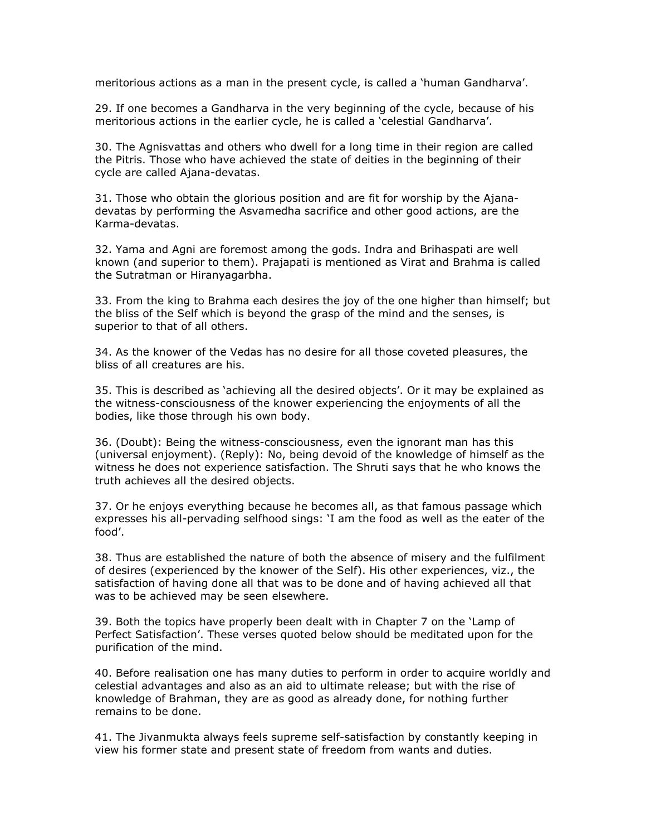meritorious actions as a man in the present cycle, is called a 'human Gandharva'.

29. If one becomes a Gandharva in the very beginning of the cycle, because of his meritorious actions in the earlier cycle, he is called a 'celestial Gandharva'.

30. The Agnisvattas and others who dwell for a long time in their region are called the Pitris. Those who have achieved the state of deities in the beginning of their cycle are called Ajana-devatas.

31. Those who obtain the glorious position and are fit for worship by the Ajanadevatas by performing the Asvamedha sacrifice and other good actions, are the Karma-devatas.

32. Yama and Agni are foremost among the gods. Indra and Brihaspati are well known (and superior to them). Prajapati is mentioned as Virat and Brahma is called the Sutratman or Hiranyagarbha.

33. From the king to Brahma each desires the joy of the one higher than himself; but the bliss of the Self which is beyond the grasp of the mind and the senses, is superior to that of all others.

34. As the knower of the Vedas has no desire for all those coveted pleasures, the bliss of all creatures are his.

35. This is described as 'achieving all the desired objects'. Or it may be explained as the witness-consciousness of the knower experiencing the enjoyments of all the bodies, like those through his own body.

36. (Doubt): Being the witness-consciousness, even the ignorant man has this (universal enjoyment). (Reply): No, being devoid of the knowledge of himself as the witness he does not experience satisfaction. The Shruti says that he who knows the truth achieves all the desired objects.

37. Or he enjoys everything because he becomes all, as that famous passage which expresses his all-pervading selfhood sings: 'I am the food as well as the eater of the food'.

38. Thus are established the nature of both the absence of misery and the fulfilment of desires (experienced by the knower of the Self). His other experiences, viz., the satisfaction of having done all that was to be done and of having achieved all that was to be achieved may be seen elsewhere.

39. Both the topics have properly been dealt with in Chapter 7 on the 'Lamp of Perfect Satisfaction'. These verses quoted below should be meditated upon for the purification of the mind.

40. Before realisation one has many duties to perform in order to acquire worldly and celestial advantages and also as an aid to ultimate release; but with the rise of knowledge of Brahman, they are as good as already done, for nothing further remains to be done.

41. The Jivanmukta always feels supreme self-satisfaction by constantly keeping in view his former state and present state of freedom from wants and duties.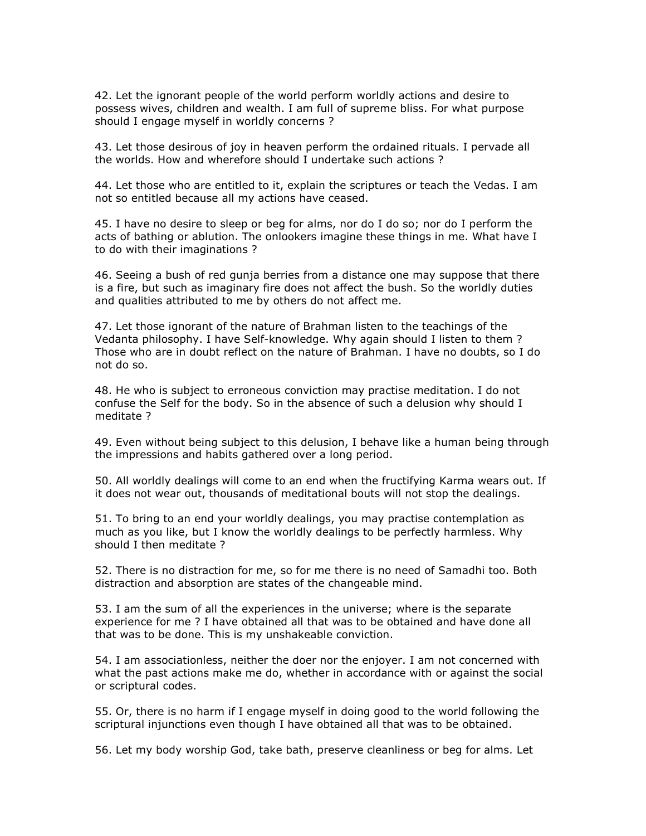42. Let the ignorant people of the world perform worldly actions and desire to possess wives, children and wealth. I am full of supreme bliss. For what purpose should I engage myself in worldly concerns ?

43. Let those desirous of joy in heaven perform the ordained rituals. I pervade all the worlds. How and wherefore should I undertake such actions ?

44. Let those who are entitled to it, explain the scriptures or teach the Vedas. I am not so entitled because all my actions have ceased.

45. I have no desire to sleep or beg for alms, nor do I do so; nor do I perform the acts of bathing or ablution. The onlookers imagine these things in me. What have I to do with their imaginations ?

46. Seeing a bush of red gunja berries from a distance one may suppose that there is a fire, but such as imaginary fire does not affect the bush. So the worldly duties and qualities attributed to me by others do not affect me.

47. Let those ignorant of the nature of Brahman listen to the teachings of the Vedanta philosophy. I have Self-knowledge. Why again should I listen to them ? Those who are in doubt reflect on the nature of Brahman. I have no doubts, so I do not do so.

48. He who is subject to erroneous conviction may practise meditation. I do not confuse the Self for the body. So in the absence of such a delusion why should I meditate ?

49. Even without being subject to this delusion, I behave like a human being through the impressions and habits gathered over a long period.

50. All worldly dealings will come to an end when the fructifying Karma wears out. If it does not wear out, thousands of meditational bouts will not stop the dealings.

51. To bring to an end your worldly dealings, you may practise contemplation as much as you like, but I know the worldly dealings to be perfectly harmless. Why should I then meditate ?

52. There is no distraction for me, so for me there is no need of Samadhi too. Both distraction and absorption are states of the changeable mind.

53. I am the sum of all the experiences in the universe; where is the separate experience for me ? I have obtained all that was to be obtained and have done all that was to be done. This is my unshakeable conviction.

54. I am associationless, neither the doer nor the enjoyer. I am not concerned with what the past actions make me do, whether in accordance with or against the social or scriptural codes.

55. Or, there is no harm if I engage myself in doing good to the world following the scriptural injunctions even though I have obtained all that was to be obtained.

56. Let my body worship God, take bath, preserve cleanliness or beg for alms. Let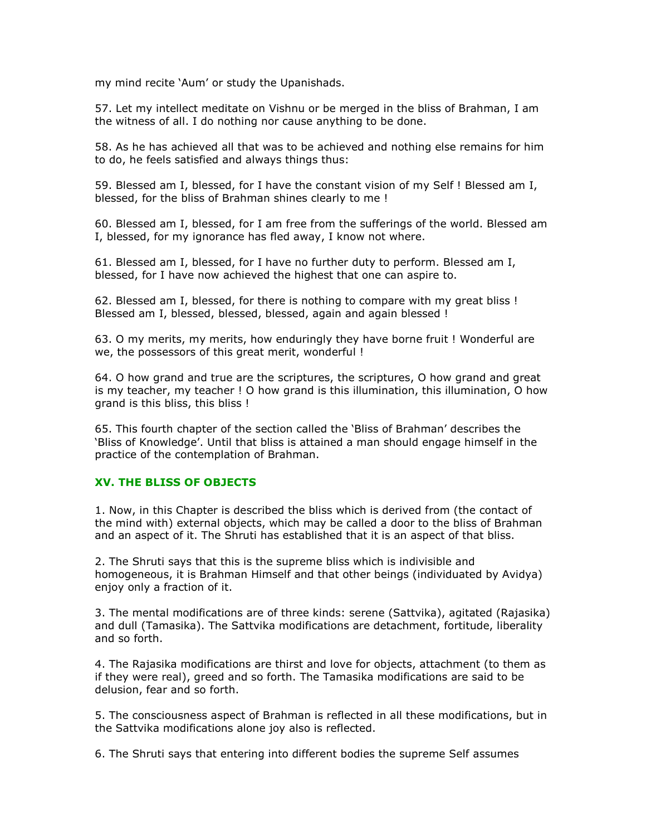my mind recite 'Aum' or study the Upanishads.

57. Let my intellect meditate on Vishnu or be merged in the bliss of Brahman, I am the witness of all. I do nothing nor cause anything to be done.

58. As he has achieved all that was to be achieved and nothing else remains for him to do, he feels satisfied and always things thus:

59. Blessed am I, blessed, for I have the constant vision of my Self ! Blessed am I, blessed, for the bliss of Brahman shines clearly to me !

60. Blessed am I, blessed, for I am free from the sufferings of the world. Blessed am I, blessed, for my ignorance has fled away, I know not where.

61. Blessed am I, blessed, for I have no further duty to perform. Blessed am I, blessed, for I have now achieved the highest that one can aspire to.

62. Blessed am I, blessed, for there is nothing to compare with my great bliss ! Blessed am I, blessed, blessed, blessed, again and again blessed !

63. O my merits, my merits, how enduringly they have borne fruit ! Wonderful are we, the possessors of this great merit, wonderful !

64. O how grand and true are the scriptures, the scriptures, O how grand and great is my teacher, my teacher ! O how grand is this illumination, this illumination, O how grand is this bliss, this bliss !

65. This fourth chapter of the section called the 'Bliss of Brahman' describes the 'Bliss of Knowledge'. Until that bliss is attained a man should engage himself in the practice of the contemplation of Brahman.

## XV. THE BLISS OF OBJECTS

1. Now, in this Chapter is described the bliss which is derived from (the contact of the mind with) external objects, which may be called a door to the bliss of Brahman and an aspect of it. The Shruti has established that it is an aspect of that bliss.

2. The Shruti says that this is the supreme bliss which is indivisible and homogeneous, it is Brahman Himself and that other beings (individuated by Avidya) enjoy only a fraction of it.

3. The mental modifications are of three kinds: serene (Sattvika), agitated (Rajasika) and dull (Tamasika). The Sattvika modifications are detachment, fortitude, liberality and so forth.

4. The Rajasika modifications are thirst and love for objects, attachment (to them as if they were real), greed and so forth. The Tamasika modifications are said to be delusion, fear and so forth.

5. The consciousness aspect of Brahman is reflected in all these modifications, but in the Sattvika modifications alone joy also is reflected.

6. The Shruti says that entering into different bodies the supreme Self assumes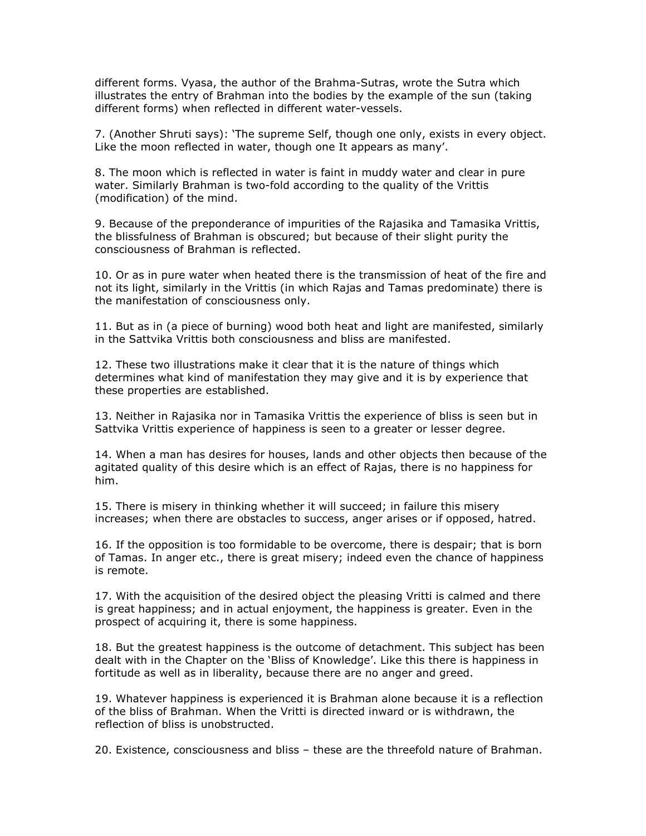different forms. Vyasa, the author of the Brahma-Sutras, wrote the Sutra which illustrates the entry of Brahman into the bodies by the example of the sun (taking different forms) when reflected in different water-vessels.

7. (Another Shruti says): 'The supreme Self, though one only, exists in every object. Like the moon reflected in water, though one It appears as many'.

8. The moon which is reflected in water is faint in muddy water and clear in pure water. Similarly Brahman is two-fold according to the quality of the Vrittis (modification) of the mind.

9. Because of the preponderance of impurities of the Rajasika and Tamasika Vrittis, the blissfulness of Brahman is obscured; but because of their slight purity the consciousness of Brahman is reflected.

10. Or as in pure water when heated there is the transmission of heat of the fire and not its light, similarly in the Vrittis (in which Rajas and Tamas predominate) there is the manifestation of consciousness only.

11. But as in (a piece of burning) wood both heat and light are manifested, similarly in the Sattvika Vrittis both consciousness and bliss are manifested.

12. These two illustrations make it clear that it is the nature of things which determines what kind of manifestation they may give and it is by experience that these properties are established.

13. Neither in Rajasika nor in Tamasika Vrittis the experience of bliss is seen but in Sattvika Vrittis experience of happiness is seen to a greater or lesser degree.

14. When a man has desires for houses, lands and other objects then because of the agitated quality of this desire which is an effect of Rajas, there is no happiness for him.

15. There is misery in thinking whether it will succeed; in failure this misery increases; when there are obstacles to success, anger arises or if opposed, hatred.

16. If the opposition is too formidable to be overcome, there is despair; that is born of Tamas. In anger etc., there is great misery; indeed even the chance of happiness is remote.

17. With the acquisition of the desired object the pleasing Vritti is calmed and there is great happiness; and in actual enjoyment, the happiness is greater. Even in the prospect of acquiring it, there is some happiness.

18. But the greatest happiness is the outcome of detachment. This subject has been dealt with in the Chapter on the 'Bliss of Knowledge'. Like this there is happiness in fortitude as well as in liberality, because there are no anger and greed.

19. Whatever happiness is experienced it is Brahman alone because it is a reflection of the bliss of Brahman. When the Vritti is directed inward or is withdrawn, the reflection of bliss is unobstructed.

20. Existence, consciousness and bliss – these are the threefold nature of Brahman.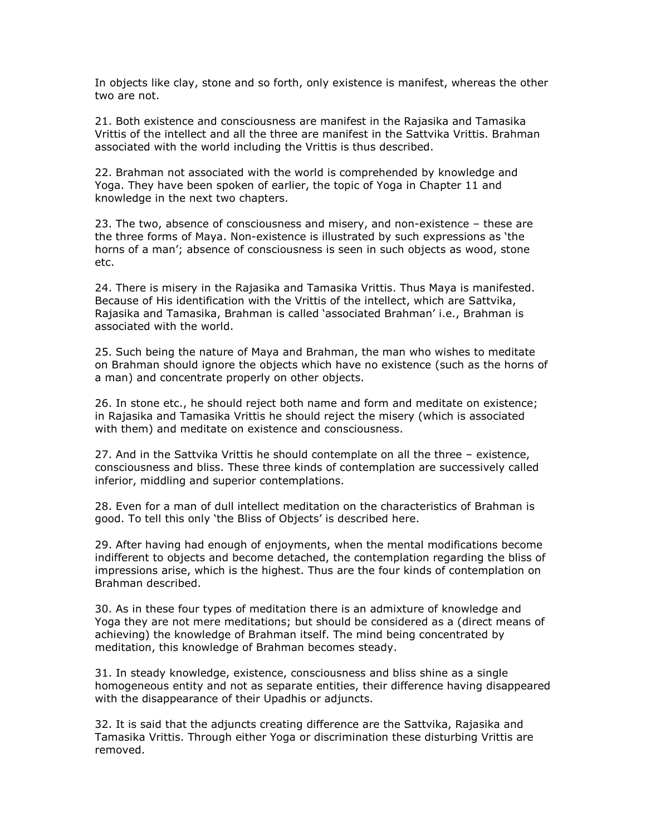In objects like clay, stone and so forth, only existence is manifest, whereas the other two are not.

21. Both existence and consciousness are manifest in the Rajasika and Tamasika Vrittis of the intellect and all the three are manifest in the Sattvika Vrittis. Brahman associated with the world including the Vrittis is thus described.

22. Brahman not associated with the world is comprehended by knowledge and Yoga. They have been spoken of earlier, the topic of Yoga in Chapter 11 and knowledge in the next two chapters.

23. The two, absence of consciousness and misery, and non-existence – these are the three forms of Maya. Non-existence is illustrated by such expressions as 'the horns of a man'; absence of consciousness is seen in such objects as wood, stone etc.

24. There is misery in the Rajasika and Tamasika Vrittis. Thus Maya is manifested. Because of His identification with the Vrittis of the intellect, which are Sattvika, Rajasika and Tamasika, Brahman is called 'associated Brahman' i.e., Brahman is associated with the world.

25. Such being the nature of Maya and Brahman, the man who wishes to meditate on Brahman should ignore the objects which have no existence (such as the horns of a man) and concentrate properly on other objects.

26. In stone etc., he should reject both name and form and meditate on existence; in Rajasika and Tamasika Vrittis he should reject the misery (which is associated with them) and meditate on existence and consciousness.

27. And in the Sattvika Vrittis he should contemplate on all the three – existence, consciousness and bliss. These three kinds of contemplation are successively called inferior, middling and superior contemplations.

28. Even for a man of dull intellect meditation on the characteristics of Brahman is good. To tell this only 'the Bliss of Objects' is described here.

29. After having had enough of enjoyments, when the mental modifications become indifferent to objects and become detached, the contemplation regarding the bliss of impressions arise, which is the highest. Thus are the four kinds of contemplation on Brahman described.

30. As in these four types of meditation there is an admixture of knowledge and Yoga they are not mere meditations; but should be considered as a (direct means of achieving) the knowledge of Brahman itself. The mind being concentrated by meditation, this knowledge of Brahman becomes steady.

31. In steady knowledge, existence, consciousness and bliss shine as a single homogeneous entity and not as separate entities, their difference having disappeared with the disappearance of their Upadhis or adjuncts.

32. It is said that the adjuncts creating difference are the Sattvika, Rajasika and Tamasika Vrittis. Through either Yoga or discrimination these disturbing Vrittis are removed.